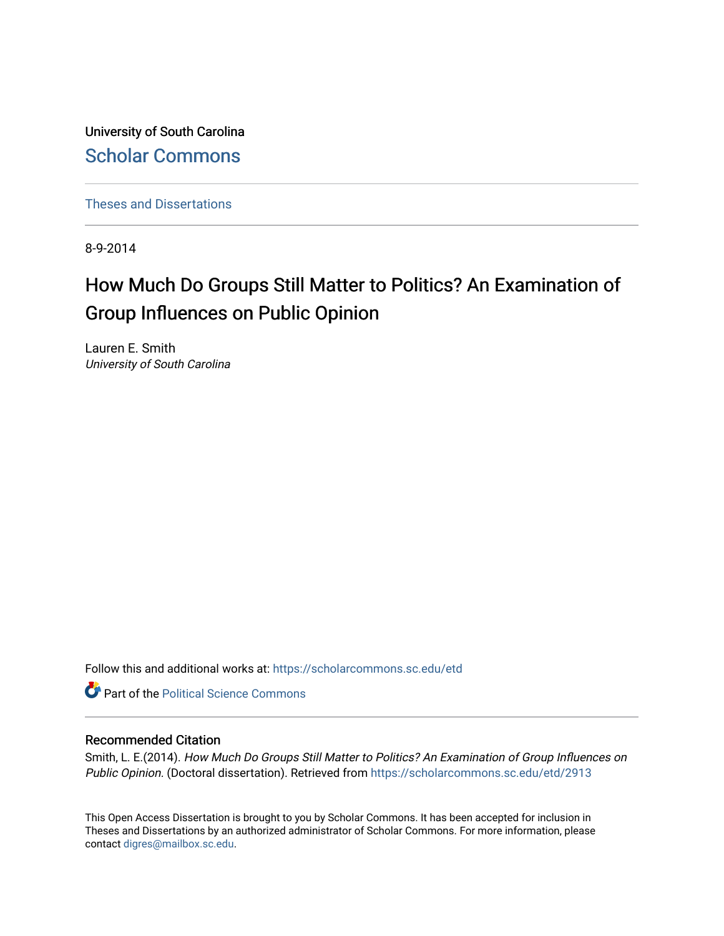University of South Carolina [Scholar Commons](https://scholarcommons.sc.edu/) 

[Theses and Dissertations](https://scholarcommons.sc.edu/etd)

8-9-2014

# How Much Do Groups Still Matter to Politics? An Examination of Group Influences on Public Opinion

Lauren E. Smith University of South Carolina

Follow this and additional works at: [https://scholarcommons.sc.edu/etd](https://scholarcommons.sc.edu/etd?utm_source=scholarcommons.sc.edu%2Fetd%2F2913&utm_medium=PDF&utm_campaign=PDFCoverPages)

**Part of the Political Science Commons** 

# Recommended Citation

Smith, L. E.(2014). How Much Do Groups Still Matter to Politics? An Examination of Group Influences on Public Opinion. (Doctoral dissertation). Retrieved from [https://scholarcommons.sc.edu/etd/2913](https://scholarcommons.sc.edu/etd/2913?utm_source=scholarcommons.sc.edu%2Fetd%2F2913&utm_medium=PDF&utm_campaign=PDFCoverPages) 

This Open Access Dissertation is brought to you by Scholar Commons. It has been accepted for inclusion in Theses and Dissertations by an authorized administrator of Scholar Commons. For more information, please contact [digres@mailbox.sc.edu.](mailto:digres@mailbox.sc.edu)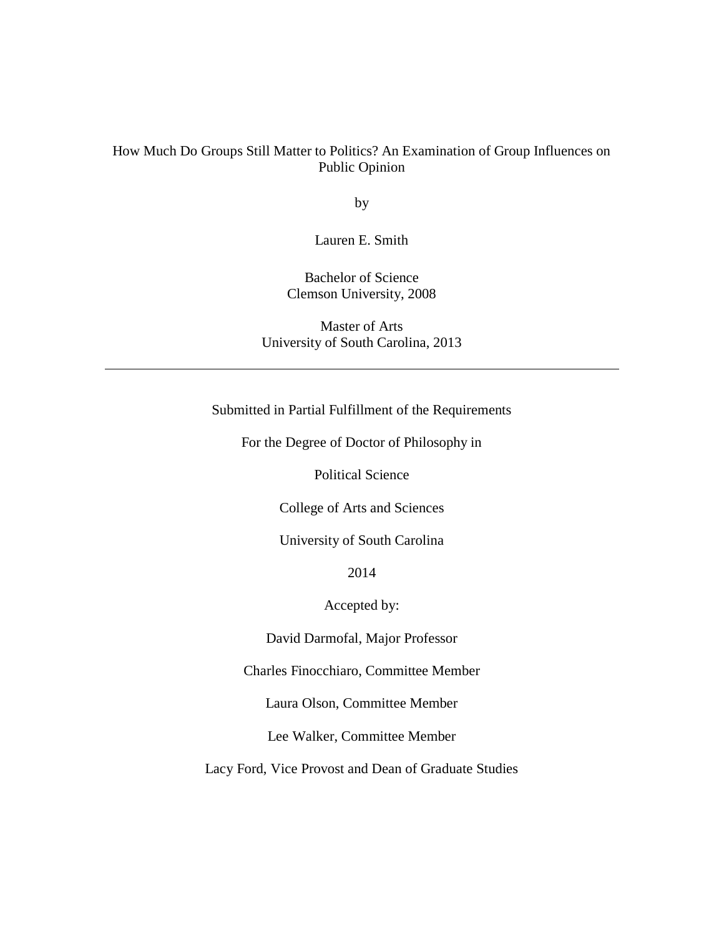# How Much Do Groups Still Matter to Politics? An Examination of Group Influences on Public Opinion

by

Lauren E. Smith

Bachelor of Science Clemson University, 2008

Master of Arts University of South Carolina, 2013

# Submitted in Partial Fulfillment of the Requirements

For the Degree of Doctor of Philosophy in

Political Science

College of Arts and Sciences

University of South Carolina

2014

Accepted by:

David Darmofal, Major Professor

Charles Finocchiaro, Committee Member

Laura Olson, Committee Member

Lee Walker, Committee Member

Lacy Ford, Vice Provost and Dean of Graduate Studies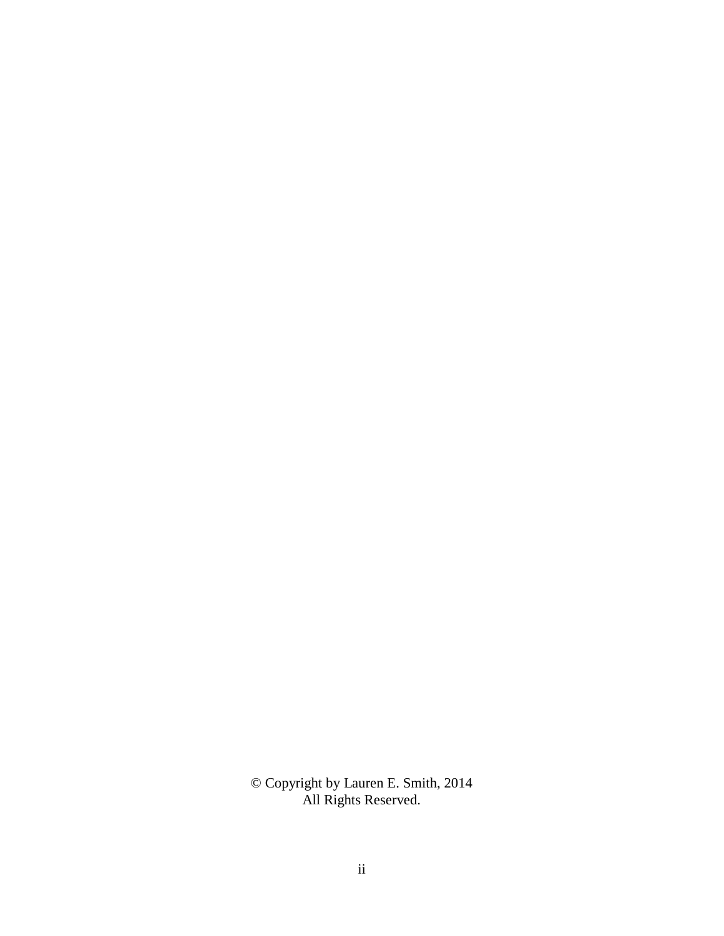© Copyright by Lauren E. Smith, 2014 All Rights Reserved.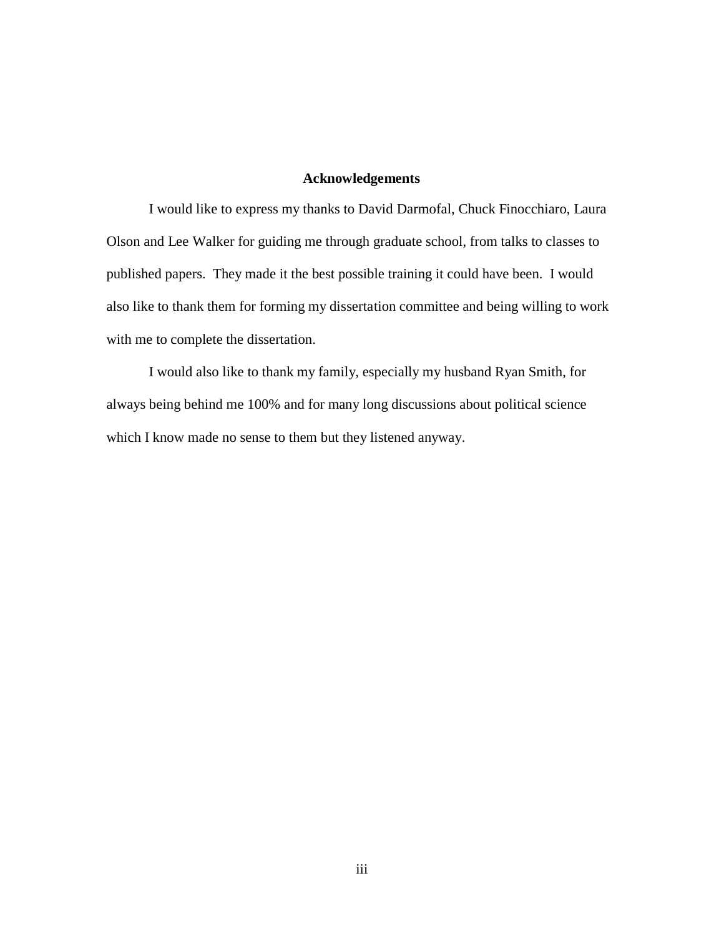# **Acknowledgements**

I would like to express my thanks to David Darmofal, Chuck Finocchiaro, Laura Olson and Lee Walker for guiding me through graduate school, from talks to classes to published papers. They made it the best possible training it could have been. I would also like to thank them for forming my dissertation committee and being willing to work with me to complete the dissertation.

I would also like to thank my family, especially my husband Ryan Smith, for always being behind me 100% and for many long discussions about political science which I know made no sense to them but they listened anyway.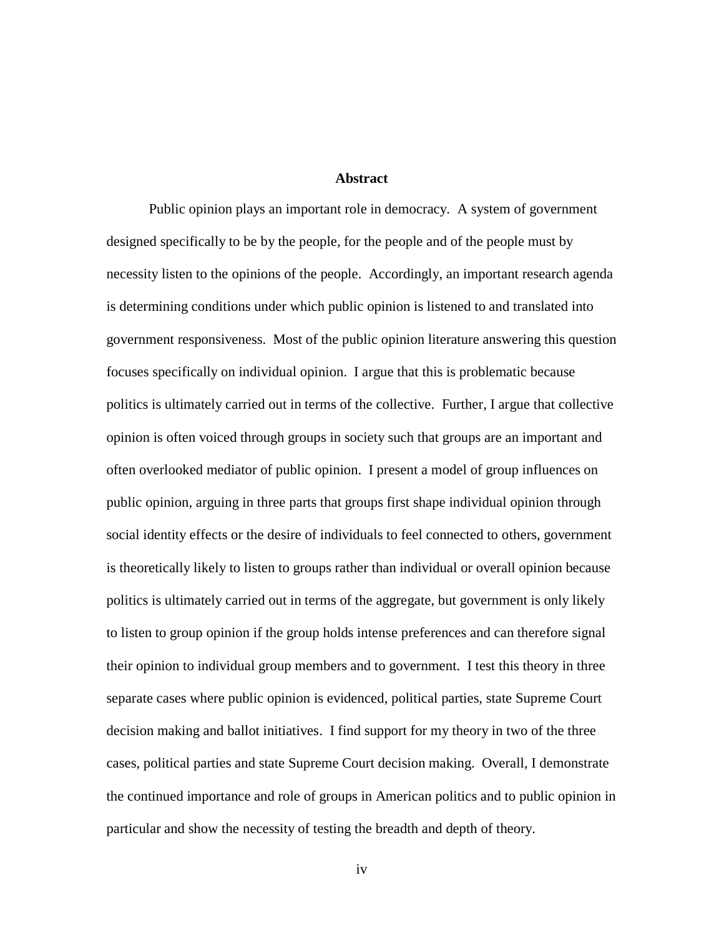# **Abstract**

Public opinion plays an important role in democracy. A system of government designed specifically to be by the people, for the people and of the people must by necessity listen to the opinions of the people. Accordingly, an important research agenda is determining conditions under which public opinion is listened to and translated into government responsiveness. Most of the public opinion literature answering this question focuses specifically on individual opinion. I argue that this is problematic because politics is ultimately carried out in terms of the collective. Further, I argue that collective opinion is often voiced through groups in society such that groups are an important and often overlooked mediator of public opinion. I present a model of group influences on public opinion, arguing in three parts that groups first shape individual opinion through social identity effects or the desire of individuals to feel connected to others, government is theoretically likely to listen to groups rather than individual or overall opinion because politics is ultimately carried out in terms of the aggregate, but government is only likely to listen to group opinion if the group holds intense preferences and can therefore signal their opinion to individual group members and to government. I test this theory in three separate cases where public opinion is evidenced, political parties, state Supreme Court decision making and ballot initiatives. I find support for my theory in two of the three cases, political parties and state Supreme Court decision making. Overall, I demonstrate the continued importance and role of groups in American politics and to public opinion in particular and show the necessity of testing the breadth and depth of theory.

iv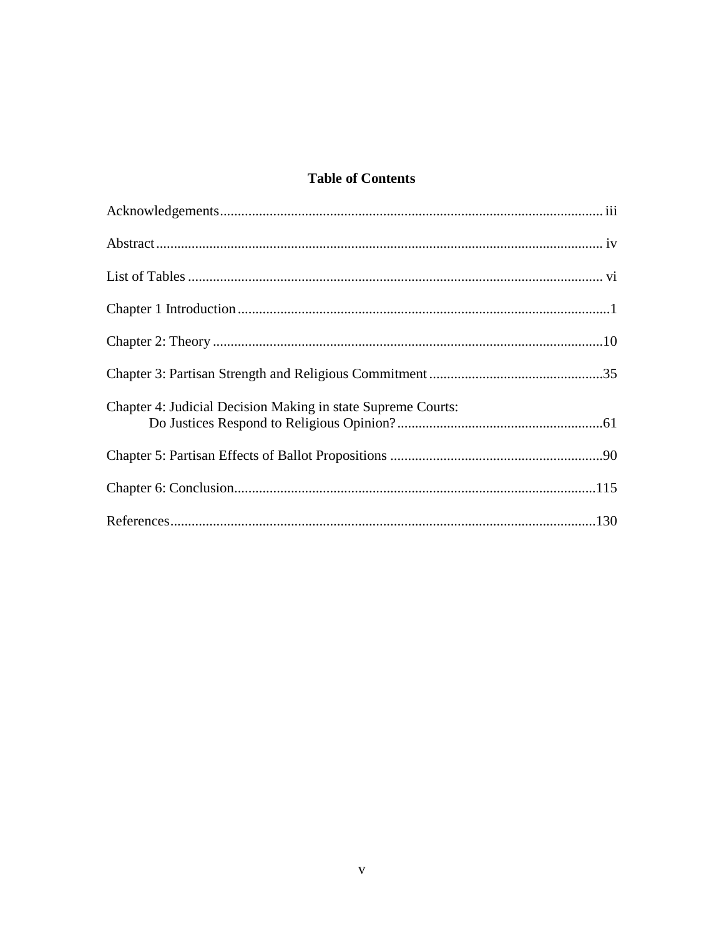# **Table of Contents**

| Chapter 4: Judicial Decision Making in state Supreme Courts: |  |
|--------------------------------------------------------------|--|
|                                                              |  |
|                                                              |  |
|                                                              |  |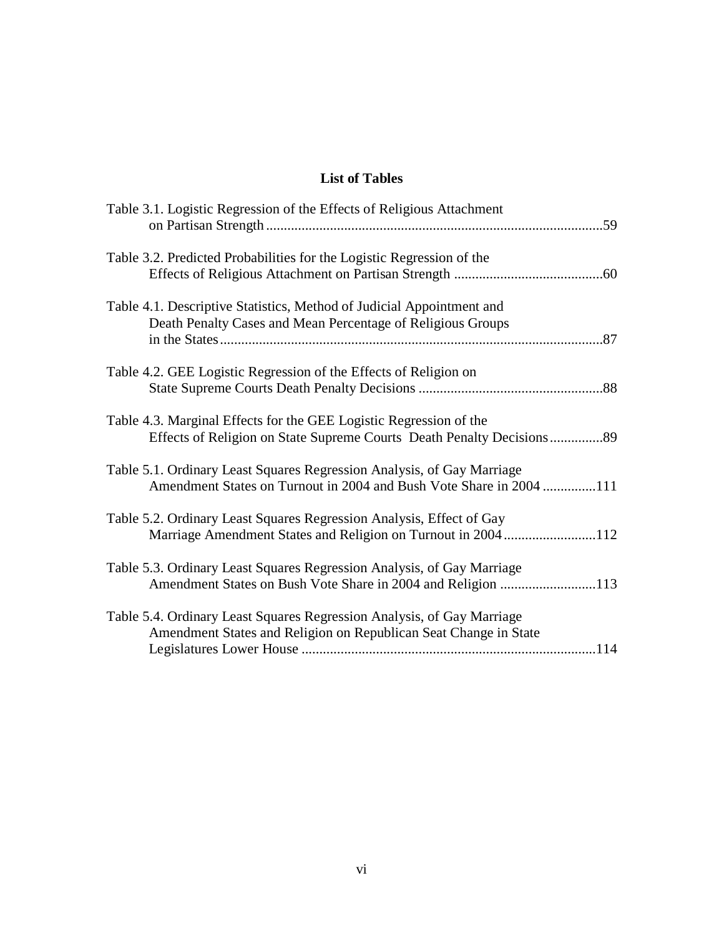# **List of Tables**

| Table 3.1. Logistic Regression of the Effects of Religious Attachment                                                                              |
|----------------------------------------------------------------------------------------------------------------------------------------------------|
| Table 3.2. Predicted Probabilities for the Logistic Regression of the                                                                              |
| Table 4.1. Descriptive Statistics, Method of Judicial Appointment and<br>Death Penalty Cases and Mean Percentage of Religious Groups               |
| Table 4.2. GEE Logistic Regression of the Effects of Religion on                                                                                   |
| Table 4.3. Marginal Effects for the GEE Logistic Regression of the                                                                                 |
| Table 5.1. Ordinary Least Squares Regression Analysis, of Gay Marriage<br>Amendment States on Turnout in 2004 and Bush Vote Share in 2004 111      |
| Table 5.2. Ordinary Least Squares Regression Analysis, Effect of Gay<br>Marriage Amendment States and Religion on Turnout in 2004112               |
| Table 5.3. Ordinary Least Squares Regression Analysis, of Gay Marriage<br>Amendment States on Bush Vote Share in 2004 and Religion 113             |
| Table 5.4. Ordinary Least Squares Regression Analysis, of Gay Marriage<br>Amendment States and Religion on Republican Seat Change in State<br>.114 |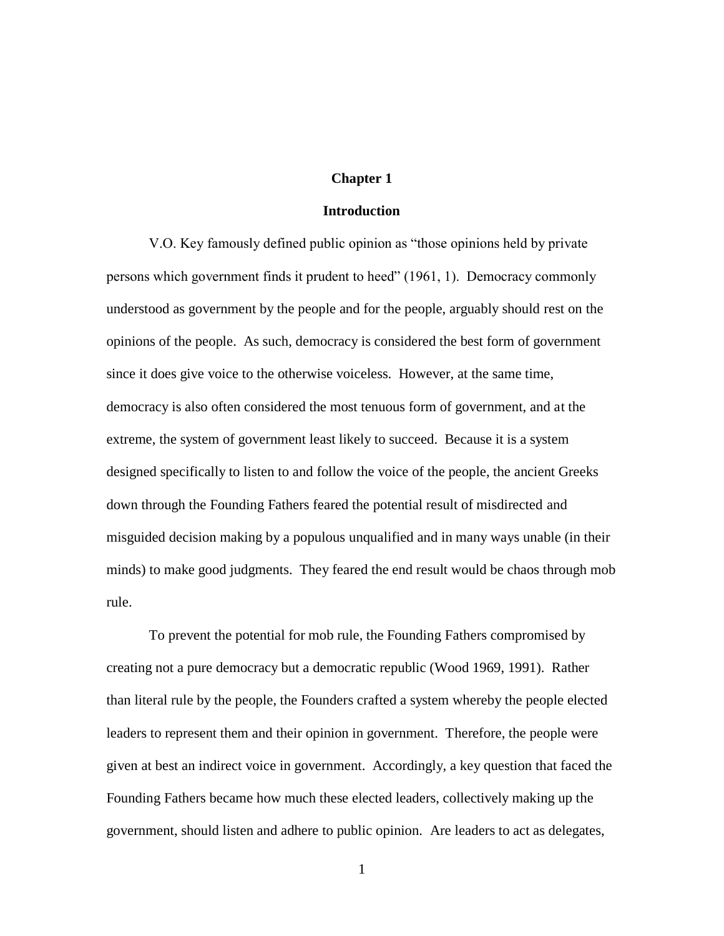# **Chapter 1**

#### **Introduction**

V.O. Key famously defined public opinion as "those opinions held by private persons which government finds it prudent to heed" (1961, 1). Democracy commonly understood as government by the people and for the people, arguably should rest on the opinions of the people. As such, democracy is considered the best form of government since it does give voice to the otherwise voiceless. However, at the same time, democracy is also often considered the most tenuous form of government, and at the extreme, the system of government least likely to succeed. Because it is a system designed specifically to listen to and follow the voice of the people, the ancient Greeks down through the Founding Fathers feared the potential result of misdirected and misguided decision making by a populous unqualified and in many ways unable (in their minds) to make good judgments. They feared the end result would be chaos through mob rule.

To prevent the potential for mob rule, the Founding Fathers compromised by creating not a pure democracy but a democratic republic (Wood 1969, 1991). Rather than literal rule by the people, the Founders crafted a system whereby the people elected leaders to represent them and their opinion in government. Therefore, the people were given at best an indirect voice in government. Accordingly, a key question that faced the Founding Fathers became how much these elected leaders, collectively making up the government, should listen and adhere to public opinion. Are leaders to act as delegates,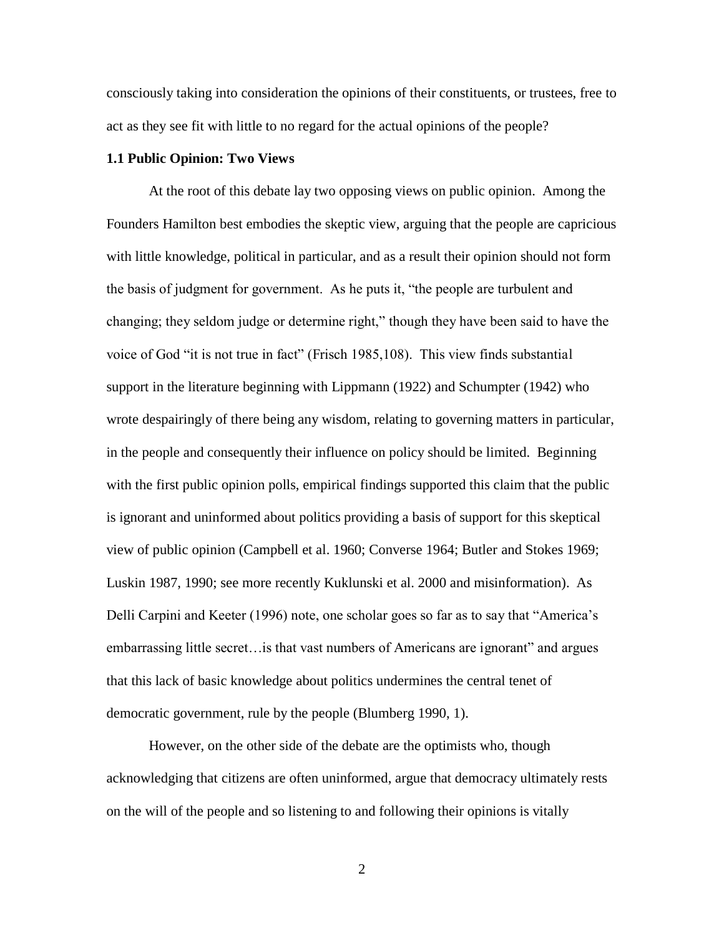consciously taking into consideration the opinions of their constituents, or trustees, free to act as they see fit with little to no regard for the actual opinions of the people?

# **1.1 Public Opinion: Two Views**

At the root of this debate lay two opposing views on public opinion. Among the Founders Hamilton best embodies the skeptic view, arguing that the people are capricious with little knowledge, political in particular, and as a result their opinion should not form the basis of judgment for government. As he puts it, "the people are turbulent and changing; they seldom judge or determine right," though they have been said to have the voice of God "it is not true in fact" (Frisch 1985,108). This view finds substantial support in the literature beginning with Lippmann (1922) and Schumpter (1942) who wrote despairingly of there being any wisdom, relating to governing matters in particular, in the people and consequently their influence on policy should be limited. Beginning with the first public opinion polls, empirical findings supported this claim that the public is ignorant and uninformed about politics providing a basis of support for this skeptical view of public opinion (Campbell et al. 1960; Converse 1964; Butler and Stokes 1969; Luskin 1987, 1990; see more recently Kuklunski et al. 2000 and misinformation). As Delli Carpini and Keeter (1996) note, one scholar goes so far as to say that "America's embarrassing little secret…is that vast numbers of Americans are ignorant" and argues that this lack of basic knowledge about politics undermines the central tenet of democratic government, rule by the people (Blumberg 1990, 1).

However, on the other side of the debate are the optimists who, though acknowledging that citizens are often uninformed, argue that democracy ultimately rests on the will of the people and so listening to and following their opinions is vitally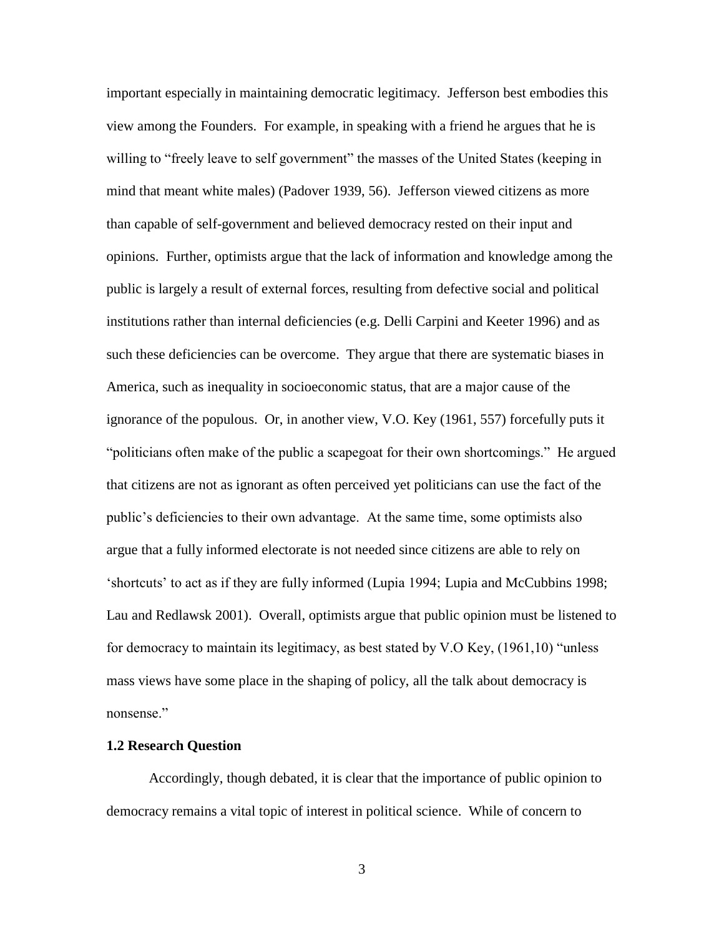important especially in maintaining democratic legitimacy. Jefferson best embodies this view among the Founders. For example, in speaking with a friend he argues that he is willing to "freely leave to self government" the masses of the United States (keeping in mind that meant white males) (Padover 1939, 56). Jefferson viewed citizens as more than capable of self-government and believed democracy rested on their input and opinions. Further, optimists argue that the lack of information and knowledge among the public is largely a result of external forces, resulting from defective social and political institutions rather than internal deficiencies (e.g. Delli Carpini and Keeter 1996) and as such these deficiencies can be overcome. They argue that there are systematic biases in America, such as inequality in socioeconomic status, that are a major cause of the ignorance of the populous. Or, in another view, V.O. Key (1961, 557) forcefully puts it "politicians often make of the public a scapegoat for their own shortcomings." He argued that citizens are not as ignorant as often perceived yet politicians can use the fact of the public's deficiencies to their own advantage. At the same time, some optimists also argue that a fully informed electorate is not needed since citizens are able to rely on 'shortcuts' to act as if they are fully informed (Lupia 1994; Lupia and McCubbins 1998; Lau and Redlawsk 2001). Overall, optimists argue that public opinion must be listened to for democracy to maintain its legitimacy, as best stated by V.O Key, (1961,10) "unless mass views have some place in the shaping of policy, all the talk about democracy is nonsense."

### **1.2 Research Question**

Accordingly, though debated, it is clear that the importance of public opinion to democracy remains a vital topic of interest in political science. While of concern to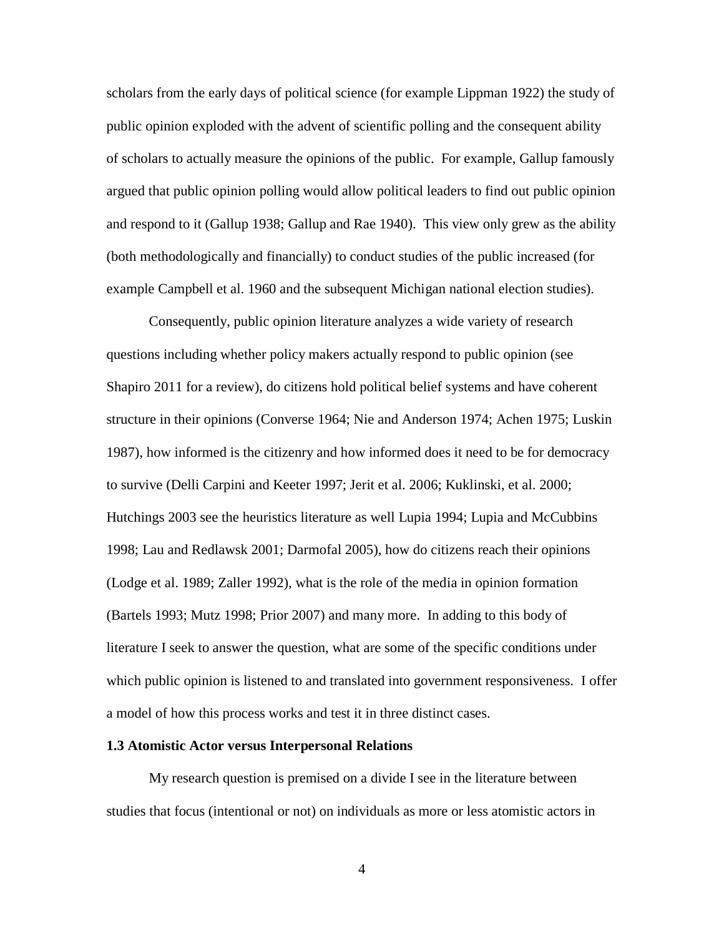scholars from the early days of political science (for example Lippman 1922) the study of public opinion exploded with the advent of scientific polling and the consequent ability of scholars to actually measure the opinions of the public. For example, Gallup famously argued that public opinion polling would allow political leaders to find out public opinion and respond to it [\(Gallup 1938;](http://poq.oxfordjournals.org.pallas2.tcl.sc.edu/content/75/5/982.full#ref-86) [Gallup and Rae 1940\)](http://poq.oxfordjournals.org.pallas2.tcl.sc.edu/content/75/5/982.full#ref-87). This view only grew as the ability (both methodologically and financially) to conduct studies of the public increased (for example Campbell et al. 1960 and the subsequent Michigan national election studies).

Consequently, public opinion literature analyzes a wide variety of research questions including whether policy makers actually respond to public opinion (see Shapiro 2011 for a review), do citizens hold political belief systems and have coherent structure in their opinions (Converse 1964; Nie and Anderson 1974; Achen 1975; Luskin 1987), how informed is the citizenry and how informed does it need to be for democracy to survive (Delli Carpini and Keeter 1997; Jerit et al. 2006; Kuklinski, et al. 2000; Hutchings 2003 see the heuristics literature as well Lupia 1994; Lupia and McCubbins 1998; Lau and Redlawsk 2001; Darmofal 2005), how do citizens reach their opinions (Lodge et al. 1989; Zaller 1992), what is the role of the media in opinion formation (Bartels 1993; Mutz 1998; Prior 2007) and many more. In adding to this body of literature I seek to answer the question, what are some of the specific conditions under which public opinion is listened to and translated into government responsiveness. I offer a model of how this process works and test it in three distinct cases.

#### **1.3 Atomistic Actor versus Interpersonal Relations**

My research question is premised on a divide I see in the literature between studies that focus (intentional or not) on individuals as more or less atomistic actors in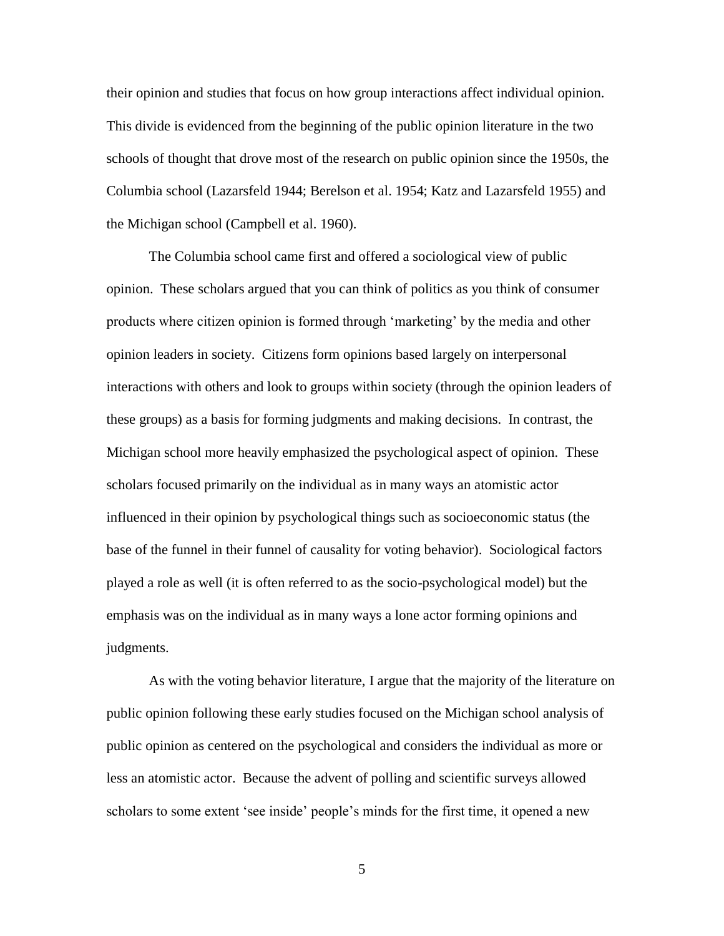their opinion and studies that focus on how group interactions affect individual opinion. This divide is evidenced from the beginning of the public opinion literature in the two schools of thought that drove most of the research on public opinion since the 1950s, the Columbia school (Lazarsfeld 1944; Berelson et al. 1954; Katz and Lazarsfeld 1955) and the Michigan school (Campbell et al. 1960).

The Columbia school came first and offered a sociological view of public opinion. These scholars argued that you can think of politics as you think of consumer products where citizen opinion is formed through 'marketing' by the media and other opinion leaders in society. Citizens form opinions based largely on interpersonal interactions with others and look to groups within society (through the opinion leaders of these groups) as a basis for forming judgments and making decisions. In contrast, the Michigan school more heavily emphasized the psychological aspect of opinion. These scholars focused primarily on the individual as in many ways an atomistic actor influenced in their opinion by psychological things such as socioeconomic status (the base of the funnel in their funnel of causality for voting behavior). Sociological factors played a role as well (it is often referred to as the socio-psychological model) but the emphasis was on the individual as in many ways a lone actor forming opinions and judgments.

As with the voting behavior literature, I argue that the majority of the literature on public opinion following these early studies focused on the Michigan school analysis of public opinion as centered on the psychological and considers the individual as more or less an atomistic actor. Because the advent of polling and scientific surveys allowed scholars to some extent 'see inside' people's minds for the first time, it opened a new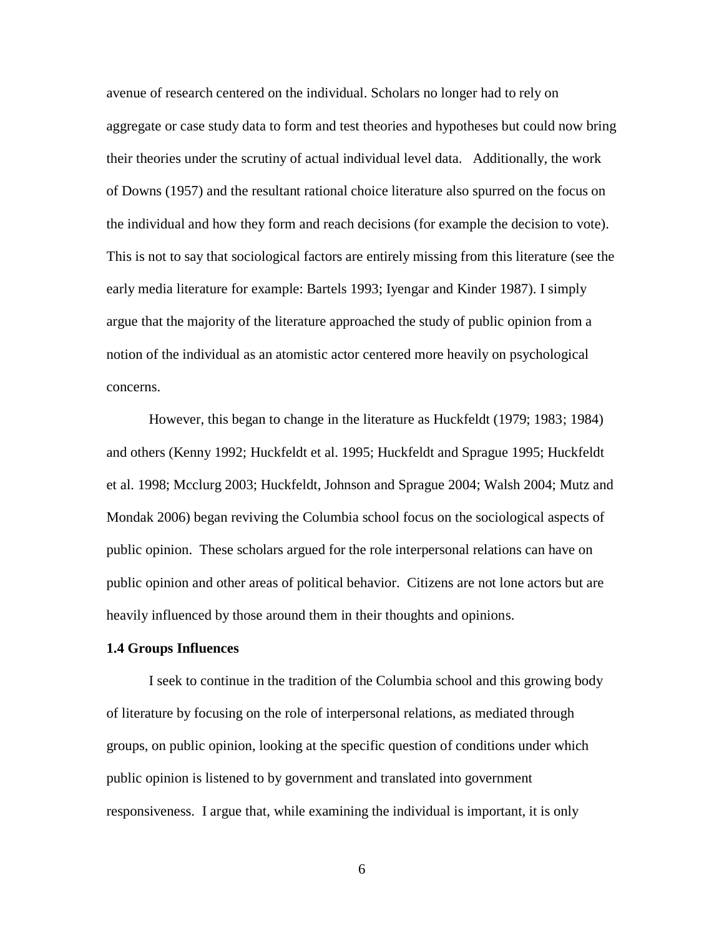avenue of research centered on the individual. Scholars no longer had to rely on aggregate or case study data to form and test theories and hypotheses but could now bring their theories under the scrutiny of actual individual level data. Additionally, the work of Downs (1957) and the resultant rational choice literature also spurred on the focus on the individual and how they form and reach decisions (for example the decision to vote). This is not to say that sociological factors are entirely missing from this literature (see the early media literature for example: Bartels 1993; Iyengar and Kinder 1987). I simply argue that the majority of the literature approached the study of public opinion from a notion of the individual as an atomistic actor centered more heavily on psychological concerns.

However, this began to change in the literature as Huckfeldt (1979; 1983; 1984) and others (Kenny 1992; Huckfeldt et al. 1995; Huckfeldt and Sprague 1995; Huckfeldt et al. 1998; Mcclurg 2003; Huckfeldt, Johnson and Sprague 2004; Walsh 2004; Mutz and Mondak 2006) began reviving the Columbia school focus on the sociological aspects of public opinion. These scholars argued for the role interpersonal relations can have on public opinion and other areas of political behavior. Citizens are not lone actors but are heavily influenced by those around them in their thoughts and opinions.

#### **1.4 Groups Influences**

I seek to continue in the tradition of the Columbia school and this growing body of literature by focusing on the role of interpersonal relations, as mediated through groups, on public opinion, looking at the specific question of conditions under which public opinion is listened to by government and translated into government responsiveness. I argue that, while examining the individual is important, it is only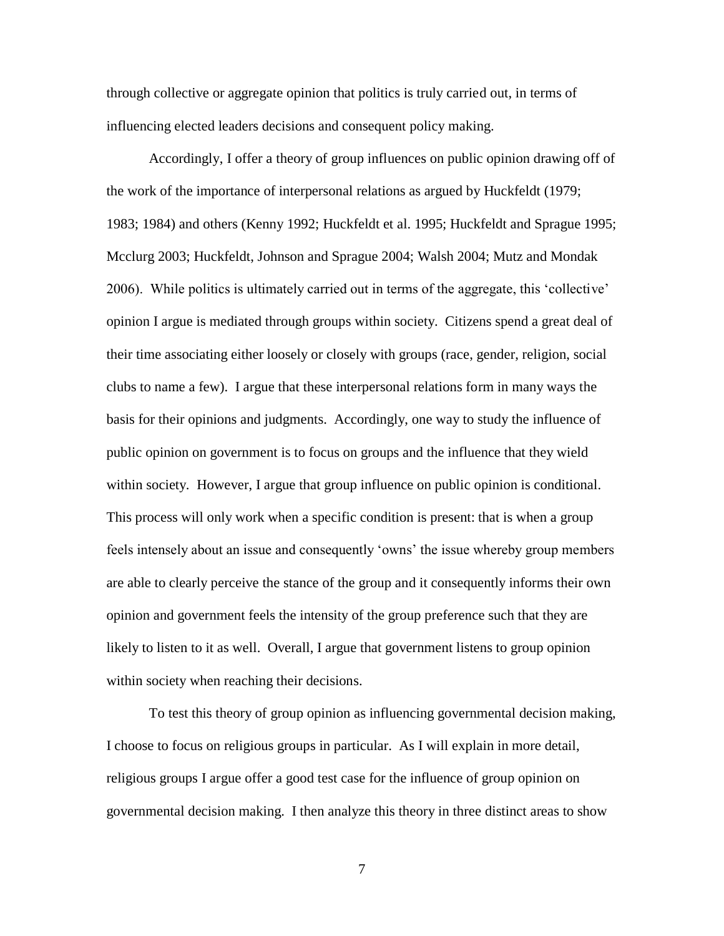through collective or aggregate opinion that politics is truly carried out, in terms of influencing elected leaders decisions and consequent policy making.

Accordingly, I offer a theory of group influences on public opinion drawing off of the work of the importance of interpersonal relations as argued by Huckfeldt (1979; 1983; 1984) and others (Kenny 1992; Huckfeldt et al. 1995; Huckfeldt and Sprague 1995; Mcclurg 2003; Huckfeldt, Johnson and Sprague 2004; Walsh 2004; Mutz and Mondak 2006). While politics is ultimately carried out in terms of the aggregate, this 'collective' opinion I argue is mediated through groups within society. Citizens spend a great deal of their time associating either loosely or closely with groups (race, gender, religion, social clubs to name a few). I argue that these interpersonal relations form in many ways the basis for their opinions and judgments. Accordingly, one way to study the influence of public opinion on government is to focus on groups and the influence that they wield within society. However, I argue that group influence on public opinion is conditional. This process will only work when a specific condition is present: that is when a group feels intensely about an issue and consequently 'owns' the issue whereby group members are able to clearly perceive the stance of the group and it consequently informs their own opinion and government feels the intensity of the group preference such that they are likely to listen to it as well. Overall, I argue that government listens to group opinion within society when reaching their decisions.

To test this theory of group opinion as influencing governmental decision making, I choose to focus on religious groups in particular. As I will explain in more detail, religious groups I argue offer a good test case for the influence of group opinion on governmental decision making. I then analyze this theory in three distinct areas to show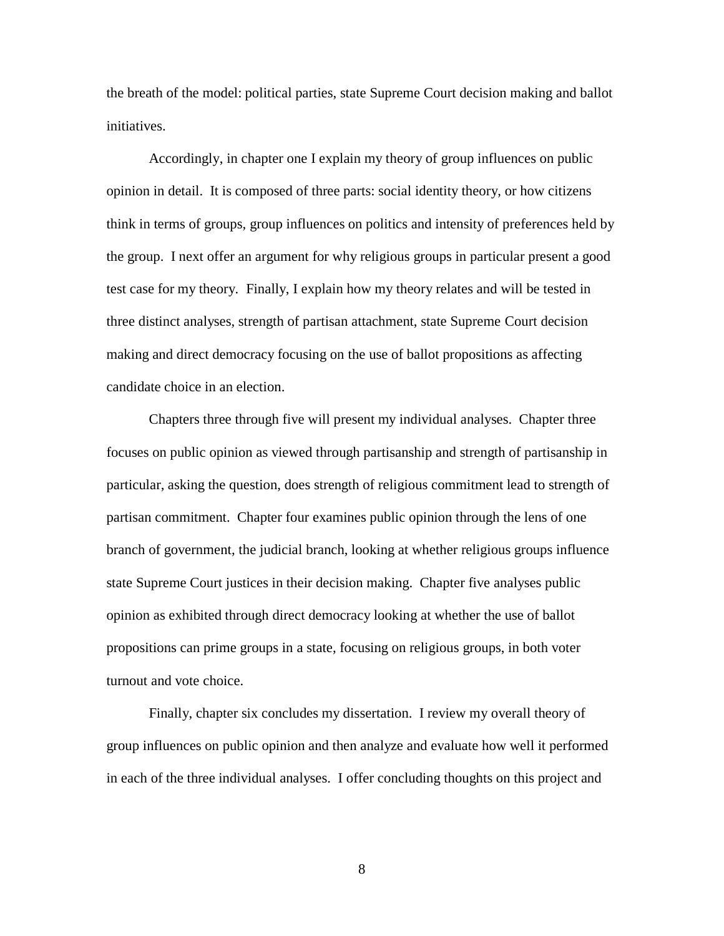the breath of the model: political parties, state Supreme Court decision making and ballot initiatives.

Accordingly, in chapter one I explain my theory of group influences on public opinion in detail. It is composed of three parts: social identity theory, or how citizens think in terms of groups, group influences on politics and intensity of preferences held by the group. I next offer an argument for why religious groups in particular present a good test case for my theory. Finally, I explain how my theory relates and will be tested in three distinct analyses, strength of partisan attachment, state Supreme Court decision making and direct democracy focusing on the use of ballot propositions as affecting candidate choice in an election.

Chapters three through five will present my individual analyses. Chapter three focuses on public opinion as viewed through partisanship and strength of partisanship in particular, asking the question, does strength of religious commitment lead to strength of partisan commitment. Chapter four examines public opinion through the lens of one branch of government, the judicial branch, looking at whether religious groups influence state Supreme Court justices in their decision making. Chapter five analyses public opinion as exhibited through direct democracy looking at whether the use of ballot propositions can prime groups in a state, focusing on religious groups, in both voter turnout and vote choice.

Finally, chapter six concludes my dissertation. I review my overall theory of group influences on public opinion and then analyze and evaluate how well it performed in each of the three individual analyses. I offer concluding thoughts on this project and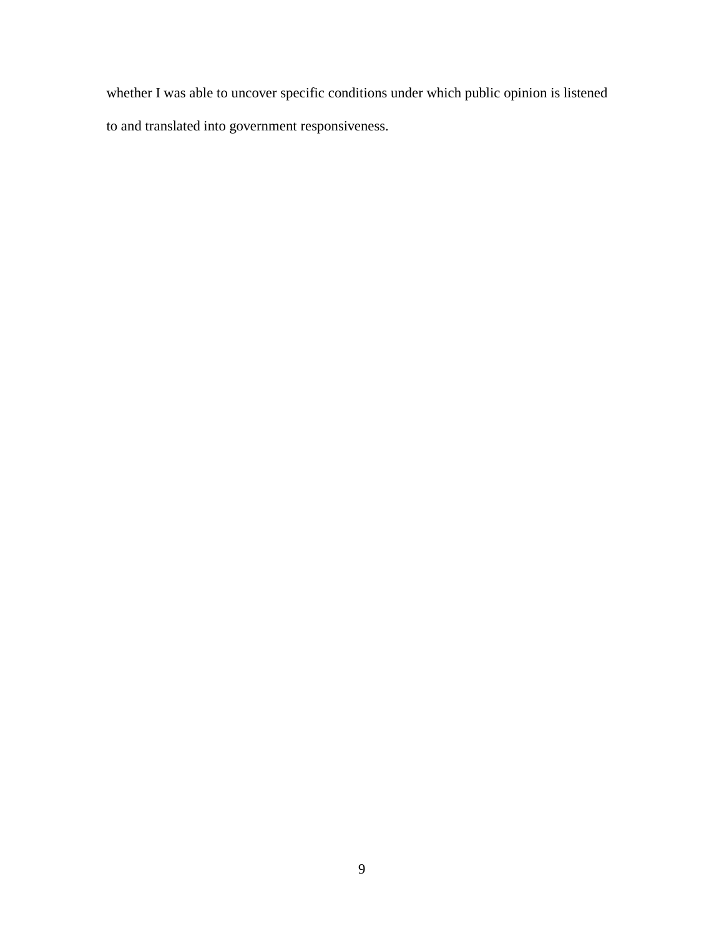whether I was able to uncover specific conditions under which public opinion is listened to and translated into government responsiveness.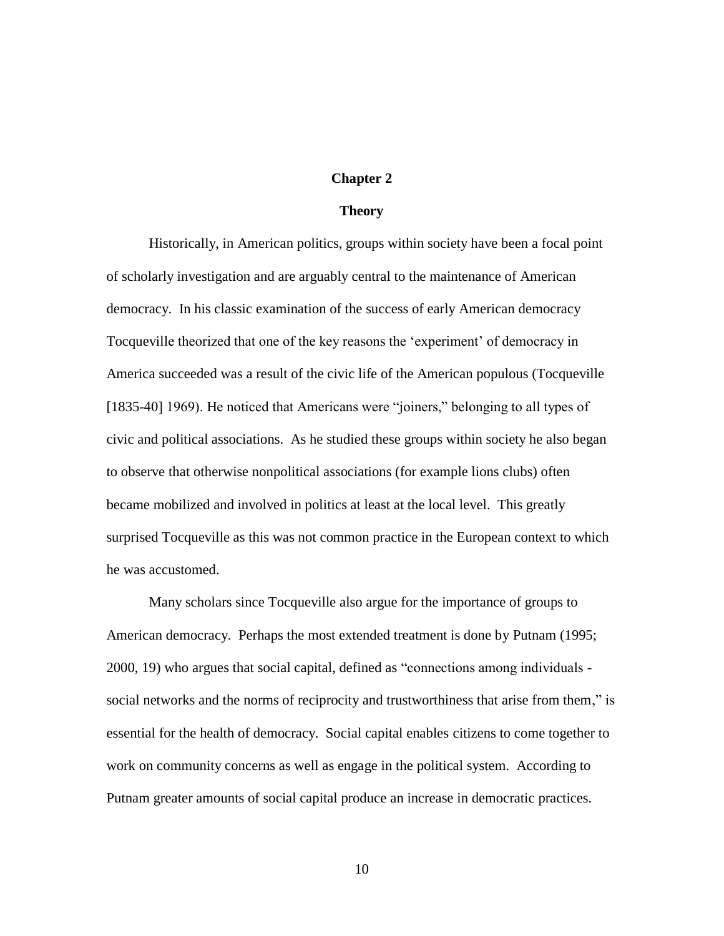# **Chapter 2**

#### **Theory**

Historically, in American politics, groups within society have been a focal point of scholarly investigation and are arguably central to the maintenance of American democracy. In his classic examination of the success of early American democracy Tocqueville theorized that one of the key reasons the 'experiment' of democracy in America succeeded was a result of the civic life of the American populous (Tocqueville [1835-40] 1969). He noticed that Americans were "joiners," belonging to all types of civic and political associations. As he studied these groups within society he also began to observe that otherwise nonpolitical associations (for example lions clubs) often became mobilized and involved in politics at least at the local level. This greatly surprised Tocqueville as this was not common practice in the European context to which he was accustomed.

Many scholars since Tocqueville also argue for the importance of groups to American democracy. Perhaps the most extended treatment is done by Putnam (1995; 2000, 19) who argues that social capital, defined as "connections among individuals social networks and the norms of reciprocity and trustworthiness that arise from them," is essential for the health of democracy. Social capital enables citizens to come together to work on community concerns as well as engage in the political system. According to Putnam greater amounts of social capital produce an increase in democratic practices.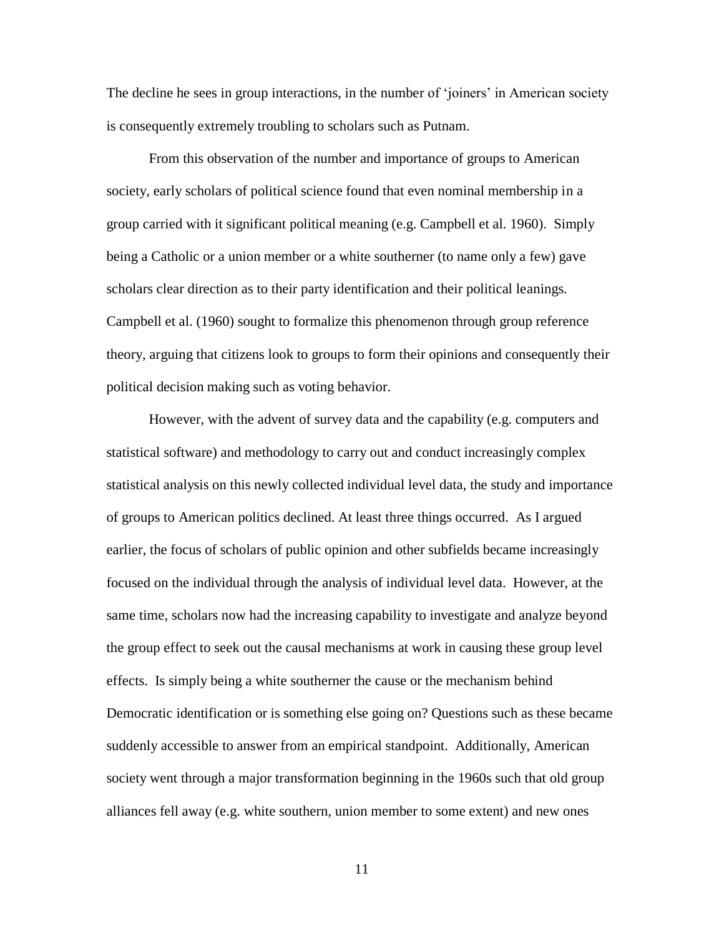The decline he sees in group interactions, in the number of 'joiners' in American society is consequently extremely troubling to scholars such as Putnam.

From this observation of the number and importance of groups to American society, early scholars of political science found that even nominal membership in a group carried with it significant political meaning (e.g. Campbell et al. 1960). Simply being a Catholic or a union member or a white southerner (to name only a few) gave scholars clear direction as to their party identification and their political leanings. Campbell et al. (1960) sought to formalize this phenomenon through group reference theory, arguing that citizens look to groups to form their opinions and consequently their political decision making such as voting behavior.

However, with the advent of survey data and the capability (e.g. computers and statistical software) and methodology to carry out and conduct increasingly complex statistical analysis on this newly collected individual level data, the study and importance of groups to American politics declined. At least three things occurred. As I argued earlier, the focus of scholars of public opinion and other subfields became increasingly focused on the individual through the analysis of individual level data. However, at the same time, scholars now had the increasing capability to investigate and analyze beyond the group effect to seek out the causal mechanisms at work in causing these group level effects. Is simply being a white southerner the cause or the mechanism behind Democratic identification or is something else going on? Questions such as these became suddenly accessible to answer from an empirical standpoint. Additionally, American society went through a major transformation beginning in the 1960s such that old group alliances fell away (e.g. white southern, union member to some extent) and new ones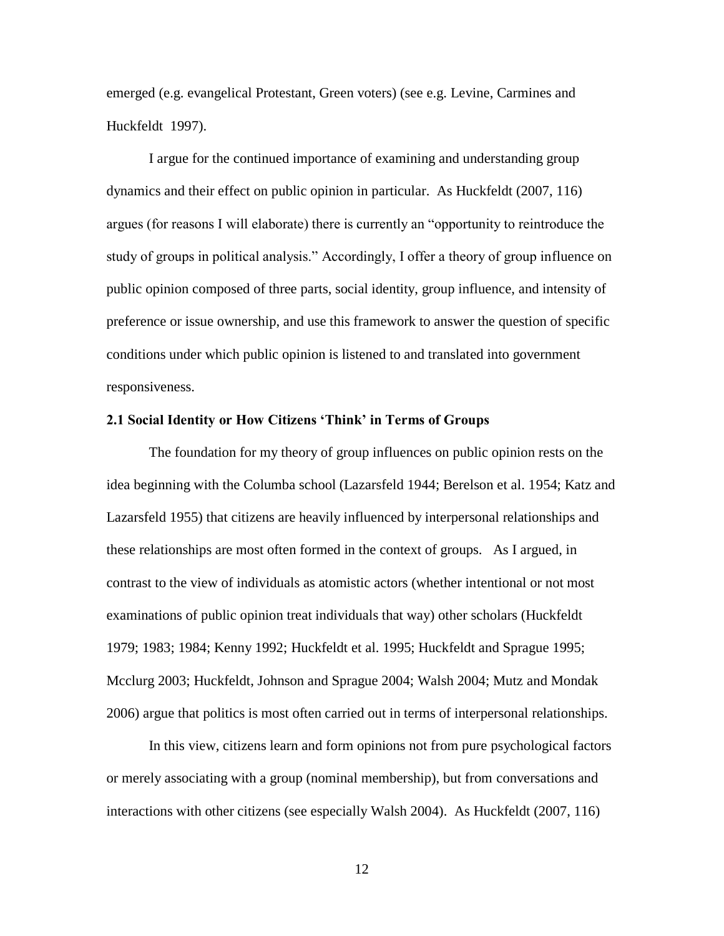emerged (e.g. evangelical Protestant, Green voters) (see e.g. Levine, Carmines and Huckfeldt 1997).

I argue for the continued importance of examining and understanding group dynamics and their effect on public opinion in particular. As Huckfeldt (2007, 116) argues (for reasons I will elaborate) there is currently an "opportunity to reintroduce the study of groups in political analysis." Accordingly, I offer a theory of group influence on public opinion composed of three parts, social identity, group influence, and intensity of preference or issue ownership, and use this framework to answer the question of specific conditions under which public opinion is listened to and translated into government responsiveness.

# **2.1 Social Identity or How Citizens 'Think' in Terms of Groups**

The foundation for my theory of group influences on public opinion rests on the idea beginning with the Columba school (Lazarsfeld 1944; Berelson et al. 1954; Katz and Lazarsfeld 1955) that citizens are heavily influenced by interpersonal relationships and these relationships are most often formed in the context of groups. As I argued, in contrast to the view of individuals as atomistic actors (whether intentional or not most examinations of public opinion treat individuals that way) other scholars (Huckfeldt 1979; 1983; 1984; Kenny 1992; Huckfeldt et al. 1995; Huckfeldt and Sprague 1995; Mcclurg 2003; Huckfeldt, Johnson and Sprague 2004; Walsh 2004; Mutz and Mondak 2006) argue that politics is most often carried out in terms of interpersonal relationships.

In this view, citizens learn and form opinions not from pure psychological factors or merely associating with a group (nominal membership), but from conversations and interactions with other citizens (see especially Walsh 2004). As Huckfeldt (2007, 116)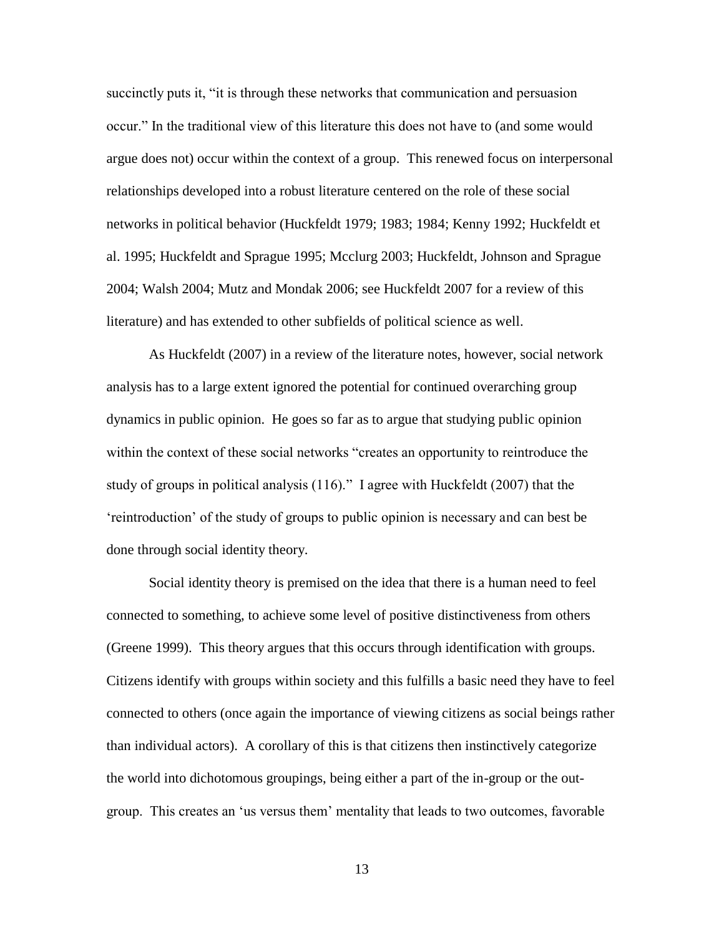succinctly puts it, "it is through these networks that communication and persuasion occur." In the traditional view of this literature this does not have to (and some would argue does not) occur within the context of a group. This renewed focus on interpersonal relationships developed into a robust literature centered on the role of these social networks in political behavior (Huckfeldt 1979; 1983; 1984; Kenny 1992; Huckfeldt et al. 1995; Huckfeldt and Sprague 1995; Mcclurg 2003; Huckfeldt, Johnson and Sprague 2004; Walsh 2004; Mutz and Mondak 2006; see Huckfeldt 2007 for a review of this literature) and has extended to other subfields of political science as well.

As Huckfeldt (2007) in a review of the literature notes, however, social network analysis has to a large extent ignored the potential for continued overarching group dynamics in public opinion. He goes so far as to argue that studying public opinion within the context of these social networks "creates an opportunity to reintroduce the study of groups in political analysis (116)." I agree with Huckfeldt (2007) that the 'reintroduction' of the study of groups to public opinion is necessary and can best be done through social identity theory.

Social identity theory is premised on the idea that there is a human need to feel connected to something, to achieve some level of positive distinctiveness from others (Greene 1999). This theory argues that this occurs through identification with groups. Citizens identify with groups within society and this fulfills a basic need they have to feel connected to others (once again the importance of viewing citizens as social beings rather than individual actors). A corollary of this is that citizens then instinctively categorize the world into dichotomous groupings, being either a part of the in-group or the outgroup. This creates an 'us versus them' mentality that leads to two outcomes, favorable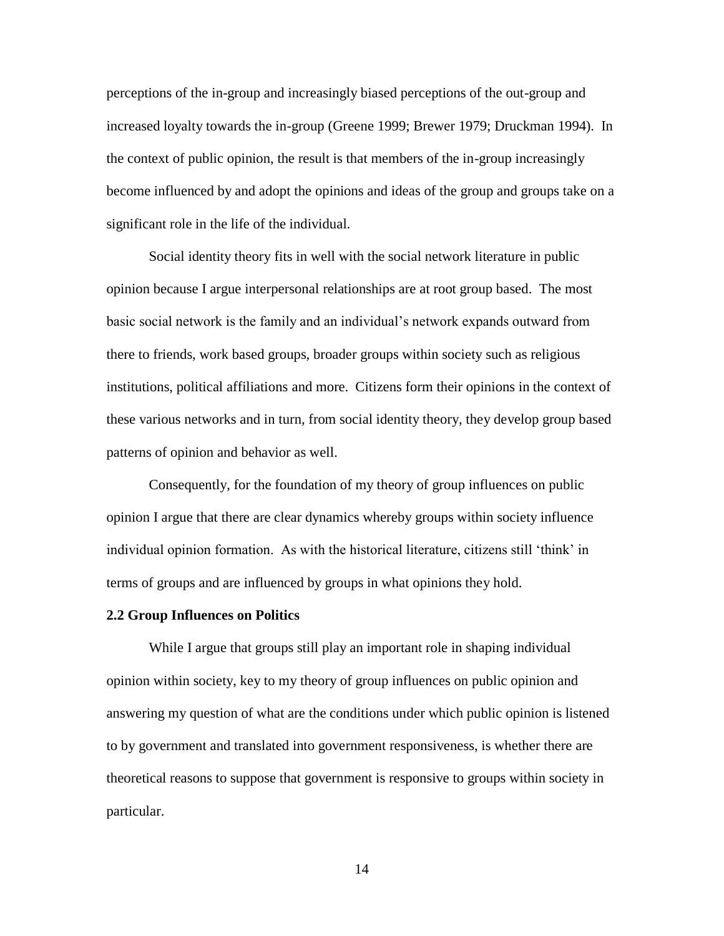perceptions of the in-group and increasingly biased perceptions of the out-group and increased loyalty towards the in-group (Greene 1999; Brewer 1979; Druckman 1994). In the context of public opinion, the result is that members of the in-group increasingly become influenced by and adopt the opinions and ideas of the group and groups take on a significant role in the life of the individual.

Social identity theory fits in well with the social network literature in public opinion because I argue interpersonal relationships are at root group based. The most basic social network is the family and an individual's network expands outward from there to friends, work based groups, broader groups within society such as religious institutions, political affiliations and more. Citizens form their opinions in the context of these various networks and in turn, from social identity theory, they develop group based patterns of opinion and behavior as well.

Consequently, for the foundation of my theory of group influences on public opinion I argue that there are clear dynamics whereby groups within society influence individual opinion formation. As with the historical literature, citizens still 'think' in terms of groups and are influenced by groups in what opinions they hold.

# **2.2 Group Influences on Politics**

While I argue that groups still play an important role in shaping individual opinion within society, key to my theory of group influences on public opinion and answering my question of what are the conditions under which public opinion is listened to by government and translated into government responsiveness, is whether there are theoretical reasons to suppose that government is responsive to groups within society in particular.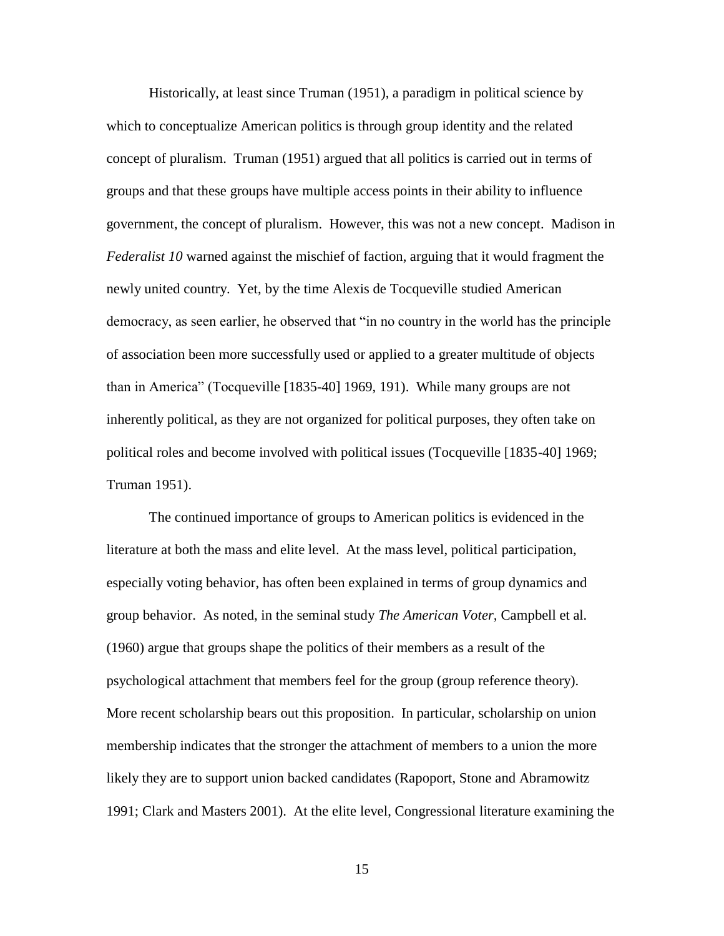Historically, at least since Truman (1951), a paradigm in political science by which to conceptualize American politics is through group identity and the related concept of pluralism. Truman (1951) argued that all politics is carried out in terms of groups and that these groups have multiple access points in their ability to influence government, the concept of pluralism. However, this was not a new concept. Madison in *Federalist 10* warned against the mischief of faction, arguing that it would fragment the newly united country. Yet, by the time Alexis de Tocqueville studied American democracy, as seen earlier, he observed that "in no country in the world has the principle of association been more successfully used or applied to a greater multitude of objects than in America" (Tocqueville [1835-40] 1969, 191). While many groups are not inherently political, as they are not organized for political purposes, they often take on political roles and become involved with political issues (Tocqueville [1835-40] 1969; Truman 1951).

The continued importance of groups to American politics is evidenced in the literature at both the mass and elite level. At the mass level, political participation, especially voting behavior, has often been explained in terms of group dynamics and group behavior. As noted, in the seminal study *The American Voter,* Campbell et al. (1960) argue that groups shape the politics of their members as a result of the psychological attachment that members feel for the group (group reference theory). More recent scholarship bears out this proposition. In particular, scholarship on union membership indicates that the stronger the attachment of members to a union the more likely they are to support union backed candidates (Rapoport, Stone and Abramowitz 1991; Clark and Masters 2001). At the elite level, Congressional literature examining the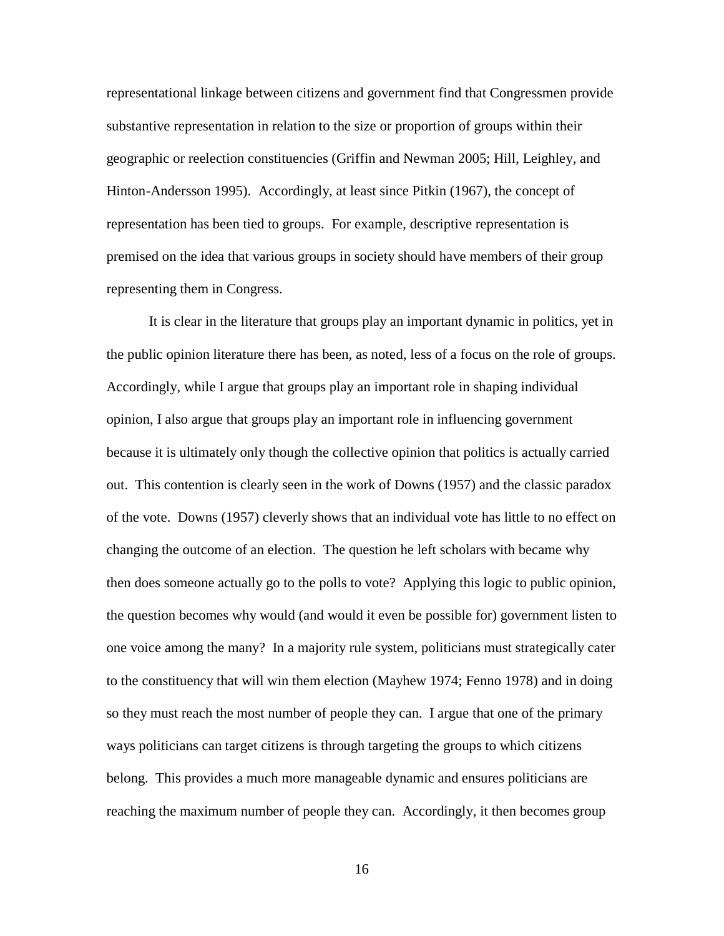representational linkage between citizens and government find that Congressmen provide substantive representation in relation to the size or proportion of groups within their geographic or reelection constituencies (Griffin and Newman 2005; Hill, Leighley, and Hinton-Andersson 1995). Accordingly, at least since Pitkin (1967), the concept of representation has been tied to groups. For example, descriptive representation is premised on the idea that various groups in society should have members of their group representing them in Congress.

It is clear in the literature that groups play an important dynamic in politics, yet in the public opinion literature there has been, as noted, less of a focus on the role of groups. Accordingly, while I argue that groups play an important role in shaping individual opinion, I also argue that groups play an important role in influencing government because it is ultimately only though the collective opinion that politics is actually carried out. This contention is clearly seen in the work of Downs (1957) and the classic paradox of the vote. Downs (1957) cleverly shows that an individual vote has little to no effect on changing the outcome of an election. The question he left scholars with became why then does someone actually go to the polls to vote? Applying this logic to public opinion, the question becomes why would (and would it even be possible for) government listen to one voice among the many? In a majority rule system, politicians must strategically cater to the constituency that will win them election (Mayhew 1974; Fenno 1978) and in doing so they must reach the most number of people they can. I argue that one of the primary ways politicians can target citizens is through targeting the groups to which citizens belong. This provides a much more manageable dynamic and ensures politicians are reaching the maximum number of people they can. Accordingly, it then becomes group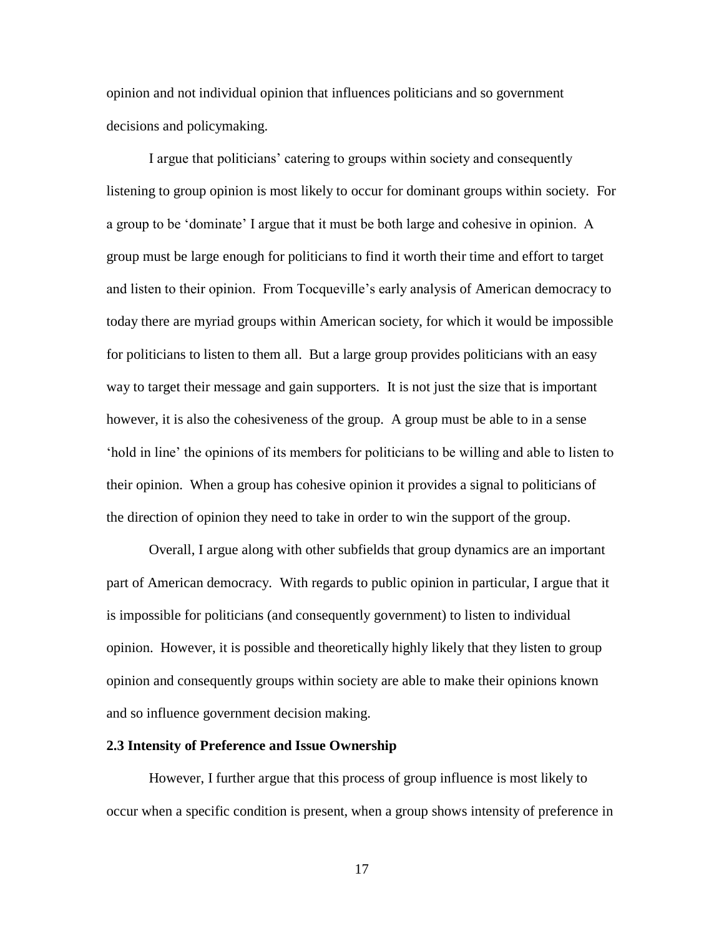opinion and not individual opinion that influences politicians and so government decisions and policymaking.

I argue that politicians' catering to groups within society and consequently listening to group opinion is most likely to occur for dominant groups within society. For a group to be 'dominate' I argue that it must be both large and cohesive in opinion. A group must be large enough for politicians to find it worth their time and effort to target and listen to their opinion. From Tocqueville's early analysis of American democracy to today there are myriad groups within American society, for which it would be impossible for politicians to listen to them all. But a large group provides politicians with an easy way to target their message and gain supporters. It is not just the size that is important however, it is also the cohesiveness of the group. A group must be able to in a sense 'hold in line' the opinions of its members for politicians to be willing and able to listen to their opinion. When a group has cohesive opinion it provides a signal to politicians of the direction of opinion they need to take in order to win the support of the group.

Overall, I argue along with other subfields that group dynamics are an important part of American democracy. With regards to public opinion in particular, I argue that it is impossible for politicians (and consequently government) to listen to individual opinion. However, it is possible and theoretically highly likely that they listen to group opinion and consequently groups within society are able to make their opinions known and so influence government decision making.

#### **2.3 Intensity of Preference and Issue Ownership**

However, I further argue that this process of group influence is most likely to occur when a specific condition is present, when a group shows intensity of preference in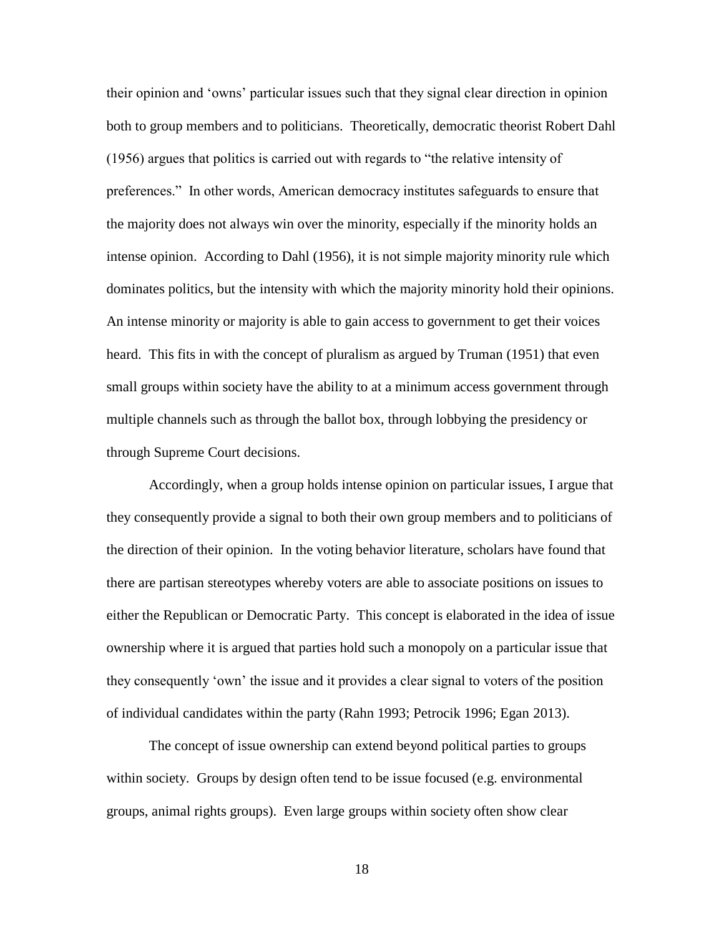their opinion and 'owns' particular issues such that they signal clear direction in opinion both to group members and to politicians. Theoretically, democratic theorist Robert Dahl (1956) argues that politics is carried out with regards to "the relative intensity of preferences." In other words, American democracy institutes safeguards to ensure that the majority does not always win over the minority, especially if the minority holds an intense opinion. According to Dahl (1956), it is not simple majority minority rule which dominates politics, but the intensity with which the majority minority hold their opinions. An intense minority or majority is able to gain access to government to get their voices heard. This fits in with the concept of pluralism as argued by Truman (1951) that even small groups within society have the ability to at a minimum access government through multiple channels such as through the ballot box, through lobbying the presidency or through Supreme Court decisions.

Accordingly, when a group holds intense opinion on particular issues, I argue that they consequently provide a signal to both their own group members and to politicians of the direction of their opinion. In the voting behavior literature, scholars have found that there are partisan stereotypes whereby voters are able to associate positions on issues to either the Republican or Democratic Party. This concept is elaborated in the idea of issue ownership where it is argued that parties hold such a monopoly on a particular issue that they consequently 'own' the issue and it provides a clear signal to voters of the position of individual candidates within the party (Rahn 1993; Petrocik 1996; Egan 2013).

The concept of issue ownership can extend beyond political parties to groups within society. Groups by design often tend to be issue focused (e.g. environmental groups, animal rights groups). Even large groups within society often show clear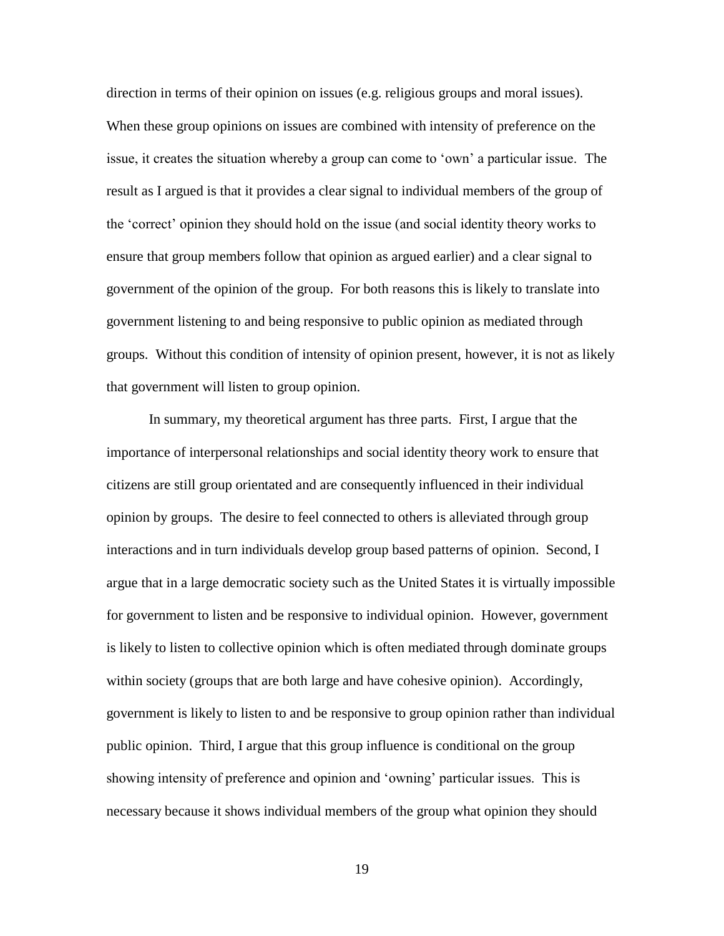direction in terms of their opinion on issues (e.g. religious groups and moral issues). When these group opinions on issues are combined with intensity of preference on the issue, it creates the situation whereby a group can come to 'own' a particular issue. The result as I argued is that it provides a clear signal to individual members of the group of the 'correct' opinion they should hold on the issue (and social identity theory works to ensure that group members follow that opinion as argued earlier) and a clear signal to government of the opinion of the group. For both reasons this is likely to translate into government listening to and being responsive to public opinion as mediated through groups. Without this condition of intensity of opinion present, however, it is not as likely that government will listen to group opinion.

In summary, my theoretical argument has three parts. First, I argue that the importance of interpersonal relationships and social identity theory work to ensure that citizens are still group orientated and are consequently influenced in their individual opinion by groups. The desire to feel connected to others is alleviated through group interactions and in turn individuals develop group based patterns of opinion. Second, I argue that in a large democratic society such as the United States it is virtually impossible for government to listen and be responsive to individual opinion. However, government is likely to listen to collective opinion which is often mediated through dominate groups within society (groups that are both large and have cohesive opinion). Accordingly, government is likely to listen to and be responsive to group opinion rather than individual public opinion. Third, I argue that this group influence is conditional on the group showing intensity of preference and opinion and 'owning' particular issues. This is necessary because it shows individual members of the group what opinion they should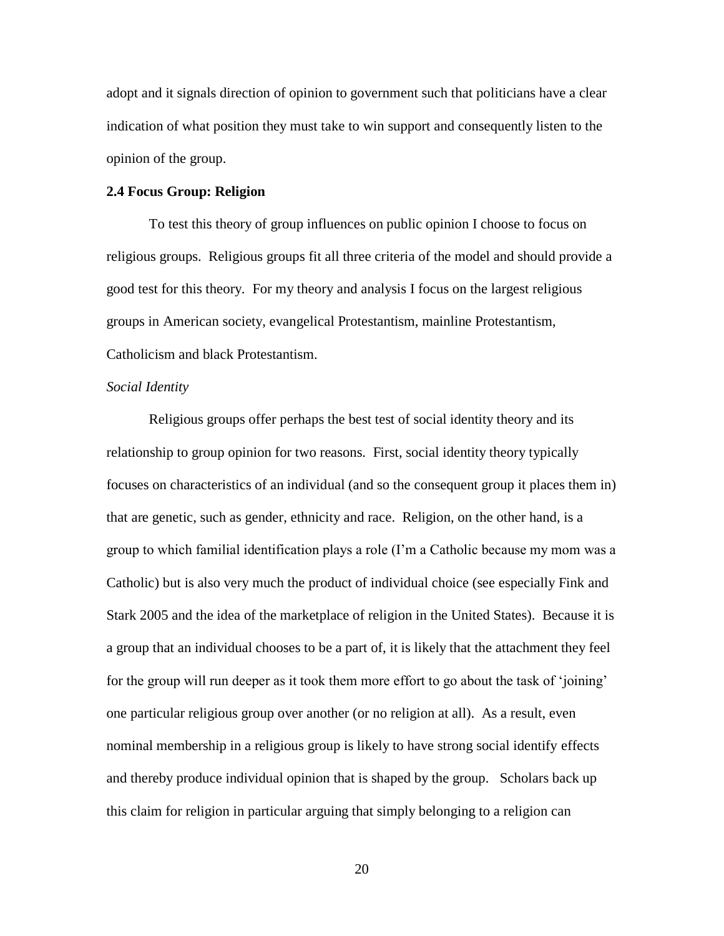adopt and it signals direction of opinion to government such that politicians have a clear indication of what position they must take to win support and consequently listen to the opinion of the group.

# **2.4 Focus Group: Religion**

To test this theory of group influences on public opinion I choose to focus on religious groups. Religious groups fit all three criteria of the model and should provide a good test for this theory. For my theory and analysis I focus on the largest religious groups in American society, evangelical Protestantism, mainline Protestantism, Catholicism and black Protestantism.

#### *Social Identity*

Religious groups offer perhaps the best test of social identity theory and its relationship to group opinion for two reasons. First, social identity theory typically focuses on characteristics of an individual (and so the consequent group it places them in) that are genetic, such as gender, ethnicity and race. Religion, on the other hand, is a group to which familial identification plays a role (I'm a Catholic because my mom was a Catholic) but is also very much the product of individual choice (see especially Fink and Stark 2005 and the idea of the marketplace of religion in the United States). Because it is a group that an individual chooses to be a part of, it is likely that the attachment they feel for the group will run deeper as it took them more effort to go about the task of 'joining' one particular religious group over another (or no religion at all). As a result, even nominal membership in a religious group is likely to have strong social identify effects and thereby produce individual opinion that is shaped by the group. Scholars back up this claim for religion in particular arguing that simply belonging to a religion can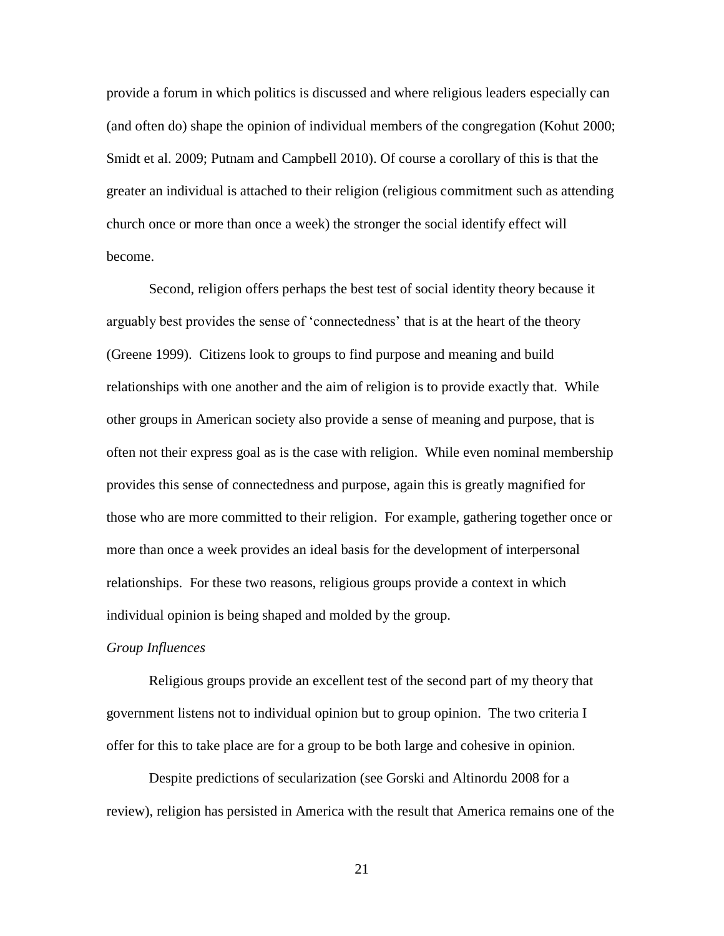provide a forum in which politics is discussed and where religious leaders especially can (and often do) shape the opinion of individual members of the congregation (Kohut 2000; Smidt et al. 2009; Putnam and Campbell 2010). Of course a corollary of this is that the greater an individual is attached to their religion (religious commitment such as attending church once or more than once a week) the stronger the social identify effect will become.

Second, religion offers perhaps the best test of social identity theory because it arguably best provides the sense of 'connectedness' that is at the heart of the theory (Greene 1999). Citizens look to groups to find purpose and meaning and build relationships with one another and the aim of religion is to provide exactly that. While other groups in American society also provide a sense of meaning and purpose, that is often not their express goal as is the case with religion. While even nominal membership provides this sense of connectedness and purpose, again this is greatly magnified for those who are more committed to their religion. For example, gathering together once or more than once a week provides an ideal basis for the development of interpersonal relationships. For these two reasons, religious groups provide a context in which individual opinion is being shaped and molded by the group.

#### *Group Influences*

Religious groups provide an excellent test of the second part of my theory that government listens not to individual opinion but to group opinion. The two criteria I offer for this to take place are for a group to be both large and cohesive in opinion.

Despite predictions of secularization (see Gorski and Altinordu 2008 for a review), religion has persisted in America with the result that America remains one of the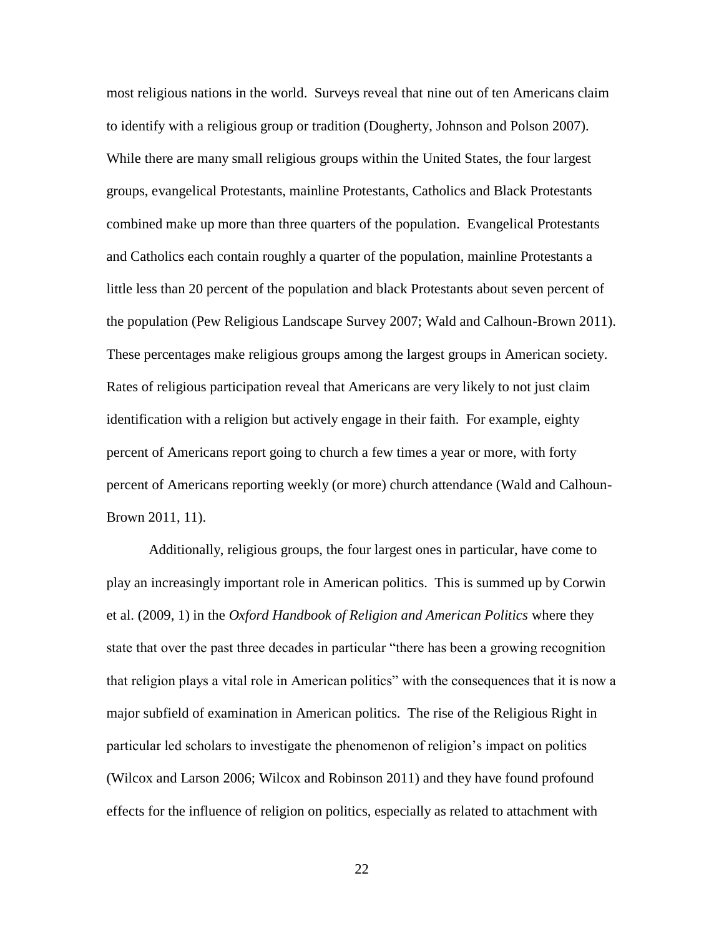most religious nations in the world. Surveys reveal that nine out of ten Americans claim to identify with a religious group or tradition (Dougherty, Johnson and Polson 2007). While there are many small religious groups within the United States, the four largest groups, evangelical Protestants, mainline Protestants, Catholics and Black Protestants combined make up more than three quarters of the population. Evangelical Protestants and Catholics each contain roughly a quarter of the population, mainline Protestants a little less than 20 percent of the population and black Protestants about seven percent of the population (Pew Religious Landscape Survey 2007; Wald and Calhoun-Brown 2011). These percentages make religious groups among the largest groups in American society. Rates of religious participation reveal that Americans are very likely to not just claim identification with a religion but actively engage in their faith. For example, eighty percent of Americans report going to church a few times a year or more, with forty percent of Americans reporting weekly (or more) church attendance (Wald and Calhoun-Brown 2011, 11).

Additionally, religious groups, the four largest ones in particular, have come to play an increasingly important role in American politics. This is summed up by Corwin et al. (2009, 1) in the *Oxford Handbook of Religion and American Politics* where they state that over the past three decades in particular "there has been a growing recognition that religion plays a vital role in American politics" with the consequences that it is now a major subfield of examination in American politics. The rise of the Religious Right in particular led scholars to investigate the phenomenon of religion's impact on politics (Wilcox and Larson 2006; Wilcox and Robinson 2011) and they have found profound effects for the influence of religion on politics, especially as related to attachment with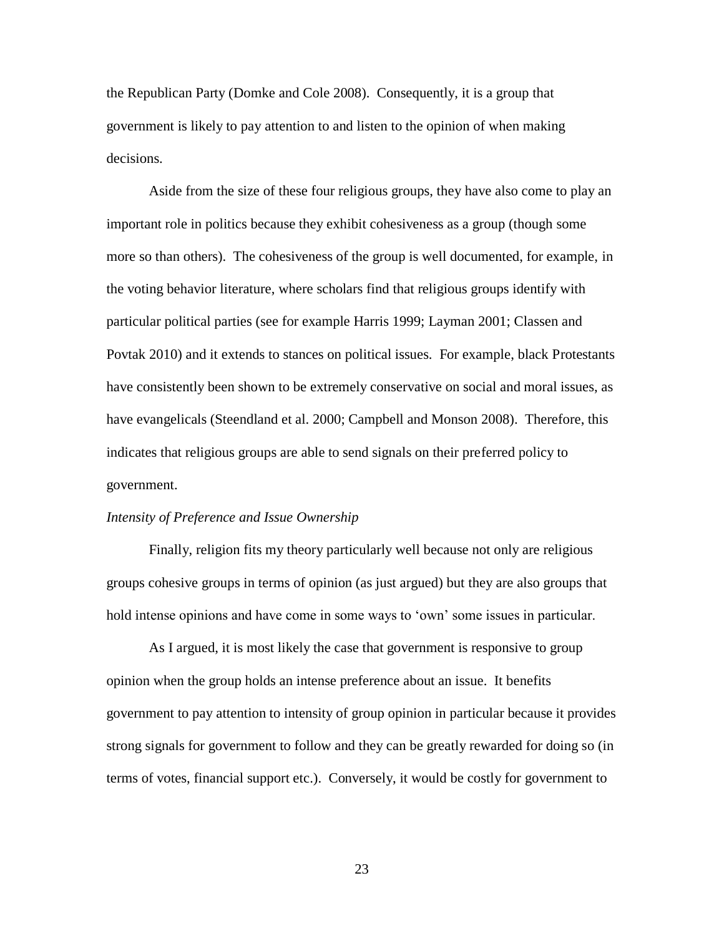the Republican Party (Domke and Cole 2008). Consequently, it is a group that government is likely to pay attention to and listen to the opinion of when making decisions.

Aside from the size of these four religious groups, they have also come to play an important role in politics because they exhibit cohesiveness as a group (though some more so than others). The cohesiveness of the group is well documented, for example, in the voting behavior literature, where scholars find that religious groups identify with particular political parties (see for example Harris 1999; Layman 2001; Classen and Povtak 2010) and it extends to stances on political issues. For example, black Protestants have consistently been shown to be extremely conservative on social and moral issues, as have evangelicals (Steendland et al. 2000; Campbell and Monson 2008). Therefore, this indicates that religious groups are able to send signals on their preferred policy to government.

#### *Intensity of Preference and Issue Ownership*

Finally, religion fits my theory particularly well because not only are religious groups cohesive groups in terms of opinion (as just argued) but they are also groups that hold intense opinions and have come in some ways to 'own' some issues in particular.

As I argued, it is most likely the case that government is responsive to group opinion when the group holds an intense preference about an issue. It benefits government to pay attention to intensity of group opinion in particular because it provides strong signals for government to follow and they can be greatly rewarded for doing so (in terms of votes, financial support etc.). Conversely, it would be costly for government to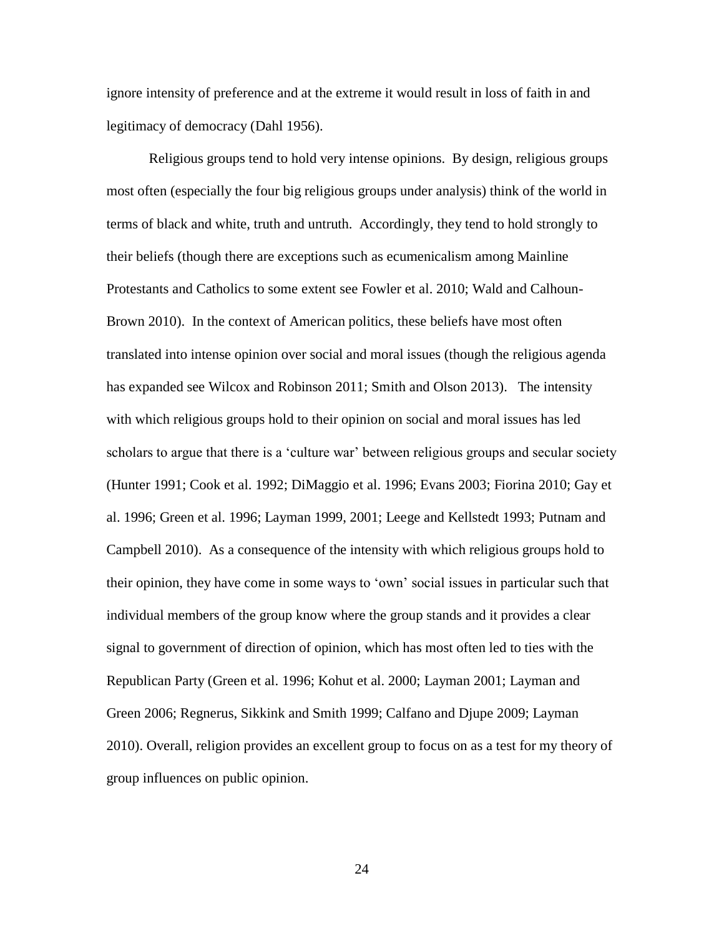ignore intensity of preference and at the extreme it would result in loss of faith in and legitimacy of democracy (Dahl 1956).

Religious groups tend to hold very intense opinions. By design, religious groups most often (especially the four big religious groups under analysis) think of the world in terms of black and white, truth and untruth. Accordingly, they tend to hold strongly to their beliefs (though there are exceptions such as ecumenicalism among Mainline Protestants and Catholics to some extent see Fowler et al. 2010; Wald and Calhoun-Brown 2010). In the context of American politics, these beliefs have most often translated into intense opinion over social and moral issues (though the religious agenda has expanded see Wilcox and Robinson 2011; Smith and Olson 2013). The intensity with which religious groups hold to their opinion on social and moral issues has led scholars to argue that there is a 'culture war' between religious groups and secular society (Hunter 1991; Cook et al. 1992; DiMaggio et al. 1996; Evans 2003; Fiorina 2010; Gay et al. 1996; Green et al. 1996; Layman 1999, 2001; Leege and Kellstedt 1993; Putnam and Campbell 2010). As a consequence of the intensity with which religious groups hold to their opinion, they have come in some ways to 'own' social issues in particular such that individual members of the group know where the group stands and it provides a clear signal to government of direction of opinion, which has most often led to ties with the Republican Party (Green et al. 1996; Kohut et al. 2000; Layman 2001; Layman and Green 2006; Regnerus, Sikkink and Smith 1999; Calfano and Djupe 2009; Layman 2010). Overall, religion provides an excellent group to focus on as a test for my theory of group influences on public opinion.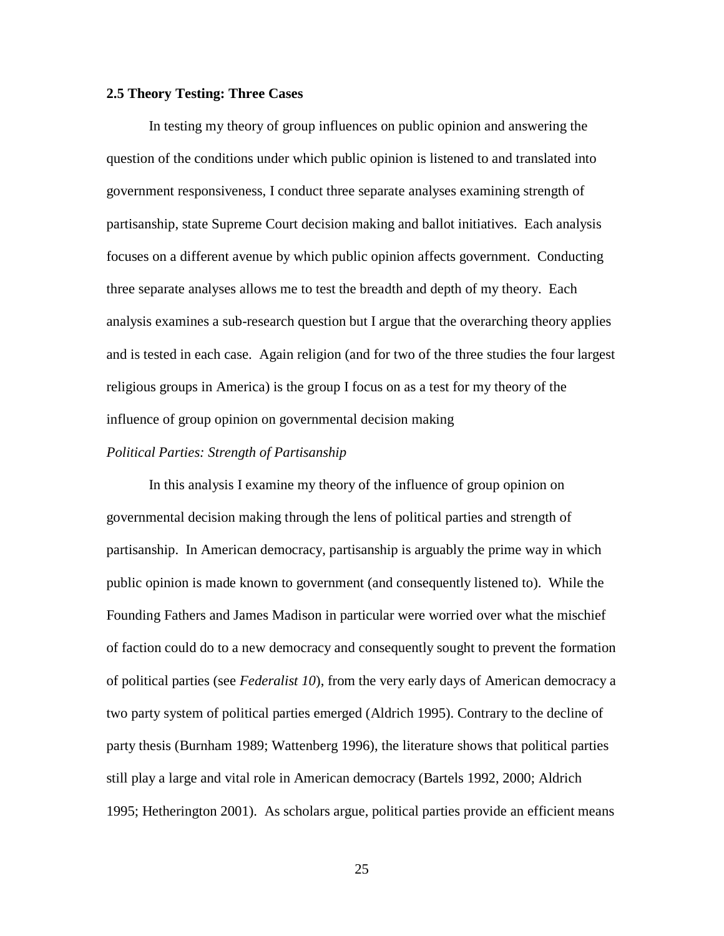# **2.5 Theory Testing: Three Cases**

In testing my theory of group influences on public opinion and answering the question of the conditions under which public opinion is listened to and translated into government responsiveness, I conduct three separate analyses examining strength of partisanship, state Supreme Court decision making and ballot initiatives. Each analysis focuses on a different avenue by which public opinion affects government. Conducting three separate analyses allows me to test the breadth and depth of my theory. Each analysis examines a sub-research question but I argue that the overarching theory applies and is tested in each case. Again religion (and for two of the three studies the four largest religious groups in America) is the group I focus on as a test for my theory of the influence of group opinion on governmental decision making

# *Political Parties: Strength of Partisanship*

In this analysis I examine my theory of the influence of group opinion on governmental decision making through the lens of political parties and strength of partisanship. In American democracy, partisanship is arguably the prime way in which public opinion is made known to government (and consequently listened to). While the Founding Fathers and James Madison in particular were worried over what the mischief of faction could do to a new democracy and consequently sought to prevent the formation of political parties (see *Federalist 10*), from the very early days of American democracy a two party system of political parties emerged (Aldrich 1995). Contrary to the decline of party thesis (Burnham 1989; Wattenberg 1996), the literature shows that political parties still play a large and vital role in American democracy (Bartels 1992, 2000; Aldrich 1995; Hetherington 2001). As scholars argue, political parties provide an efficient means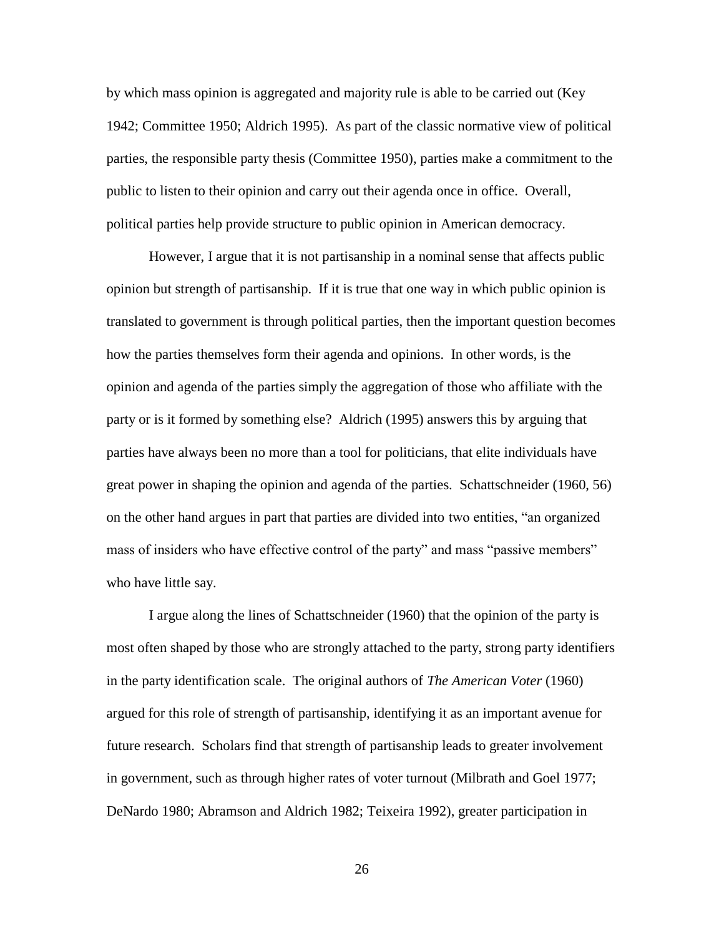by which mass opinion is aggregated and majority rule is able to be carried out (Key 1942; Committee 1950; Aldrich 1995). As part of the classic normative view of political parties, the responsible party thesis (Committee 1950), parties make a commitment to the public to listen to their opinion and carry out their agenda once in office. Overall, political parties help provide structure to public opinion in American democracy.

However, I argue that it is not partisanship in a nominal sense that affects public opinion but strength of partisanship. If it is true that one way in which public opinion is translated to government is through political parties, then the important question becomes how the parties themselves form their agenda and opinions. In other words, is the opinion and agenda of the parties simply the aggregation of those who affiliate with the party or is it formed by something else? Aldrich (1995) answers this by arguing that parties have always been no more than a tool for politicians, that elite individuals have great power in shaping the opinion and agenda of the parties. Schattschneider (1960, 56) on the other hand argues in part that parties are divided into two entities, "an organized mass of insiders who have effective control of the party" and mass "passive members" who have little say.

I argue along the lines of Schattschneider (1960) that the opinion of the party is most often shaped by those who are strongly attached to the party, strong party identifiers in the party identification scale. The original authors of *The American Voter* (1960) argued for this role of strength of partisanship, identifying it as an important avenue for future research. Scholars find that strength of partisanship leads to greater involvement in government, such as through higher rates of voter turnout (Milbrath and Goel 1977; DeNardo 1980; Abramson and Aldrich 1982; Teixeira 1992), greater participation in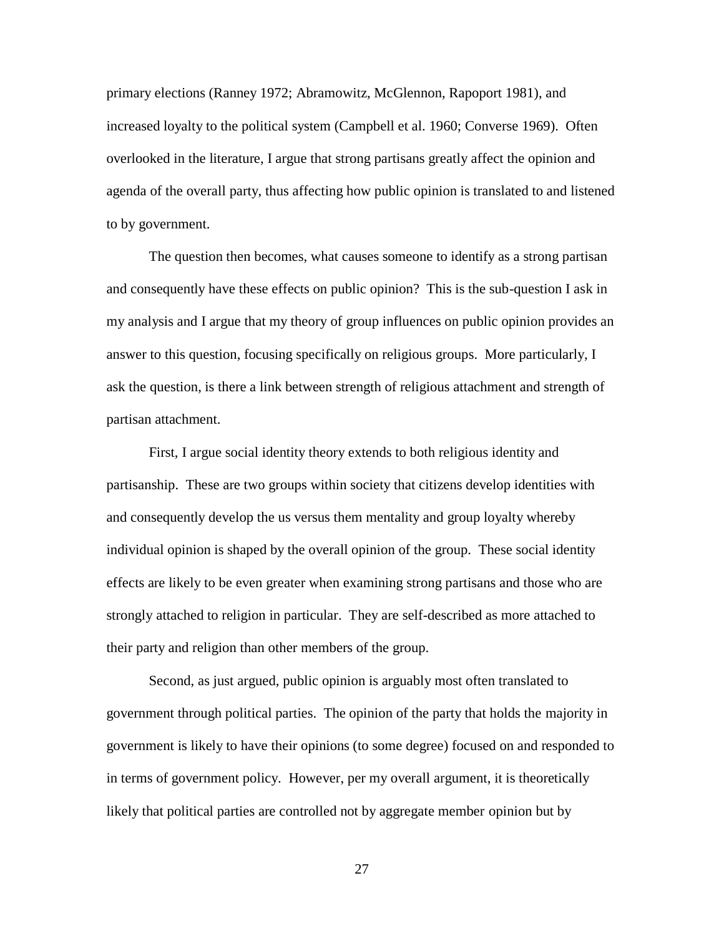primary elections (Ranney 1972; Abramowitz, McGlennon, Rapoport 1981), and increased loyalty to the political system (Campbell et al. 1960; Converse 1969). Often overlooked in the literature, I argue that strong partisans greatly affect the opinion and agenda of the overall party, thus affecting how public opinion is translated to and listened to by government.

The question then becomes, what causes someone to identify as a strong partisan and consequently have these effects on public opinion? This is the sub-question I ask in my analysis and I argue that my theory of group influences on public opinion provides an answer to this question, focusing specifically on religious groups. More particularly, I ask the question, is there a link between strength of religious attachment and strength of partisan attachment.

First, I argue social identity theory extends to both religious identity and partisanship. These are two groups within society that citizens develop identities with and consequently develop the us versus them mentality and group loyalty whereby individual opinion is shaped by the overall opinion of the group. These social identity effects are likely to be even greater when examining strong partisans and those who are strongly attached to religion in particular. They are self-described as more attached to their party and religion than other members of the group.

Second, as just argued, public opinion is arguably most often translated to government through political parties. The opinion of the party that holds the majority in government is likely to have their opinions (to some degree) focused on and responded to in terms of government policy. However, per my overall argument, it is theoretically likely that political parties are controlled not by aggregate member opinion but by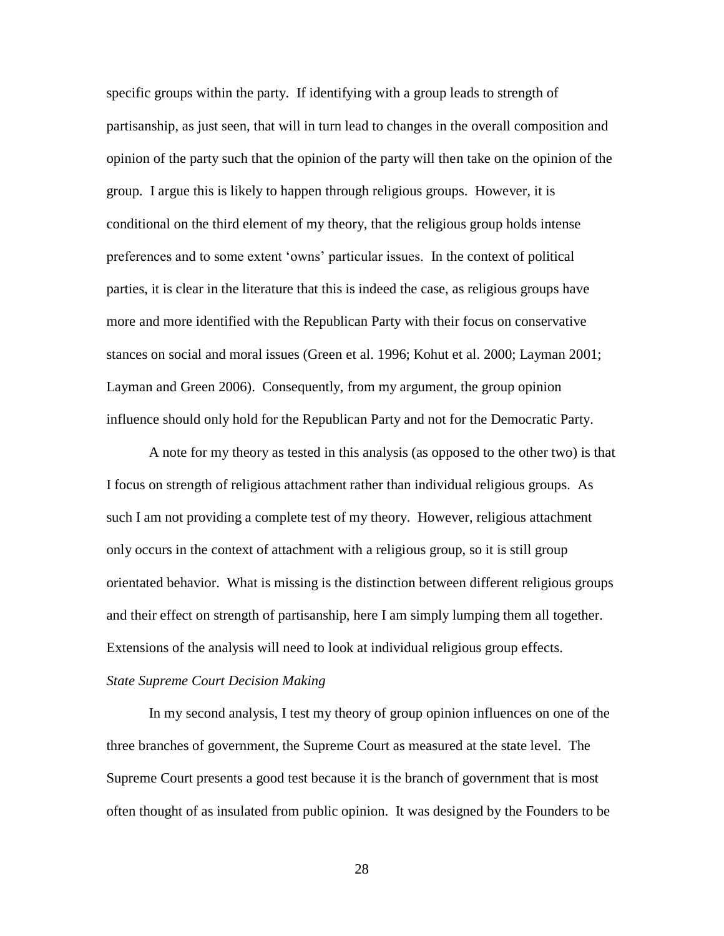specific groups within the party. If identifying with a group leads to strength of partisanship, as just seen, that will in turn lead to changes in the overall composition and opinion of the party such that the opinion of the party will then take on the opinion of the group. I argue this is likely to happen through religious groups. However, it is conditional on the third element of my theory, that the religious group holds intense preferences and to some extent 'owns' particular issues. In the context of political parties, it is clear in the literature that this is indeed the case, as religious groups have more and more identified with the Republican Party with their focus on conservative stances on social and moral issues (Green et al. 1996; Kohut et al. 2000; Layman 2001; Layman and Green 2006). Consequently, from my argument, the group opinion influence should only hold for the Republican Party and not for the Democratic Party.

A note for my theory as tested in this analysis (as opposed to the other two) is that I focus on strength of religious attachment rather than individual religious groups. As such I am not providing a complete test of my theory. However, religious attachment only occurs in the context of attachment with a religious group, so it is still group orientated behavior. What is missing is the distinction between different religious groups and their effect on strength of partisanship, here I am simply lumping them all together. Extensions of the analysis will need to look at individual religious group effects.

#### *State Supreme Court Decision Making*

In my second analysis, I test my theory of group opinion influences on one of the three branches of government, the Supreme Court as measured at the state level. The Supreme Court presents a good test because it is the branch of government that is most often thought of as insulated from public opinion. It was designed by the Founders to be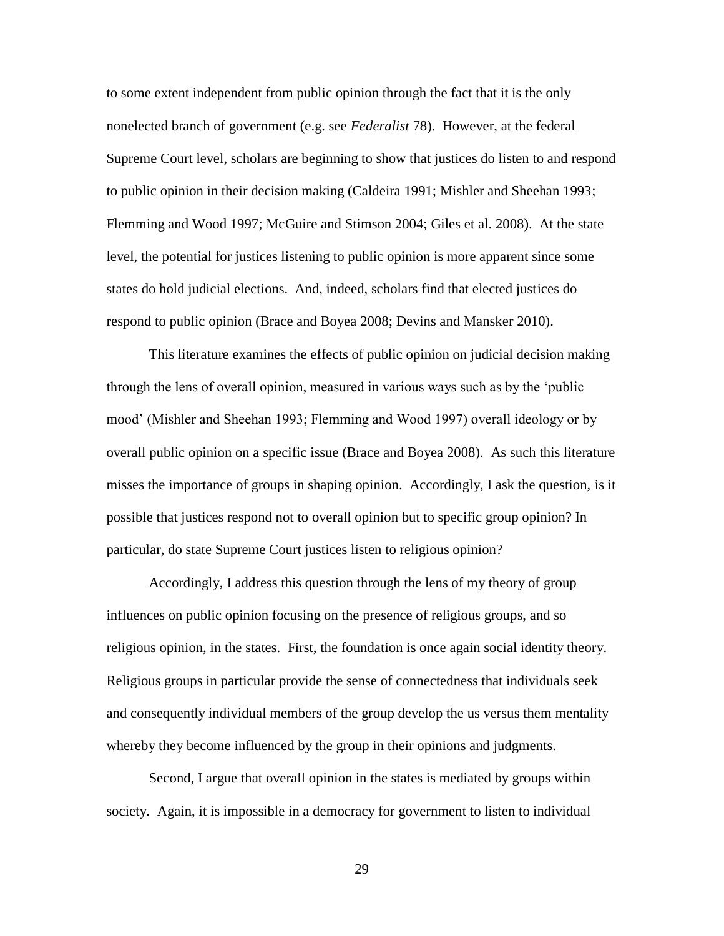to some extent independent from public opinion through the fact that it is the only nonelected branch of government (e.g. see *Federalist* 78). However, at the federal Supreme Court level, scholars are beginning to show that justices do listen to and respond to public opinion in their decision making (Caldeira 1991; Mishler and Sheehan 1993; Flemming and Wood 1997; McGuire and Stimson 2004; Giles et al. 2008). At the state level, the potential for justices listening to public opinion is more apparent since some states do hold judicial elections. And, indeed, scholars find that elected justices do respond to public opinion (Brace and Boyea 2008; Devins and Mansker 2010).

This literature examines the effects of public opinion on judicial decision making through the lens of overall opinion, measured in various ways such as by the 'public mood' (Mishler and Sheehan 1993; Flemming and Wood 1997) overall ideology or by overall public opinion on a specific issue (Brace and Boyea 2008). As such this literature misses the importance of groups in shaping opinion. Accordingly, I ask the question, is it possible that justices respond not to overall opinion but to specific group opinion? In particular, do state Supreme Court justices listen to religious opinion?

Accordingly, I address this question through the lens of my theory of group influences on public opinion focusing on the presence of religious groups, and so religious opinion, in the states. First, the foundation is once again social identity theory. Religious groups in particular provide the sense of connectedness that individuals seek and consequently individual members of the group develop the us versus them mentality whereby they become influenced by the group in their opinions and judgments.

Second, I argue that overall opinion in the states is mediated by groups within society. Again, it is impossible in a democracy for government to listen to individual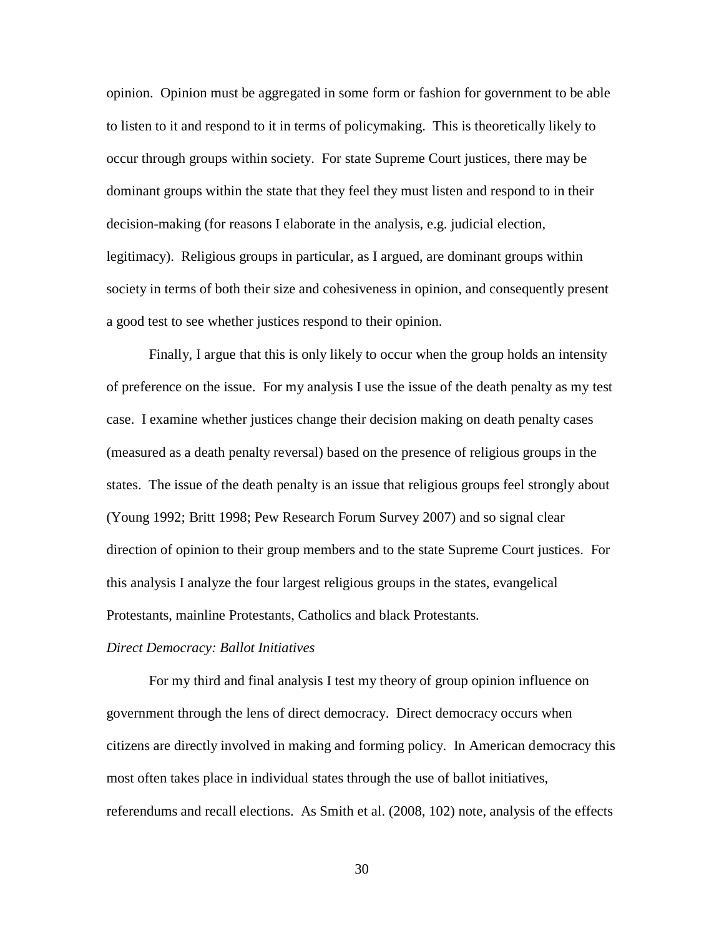opinion. Opinion must be aggregated in some form or fashion for government to be able to listen to it and respond to it in terms of policymaking. This is theoretically likely to occur through groups within society. For state Supreme Court justices, there may be dominant groups within the state that they feel they must listen and respond to in their decision-making (for reasons I elaborate in the analysis, e.g. judicial election, legitimacy). Religious groups in particular, as I argued, are dominant groups within society in terms of both their size and cohesiveness in opinion, and consequently present a good test to see whether justices respond to their opinion.

Finally, I argue that this is only likely to occur when the group holds an intensity of preference on the issue. For my analysis I use the issue of the death penalty as my test case. I examine whether justices change their decision making on death penalty cases (measured as a death penalty reversal) based on the presence of religious groups in the states. The issue of the death penalty is an issue that religious groups feel strongly about (Young 1992; Britt 1998; Pew Research Forum Survey 2007) and so signal clear direction of opinion to their group members and to the state Supreme Court justices. For this analysis I analyze the four largest religious groups in the states, evangelical Protestants, mainline Protestants, Catholics and black Protestants.

#### *Direct Democracy: Ballot Initiatives*

For my third and final analysis I test my theory of group opinion influence on government through the lens of direct democracy. Direct democracy occurs when citizens are directly involved in making and forming policy. In American democracy this most often takes place in individual states through the use of ballot initiatives, referendums and recall elections. As Smith et al. (2008, 102) note, analysis of the effects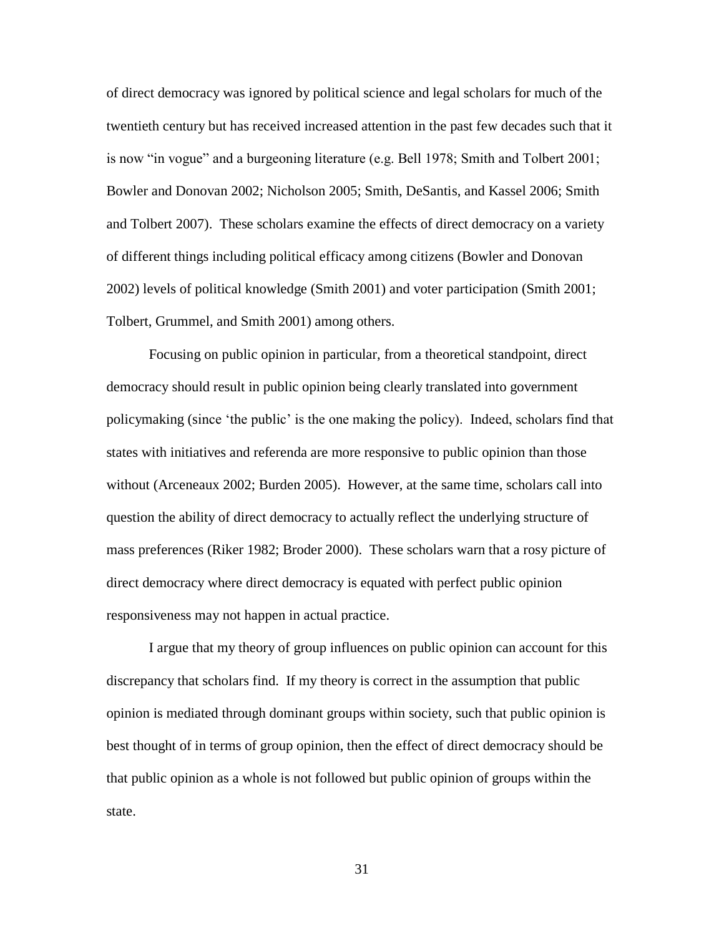of direct democracy was ignored by political science and legal scholars for much of the twentieth century but has received increased attention in the past few decades such that it is now "in vogue" and a burgeoning literature (e.g. Bell 1978; Smith and Tolbert 2001; Bowler and Donovan 2002; Nicholson 2005; Smith, DeSantis, and Kassel 2006; Smith and Tolbert 2007). These scholars examine the effects of direct democracy on a variety of different things including political efficacy among citizens (Bowler and Donovan 2002) levels of political knowledge (Smith 2001) and voter participation (Smith 2001; Tolbert, Grummel, and Smith 2001) among others.

Focusing on public opinion in particular, from a theoretical standpoint, direct democracy should result in public opinion being clearly translated into government policymaking (since 'the public' is the one making the policy). Indeed, scholars find that states with initiatives and referenda are more responsive to public opinion than those without (Arceneaux 2002; Burden 2005). However, at the same time, scholars call into question the ability of direct democracy to actually reflect the underlying structure of mass preferences (Riker 1982; Broder 2000). These scholars warn that a rosy picture of direct democracy where direct democracy is equated with perfect public opinion responsiveness may not happen in actual practice.

I argue that my theory of group influences on public opinion can account for this discrepancy that scholars find. If my theory is correct in the assumption that public opinion is mediated through dominant groups within society, such that public opinion is best thought of in terms of group opinion, then the effect of direct democracy should be that public opinion as a whole is not followed but public opinion of groups within the state.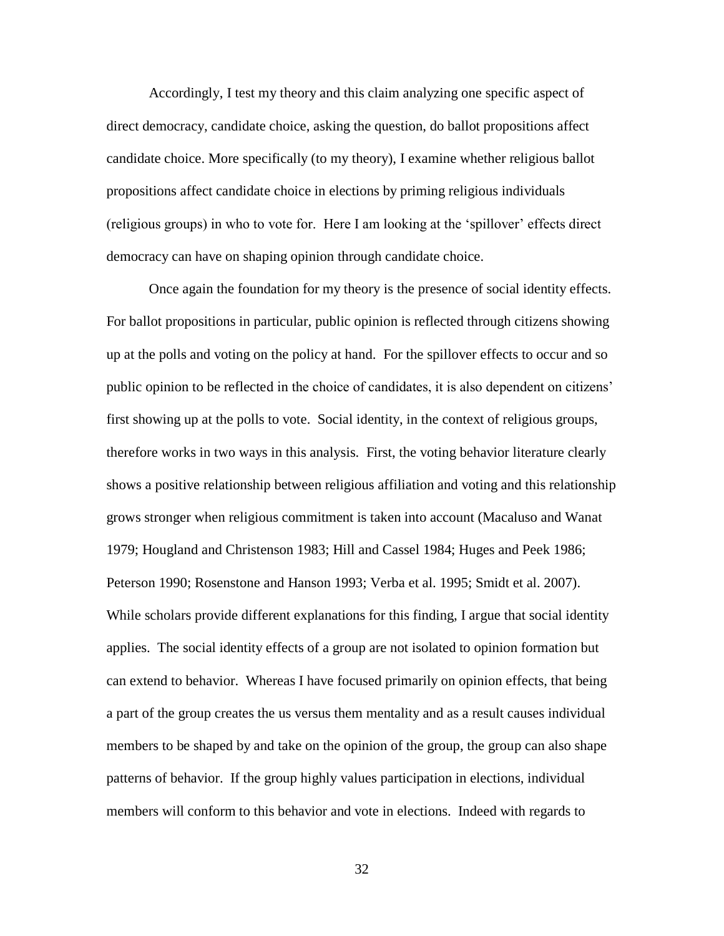Accordingly, I test my theory and this claim analyzing one specific aspect of direct democracy, candidate choice, asking the question, do ballot propositions affect candidate choice. More specifically (to my theory), I examine whether religious ballot propositions affect candidate choice in elections by priming religious individuals (religious groups) in who to vote for. Here I am looking at the 'spillover' effects direct democracy can have on shaping opinion through candidate choice.

Once again the foundation for my theory is the presence of social identity effects. For ballot propositions in particular, public opinion is reflected through citizens showing up at the polls and voting on the policy at hand. For the spillover effects to occur and so public opinion to be reflected in the choice of candidates, it is also dependent on citizens' first showing up at the polls to vote. Social identity, in the context of religious groups, therefore works in two ways in this analysis. First, the voting behavior literature clearly shows a positive relationship between religious affiliation and voting and this relationship grows stronger when religious commitment is taken into account (Macaluso and Wanat 1979; Hougland and Christenson 1983; Hill and Cassel 1984; Huges and Peek 1986; Peterson 1990; Rosenstone and Hanson 1993; Verba et al. 1995; Smidt et al. 2007). While scholars provide different explanations for this finding, I argue that social identity applies. The social identity effects of a group are not isolated to opinion formation but can extend to behavior. Whereas I have focused primarily on opinion effects, that being a part of the group creates the us versus them mentality and as a result causes individual members to be shaped by and take on the opinion of the group, the group can also shape patterns of behavior. If the group highly values participation in elections, individual members will conform to this behavior and vote in elections. Indeed with regards to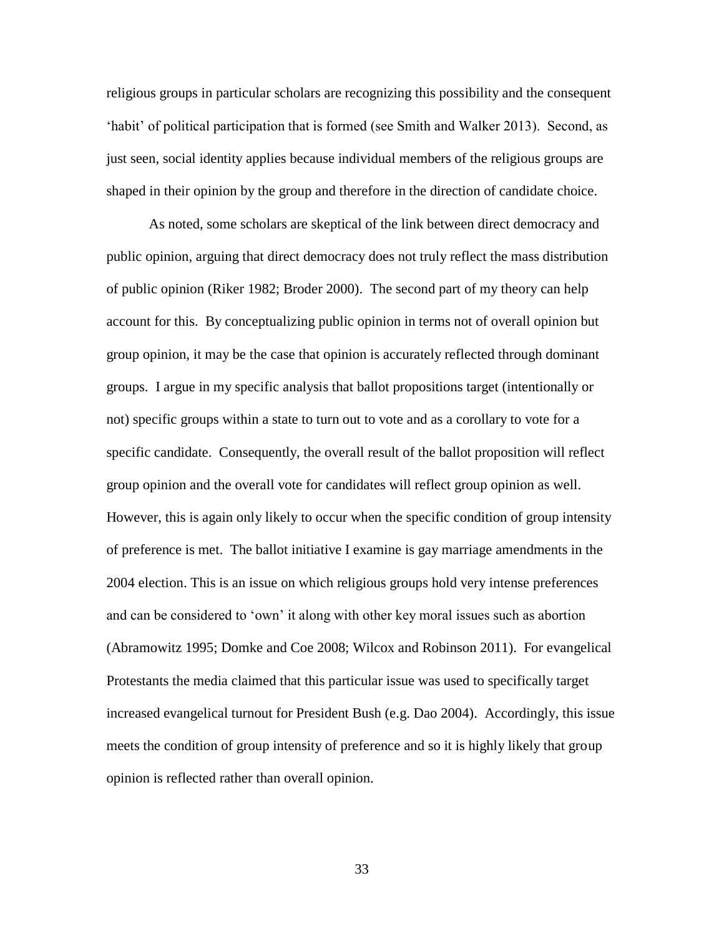religious groups in particular scholars are recognizing this possibility and the consequent 'habit' of political participation that is formed (see Smith and Walker 2013). Second, as just seen, social identity applies because individual members of the religious groups are shaped in their opinion by the group and therefore in the direction of candidate choice.

As noted, some scholars are skeptical of the link between direct democracy and public opinion, arguing that direct democracy does not truly reflect the mass distribution of public opinion (Riker 1982; Broder 2000). The second part of my theory can help account for this. By conceptualizing public opinion in terms not of overall opinion but group opinion, it may be the case that opinion is accurately reflected through dominant groups. I argue in my specific analysis that ballot propositions target (intentionally or not) specific groups within a state to turn out to vote and as a corollary to vote for a specific candidate. Consequently, the overall result of the ballot proposition will reflect group opinion and the overall vote for candidates will reflect group opinion as well. However, this is again only likely to occur when the specific condition of group intensity of preference is met. The ballot initiative I examine is gay marriage amendments in the 2004 election. This is an issue on which religious groups hold very intense preferences and can be considered to 'own' it along with other key moral issues such as abortion (Abramowitz 1995; Domke and Coe 2008; Wilcox and Robinson 2011). For evangelical Protestants the media claimed that this particular issue was used to specifically target increased evangelical turnout for President Bush (e.g. Dao 2004). Accordingly, this issue meets the condition of group intensity of preference and so it is highly likely that group opinion is reflected rather than overall opinion.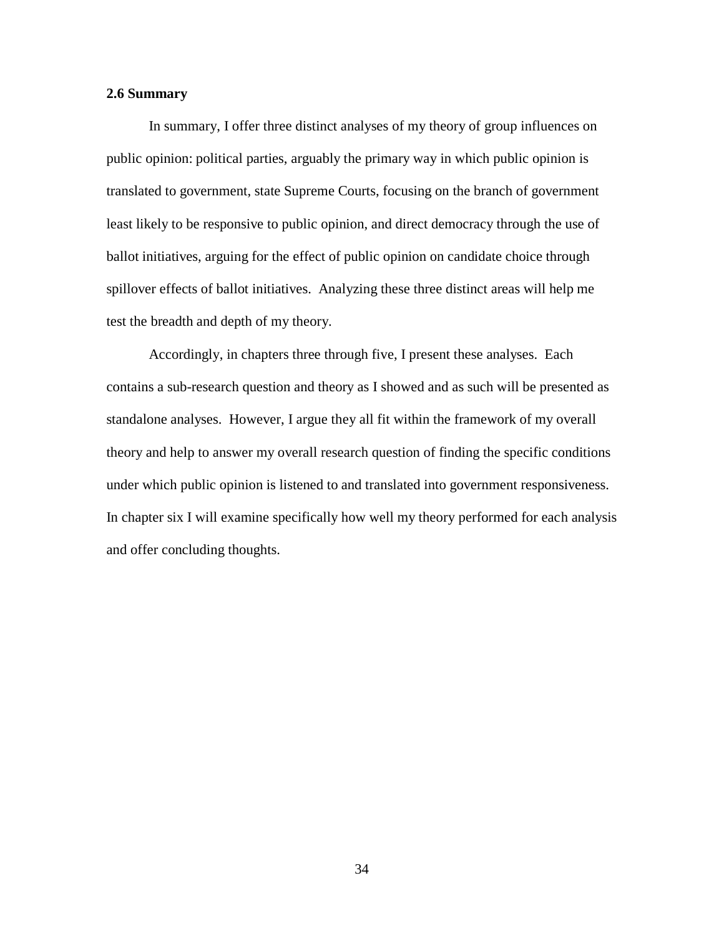# **2.6 Summary**

In summary, I offer three distinct analyses of my theory of group influences on public opinion: political parties, arguably the primary way in which public opinion is translated to government, state Supreme Courts, focusing on the branch of government least likely to be responsive to public opinion, and direct democracy through the use of ballot initiatives, arguing for the effect of public opinion on candidate choice through spillover effects of ballot initiatives. Analyzing these three distinct areas will help me test the breadth and depth of my theory.

Accordingly, in chapters three through five, I present these analyses. Each contains a sub-research question and theory as I showed and as such will be presented as standalone analyses. However, I argue they all fit within the framework of my overall theory and help to answer my overall research question of finding the specific conditions under which public opinion is listened to and translated into government responsiveness. In chapter six I will examine specifically how well my theory performed for each analysis and offer concluding thoughts.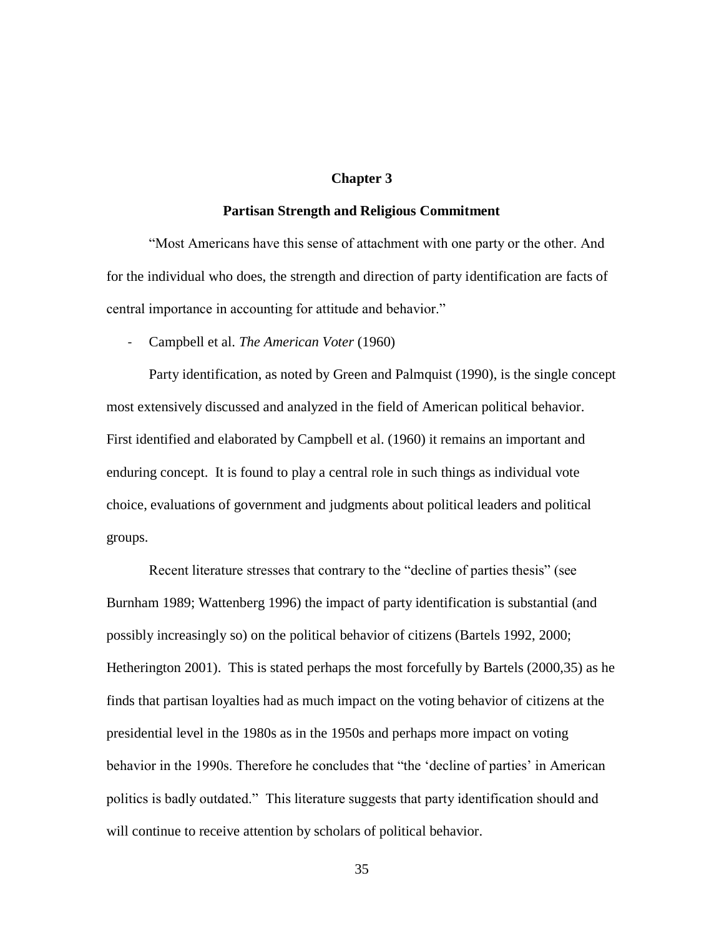# **Chapter 3**

## **Partisan Strength and Religious Commitment**

"Most Americans have this sense of attachment with one party or the other. And for the individual who does, the strength and direction of party identification are facts of central importance in accounting for attitude and behavior."

- Campbell et al. *The American Voter* (1960)

Party identification, as noted by Green and Palmquist (1990), is the single concept most extensively discussed and analyzed in the field of American political behavior. First identified and elaborated by Campbell et al. (1960) it remains an important and enduring concept. It is found to play a central role in such things as individual vote choice, evaluations of government and judgments about political leaders and political groups.

Recent literature stresses that contrary to the "decline of parties thesis" (see Burnham 1989; Wattenberg 1996) the impact of party identification is substantial (and possibly increasingly so) on the political behavior of citizens (Bartels 1992, 2000; Hetherington 2001). This is stated perhaps the most forcefully by Bartels (2000,35) as he finds that partisan loyalties had as much impact on the voting behavior of citizens at the presidential level in the 1980s as in the 1950s and perhaps more impact on voting behavior in the 1990s. Therefore he concludes that "the 'decline of parties' in American politics is badly outdated." This literature suggests that party identification should and will continue to receive attention by scholars of political behavior.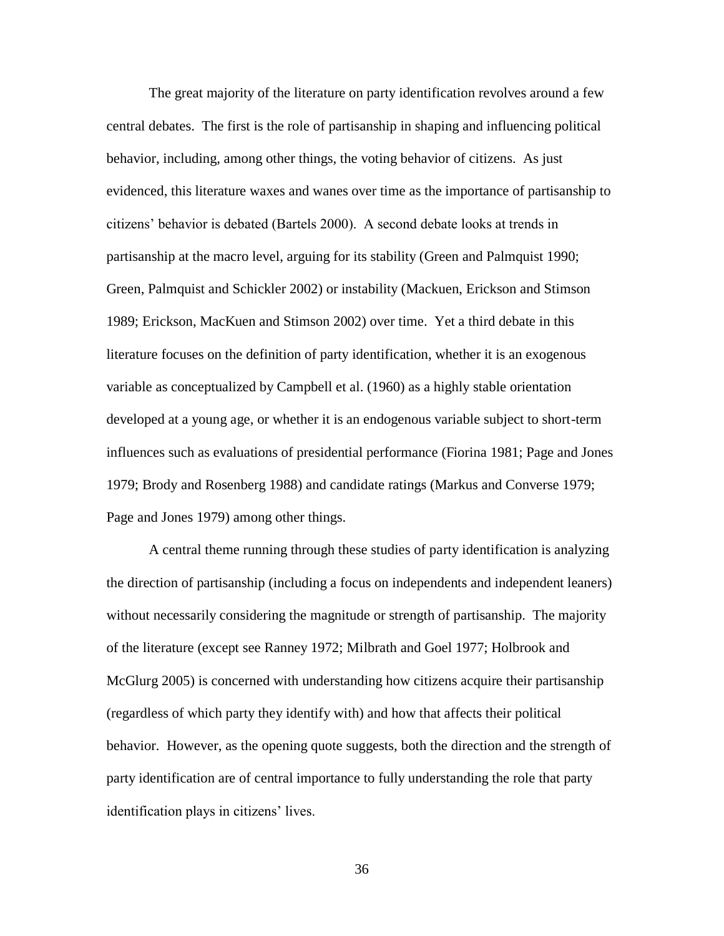The great majority of the literature on party identification revolves around a few central debates. The first is the role of partisanship in shaping and influencing political behavior, including, among other things, the voting behavior of citizens. As just evidenced, this literature waxes and wanes over time as the importance of partisanship to citizens' behavior is debated (Bartels 2000). A second debate looks at trends in partisanship at the macro level, arguing for its stability (Green and Palmquist 1990; Green, Palmquist and Schickler 2002) or instability (Mackuen, Erickson and Stimson 1989; Erickson, MacKuen and Stimson 2002) over time. Yet a third debate in this literature focuses on the definition of party identification, whether it is an exogenous variable as conceptualized by Campbell et al. (1960) as a highly stable orientation developed at a young age, or whether it is an endogenous variable subject to short-term influences such as evaluations of presidential performance (Fiorina 1981; Page and Jones 1979; Brody and Rosenberg 1988) and candidate ratings (Markus and Converse 1979; Page and Jones 1979) among other things.

A central theme running through these studies of party identification is analyzing the direction of partisanship (including a focus on independents and independent leaners) without necessarily considering the magnitude or strength of partisanship. The majority of the literature (except see Ranney 1972; Milbrath and Goel 1977; Holbrook and McGlurg 2005) is concerned with understanding how citizens acquire their partisanship (regardless of which party they identify with) and how that affects their political behavior. However, as the opening quote suggests, both the direction and the strength of party identification are of central importance to fully understanding the role that party identification plays in citizens' lives.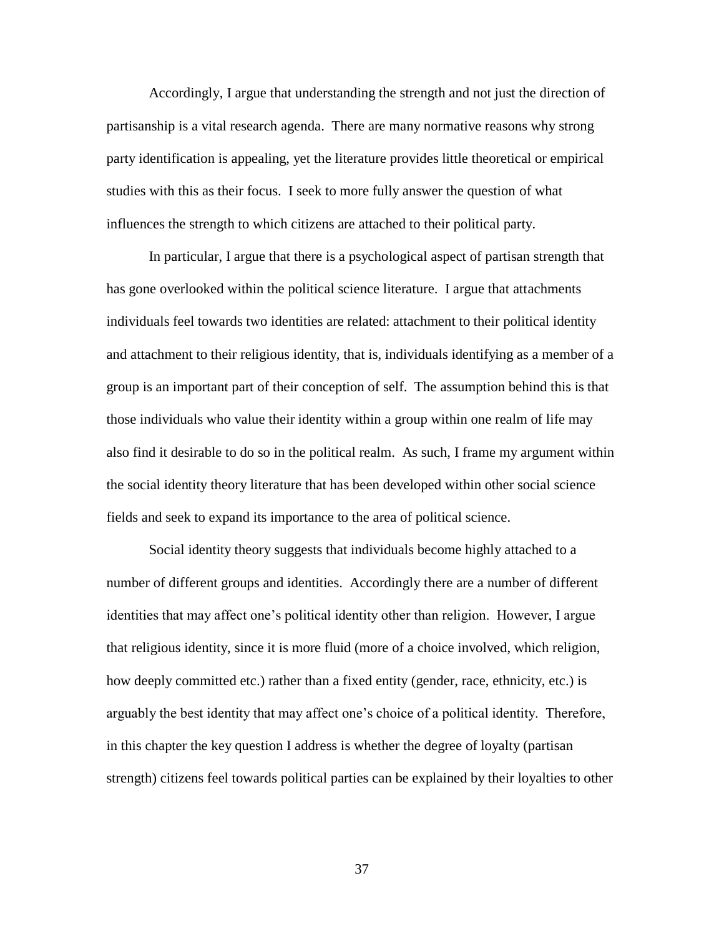Accordingly, I argue that understanding the strength and not just the direction of partisanship is a vital research agenda. There are many normative reasons why strong party identification is appealing, yet the literature provides little theoretical or empirical studies with this as their focus. I seek to more fully answer the question of what influences the strength to which citizens are attached to their political party.

In particular, I argue that there is a psychological aspect of partisan strength that has gone overlooked within the political science literature. I argue that attachments individuals feel towards two identities are related: attachment to their political identity and attachment to their religious identity, that is, individuals identifying as a member of a group is an important part of their conception of self. The assumption behind this is that those individuals who value their identity within a group within one realm of life may also find it desirable to do so in the political realm. As such, I frame my argument within the social identity theory literature that has been developed within other social science fields and seek to expand its importance to the area of political science.

Social identity theory suggests that individuals become highly attached to a number of different groups and identities. Accordingly there are a number of different identities that may affect one's political identity other than religion. However, I argue that religious identity, since it is more fluid (more of a choice involved, which religion, how deeply committed etc.) rather than a fixed entity (gender, race, ethnicity, etc.) is arguably the best identity that may affect one's choice of a political identity. Therefore, in this chapter the key question I address is whether the degree of loyalty (partisan strength) citizens feel towards political parties can be explained by their loyalties to other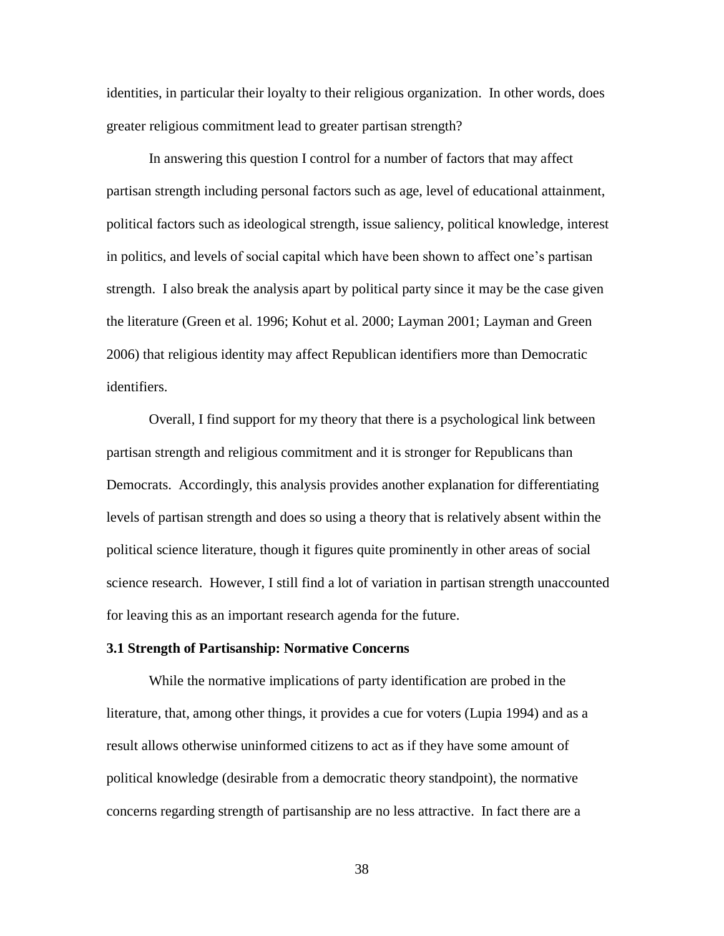identities, in particular their loyalty to their religious organization. In other words, does greater religious commitment lead to greater partisan strength?

In answering this question I control for a number of factors that may affect partisan strength including personal factors such as age, level of educational attainment, political factors such as ideological strength, issue saliency, political knowledge, interest in politics, and levels of social capital which have been shown to affect one's partisan strength. I also break the analysis apart by political party since it may be the case given the literature (Green et al. 1996; Kohut et al. 2000; Layman 2001; Layman and Green 2006) that religious identity may affect Republican identifiers more than Democratic identifiers.

Overall, I find support for my theory that there is a psychological link between partisan strength and religious commitment and it is stronger for Republicans than Democrats. Accordingly, this analysis provides another explanation for differentiating levels of partisan strength and does so using a theory that is relatively absent within the political science literature, though it figures quite prominently in other areas of social science research. However, I still find a lot of variation in partisan strength unaccounted for leaving this as an important research agenda for the future.

#### **3.1 Strength of Partisanship: Normative Concerns**

While the normative implications of party identification are probed in the literature, that, among other things, it provides a cue for voters (Lupia 1994) and as a result allows otherwise uninformed citizens to act as if they have some amount of political knowledge (desirable from a democratic theory standpoint), the normative concerns regarding strength of partisanship are no less attractive. In fact there are a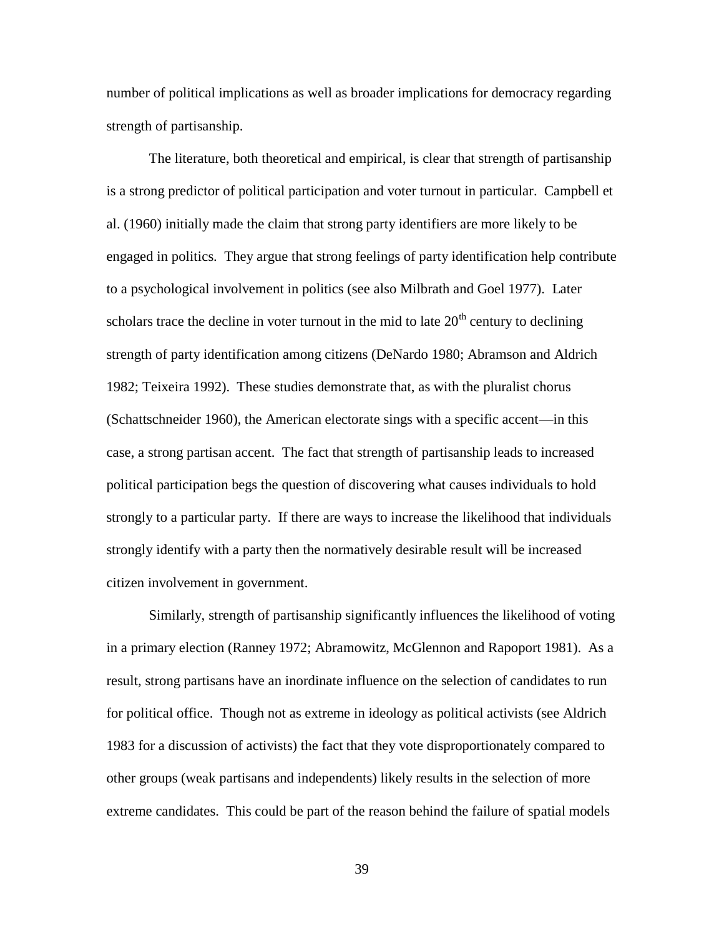number of political implications as well as broader implications for democracy regarding strength of partisanship.

The literature, both theoretical and empirical, is clear that strength of partisanship is a strong predictor of political participation and voter turnout in particular. Campbell et al. (1960) initially made the claim that strong party identifiers are more likely to be engaged in politics. They argue that strong feelings of party identification help contribute to a psychological involvement in politics (see also Milbrath and Goel 1977). Later scholars trace the decline in voter turnout in the mid to late  $20<sup>th</sup>$  century to declining strength of party identification among citizens (DeNardo 1980; Abramson and Aldrich 1982; Teixeira 1992). These studies demonstrate that, as with the pluralist chorus (Schattschneider 1960), the American electorate sings with a specific accent—in this case, a strong partisan accent. The fact that strength of partisanship leads to increased political participation begs the question of discovering what causes individuals to hold strongly to a particular party. If there are ways to increase the likelihood that individuals strongly identify with a party then the normatively desirable result will be increased citizen involvement in government.

Similarly, strength of partisanship significantly influences the likelihood of voting in a primary election (Ranney 1972; Abramowitz, McGlennon and Rapoport 1981). As a result, strong partisans have an inordinate influence on the selection of candidates to run for political office. Though not as extreme in ideology as political activists (see Aldrich 1983 for a discussion of activists) the fact that they vote disproportionately compared to other groups (weak partisans and independents) likely results in the selection of more extreme candidates. This could be part of the reason behind the failure of spatial models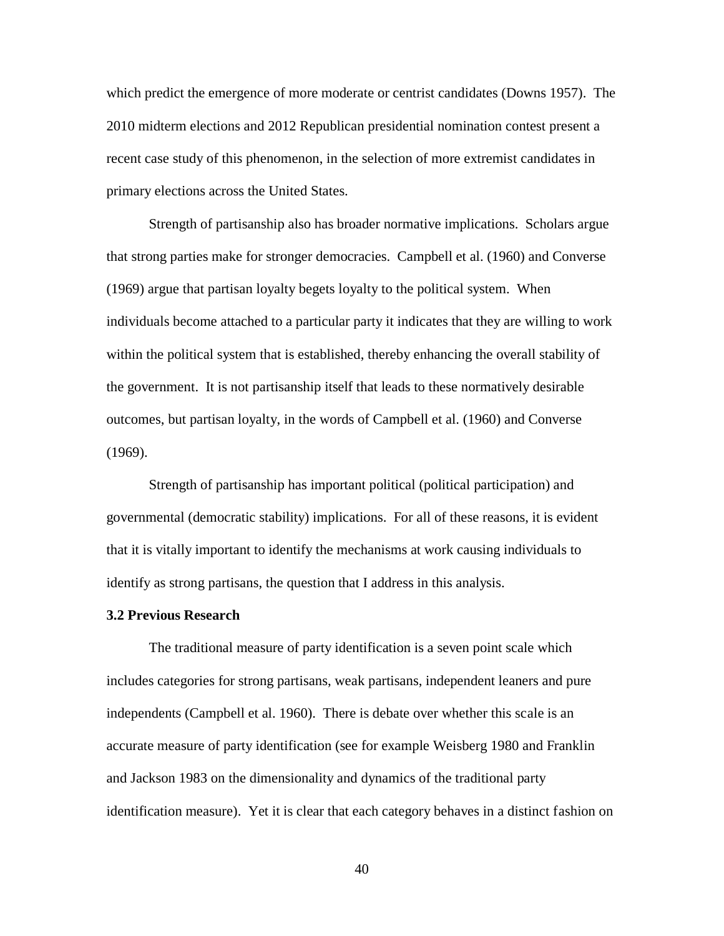which predict the emergence of more moderate or centrist candidates (Downs 1957). The 2010 midterm elections and 2012 Republican presidential nomination contest present a recent case study of this phenomenon, in the selection of more extremist candidates in primary elections across the United States.

Strength of partisanship also has broader normative implications. Scholars argue that strong parties make for stronger democracies. Campbell et al. (1960) and Converse (1969) argue that partisan loyalty begets loyalty to the political system. When individuals become attached to a particular party it indicates that they are willing to work within the political system that is established, thereby enhancing the overall stability of the government. It is not partisanship itself that leads to these normatively desirable outcomes, but partisan loyalty, in the words of Campbell et al. (1960) and Converse (1969).

Strength of partisanship has important political (political participation) and governmental (democratic stability) implications. For all of these reasons, it is evident that it is vitally important to identify the mechanisms at work causing individuals to identify as strong partisans, the question that I address in this analysis.

## **3.2 Previous Research**

The traditional measure of party identification is a seven point scale which includes categories for strong partisans, weak partisans, independent leaners and pure independents (Campbell et al. 1960). There is debate over whether this scale is an accurate measure of party identification (see for example Weisberg 1980 and Franklin and Jackson 1983 on the dimensionality and dynamics of the traditional party identification measure). Yet it is clear that each category behaves in a distinct fashion on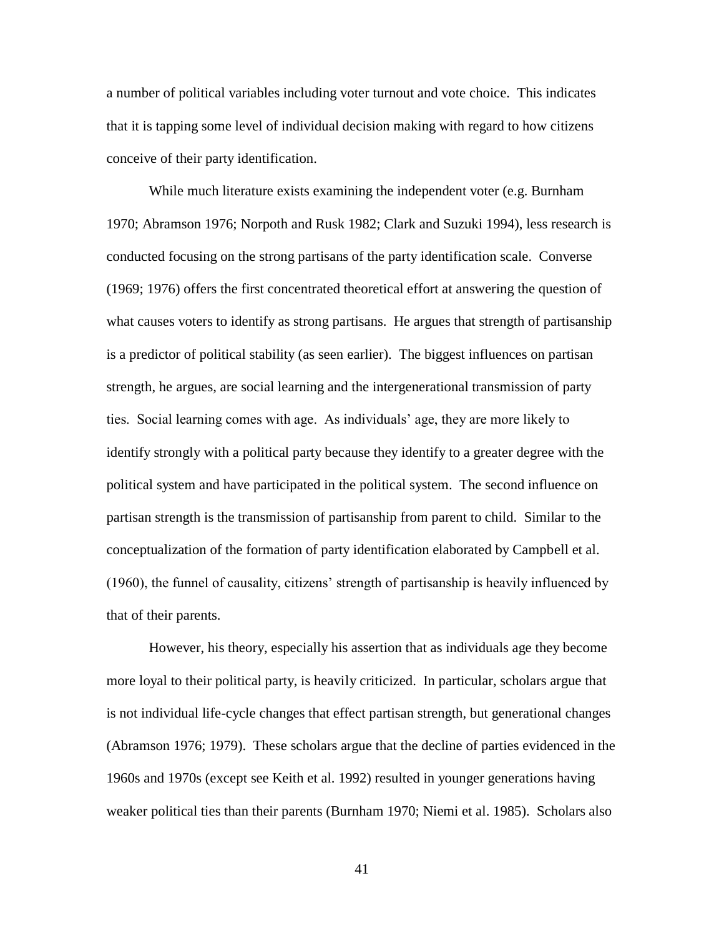a number of political variables including voter turnout and vote choice. This indicates that it is tapping some level of individual decision making with regard to how citizens conceive of their party identification.

While much literature exists examining the independent voter (e.g. Burnham 1970; Abramson 1976; Norpoth and Rusk 1982; Clark and Suzuki 1994), less research is conducted focusing on the strong partisans of the party identification scale. Converse (1969; 1976) offers the first concentrated theoretical effort at answering the question of what causes voters to identify as strong partisans. He argues that strength of partisanship is a predictor of political stability (as seen earlier). The biggest influences on partisan strength, he argues, are social learning and the intergenerational transmission of party ties. Social learning comes with age. As individuals' age, they are more likely to identify strongly with a political party because they identify to a greater degree with the political system and have participated in the political system. The second influence on partisan strength is the transmission of partisanship from parent to child. Similar to the conceptualization of the formation of party identification elaborated by Campbell et al. (1960), the funnel of causality, citizens' strength of partisanship is heavily influenced by that of their parents.

However, his theory, especially his assertion that as individuals age they become more loyal to their political party, is heavily criticized. In particular, scholars argue that is not individual life-cycle changes that effect partisan strength, but generational changes (Abramson 1976; 1979). These scholars argue that the decline of parties evidenced in the 1960s and 1970s (except see Keith et al. 1992) resulted in younger generations having weaker political ties than their parents (Burnham 1970; Niemi et al. 1985). Scholars also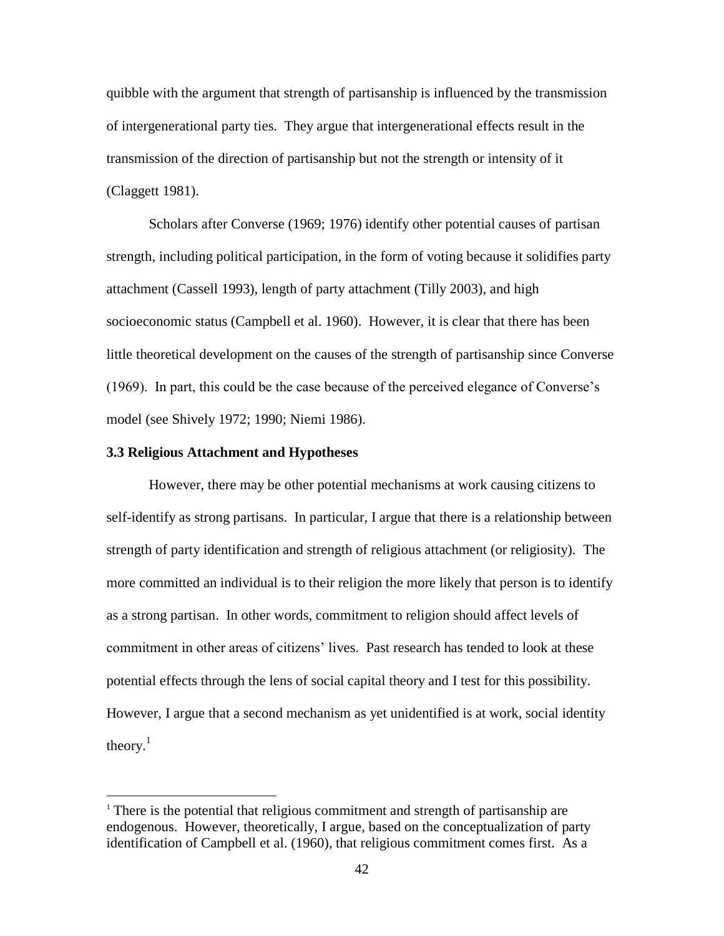quibble with the argument that strength of partisanship is influenced by the transmission of intergenerational party ties. They argue that intergenerational effects result in the transmission of the direction of partisanship but not the strength or intensity of it (Claggett 1981).

Scholars after Converse (1969; 1976) identify other potential causes of partisan strength, including political participation, in the form of voting because it solidifies party attachment (Cassell 1993), length of party attachment (Tilly 2003), and high socioeconomic status (Campbell et al. 1960). However, it is clear that there has been little theoretical development on the causes of the strength of partisanship since Converse (1969). In part, this could be the case because of the perceived elegance of Converse's model (see Shively 1972; 1990; Niemi 1986).

# **3.3 Religious Attachment and Hypotheses**

 $\overline{a}$ 

However, there may be other potential mechanisms at work causing citizens to self-identify as strong partisans. In particular, I argue that there is a relationship between strength of party identification and strength of religious attachment (or religiosity). The more committed an individual is to their religion the more likely that person is to identify as a strong partisan. In other words, commitment to religion should affect levels of commitment in other areas of citizens' lives. Past research has tended to look at these potential effects through the lens of social capital theory and I test for this possibility. However, I argue that a second mechanism as yet unidentified is at work, social identity theory. $^1$ 

 $1$ <sup>1</sup> There is the potential that religious commitment and strength of partisanship are endogenous. However, theoretically, I argue, based on the conceptualization of party identification of Campbell et al. (1960), that religious commitment comes first. As a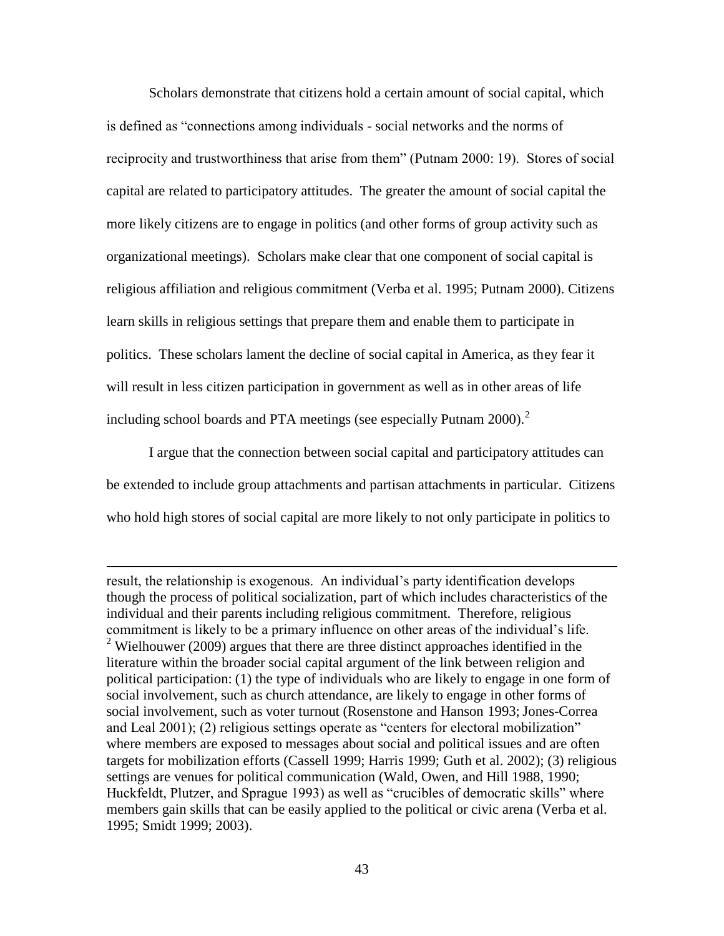Scholars demonstrate that citizens hold a certain amount of social capital, which is defined as "connections among individuals - social networks and the norms of reciprocity and trustworthiness that arise from them" (Putnam 2000: 19). Stores of social capital are related to participatory attitudes. The greater the amount of social capital the more likely citizens are to engage in politics (and other forms of group activity such as organizational meetings). Scholars make clear that one component of social capital is religious affiliation and religious commitment (Verba et al. 1995; Putnam 2000). Citizens learn skills in religious settings that prepare them and enable them to participate in politics. These scholars lament the decline of social capital in America, as they fear it will result in less citizen participation in government as well as in other areas of life including school boards and PTA meetings (see especially Putnam  $2000$ ).<sup>2</sup>

I argue that the connection between social capital and participatory attitudes can be extended to include group attachments and partisan attachments in particular. Citizens who hold high stores of social capital are more likely to not only participate in politics to

 $\overline{a}$ 

result, the relationship is exogenous. An individual's party identification develops though the process of political socialization, part of which includes characteristics of the individual and their parents including religious commitment. Therefore, religious commitment is likely to be a primary influence on other areas of the individual's life. <sup>2</sup> Wielhouwer (2009) argues that there are three distinct approaches identified in the literature within the broader social capital argument of the link between religion and political participation: (1) the type of individuals who are likely to engage in one form of social involvement, such as church attendance, are likely to engage in other forms of social involvement, such as voter turnout (Rosenstone and Hanson 1993; Jones-Correa and Leal 2001); (2) religious settings operate as "centers for electoral mobilization" where members are exposed to messages about social and political issues and are often targets for mobilization efforts (Cassell 1999; Harris 1999; Guth et al. 2002); (3) religious settings are venues for political communication (Wald, Owen, and Hill 1988, 1990; Huckfeldt, Plutzer, and Sprague 1993) as well as "crucibles of democratic skills" where members gain skills that can be easily applied to the political or civic arena (Verba et al. 1995; Smidt 1999; 2003).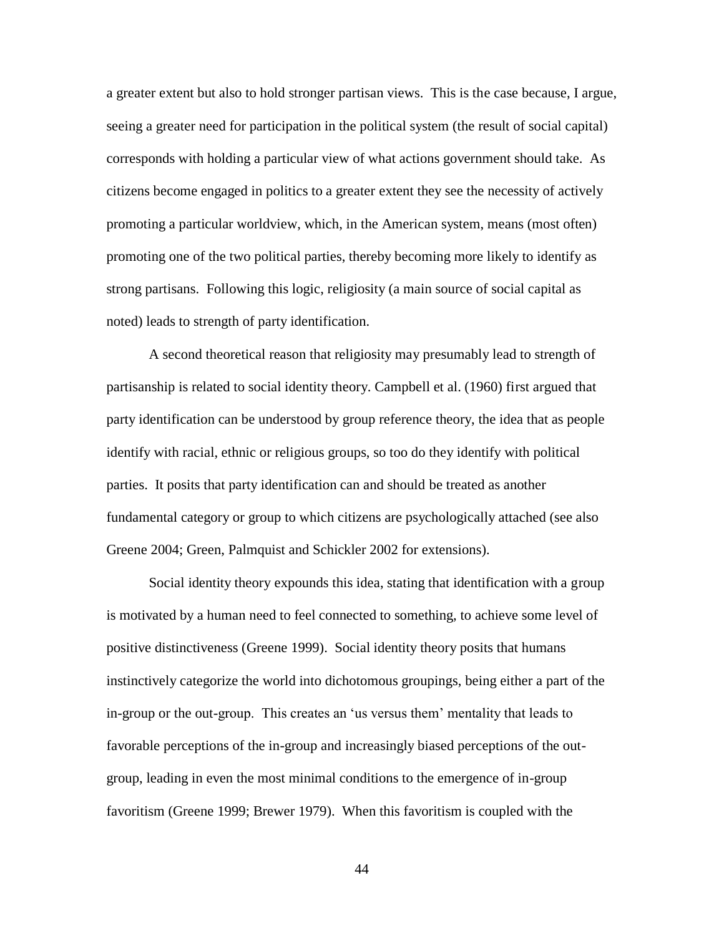a greater extent but also to hold stronger partisan views. This is the case because, I argue, seeing a greater need for participation in the political system (the result of social capital) corresponds with holding a particular view of what actions government should take. As citizens become engaged in politics to a greater extent they see the necessity of actively promoting a particular worldview, which, in the American system, means (most often) promoting one of the two political parties, thereby becoming more likely to identify as strong partisans. Following this logic, religiosity (a main source of social capital as noted) leads to strength of party identification.

A second theoretical reason that religiosity may presumably lead to strength of partisanship is related to social identity theory. Campbell et al. (1960) first argued that party identification can be understood by group reference theory, the idea that as people identify with racial, ethnic or religious groups, so too do they identify with political parties. It posits that party identification can and should be treated as another fundamental category or group to which citizens are psychologically attached (see also Greene 2004; Green, Palmquist and Schickler 2002 for extensions).

Social identity theory expounds this idea, stating that identification with a group is motivated by a human need to feel connected to something, to achieve some level of positive distinctiveness (Greene 1999). Social identity theory posits that humans instinctively categorize the world into dichotomous groupings, being either a part of the in-group or the out-group. This creates an 'us versus them' mentality that leads to favorable perceptions of the in-group and increasingly biased perceptions of the outgroup, leading in even the most minimal conditions to the emergence of in-group favoritism (Greene 1999; Brewer 1979). When this favoritism is coupled with the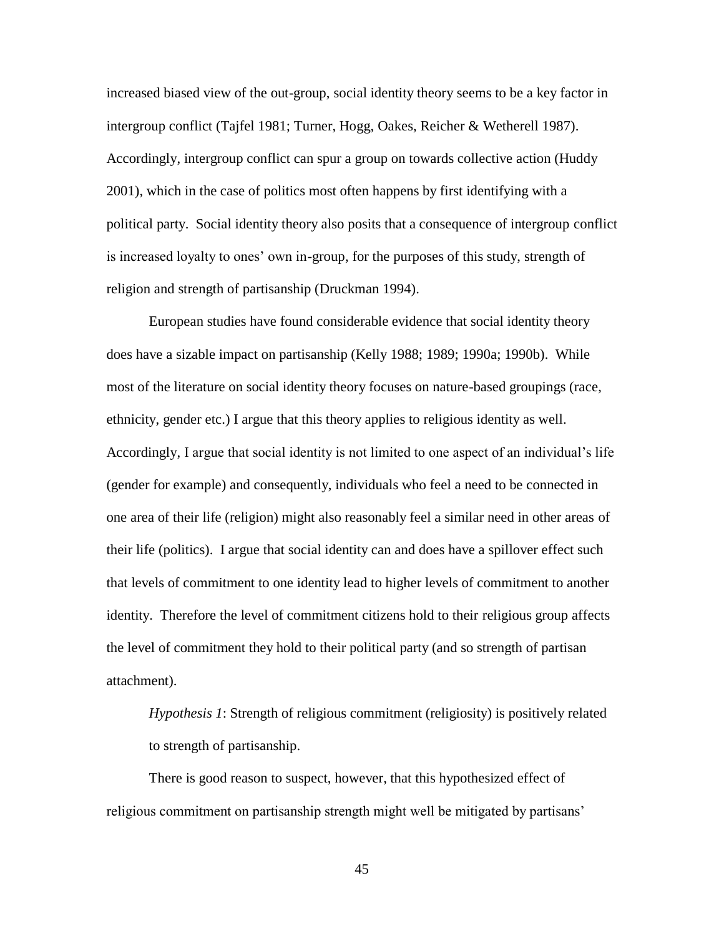increased biased view of the out-group, social identity theory seems to be a key factor in intergroup conflict (Tajfel 1981; Turner, Hogg, Oakes, Reicher & Wetherell 1987). Accordingly, intergroup conflict can spur a group on towards collective action (Huddy 2001), which in the case of politics most often happens by first identifying with a political party. Social identity theory also posits that a consequence of intergroup conflict is increased loyalty to ones' own in-group, for the purposes of this study, strength of religion and strength of partisanship (Druckman 1994).

European studies have found considerable evidence that social identity theory does have a sizable impact on partisanship (Kelly 1988; 1989; 1990a; 1990b). While most of the literature on social identity theory focuses on nature-based groupings (race, ethnicity, gender etc.) I argue that this theory applies to religious identity as well. Accordingly, I argue that social identity is not limited to one aspect of an individual's life (gender for example) and consequently, individuals who feel a need to be connected in one area of their life (religion) might also reasonably feel a similar need in other areas of their life (politics). I argue that social identity can and does have a spillover effect such that levels of commitment to one identity lead to higher levels of commitment to another identity. Therefore the level of commitment citizens hold to their religious group affects the level of commitment they hold to their political party (and so strength of partisan attachment).

*Hypothesis 1*: Strength of religious commitment (religiosity) is positively related to strength of partisanship.

There is good reason to suspect, however, that this hypothesized effect of religious commitment on partisanship strength might well be mitigated by partisans'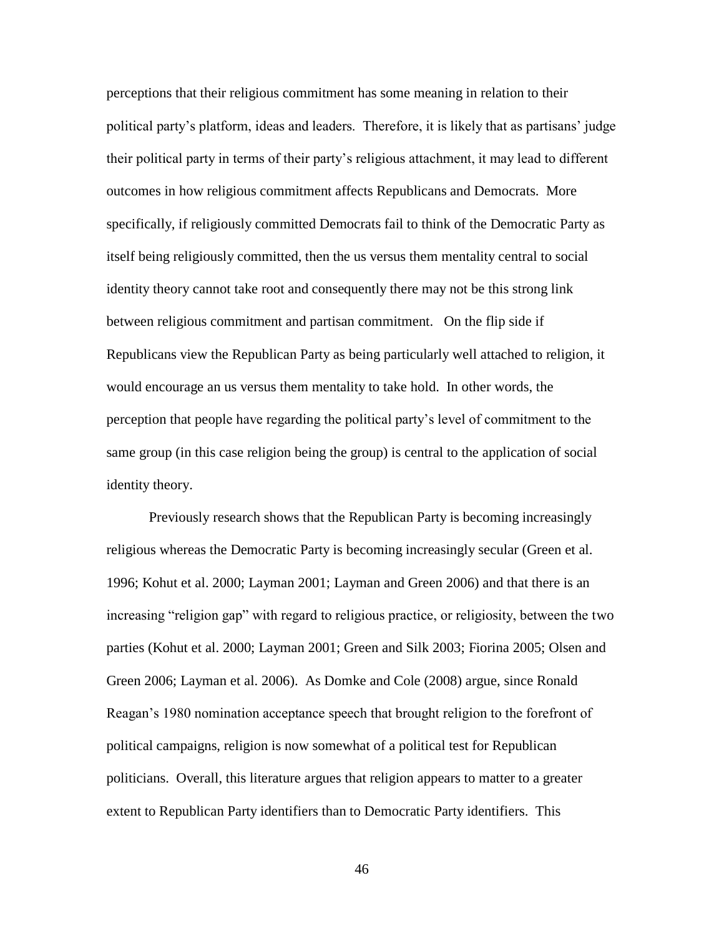perceptions that their religious commitment has some meaning in relation to their political party's platform, ideas and leaders. Therefore, it is likely that as partisans' judge their political party in terms of their party's religious attachment, it may lead to different outcomes in how religious commitment affects Republicans and Democrats. More specifically, if religiously committed Democrats fail to think of the Democratic Party as itself being religiously committed, then the us versus them mentality central to social identity theory cannot take root and consequently there may not be this strong link between religious commitment and partisan commitment. On the flip side if Republicans view the Republican Party as being particularly well attached to religion, it would encourage an us versus them mentality to take hold. In other words, the perception that people have regarding the political party's level of commitment to the same group (in this case religion being the group) is central to the application of social identity theory.

Previously research shows that the Republican Party is becoming increasingly religious whereas the Democratic Party is becoming increasingly secular (Green et al. 1996; Kohut et al. 2000; Layman 2001; Layman and Green 2006) and that there is an increasing "religion gap" with regard to religious practice, or religiosity, between the two parties (Kohut et al. 2000; Layman 2001; Green and Silk 2003; Fiorina 2005; Olsen and Green 2006; Layman et al. 2006). As Domke and Cole (2008) argue, since Ronald Reagan's 1980 nomination acceptance speech that brought religion to the forefront of political campaigns, religion is now somewhat of a political test for Republican politicians. Overall, this literature argues that religion appears to matter to a greater extent to Republican Party identifiers than to Democratic Party identifiers. This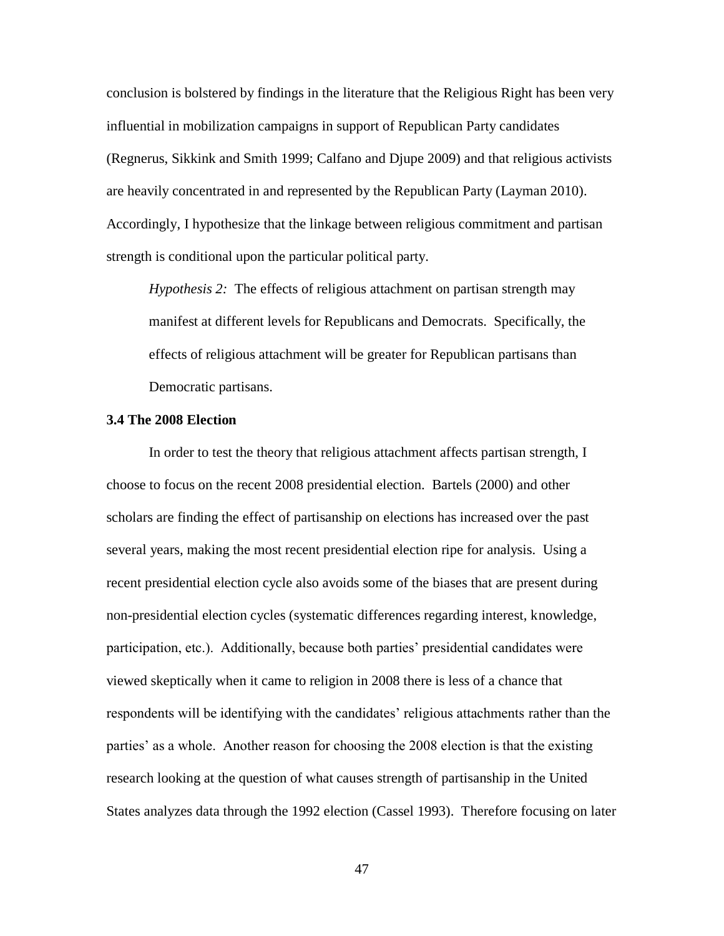conclusion is bolstered by findings in the literature that the Religious Right has been very influential in mobilization campaigns in support of Republican Party candidates (Regnerus, Sikkink and Smith 1999; Calfano and Djupe 2009) and that religious activists are heavily concentrated in and represented by the Republican Party (Layman 2010). Accordingly, I hypothesize that the linkage between religious commitment and partisan strength is conditional upon the particular political party.

*Hypothesis 2:* The effects of religious attachment on partisan strength may manifest at different levels for Republicans and Democrats. Specifically, the effects of religious attachment will be greater for Republican partisans than Democratic partisans.

# **3.4 The 2008 Election**

In order to test the theory that religious attachment affects partisan strength, I choose to focus on the recent 2008 presidential election. Bartels (2000) and other scholars are finding the effect of partisanship on elections has increased over the past several years, making the most recent presidential election ripe for analysis. Using a recent presidential election cycle also avoids some of the biases that are present during non-presidential election cycles (systematic differences regarding interest, knowledge, participation, etc.). Additionally, because both parties' presidential candidates were viewed skeptically when it came to religion in 2008 there is less of a chance that respondents will be identifying with the candidates' religious attachments rather than the parties' as a whole. Another reason for choosing the 2008 election is that the existing research looking at the question of what causes strength of partisanship in the United States analyzes data through the 1992 election (Cassel 1993). Therefore focusing on later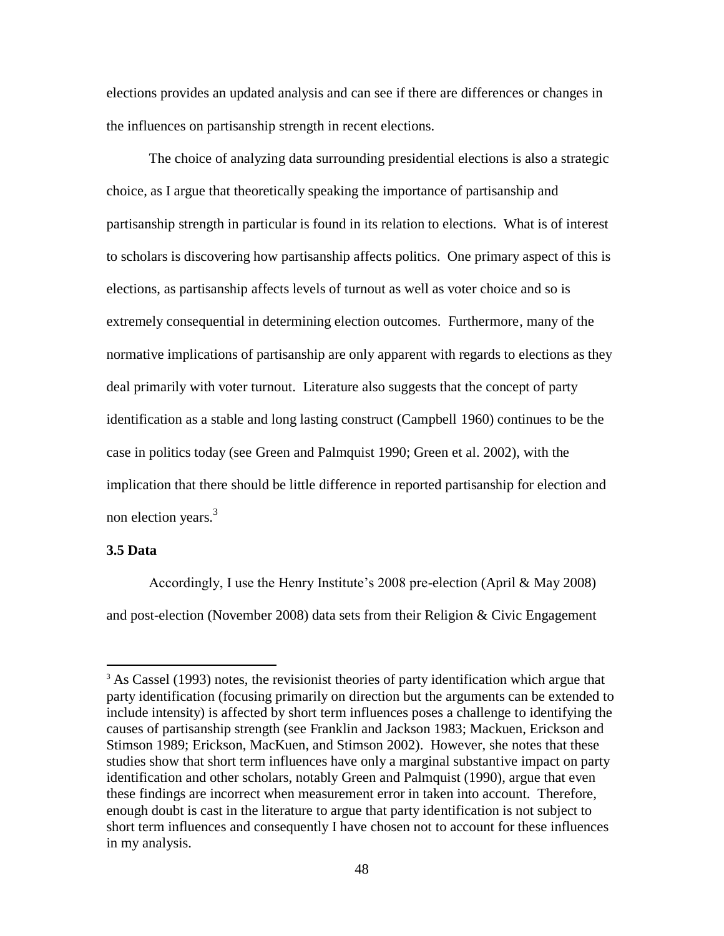elections provides an updated analysis and can see if there are differences or changes in the influences on partisanship strength in recent elections.

The choice of analyzing data surrounding presidential elections is also a strategic choice, as I argue that theoretically speaking the importance of partisanship and partisanship strength in particular is found in its relation to elections. What is of interest to scholars is discovering how partisanship affects politics. One primary aspect of this is elections, as partisanship affects levels of turnout as well as voter choice and so is extremely consequential in determining election outcomes. Furthermore, many of the normative implications of partisanship are only apparent with regards to elections as they deal primarily with voter turnout. Literature also suggests that the concept of party identification as a stable and long lasting construct (Campbell 1960) continues to be the case in politics today (see Green and Palmquist 1990; Green et al. 2002), with the implication that there should be little difference in reported partisanship for election and non election years.<sup>3</sup>

# **3.5 Data**

 $\overline{a}$ 

Accordingly, I use the Henry Institute's 2008 pre-election (April & May 2008) and post-election (November 2008) data sets from their Religion & Civic Engagement

 $3$  As Cassel (1993) notes, the revisionist theories of party identification which argue that party identification (focusing primarily on direction but the arguments can be extended to include intensity) is affected by short term influences poses a challenge to identifying the causes of partisanship strength (see Franklin and Jackson 1983; Mackuen, Erickson and Stimson 1989; Erickson, MacKuen, and Stimson 2002). However, she notes that these studies show that short term influences have only a marginal substantive impact on party identification and other scholars, notably Green and Palmquist (1990), argue that even these findings are incorrect when measurement error in taken into account. Therefore, enough doubt is cast in the literature to argue that party identification is not subject to short term influences and consequently I have chosen not to account for these influences in my analysis.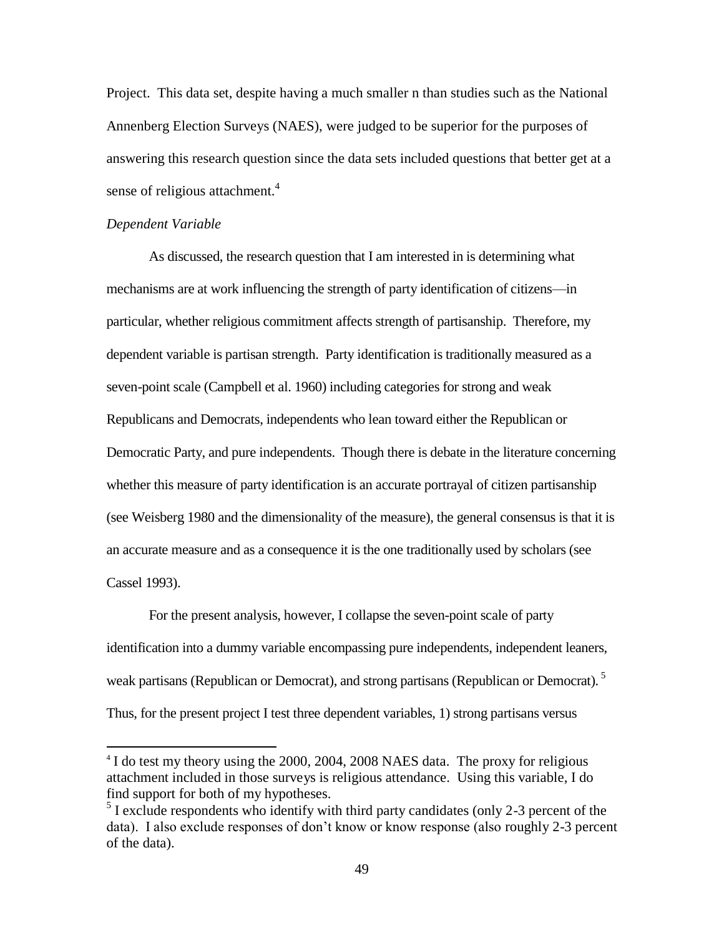Project. This data set, despite having a much smaller n than studies such as the National Annenberg Election Surveys (NAES), were judged to be superior for the purposes of answering this research question since the data sets included questions that better get at a sense of religious attachment. $4$ 

# *Dependent Variable*

 $\overline{a}$ 

As discussed, the research question that I am interested in is determining what mechanisms are at work influencing the strength of party identification of citizens—in particular, whether religious commitment affects strength of partisanship. Therefore, my dependent variable is partisan strength. Party identification is traditionally measured as a seven-point scale (Campbell et al. 1960) including categories for strong and weak Republicans and Democrats, independents who lean toward either the Republican or Democratic Party, and pure independents. Though there is debate in the literature concerning whether this measure of party identification is an accurate portrayal of citizen partisanship (see Weisberg 1980 and the dimensionality of the measure), the general consensus is that it is an accurate measure and as a consequence it is the one traditionally used by scholars (see Cassel 1993).

For the present analysis, however, I collapse the seven-point scale of party identification into a dummy variable encompassing pure independents, independent leaners, weak partisans (Republican or Democrat), and strong partisans (Republican or Democrat).<sup>5</sup> Thus, for the present project I test three dependent variables, 1) strong partisans versus

<sup>&</sup>lt;sup>4</sup> I do test my theory using the 2000, 2004, 2008 NAES data. The proxy for religious attachment included in those surveys is religious attendance. Using this variable, I do find support for both of my hypotheses.

<sup>&</sup>lt;sup>5</sup> I exclude respondents who identify with third party candidates (only 2-3 percent of the data). I also exclude responses of don't know or know response (also roughly 2-3 percent of the data).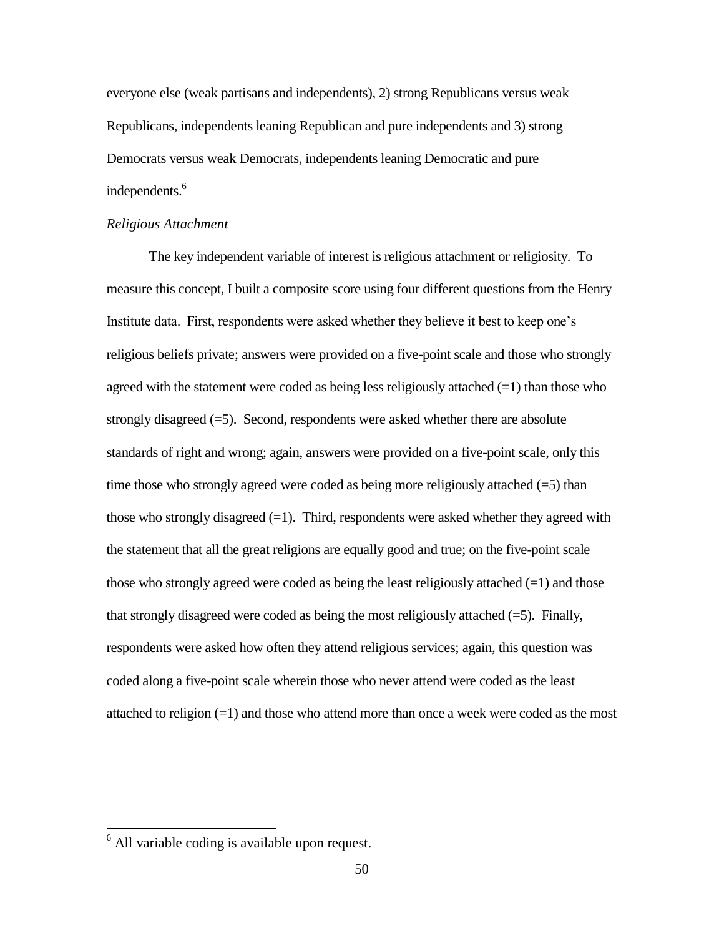everyone else (weak partisans and independents), 2) strong Republicans versus weak Republicans, independents leaning Republican and pure independents and 3) strong Democrats versus weak Democrats, independents leaning Democratic and pure independents.<sup>6</sup>

# *Religious Attachment*

The key independent variable of interest is religious attachment or religiosity. To measure this concept, I built a composite score using four different questions from the Henry Institute data. First, respondents were asked whether they believe it best to keep one's religious beliefs private; answers were provided on a five-point scale and those who strongly agreed with the statement were coded as being less religiously attached  $(=1)$  than those who strongly disagreed (=5). Second, respondents were asked whether there are absolute standards of right and wrong; again, answers were provided on a five-point scale, only this time those who strongly agreed were coded as being more religiously attached (=5) than those who strongly disagreed  $(=1)$ . Third, respondents were asked whether they agreed with the statement that all the great religions are equally good and true; on the five-point scale those who strongly agreed were coded as being the least religiously attached  $(=1)$  and those that strongly disagreed were coded as being the most religiously attached  $(=5)$ . Finally, respondents were asked how often they attend religious services; again, this question was coded along a five-point scale wherein those who never attend were coded as the least attached to religion  $(=1)$  and those who attend more than once a week were coded as the most

l

 $6$  All variable coding is available upon request.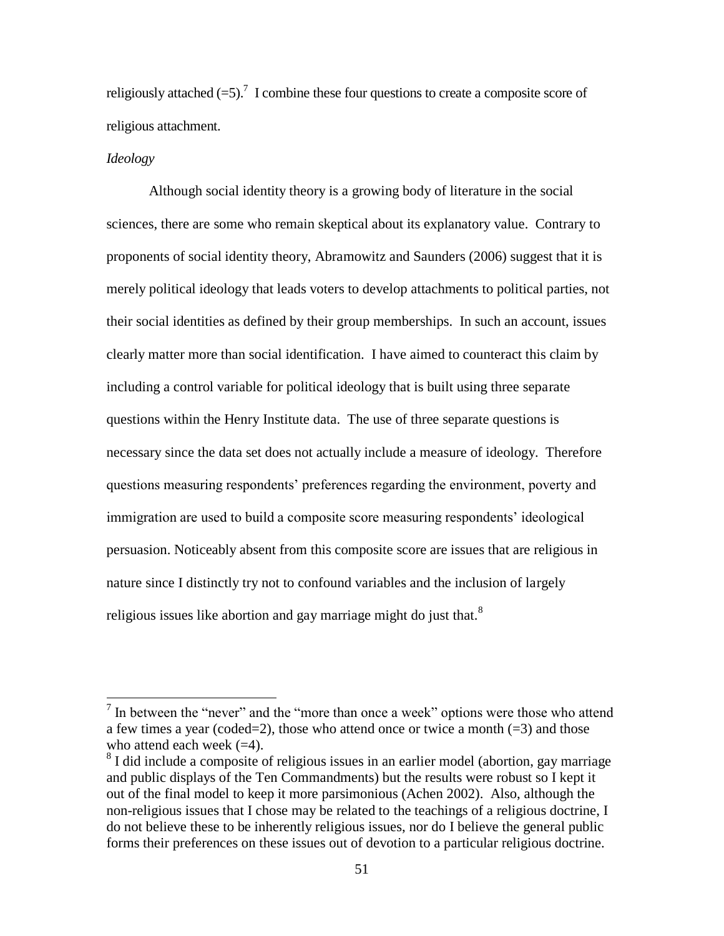religiously attached  $(=5)$ .<sup>7</sup> I combine these four questions to create a composite score of religious attachment.

## *Ideology*

 $\overline{a}$ 

Although social identity theory is a growing body of literature in the social sciences, there are some who remain skeptical about its explanatory value. Contrary to proponents of social identity theory, Abramowitz and Saunders (2006) suggest that it is merely political ideology that leads voters to develop attachments to political parties, not their social identities as defined by their group memberships. In such an account, issues clearly matter more than social identification. I have aimed to counteract this claim by including a control variable for political ideology that is built using three separate questions within the Henry Institute data. The use of three separate questions is necessary since the data set does not actually include a measure of ideology. Therefore questions measuring respondents' preferences regarding the environment, poverty and immigration are used to build a composite score measuring respondents' ideological persuasion. Noticeably absent from this composite score are issues that are religious in nature since I distinctly try not to confound variables and the inclusion of largely religious issues like abortion and gay marriage might do just that.<sup>8</sup>

 $<sup>7</sup>$  In between the "never" and the "more than once a week" options were those who attend</sup> a few times a year (coded=2), those who attend once or twice a month  $(=3)$  and those who attend each week  $(=4)$ .

 $8$  I did include a composite of religious issues in an earlier model (abortion, gay marriage and public displays of the Ten Commandments) but the results were robust so I kept it out of the final model to keep it more parsimonious (Achen 2002). Also, although the non-religious issues that I chose may be related to the teachings of a religious doctrine, I do not believe these to be inherently religious issues, nor do I believe the general public forms their preferences on these issues out of devotion to a particular religious doctrine.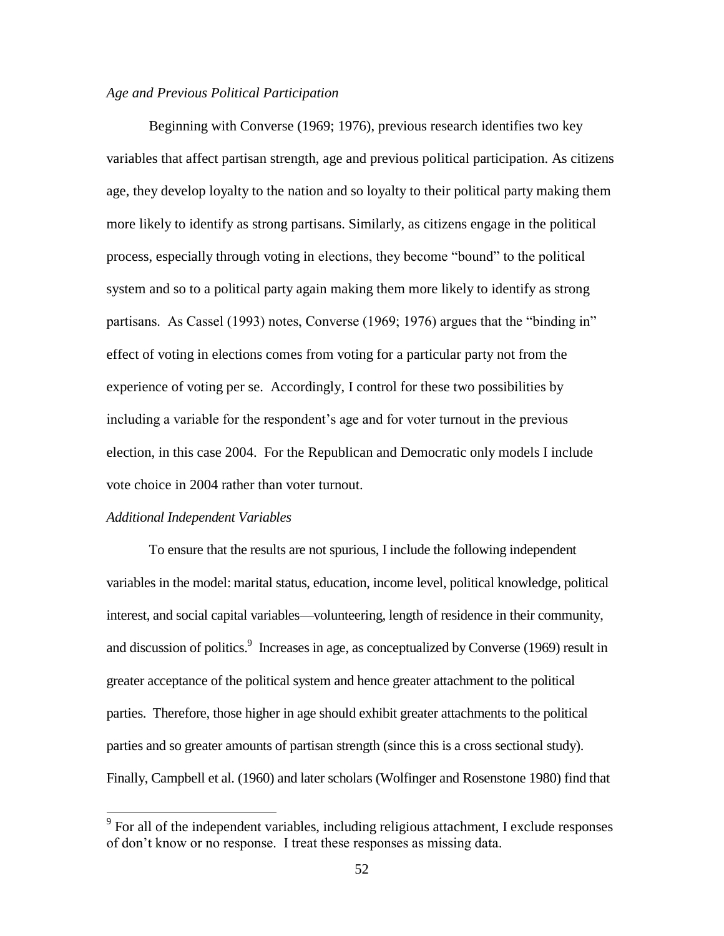# *Age and Previous Political Participation*

Beginning with Converse (1969; 1976), previous research identifies two key variables that affect partisan strength, age and previous political participation. As citizens age, they develop loyalty to the nation and so loyalty to their political party making them more likely to identify as strong partisans. Similarly, as citizens engage in the political process, especially through voting in elections, they become "bound" to the political system and so to a political party again making them more likely to identify as strong partisans. As Cassel (1993) notes, Converse (1969; 1976) argues that the "binding in" effect of voting in elections comes from voting for a particular party not from the experience of voting per se. Accordingly, I control for these two possibilities by including a variable for the respondent's age and for voter turnout in the previous election, in this case 2004. For the Republican and Democratic only models I include vote choice in 2004 rather than voter turnout.

#### *Additional Independent Variables*

To ensure that the results are not spurious, I include the following independent variables in the model: marital status, education, income level, political knowledge, political interest, and social capital variables—volunteering, length of residence in their community, and discussion of politics.<sup>9</sup> Increases in age, as conceptualized by Converse (1969) result in greater acceptance of the political system and hence greater attachment to the political parties. Therefore, those higher in age should exhibit greater attachments to the political parties and so greater amounts of partisan strength (since this is a cross sectional study). Finally, Campbell et al. (1960) and later scholars (Wolfinger and Rosenstone 1980) find that

<sup>&</sup>lt;sup>9</sup> For all of the independent variables, including religious attachment, I exclude responses of don't know or no response. I treat these responses as missing data.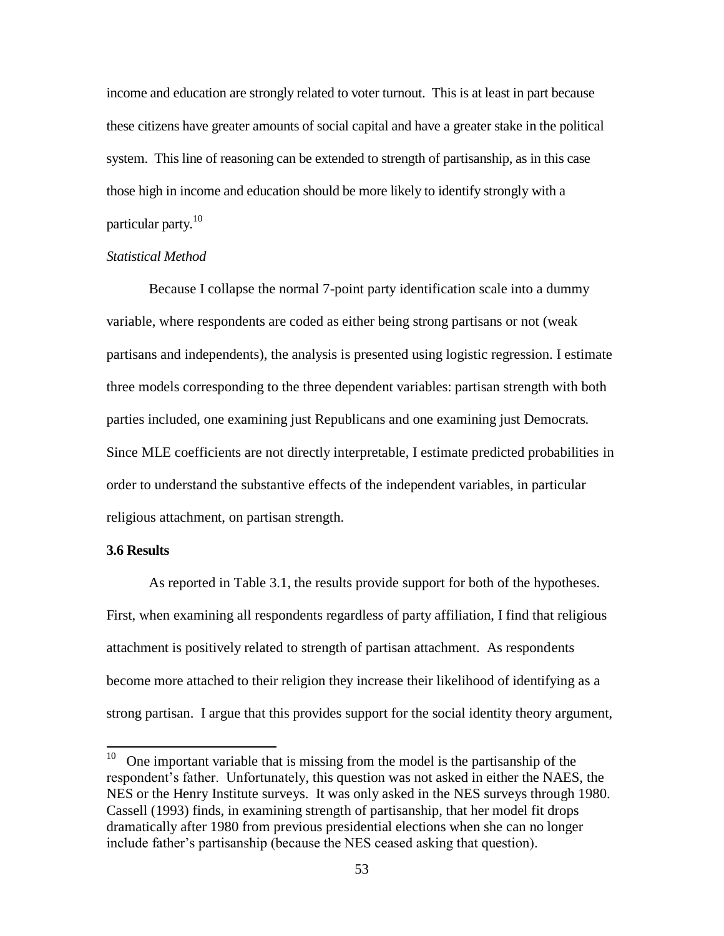income and education are strongly related to voter turnout. This is at least in part because these citizens have greater amounts of social capital and have a greater stake in the political system. This line of reasoning can be extended to strength of partisanship, as in this case those high in income and education should be more likely to identify strongly with a particular party.<sup>10</sup>

# *Statistical Method*

Because I collapse the normal 7-point party identification scale into a dummy variable, where respondents are coded as either being strong partisans or not (weak partisans and independents), the analysis is presented using logistic regression. I estimate three models corresponding to the three dependent variables: partisan strength with both parties included, one examining just Republicans and one examining just Democrats. Since MLE coefficients are not directly interpretable, I estimate predicted probabilities in order to understand the substantive effects of the independent variables, in particular religious attachment, on partisan strength.

### **3.6 Results**

As reported in Table 3.1, the results provide support for both of the hypotheses. First, when examining all respondents regardless of party affiliation, I find that religious attachment is positively related to strength of partisan attachment. As respondents become more attached to their religion they increase their likelihood of identifying as a strong partisan. I argue that this provides support for the social identity theory argument,

 $\frac{1}{10}$  One important variable that is missing from the model is the partisanship of the respondent's father. Unfortunately, this question was not asked in either the NAES, the NES or the Henry Institute surveys. It was only asked in the NES surveys through 1980. Cassell (1993) finds, in examining strength of partisanship, that her model fit drops dramatically after 1980 from previous presidential elections when she can no longer include father's partisanship (because the NES ceased asking that question).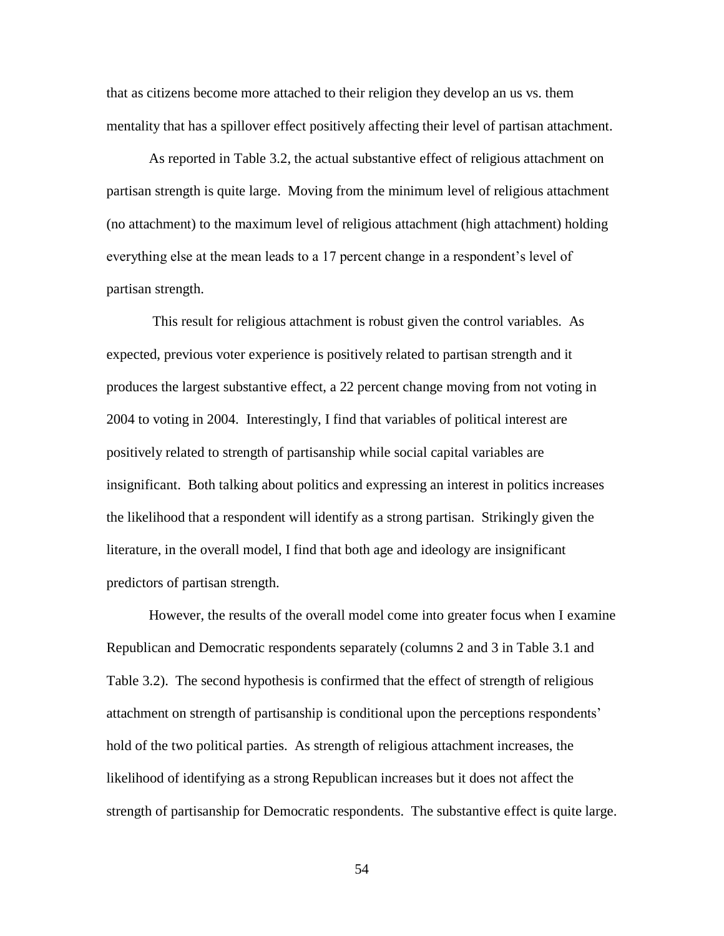that as citizens become more attached to their religion they develop an us vs. them mentality that has a spillover effect positively affecting their level of partisan attachment.

As reported in Table 3.2, the actual substantive effect of religious attachment on partisan strength is quite large. Moving from the minimum level of religious attachment (no attachment) to the maximum level of religious attachment (high attachment) holding everything else at the mean leads to a 17 percent change in a respondent's level of partisan strength.

This result for religious attachment is robust given the control variables. As expected, previous voter experience is positively related to partisan strength and it produces the largest substantive effect, a 22 percent change moving from not voting in 2004 to voting in 2004. Interestingly, I find that variables of political interest are positively related to strength of partisanship while social capital variables are insignificant. Both talking about politics and expressing an interest in politics increases the likelihood that a respondent will identify as a strong partisan. Strikingly given the literature, in the overall model, I find that both age and ideology are insignificant predictors of partisan strength.

However, the results of the overall model come into greater focus when I examine Republican and Democratic respondents separately (columns 2 and 3 in Table 3.1 and Table 3.2). The second hypothesis is confirmed that the effect of strength of religious attachment on strength of partisanship is conditional upon the perceptions respondents' hold of the two political parties. As strength of religious attachment increases, the likelihood of identifying as a strong Republican increases but it does not affect the strength of partisanship for Democratic respondents. The substantive effect is quite large.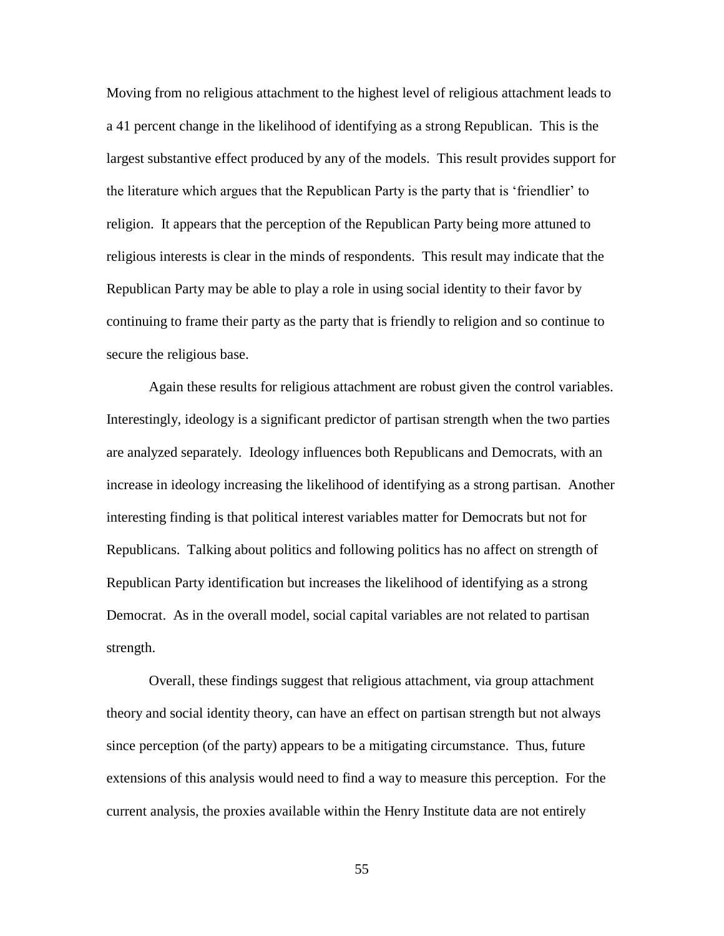Moving from no religious attachment to the highest level of religious attachment leads to a 41 percent change in the likelihood of identifying as a strong Republican. This is the largest substantive effect produced by any of the models. This result provides support for the literature which argues that the Republican Party is the party that is 'friendlier' to religion. It appears that the perception of the Republican Party being more attuned to religious interests is clear in the minds of respondents. This result may indicate that the Republican Party may be able to play a role in using social identity to their favor by continuing to frame their party as the party that is friendly to religion and so continue to secure the religious base.

Again these results for religious attachment are robust given the control variables. Interestingly, ideology is a significant predictor of partisan strength when the two parties are analyzed separately. Ideology influences both Republicans and Democrats, with an increase in ideology increasing the likelihood of identifying as a strong partisan. Another interesting finding is that political interest variables matter for Democrats but not for Republicans. Talking about politics and following politics has no affect on strength of Republican Party identification but increases the likelihood of identifying as a strong Democrat. As in the overall model, social capital variables are not related to partisan strength.

Overall, these findings suggest that religious attachment, via group attachment theory and social identity theory, can have an effect on partisan strength but not always since perception (of the party) appears to be a mitigating circumstance. Thus, future extensions of this analysis would need to find a way to measure this perception. For the current analysis, the proxies available within the Henry Institute data are not entirely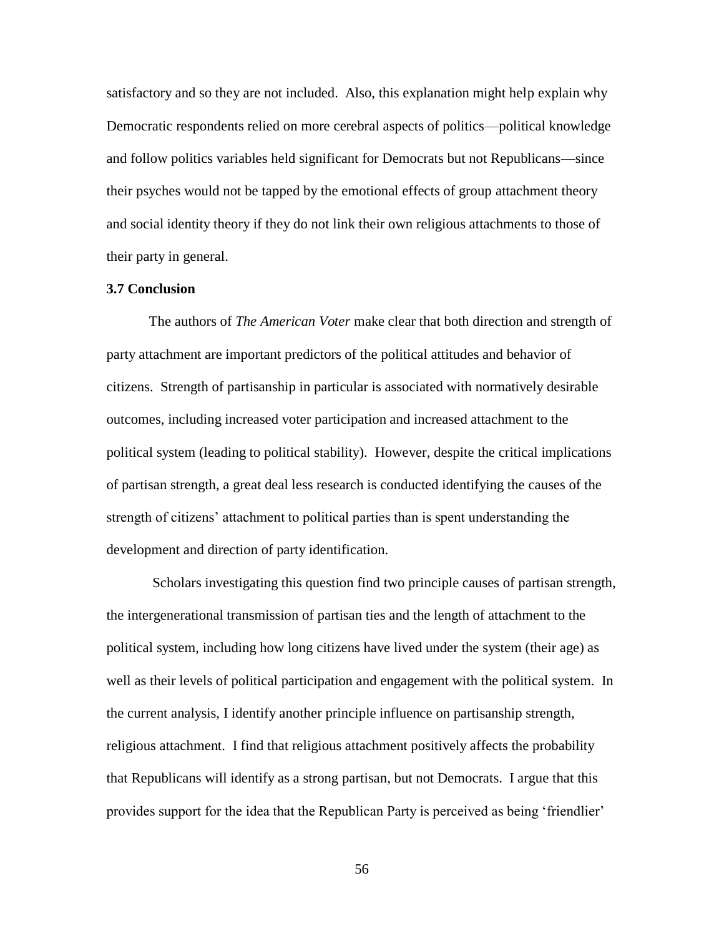satisfactory and so they are not included. Also, this explanation might help explain why Democratic respondents relied on more cerebral aspects of politics—political knowledge and follow politics variables held significant for Democrats but not Republicans—since their psyches would not be tapped by the emotional effects of group attachment theory and social identity theory if they do not link their own religious attachments to those of their party in general.

# **3.7 Conclusion**

The authors of *The American Voter* make clear that both direction and strength of party attachment are important predictors of the political attitudes and behavior of citizens. Strength of partisanship in particular is associated with normatively desirable outcomes, including increased voter participation and increased attachment to the political system (leading to political stability). However, despite the critical implications of partisan strength, a great deal less research is conducted identifying the causes of the strength of citizens' attachment to political parties than is spent understanding the development and direction of party identification.

Scholars investigating this question find two principle causes of partisan strength, the intergenerational transmission of partisan ties and the length of attachment to the political system, including how long citizens have lived under the system (their age) as well as their levels of political participation and engagement with the political system. In the current analysis, I identify another principle influence on partisanship strength, religious attachment. I find that religious attachment positively affects the probability that Republicans will identify as a strong partisan, but not Democrats. I argue that this provides support for the idea that the Republican Party is perceived as being 'friendlier'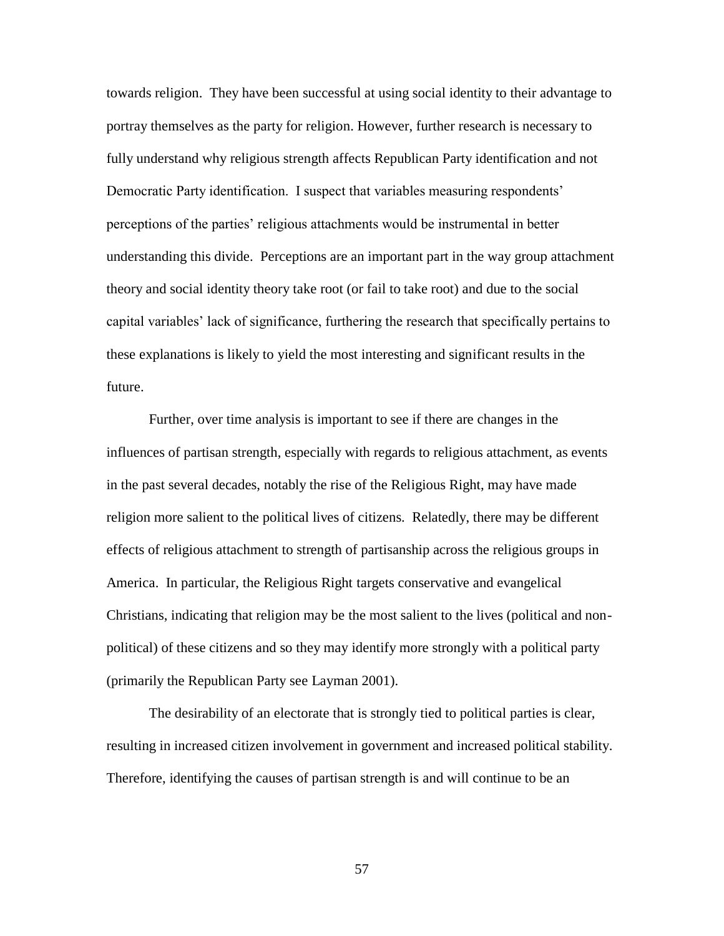towards religion. They have been successful at using social identity to their advantage to portray themselves as the party for religion. However, further research is necessary to fully understand why religious strength affects Republican Party identification and not Democratic Party identification. I suspect that variables measuring respondents' perceptions of the parties' religious attachments would be instrumental in better understanding this divide. Perceptions are an important part in the way group attachment theory and social identity theory take root (or fail to take root) and due to the social capital variables' lack of significance, furthering the research that specifically pertains to these explanations is likely to yield the most interesting and significant results in the future.

Further, over time analysis is important to see if there are changes in the influences of partisan strength, especially with regards to religious attachment, as events in the past several decades, notably the rise of the Religious Right, may have made religion more salient to the political lives of citizens. Relatedly, there may be different effects of religious attachment to strength of partisanship across the religious groups in America. In particular, the Religious Right targets conservative and evangelical Christians, indicating that religion may be the most salient to the lives (political and nonpolitical) of these citizens and so they may identify more strongly with a political party (primarily the Republican Party see Layman 2001).

The desirability of an electorate that is strongly tied to political parties is clear, resulting in increased citizen involvement in government and increased political stability. Therefore, identifying the causes of partisan strength is and will continue to be an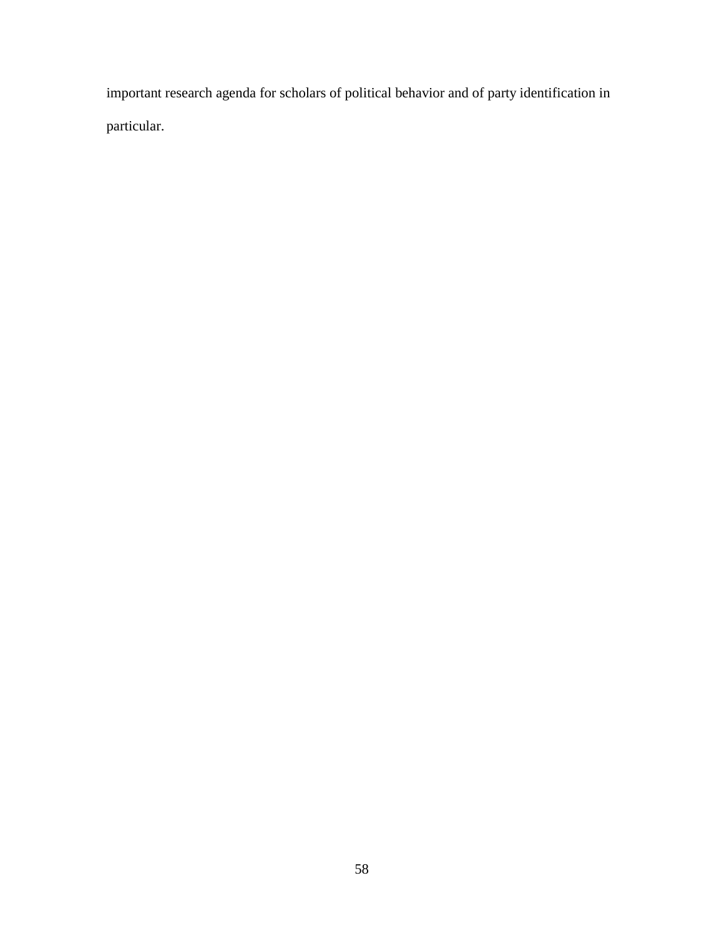important research agenda for scholars of political behavior and of party identification in particular.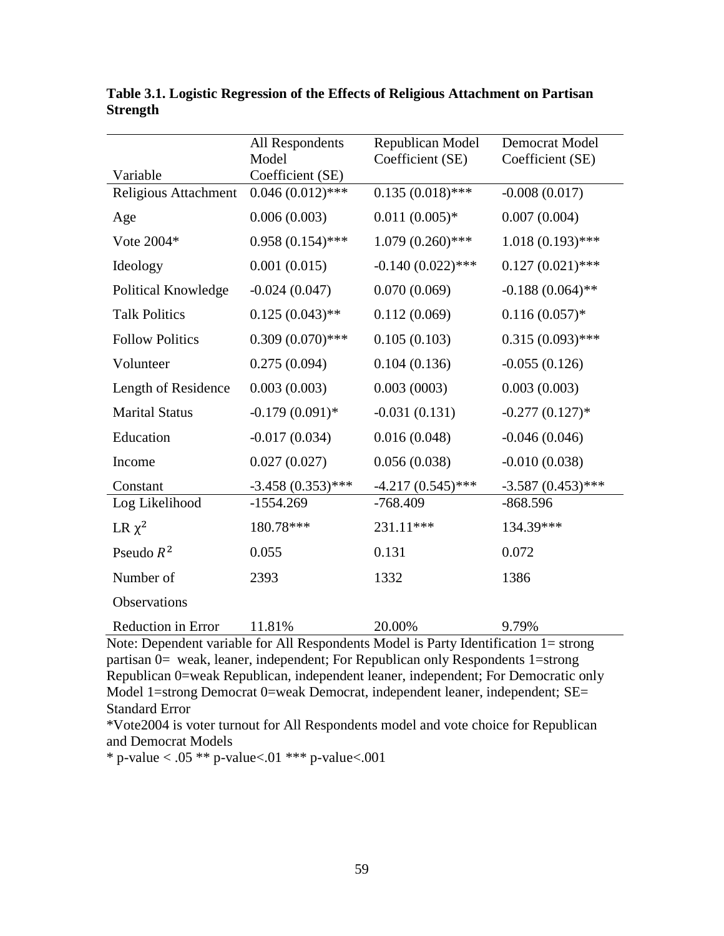| Variable               | All Respondents<br>Model<br>Coefficient (SE) | Republican Model<br>Coefficient (SE) | Democrat Model<br>Coefficient (SE) |
|------------------------|----------------------------------------------|--------------------------------------|------------------------------------|
| Religious Attachment   | $0.046(0.012)$ ***                           | $0.135(0.018)$ ***                   | $-0.008(0.017)$                    |
| Age                    | 0.006(0.003)                                 | $0.011(0.005)*$                      | 0.007(0.004)                       |
| Vote 2004*             | $0.958(0.154)$ ***                           | $1.079(0.260)$ ***                   | $1.018(0.193)$ ***                 |
| Ideology               | 0.001(0.015)                                 | $-0.140(0.022)$ ***                  | $0.127(0.021)$ ***                 |
| Political Knowledge    | $-0.024(0.047)$                              | 0.070(0.069)                         | $-0.188(0.064)$ **                 |
| <b>Talk Politics</b>   | $0.125(0.043)$ **                            | 0.112(0.069)                         | $0.116(0.057)$ *                   |
| <b>Follow Politics</b> | $0.309(0.070)$ ***                           | 0.105(0.103)                         | $0.315(0.093)$ ***                 |
| Volunteer              | 0.275(0.094)                                 | 0.104(0.136)                         | $-0.055(0.126)$                    |
| Length of Residence    | 0.003(0.003)                                 | 0.003(0003)                          | 0.003(0.003)                       |
| <b>Marital Status</b>  | $-0.179(0.091)$ *                            | $-0.031(0.131)$                      | $-0.277(0.127)$ *                  |
| Education              | $-0.017(0.034)$                              | 0.016(0.048)                         | $-0.046(0.046)$                    |
| Income                 | 0.027(0.027)                                 | 0.056(0.038)                         | $-0.010(0.038)$                    |
| Constant               | $-3.458(0.353)$ ***                          | $-4.217(0.545)$ ***                  | $-3.587(0.453)$ ***                |
| Log Likelihood         | $-1554.269$                                  | $-768.409$                           | $-868.596$                         |
| LR $\chi^2$            | 180.78***                                    | 231.11***                            | 134.39***                          |
| Pseudo $R^2$           | 0.055                                        | 0.131                                | 0.072                              |
| Number of              | 2393                                         | 1332                                 | 1386                               |
| Observations           |                                              |                                      |                                    |
| Reduction in Error     | 11.81%                                       | 20.00%                               | 9.79%                              |

**Table 3.1. Logistic Regression of the Effects of Religious Attachment on Partisan Strength**

Note: Dependent variable for All Respondents Model is Party Identification 1= strong partisan 0= weak, leaner, independent; For Republican only Respondents 1=strong Republican 0=weak Republican, independent leaner, independent; For Democratic only Model 1=strong Democrat 0=weak Democrat, independent leaner, independent; SE= Standard Error

\*Vote2004 is voter turnout for All Respondents model and vote choice for Republican and Democrat Models

\* p-value < .05 \*\* p-value<.01 \*\*\* p-value<.001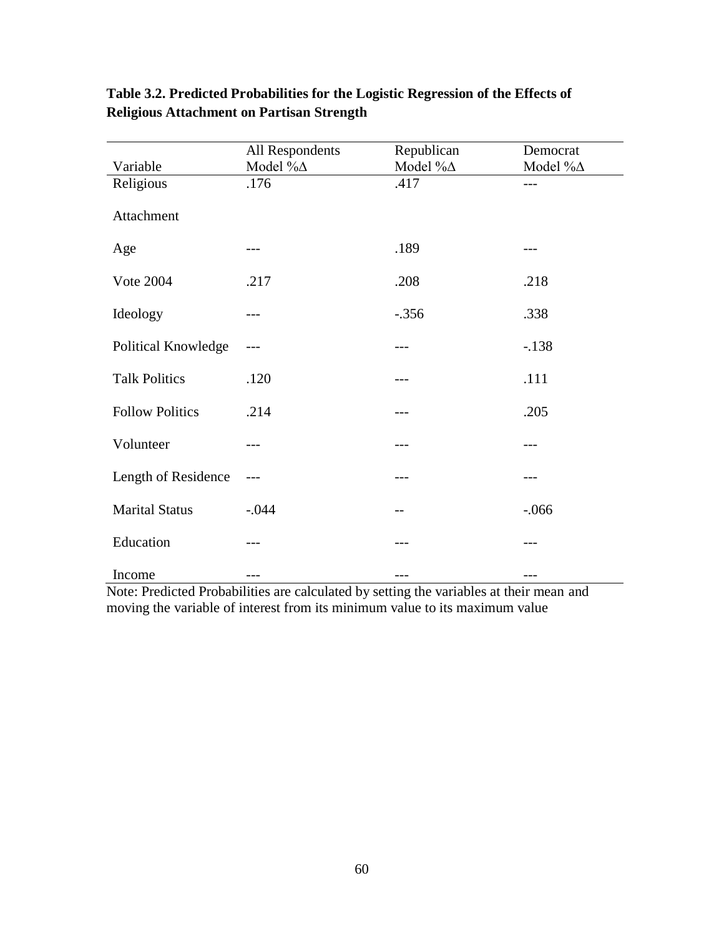|                        | All Respondents | Republican       | Democrat         |
|------------------------|-----------------|------------------|------------------|
| Variable               | Model %∆        | Model % $\Delta$ | Model % $\Delta$ |
| Religious              | .176            | .417             | ---              |
| Attachment             |                 |                  |                  |
| Age                    | ---             | .189             | ---              |
| <b>Vote 2004</b>       | .217            | .208             | .218             |
| Ideology               | ---             | $-.356$          | .338             |
| Political Knowledge    | ---             | $---$            | $-.138$          |
| <b>Talk Politics</b>   | .120            |                  | .111             |
| <b>Follow Politics</b> | .214            | ---              | .205             |
| Volunteer              | ---             | ---              |                  |
| Length of Residence    | ---             | ---              |                  |
| <b>Marital Status</b>  | $-.044$         | --               | $-0.066$         |
| Education              | $---$           | ---              |                  |
| Income                 | ---             | ---              | ---              |

# **Table 3.2. Predicted Probabilities for the Logistic Regression of the Effects of Religious Attachment on Partisan Strength**

Note: Predicted Probabilities are calculated by setting the variables at their mean and moving the variable of interest from its minimum value to its maximum value

÷,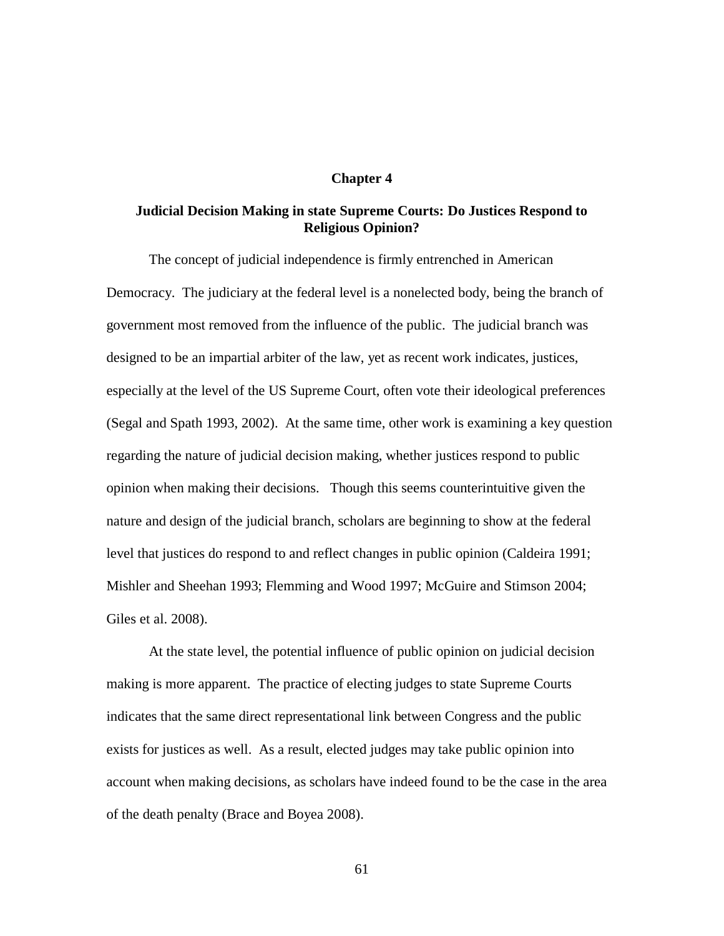# **Chapter 4**

# **Judicial Decision Making in state Supreme Courts: Do Justices Respond to Religious Opinion?**

The concept of judicial independence is firmly entrenched in American Democracy. The judiciary at the federal level is a nonelected body, being the branch of government most removed from the influence of the public. The judicial branch was designed to be an impartial arbiter of the law, yet as recent work indicates, justices, especially at the level of the US Supreme Court, often vote their ideological preferences (Segal and Spath 1993, 2002). At the same time, other work is examining a key question regarding the nature of judicial decision making, whether justices respond to public opinion when making their decisions. Though this seems counterintuitive given the nature and design of the judicial branch, scholars are beginning to show at the federal level that justices do respond to and reflect changes in public opinion (Caldeira 1991; Mishler and Sheehan 1993; Flemming and Wood 1997; McGuire and Stimson 2004; Giles et al. 2008).

At the state level, the potential influence of public opinion on judicial decision making is more apparent. The practice of electing judges to state Supreme Courts indicates that the same direct representational link between Congress and the public exists for justices as well. As a result, elected judges may take public opinion into account when making decisions, as scholars have indeed found to be the case in the area of the death penalty (Brace and Boyea 2008).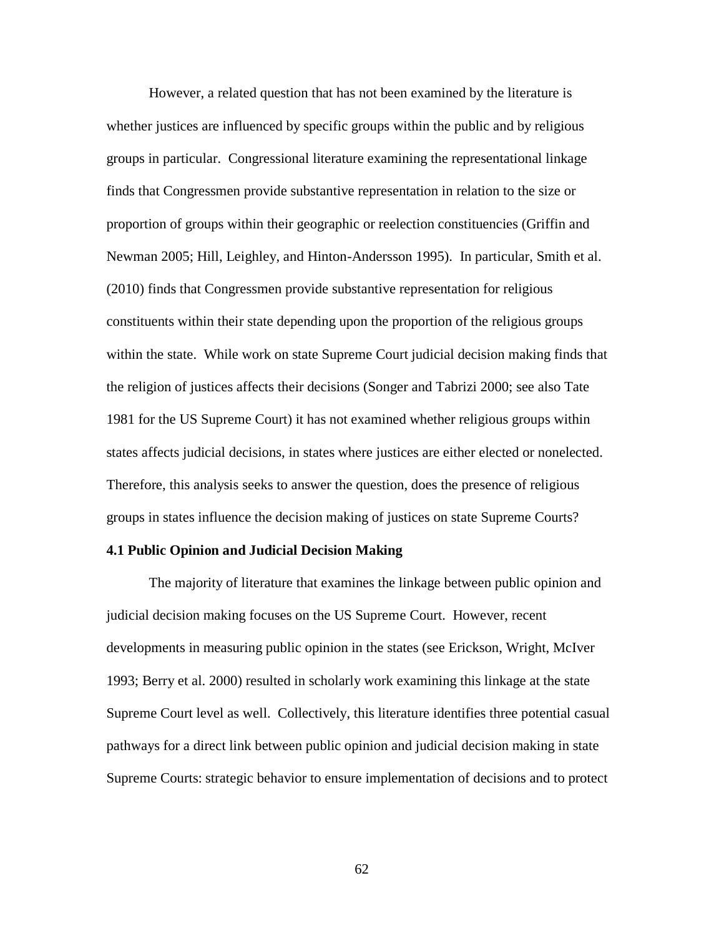However, a related question that has not been examined by the literature is whether justices are influenced by specific groups within the public and by religious groups in particular. Congressional literature examining the representational linkage finds that Congressmen provide substantive representation in relation to the size or proportion of groups within their geographic or reelection constituencies (Griffin and Newman 2005; Hill, Leighley, and Hinton-Andersson 1995). In particular, Smith et al. (2010) finds that Congressmen provide substantive representation for religious constituents within their state depending upon the proportion of the religious groups within the state. While work on state Supreme Court judicial decision making finds that the religion of justices affects their decisions (Songer and Tabrizi 2000; see also Tate 1981 for the US Supreme Court) it has not examined whether religious groups within states affects judicial decisions, in states where justices are either elected or nonelected. Therefore, this analysis seeks to answer the question, does the presence of religious groups in states influence the decision making of justices on state Supreme Courts?

# **4.1 Public Opinion and Judicial Decision Making**

The majority of literature that examines the linkage between public opinion and judicial decision making focuses on the US Supreme Court. However, recent developments in measuring public opinion in the states (see Erickson, Wright, McIver 1993; Berry et al. 2000) resulted in scholarly work examining this linkage at the state Supreme Court level as well. Collectively, this literature identifies three potential casual pathways for a direct link between public opinion and judicial decision making in state Supreme Courts: strategic behavior to ensure implementation of decisions and to protect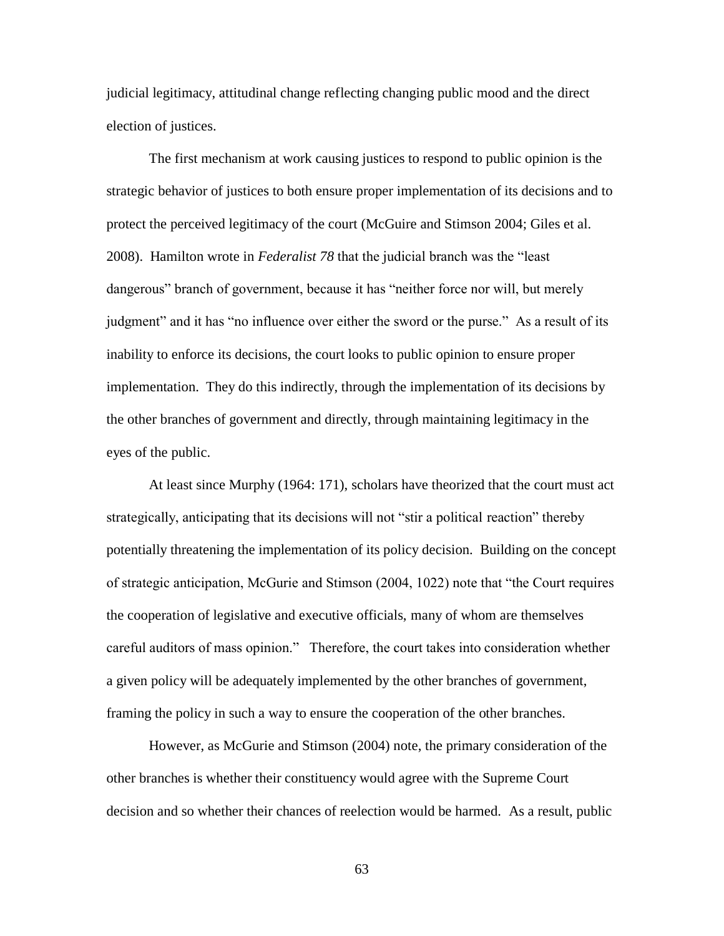judicial legitimacy, attitudinal change reflecting changing public mood and the direct election of justices.

The first mechanism at work causing justices to respond to public opinion is the strategic behavior of justices to both ensure proper implementation of its decisions and to protect the perceived legitimacy of the court (McGuire and Stimson 2004; Giles et al. 2008). Hamilton wrote in *Federalist 78* that the judicial branch was the "least dangerous" branch of government, because it has "neither force nor will, but merely judgment" and it has "no influence over either the sword or the purse." As a result of its inability to enforce its decisions, the court looks to public opinion to ensure proper implementation. They do this indirectly, through the implementation of its decisions by the other branches of government and directly, through maintaining legitimacy in the eyes of the public.

At least since Murphy (1964: 171), scholars have theorized that the court must act strategically, anticipating that its decisions will not "stir a political reaction" thereby potentially threatening the implementation of its policy decision. Building on the concept of strategic anticipation, McGurie and Stimson (2004, 1022) note that "the Court requires the cooperation of legislative and executive officials, many of whom are themselves careful auditors of mass opinion." Therefore, the court takes into consideration whether a given policy will be adequately implemented by the other branches of government, framing the policy in such a way to ensure the cooperation of the other branches.

However, as McGurie and Stimson (2004) note, the primary consideration of the other branches is whether their constituency would agree with the Supreme Court decision and so whether their chances of reelection would be harmed. As a result, public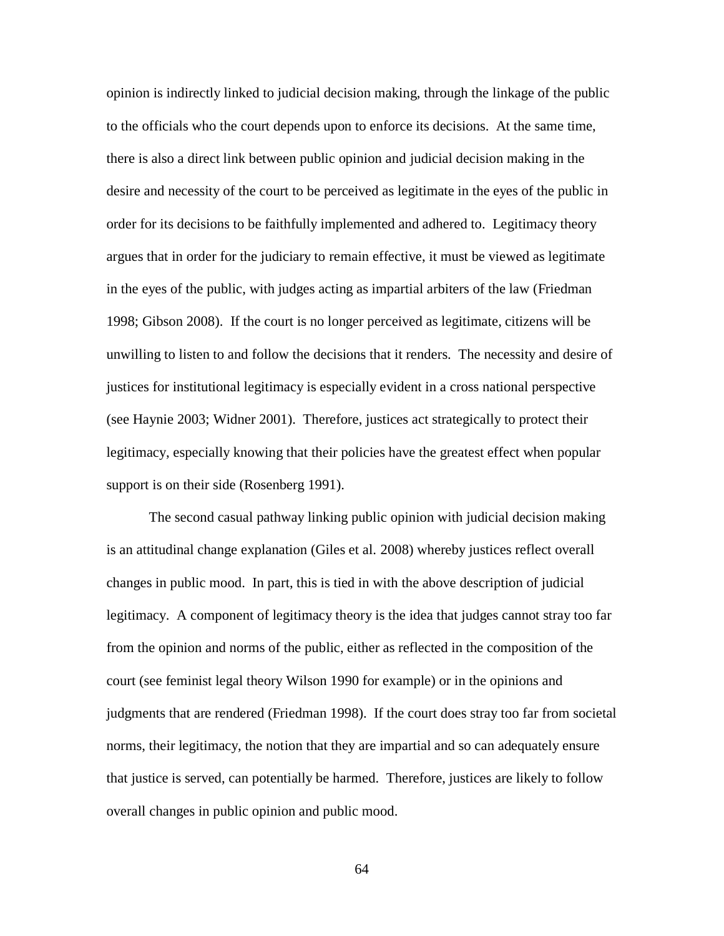opinion is indirectly linked to judicial decision making, through the linkage of the public to the officials who the court depends upon to enforce its decisions. At the same time, there is also a direct link between public opinion and judicial decision making in the desire and necessity of the court to be perceived as legitimate in the eyes of the public in order for its decisions to be faithfully implemented and adhered to. Legitimacy theory argues that in order for the judiciary to remain effective, it must be viewed as legitimate in the eyes of the public, with judges acting as impartial arbiters of the law (Friedman 1998; Gibson 2008). If the court is no longer perceived as legitimate, citizens will be unwilling to listen to and follow the decisions that it renders. The necessity and desire of justices for institutional legitimacy is especially evident in a cross national perspective (see Haynie 2003; Widner 2001). Therefore, justices act strategically to protect their legitimacy, especially knowing that their policies have the greatest effect when popular support is on their side (Rosenberg 1991).

The second casual pathway linking public opinion with judicial decision making is an attitudinal change explanation (Giles et al. 2008) whereby justices reflect overall changes in public mood. In part, this is tied in with the above description of judicial legitimacy. A component of legitimacy theory is the idea that judges cannot stray too far from the opinion and norms of the public, either as reflected in the composition of the court (see feminist legal theory Wilson 1990 for example) or in the opinions and judgments that are rendered (Friedman 1998). If the court does stray too far from societal norms, their legitimacy, the notion that they are impartial and so can adequately ensure that justice is served, can potentially be harmed. Therefore, justices are likely to follow overall changes in public opinion and public mood.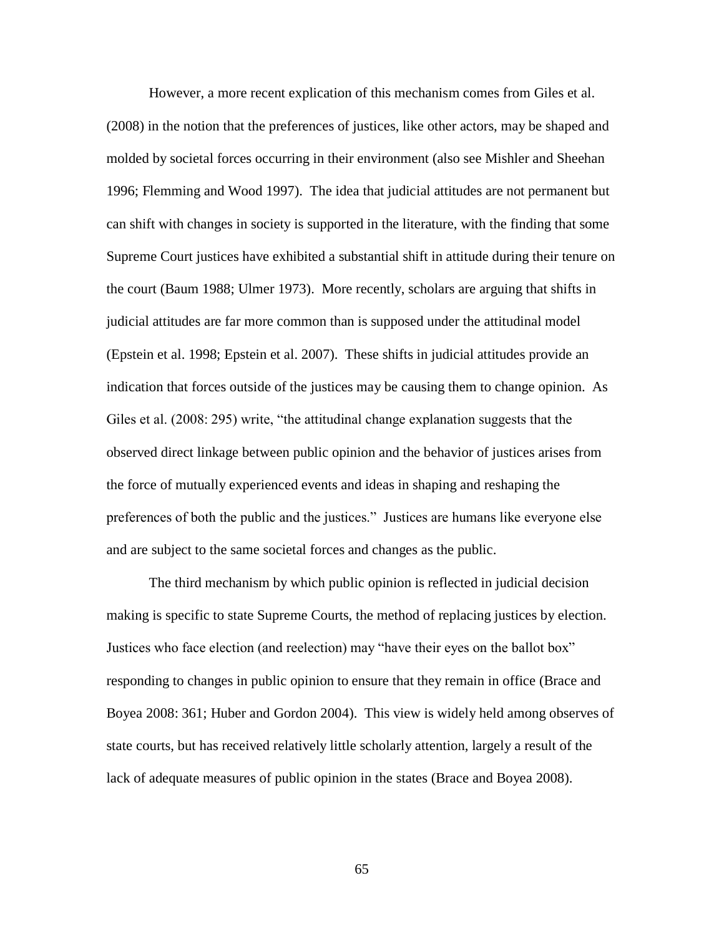However, a more recent explication of this mechanism comes from Giles et al. (2008) in the notion that the preferences of justices, like other actors, may be shaped and molded by societal forces occurring in their environment (also see Mishler and Sheehan 1996; Flemming and Wood 1997). The idea that judicial attitudes are not permanent but can shift with changes in society is supported in the literature, with the finding that some Supreme Court justices have exhibited a substantial shift in attitude during their tenure on the court (Baum 1988; Ulmer 1973). More recently, scholars are arguing that shifts in judicial attitudes are far more common than is supposed under the attitudinal model (Epstein et al. 1998; Epstein et al. 2007). These shifts in judicial attitudes provide an indication that forces outside of the justices may be causing them to change opinion. As Giles et al. (2008: 295) write, "the attitudinal change explanation suggests that the observed direct linkage between public opinion and the behavior of justices arises from the force of mutually experienced events and ideas in shaping and reshaping the preferences of both the public and the justices." Justices are humans like everyone else and are subject to the same societal forces and changes as the public.

The third mechanism by which public opinion is reflected in judicial decision making is specific to state Supreme Courts, the method of replacing justices by election. Justices who face election (and reelection) may "have their eyes on the ballot box" responding to changes in public opinion to ensure that they remain in office (Brace and Boyea 2008: 361; Huber and Gordon 2004). This view is widely held among observes of state courts, but has received relatively little scholarly attention, largely a result of the lack of adequate measures of public opinion in the states (Brace and Boyea 2008).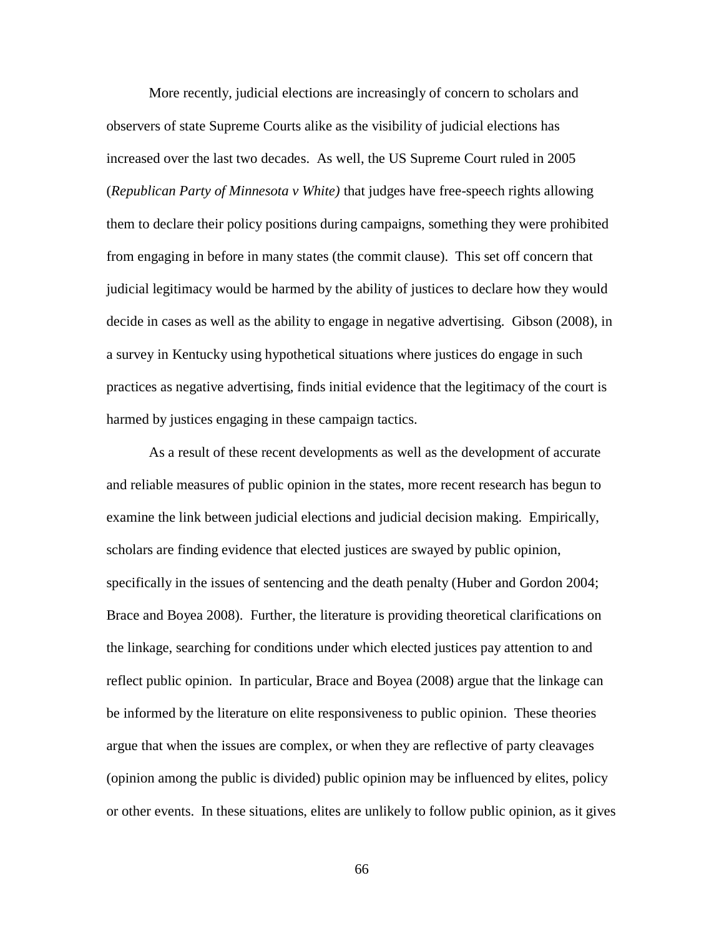More recently, judicial elections are increasingly of concern to scholars and observers of state Supreme Courts alike as the visibility of judicial elections has increased over the last two decades. As well, the US Supreme Court ruled in 2005 (*Republican Party of Minnesota v White)* that judges have free-speech rights allowing them to declare their policy positions during campaigns, something they were prohibited from engaging in before in many states (the commit clause). This set off concern that judicial legitimacy would be harmed by the ability of justices to declare how they would decide in cases as well as the ability to engage in negative advertising. Gibson (2008), in a survey in Kentucky using hypothetical situations where justices do engage in such practices as negative advertising, finds initial evidence that the legitimacy of the court is harmed by justices engaging in these campaign tactics.

As a result of these recent developments as well as the development of accurate and reliable measures of public opinion in the states, more recent research has begun to examine the link between judicial elections and judicial decision making. Empirically, scholars are finding evidence that elected justices are swayed by public opinion, specifically in the issues of sentencing and the death penalty (Huber and Gordon 2004; Brace and Boyea 2008). Further, the literature is providing theoretical clarifications on the linkage, searching for conditions under which elected justices pay attention to and reflect public opinion. In particular, Brace and Boyea (2008) argue that the linkage can be informed by the literature on elite responsiveness to public opinion. These theories argue that when the issues are complex, or when they are reflective of party cleavages (opinion among the public is divided) public opinion may be influenced by elites, policy or other events. In these situations, elites are unlikely to follow public opinion, as it gives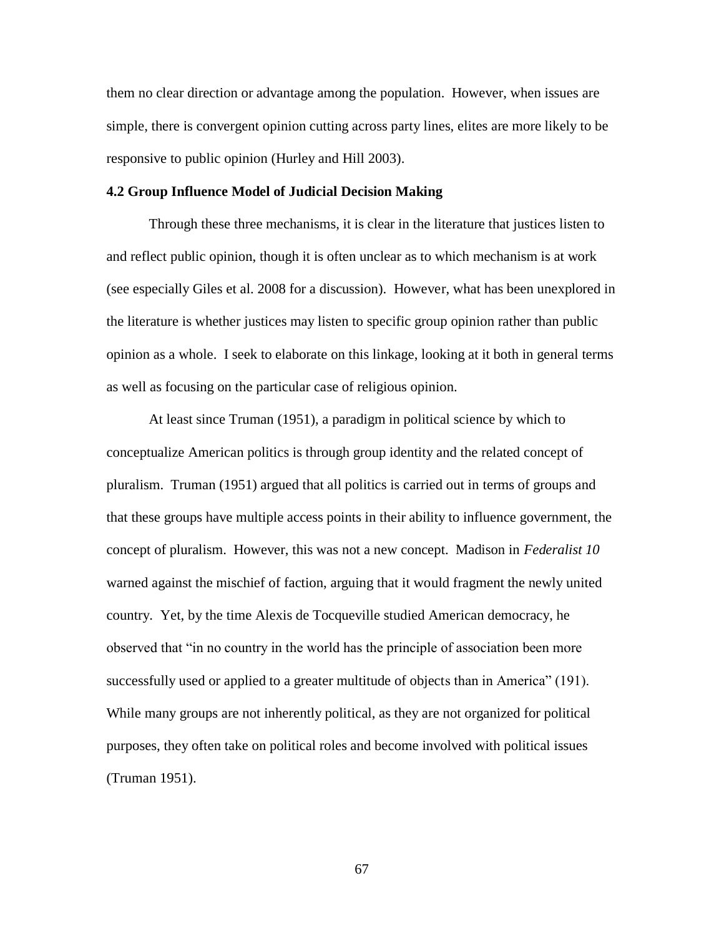them no clear direction or advantage among the population. However, when issues are simple, there is convergent opinion cutting across party lines, elites are more likely to be responsive to public opinion (Hurley and Hill 2003).

## **4.2 Group Influence Model of Judicial Decision Making**

Through these three mechanisms, it is clear in the literature that justices listen to and reflect public opinion, though it is often unclear as to which mechanism is at work (see especially Giles et al. 2008 for a discussion). However, what has been unexplored in the literature is whether justices may listen to specific group opinion rather than public opinion as a whole. I seek to elaborate on this linkage, looking at it both in general terms as well as focusing on the particular case of religious opinion.

At least since Truman (1951), a paradigm in political science by which to conceptualize American politics is through group identity and the related concept of pluralism. Truman (1951) argued that all politics is carried out in terms of groups and that these groups have multiple access points in their ability to influence government, the concept of pluralism. However, this was not a new concept. Madison in *Federalist 10*  warned against the mischief of faction, arguing that it would fragment the newly united country. Yet, by the time Alexis de Tocqueville studied American democracy, he observed that "in no country in the world has the principle of association been more successfully used or applied to a greater multitude of objects than in America" (191). While many groups are not inherently political, as they are not organized for political purposes, they often take on political roles and become involved with political issues (Truman 1951).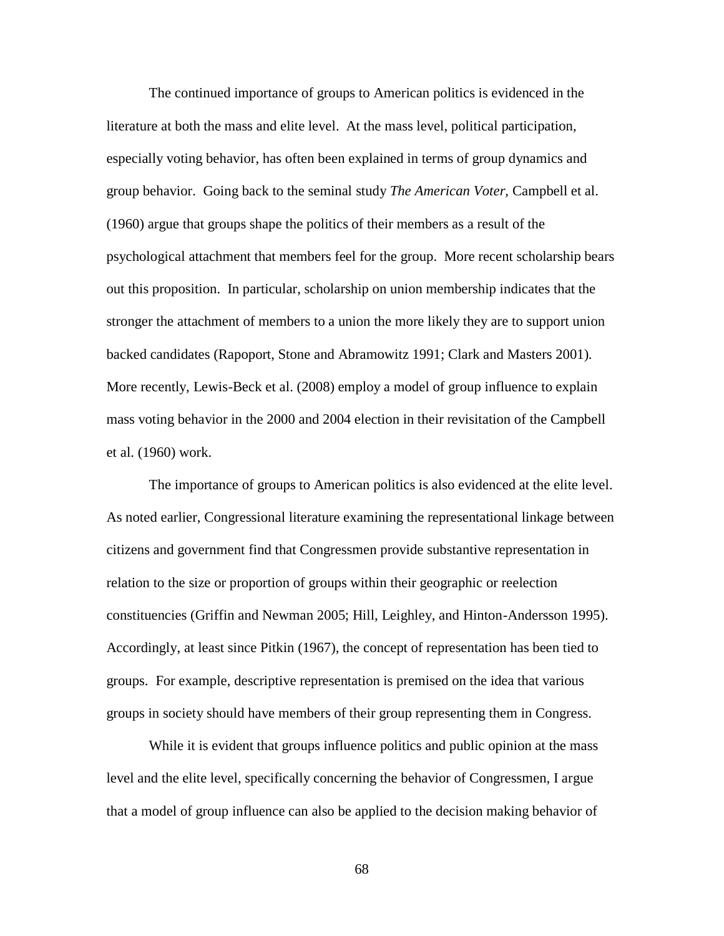The continued importance of groups to American politics is evidenced in the literature at both the mass and elite level. At the mass level, political participation, especially voting behavior, has often been explained in terms of group dynamics and group behavior. Going back to the seminal study *The American Voter,* Campbell et al. (1960) argue that groups shape the politics of their members as a result of the psychological attachment that members feel for the group. More recent scholarship bears out this proposition. In particular, scholarship on union membership indicates that the stronger the attachment of members to a union the more likely they are to support union backed candidates (Rapoport, Stone and Abramowitz 1991; Clark and Masters 2001). More recently, Lewis-Beck et al. (2008) employ a model of group influence to explain mass voting behavior in the 2000 and 2004 election in their revisitation of the Campbell et al. (1960) work.

The importance of groups to American politics is also evidenced at the elite level. As noted earlier, Congressional literature examining the representational linkage between citizens and government find that Congressmen provide substantive representation in relation to the size or proportion of groups within their geographic or reelection constituencies (Griffin and Newman 2005; Hill, Leighley, and Hinton-Andersson 1995). Accordingly, at least since Pitkin (1967), the concept of representation has been tied to groups. For example, descriptive representation is premised on the idea that various groups in society should have members of their group representing them in Congress.

While it is evident that groups influence politics and public opinion at the mass level and the elite level, specifically concerning the behavior of Congressmen, I argue that a model of group influence can also be applied to the decision making behavior of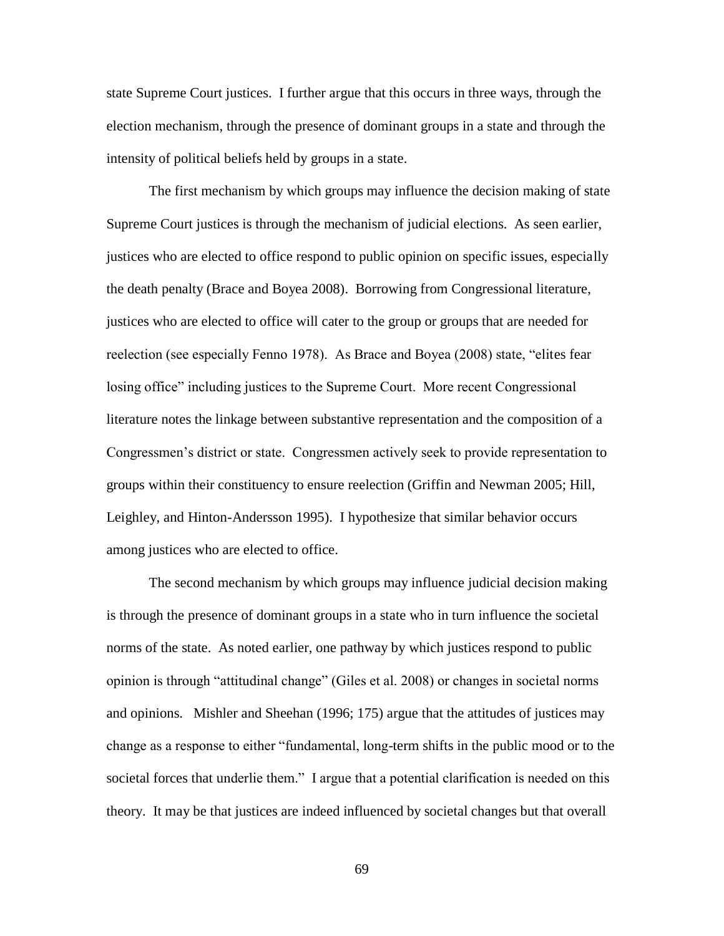state Supreme Court justices. I further argue that this occurs in three ways, through the election mechanism, through the presence of dominant groups in a state and through the intensity of political beliefs held by groups in a state.

The first mechanism by which groups may influence the decision making of state Supreme Court justices is through the mechanism of judicial elections. As seen earlier, justices who are elected to office respond to public opinion on specific issues, especially the death penalty (Brace and Boyea 2008). Borrowing from Congressional literature, justices who are elected to office will cater to the group or groups that are needed for reelection (see especially Fenno 1978). As Brace and Boyea (2008) state, "elites fear losing office" including justices to the Supreme Court. More recent Congressional literature notes the linkage between substantive representation and the composition of a Congressmen's district or state. Congressmen actively seek to provide representation to groups within their constituency to ensure reelection (Griffin and Newman 2005; Hill, Leighley, and Hinton-Andersson 1995). I hypothesize that similar behavior occurs among justices who are elected to office.

The second mechanism by which groups may influence judicial decision making is through the presence of dominant groups in a state who in turn influence the societal norms of the state. As noted earlier, one pathway by which justices respond to public opinion is through "attitudinal change" (Giles et al. 2008) or changes in societal norms and opinions. Mishler and Sheehan (1996; 175) argue that the attitudes of justices may change as a response to either "fundamental, long-term shifts in the public mood or to the societal forces that underlie them." I argue that a potential clarification is needed on this theory. It may be that justices are indeed influenced by societal changes but that overall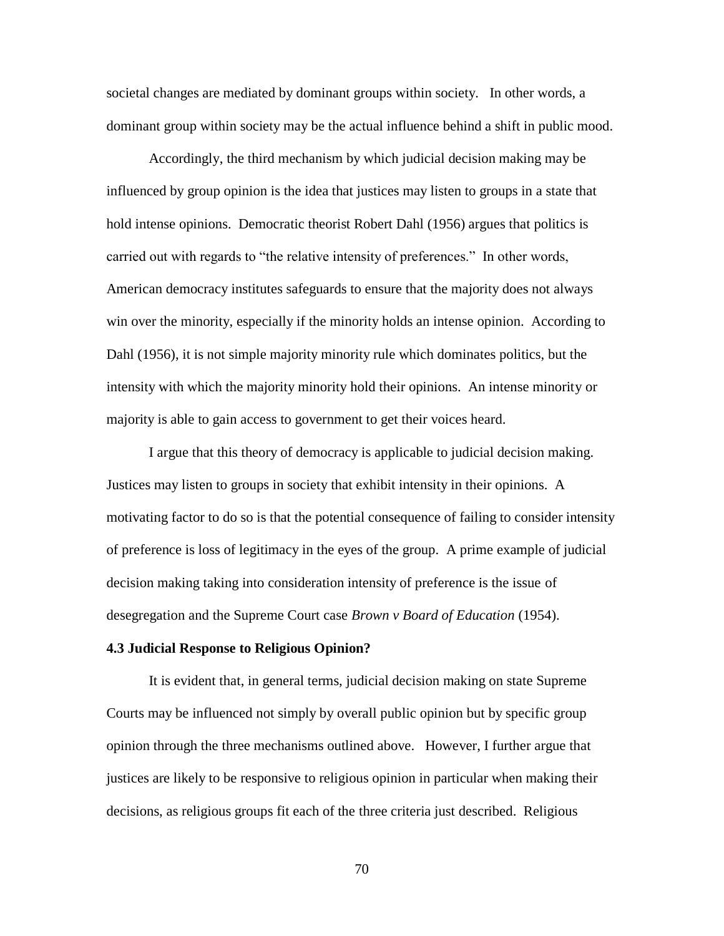societal changes are mediated by dominant groups within society. In other words, a dominant group within society may be the actual influence behind a shift in public mood.

Accordingly, the third mechanism by which judicial decision making may be influenced by group opinion is the idea that justices may listen to groups in a state that hold intense opinions. Democratic theorist Robert Dahl (1956) argues that politics is carried out with regards to "the relative intensity of preferences." In other words, American democracy institutes safeguards to ensure that the majority does not always win over the minority, especially if the minority holds an intense opinion. According to Dahl (1956), it is not simple majority minority rule which dominates politics, but the intensity with which the majority minority hold their opinions. An intense minority or majority is able to gain access to government to get their voices heard.

I argue that this theory of democracy is applicable to judicial decision making. Justices may listen to groups in society that exhibit intensity in their opinions. A motivating factor to do so is that the potential consequence of failing to consider intensity of preference is loss of legitimacy in the eyes of the group. A prime example of judicial decision making taking into consideration intensity of preference is the issue of desegregation and the Supreme Court case *Brown v Board of Education* (1954).

#### **4.3 Judicial Response to Religious Opinion?**

It is evident that, in general terms, judicial decision making on state Supreme Courts may be influenced not simply by overall public opinion but by specific group opinion through the three mechanisms outlined above. However, I further argue that justices are likely to be responsive to religious opinion in particular when making their decisions, as religious groups fit each of the three criteria just described. Religious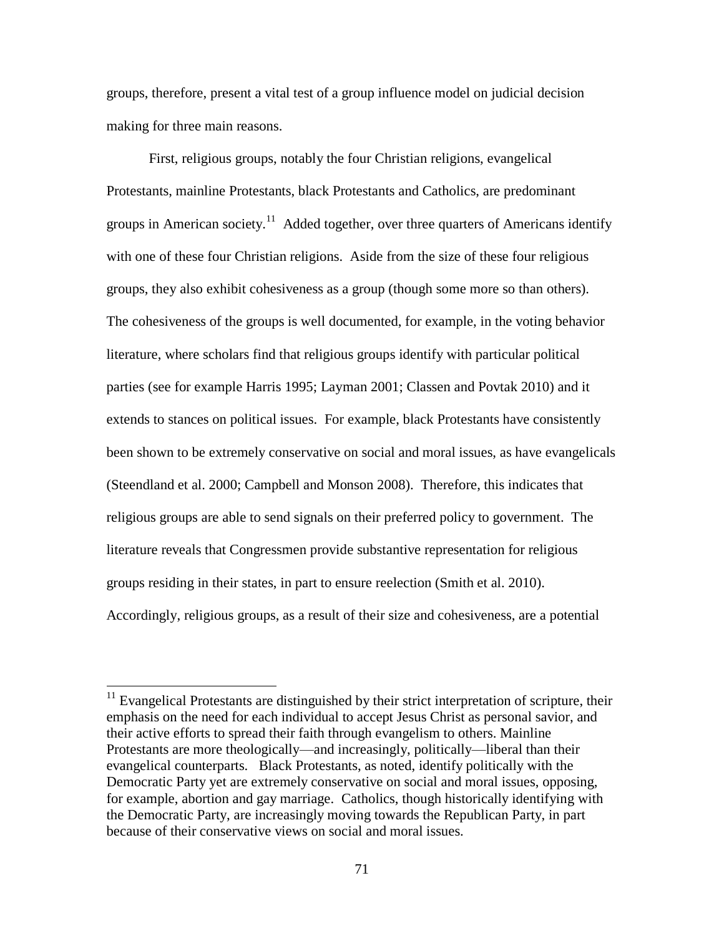groups, therefore, present a vital test of a group influence model on judicial decision making for three main reasons.

First, religious groups, notably the four Christian religions, evangelical Protestants, mainline Protestants, black Protestants and Catholics, are predominant groups in American society.<sup>11</sup> Added together, over three quarters of Americans identify with one of these four Christian religions. Aside from the size of these four religious groups, they also exhibit cohesiveness as a group (though some more so than others). The cohesiveness of the groups is well documented, for example, in the voting behavior literature, where scholars find that religious groups identify with particular political parties (see for example Harris 1995; Layman 2001; Classen and Povtak 2010) and it extends to stances on political issues. For example, black Protestants have consistently been shown to be extremely conservative on social and moral issues, as have evangelicals (Steendland et al. 2000; Campbell and Monson 2008). Therefore, this indicates that religious groups are able to send signals on their preferred policy to government. The literature reveals that Congressmen provide substantive representation for religious groups residing in their states, in part to ensure reelection (Smith et al. 2010). Accordingly, religious groups, as a result of their size and cohesiveness, are a potential

 $\overline{a}$ 

 $11$  Evangelical Protestants are distinguished by their strict interpretation of scripture, their emphasis on the need for each individual to accept Jesus Christ as personal savior, and their active efforts to spread their faith through evangelism to others. Mainline Protestants are more theologically—and increasingly, politically—liberal than their evangelical counterparts. Black Protestants, as noted, identify politically with the Democratic Party yet are extremely conservative on social and moral issues, opposing, for example, abortion and gay marriage. Catholics, though historically identifying with the Democratic Party, are increasingly moving towards the Republican Party, in part because of their conservative views on social and moral issues.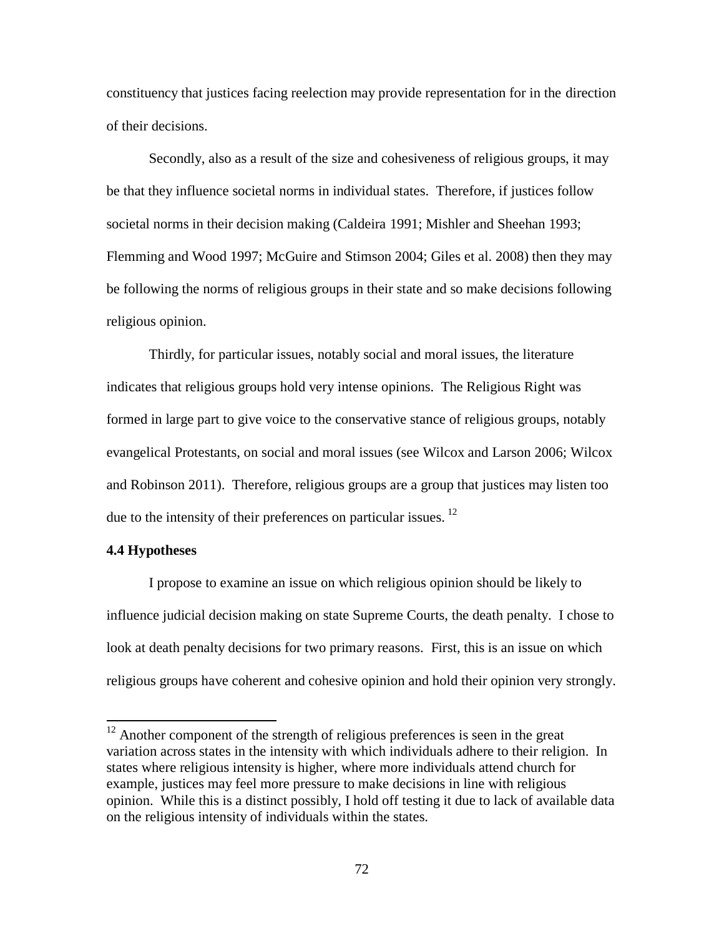constituency that justices facing reelection may provide representation for in the direction of their decisions.

Secondly, also as a result of the size and cohesiveness of religious groups, it may be that they influence societal norms in individual states. Therefore, if justices follow societal norms in their decision making (Caldeira 1991; Mishler and Sheehan 1993; Flemming and Wood 1997; McGuire and Stimson 2004; Giles et al. 2008) then they may be following the norms of religious groups in their state and so make decisions following religious opinion.

Thirdly, for particular issues, notably social and moral issues, the literature indicates that religious groups hold very intense opinions. The Religious Right was formed in large part to give voice to the conservative stance of religious groups, notably evangelical Protestants, on social and moral issues (see Wilcox and Larson 2006; Wilcox and Robinson 2011). Therefore, religious groups are a group that justices may listen too due to the intensity of their preferences on particular issues.<sup>12</sup>

## **4.4 Hypotheses**

 $\overline{a}$ 

I propose to examine an issue on which religious opinion should be likely to influence judicial decision making on state Supreme Courts, the death penalty. I chose to look at death penalty decisions for two primary reasons. First, this is an issue on which religious groups have coherent and cohesive opinion and hold their opinion very strongly.

 $12$  Another component of the strength of religious preferences is seen in the great variation across states in the intensity with which individuals adhere to their religion. In states where religious intensity is higher, where more individuals attend church for example, justices may feel more pressure to make decisions in line with religious opinion. While this is a distinct possibly, I hold off testing it due to lack of available data on the religious intensity of individuals within the states.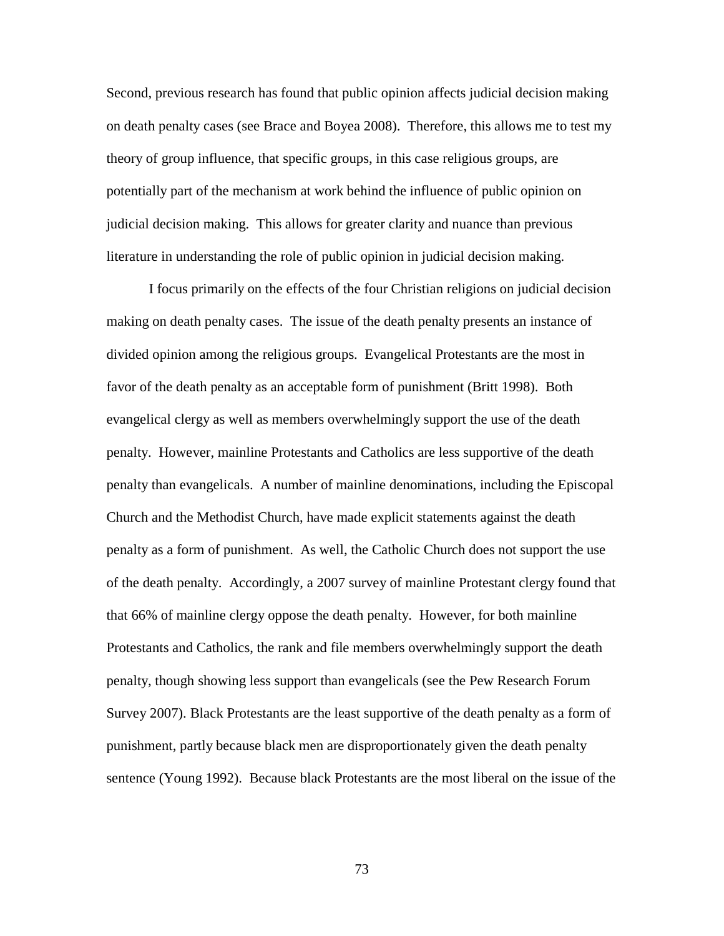Second, previous research has found that public opinion affects judicial decision making on death penalty cases (see Brace and Boyea 2008). Therefore, this allows me to test my theory of group influence, that specific groups, in this case religious groups, are potentially part of the mechanism at work behind the influence of public opinion on judicial decision making. This allows for greater clarity and nuance than previous literature in understanding the role of public opinion in judicial decision making.

I focus primarily on the effects of the four Christian religions on judicial decision making on death penalty cases. The issue of the death penalty presents an instance of divided opinion among the religious groups. Evangelical Protestants are the most in favor of the death penalty as an acceptable form of punishment (Britt 1998). Both evangelical clergy as well as members overwhelmingly support the use of the death penalty. However, mainline Protestants and Catholics are less supportive of the death penalty than evangelicals. A number of mainline denominations, including the Episcopal Church and the Methodist Church, have made explicit statements against the death penalty as a form of punishment. As well, the Catholic Church does not support the use of the death penalty. Accordingly, a 2007 survey of mainline Protestant clergy found that that 66% of mainline clergy oppose the death penalty. However, for both mainline Protestants and Catholics, the rank and file members overwhelmingly support the death penalty, though showing less support than evangelicals (see the Pew Research Forum Survey 2007). Black Protestants are the least supportive of the death penalty as a form of punishment, partly because black men are disproportionately given the death penalty sentence (Young 1992). Because black Protestants are the most liberal on the issue of the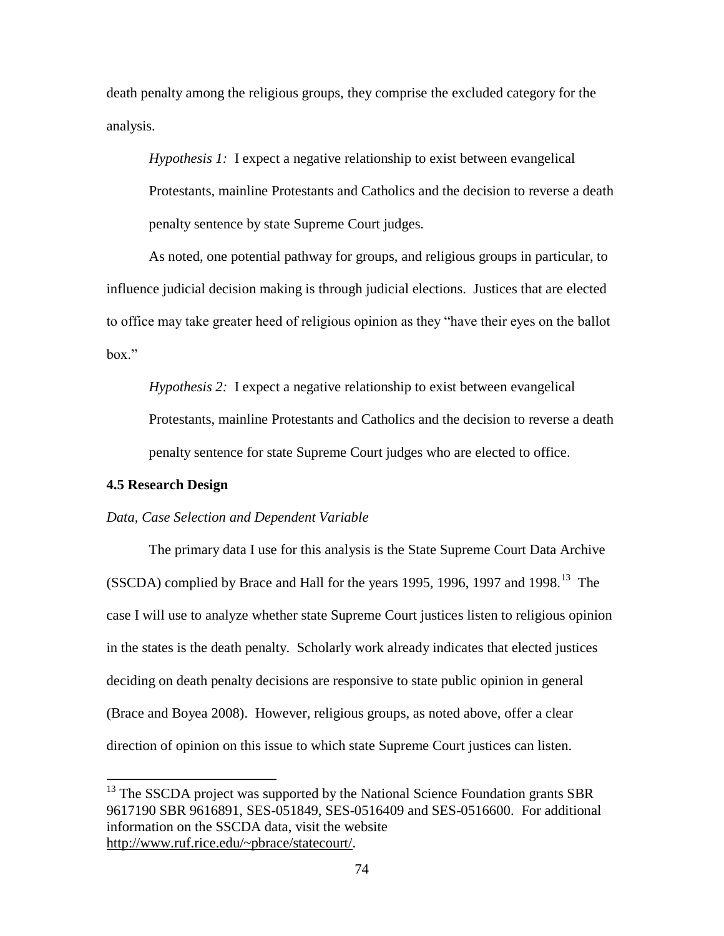death penalty among the religious groups, they comprise the excluded category for the analysis.

*Hypothesis 1:* I expect a negative relationship to exist between evangelical Protestants, mainline Protestants and Catholics and the decision to reverse a death penalty sentence by state Supreme Court judges.

As noted, one potential pathway for groups, and religious groups in particular, to influence judicial decision making is through judicial elections. Justices that are elected to office may take greater heed of religious opinion as they "have their eyes on the ballot box."

*Hypothesis 2:* I expect a negative relationship to exist between evangelical Protestants, mainline Protestants and Catholics and the decision to reverse a death penalty sentence for state Supreme Court judges who are elected to office.

## **4.5 Research Design**

 $\overline{a}$ 

## *Data, Case Selection and Dependent Variable*

The primary data I use for this analysis is the State Supreme Court Data Archive (SSCDA) complied by Brace and Hall for the years 1995, 1996, 1997 and 1998.<sup>13</sup> The case I will use to analyze whether state Supreme Court justices listen to religious opinion in the states is the death penalty. Scholarly work already indicates that elected justices deciding on death penalty decisions are responsive to state public opinion in general (Brace and Boyea 2008). However, religious groups, as noted above, offer a clear direction of opinion on this issue to which state Supreme Court justices can listen.

 $13$  The SSCDA project was supported by the National Science Foundation grants SBR 9617190 SBR 9616891, SES-051849, SES-0516409 and SES-0516600. For additional information on the SSCDA data, visit the website [http://www.ruf.rice.edu/~pbrace/statecourt/.](http://www.ruf.rice.edu/~pbrace/statecourt/)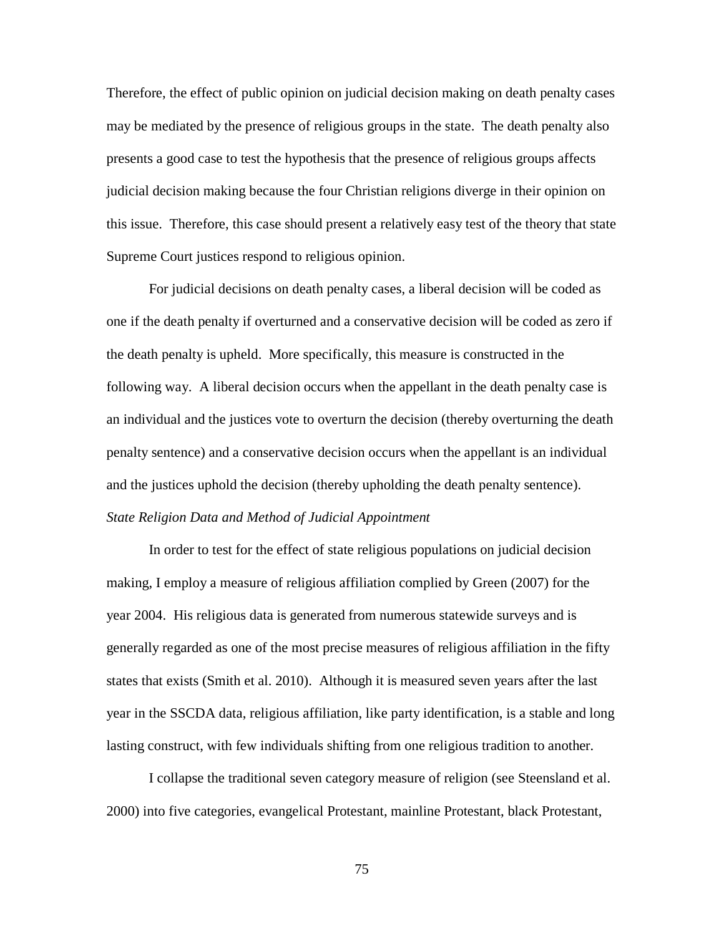Therefore, the effect of public opinion on judicial decision making on death penalty cases may be mediated by the presence of religious groups in the state. The death penalty also presents a good case to test the hypothesis that the presence of religious groups affects judicial decision making because the four Christian religions diverge in their opinion on this issue. Therefore, this case should present a relatively easy test of the theory that state Supreme Court justices respond to religious opinion.

For judicial decisions on death penalty cases, a liberal decision will be coded as one if the death penalty if overturned and a conservative decision will be coded as zero if the death penalty is upheld. More specifically, this measure is constructed in the following way. A liberal decision occurs when the appellant in the death penalty case is an individual and the justices vote to overturn the decision (thereby overturning the death penalty sentence) and a conservative decision occurs when the appellant is an individual and the justices uphold the decision (thereby upholding the death penalty sentence). *State Religion Data and Method of Judicial Appointment*

In order to test for the effect of state religious populations on judicial decision making, I employ a measure of religious affiliation complied by Green (2007) for the year 2004. His religious data is generated from numerous statewide surveys and is generally regarded as one of the most precise measures of religious affiliation in the fifty states that exists (Smith et al. 2010). Although it is measured seven years after the last year in the SSCDA data, religious affiliation, like party identification, is a stable and long lasting construct, with few individuals shifting from one religious tradition to another.

I collapse the traditional seven category measure of religion (see Steensland et al. 2000) into five categories, evangelical Protestant, mainline Protestant, black Protestant,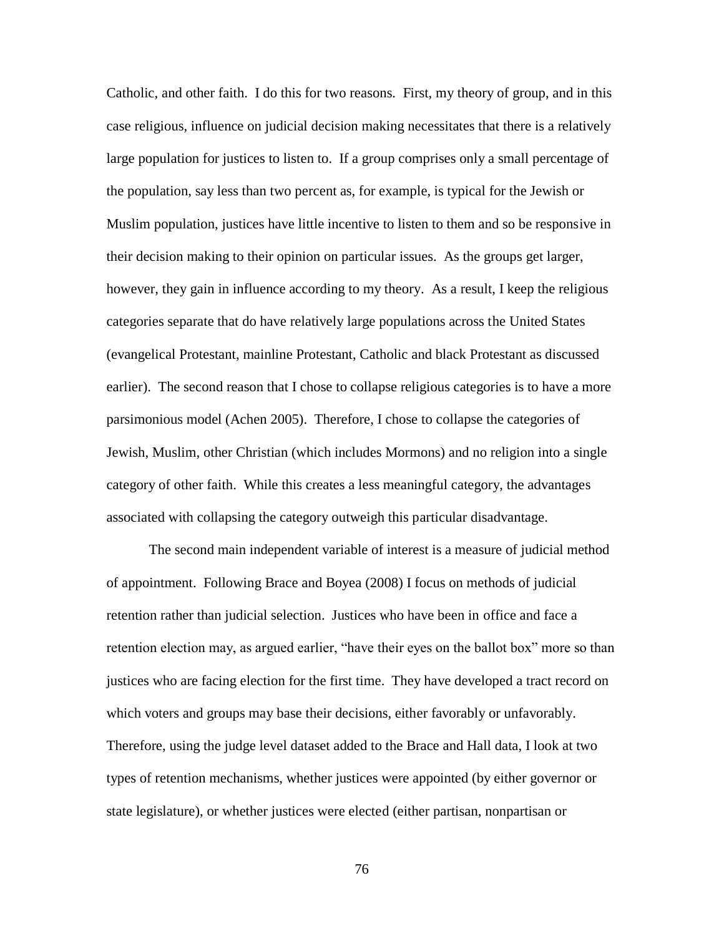Catholic, and other faith. I do this for two reasons. First, my theory of group, and in this case religious, influence on judicial decision making necessitates that there is a relatively large population for justices to listen to. If a group comprises only a small percentage of the population, say less than two percent as, for example, is typical for the Jewish or Muslim population, justices have little incentive to listen to them and so be responsive in their decision making to their opinion on particular issues. As the groups get larger, however, they gain in influence according to my theory. As a result, I keep the religious categories separate that do have relatively large populations across the United States (evangelical Protestant, mainline Protestant, Catholic and black Protestant as discussed earlier). The second reason that I chose to collapse religious categories is to have a more parsimonious model (Achen 2005). Therefore, I chose to collapse the categories of Jewish, Muslim, other Christian (which includes Mormons) and no religion into a single category of other faith. While this creates a less meaningful category, the advantages associated with collapsing the category outweigh this particular disadvantage.

The second main independent variable of interest is a measure of judicial method of appointment. Following Brace and Boyea (2008) I focus on methods of judicial retention rather than judicial selection. Justices who have been in office and face a retention election may, as argued earlier, "have their eyes on the ballot box" more so than justices who are facing election for the first time. They have developed a tract record on which voters and groups may base their decisions, either favorably or unfavorably. Therefore, using the judge level dataset added to the Brace and Hall data, I look at two types of retention mechanisms, whether justices were appointed (by either governor or state legislature), or whether justices were elected (either partisan, nonpartisan or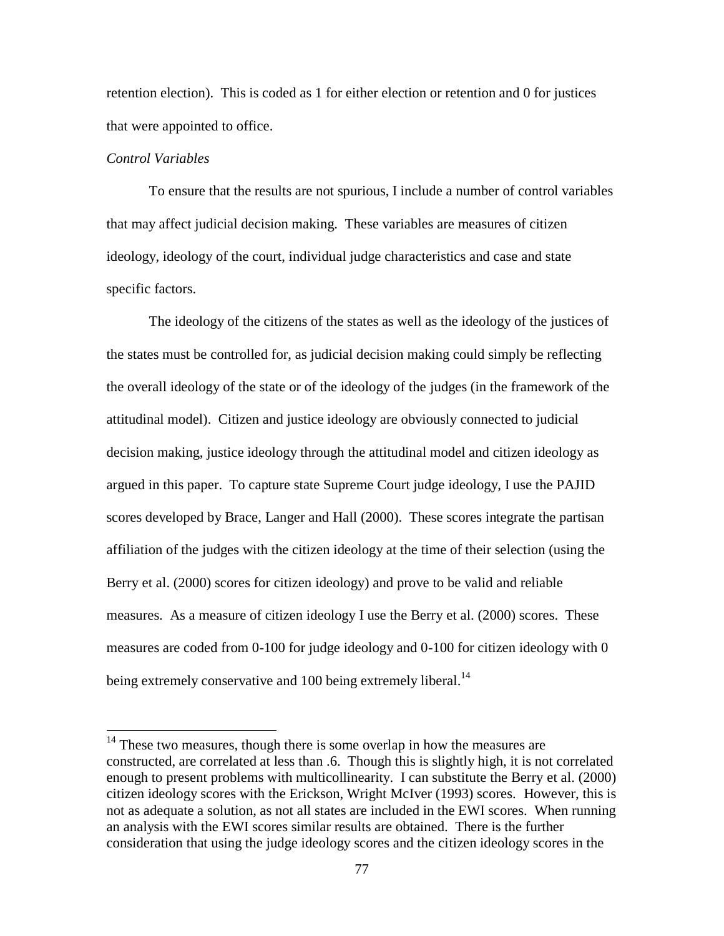retention election). This is coded as 1 for either election or retention and 0 for justices that were appointed to office.

# *Control Variables*

l

To ensure that the results are not spurious, I include a number of control variables that may affect judicial decision making. These variables are measures of citizen ideology, ideology of the court, individual judge characteristics and case and state specific factors.

The ideology of the citizens of the states as well as the ideology of the justices of the states must be controlled for, as judicial decision making could simply be reflecting the overall ideology of the state or of the ideology of the judges (in the framework of the attitudinal model). Citizen and justice ideology are obviously connected to judicial decision making, justice ideology through the attitudinal model and citizen ideology as argued in this paper. To capture state Supreme Court judge ideology, I use the PAJID scores developed by Brace, Langer and Hall (2000). These scores integrate the partisan affiliation of the judges with the citizen ideology at the time of their selection (using the Berry et al. (2000) scores for citizen ideology) and prove to be valid and reliable measures. As a measure of citizen ideology I use the Berry et al. (2000) scores. These measures are coded from 0-100 for judge ideology and 0-100 for citizen ideology with 0 being extremely conservative and 100 being extremely liberal.<sup>14</sup>

 $14$  These two measures, though there is some overlap in how the measures are constructed, are correlated at less than .6. Though this is slightly high, it is not correlated enough to present problems with multicollinearity. I can substitute the Berry et al. (2000) citizen ideology scores with the Erickson, Wright McIver (1993) scores. However, this is not as adequate a solution, as not all states are included in the EWI scores. When running an analysis with the EWI scores similar results are obtained. There is the further consideration that using the judge ideology scores and the citizen ideology scores in the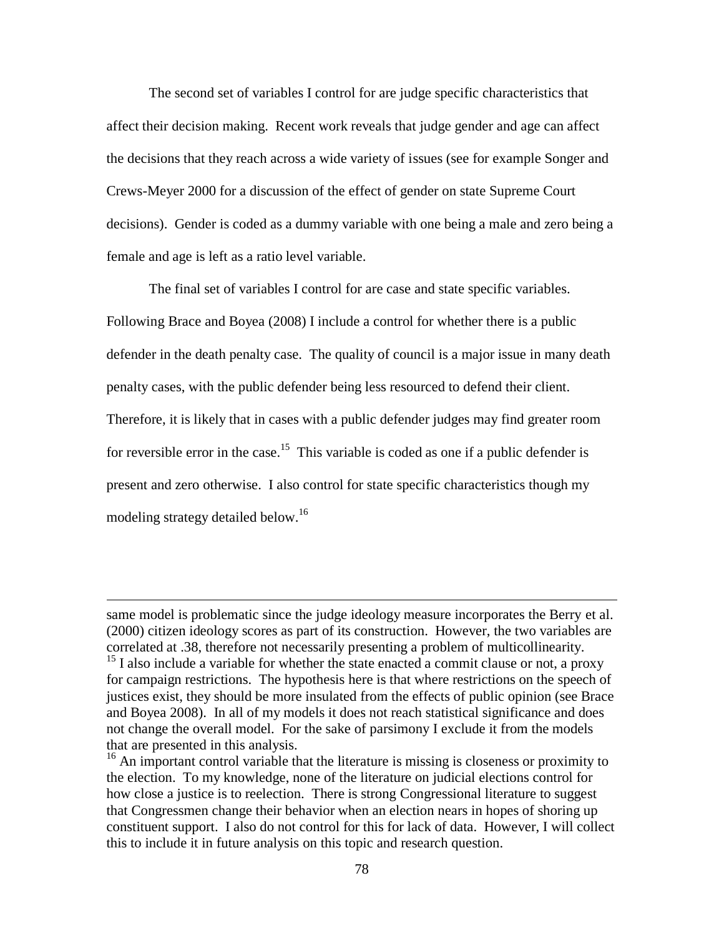The second set of variables I control for are judge specific characteristics that affect their decision making. Recent work reveals that judge gender and age can affect the decisions that they reach across a wide variety of issues (see for example Songer and Crews-Meyer 2000 for a discussion of the effect of gender on state Supreme Court decisions). Gender is coded as a dummy variable with one being a male and zero being a female and age is left as a ratio level variable.

The final set of variables I control for are case and state specific variables. Following Brace and Boyea (2008) I include a control for whether there is a public defender in the death penalty case. The quality of council is a major issue in many death penalty cases, with the public defender being less resourced to defend their client. Therefore, it is likely that in cases with a public defender judges may find greater room for reversible error in the case.<sup>15</sup> This variable is coded as one if a public defender is present and zero otherwise. I also control for state specific characteristics though my modeling strategy detailed below.<sup>16</sup>

 $\overline{a}$ 

same model is problematic since the judge ideology measure incorporates the Berry et al. (2000) citizen ideology scores as part of its construction. However, the two variables are correlated at .38, therefore not necessarily presenting a problem of multicollinearity.

 $15$  I also include a variable for whether the state enacted a commit clause or not, a proxy for campaign restrictions. The hypothesis here is that where restrictions on the speech of justices exist, they should be more insulated from the effects of public opinion (see Brace and Boyea 2008). In all of my models it does not reach statistical significance and does not change the overall model. For the sake of parsimony I exclude it from the models that are presented in this analysis.

<sup>&</sup>lt;sup>16</sup> An important control variable that the literature is missing is closeness or proximity to the election. To my knowledge, none of the literature on judicial elections control for how close a justice is to reelection. There is strong Congressional literature to suggest that Congressmen change their behavior when an election nears in hopes of shoring up constituent support. I also do not control for this for lack of data. However, I will collect this to include it in future analysis on this topic and research question.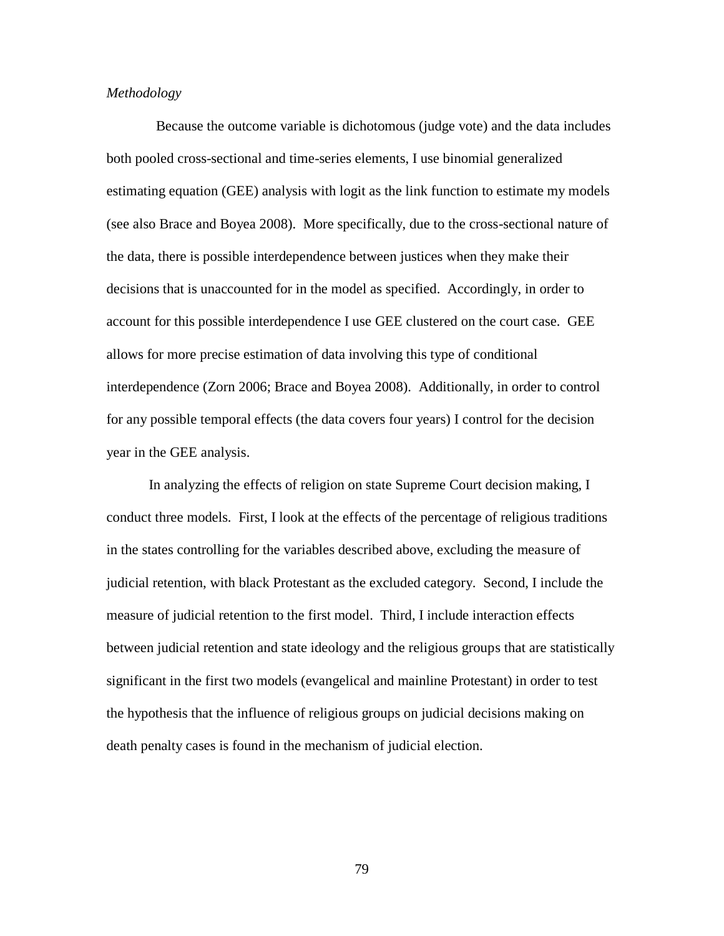#### *Methodology*

 Because the outcome variable is dichotomous (judge vote) and the data includes both pooled cross-sectional and time-series elements, I use binomial generalized estimating equation (GEE) analysis with logit as the link function to estimate my models (see also Brace and Boyea 2008). More specifically, due to the cross-sectional nature of the data, there is possible interdependence between justices when they make their decisions that is unaccounted for in the model as specified. Accordingly, in order to account for this possible interdependence I use GEE clustered on the court case. GEE allows for more precise estimation of data involving this type of conditional interdependence (Zorn 2006; Brace and Boyea 2008). Additionally, in order to control for any possible temporal effects (the data covers four years) I control for the decision year in the GEE analysis.

In analyzing the effects of religion on state Supreme Court decision making, I conduct three models. First, I look at the effects of the percentage of religious traditions in the states controlling for the variables described above, excluding the measure of judicial retention, with black Protestant as the excluded category. Second, I include the measure of judicial retention to the first model. Third, I include interaction effects between judicial retention and state ideology and the religious groups that are statistically significant in the first two models (evangelical and mainline Protestant) in order to test the hypothesis that the influence of religious groups on judicial decisions making on death penalty cases is found in the mechanism of judicial election.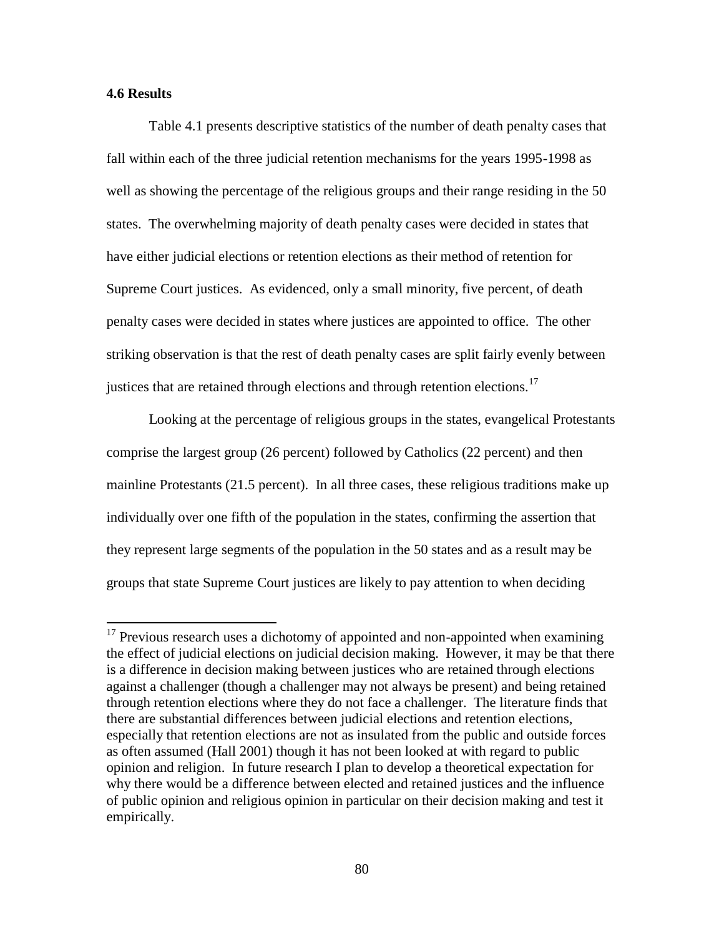## **4.6 Results**

 $\overline{a}$ 

Table 4.1 presents descriptive statistics of the number of death penalty cases that fall within each of the three judicial retention mechanisms for the years 1995-1998 as well as showing the percentage of the religious groups and their range residing in the 50 states. The overwhelming majority of death penalty cases were decided in states that have either judicial elections or retention elections as their method of retention for Supreme Court justices. As evidenced, only a small minority, five percent, of death penalty cases were decided in states where justices are appointed to office. The other striking observation is that the rest of death penalty cases are split fairly evenly between justices that are retained through elections and through retention elections.<sup>17</sup>

Looking at the percentage of religious groups in the states, evangelical Protestants comprise the largest group (26 percent) followed by Catholics (22 percent) and then mainline Protestants (21.5 percent). In all three cases, these religious traditions make up individually over one fifth of the population in the states, confirming the assertion that they represent large segments of the population in the 50 states and as a result may be groups that state Supreme Court justices are likely to pay attention to when deciding

 $17$  Previous research uses a dichotomy of appointed and non-appointed when examining the effect of judicial elections on judicial decision making. However, it may be that there is a difference in decision making between justices who are retained through elections against a challenger (though a challenger may not always be present) and being retained through retention elections where they do not face a challenger. The literature finds that there are substantial differences between judicial elections and retention elections, especially that retention elections are not as insulated from the public and outside forces as often assumed (Hall 2001) though it has not been looked at with regard to public opinion and religion. In future research I plan to develop a theoretical expectation for why there would be a difference between elected and retained justices and the influence of public opinion and religious opinion in particular on their decision making and test it empirically.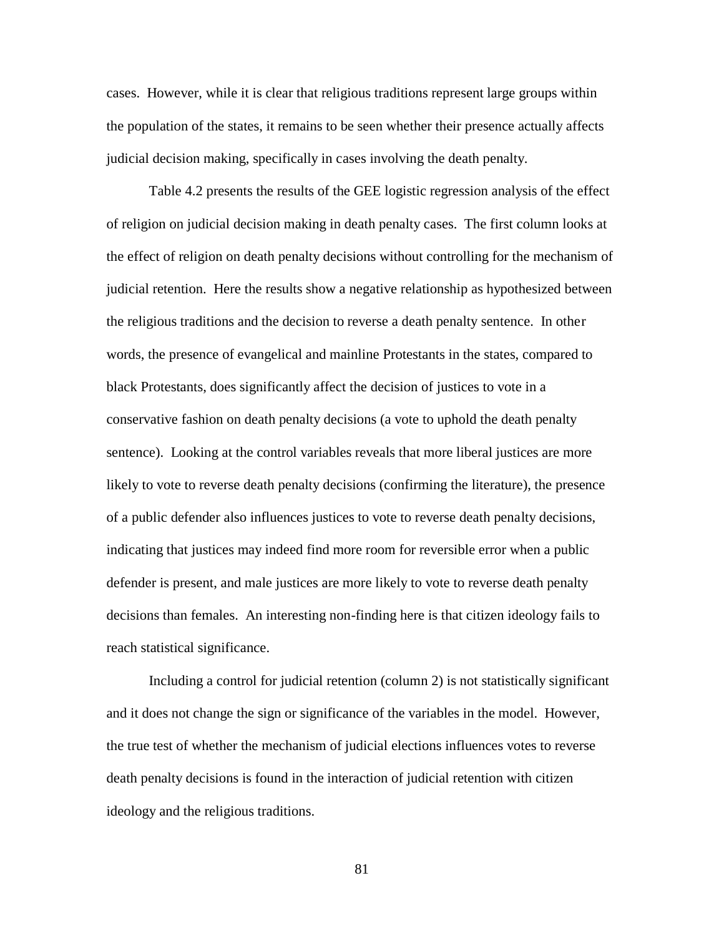cases. However, while it is clear that religious traditions represent large groups within the population of the states, it remains to be seen whether their presence actually affects judicial decision making, specifically in cases involving the death penalty.

Table 4.2 presents the results of the GEE logistic regression analysis of the effect of religion on judicial decision making in death penalty cases. The first column looks at the effect of religion on death penalty decisions without controlling for the mechanism of judicial retention. Here the results show a negative relationship as hypothesized between the religious traditions and the decision to reverse a death penalty sentence. In other words, the presence of evangelical and mainline Protestants in the states, compared to black Protestants, does significantly affect the decision of justices to vote in a conservative fashion on death penalty decisions (a vote to uphold the death penalty sentence). Looking at the control variables reveals that more liberal justices are more likely to vote to reverse death penalty decisions (confirming the literature), the presence of a public defender also influences justices to vote to reverse death penalty decisions, indicating that justices may indeed find more room for reversible error when a public defender is present, and male justices are more likely to vote to reverse death penalty decisions than females. An interesting non-finding here is that citizen ideology fails to reach statistical significance.

Including a control for judicial retention (column 2) is not statistically significant and it does not change the sign or significance of the variables in the model. However, the true test of whether the mechanism of judicial elections influences votes to reverse death penalty decisions is found in the interaction of judicial retention with citizen ideology and the religious traditions.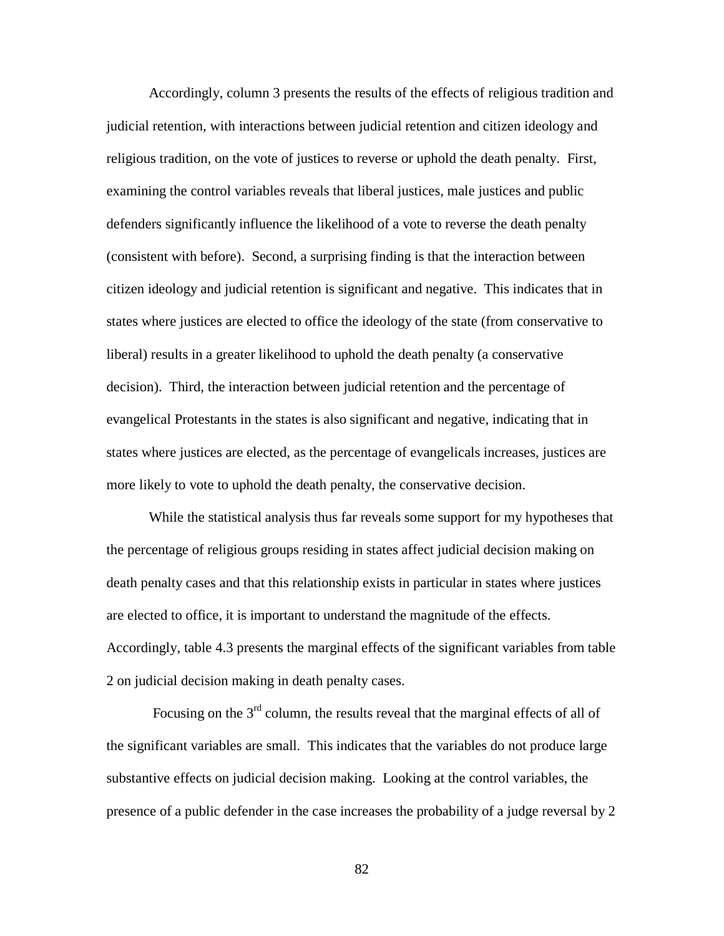Accordingly, column 3 presents the results of the effects of religious tradition and judicial retention, with interactions between judicial retention and citizen ideology and religious tradition, on the vote of justices to reverse or uphold the death penalty. First, examining the control variables reveals that liberal justices, male justices and public defenders significantly influence the likelihood of a vote to reverse the death penalty (consistent with before). Second, a surprising finding is that the interaction between citizen ideology and judicial retention is significant and negative. This indicates that in states where justices are elected to office the ideology of the state (from conservative to liberal) results in a greater likelihood to uphold the death penalty (a conservative decision). Third, the interaction between judicial retention and the percentage of evangelical Protestants in the states is also significant and negative, indicating that in states where justices are elected, as the percentage of evangelicals increases, justices are more likely to vote to uphold the death penalty, the conservative decision.

While the statistical analysis thus far reveals some support for my hypotheses that the percentage of religious groups residing in states affect judicial decision making on death penalty cases and that this relationship exists in particular in states where justices are elected to office, it is important to understand the magnitude of the effects. Accordingly, table 4.3 presents the marginal effects of the significant variables from table 2 on judicial decision making in death penalty cases.

Focusing on the  $3<sup>rd</sup>$  column, the results reveal that the marginal effects of all of the significant variables are small. This indicates that the variables do not produce large substantive effects on judicial decision making. Looking at the control variables, the presence of a public defender in the case increases the probability of a judge reversal by 2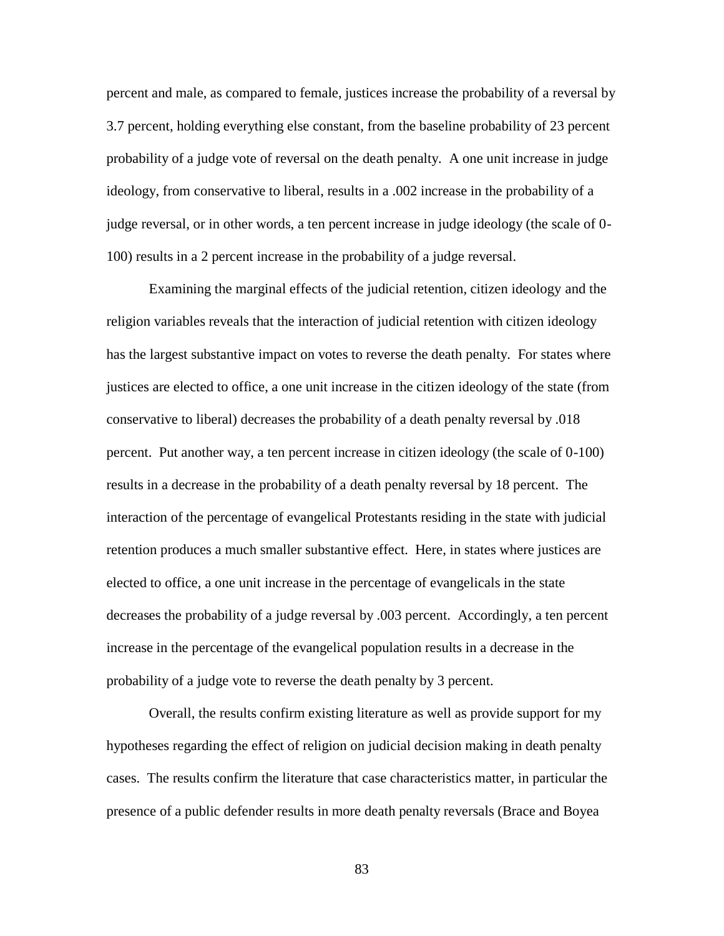percent and male, as compared to female, justices increase the probability of a reversal by 3.7 percent, holding everything else constant, from the baseline probability of 23 percent probability of a judge vote of reversal on the death penalty. A one unit increase in judge ideology, from conservative to liberal, results in a .002 increase in the probability of a judge reversal, or in other words, a ten percent increase in judge ideology (the scale of 0- 100) results in a 2 percent increase in the probability of a judge reversal.

Examining the marginal effects of the judicial retention, citizen ideology and the religion variables reveals that the interaction of judicial retention with citizen ideology has the largest substantive impact on votes to reverse the death penalty. For states where justices are elected to office, a one unit increase in the citizen ideology of the state (from conservative to liberal) decreases the probability of a death penalty reversal by .018 percent. Put another way, a ten percent increase in citizen ideology (the scale of 0-100) results in a decrease in the probability of a death penalty reversal by 18 percent. The interaction of the percentage of evangelical Protestants residing in the state with judicial retention produces a much smaller substantive effect. Here, in states where justices are elected to office, a one unit increase in the percentage of evangelicals in the state decreases the probability of a judge reversal by .003 percent. Accordingly, a ten percent increase in the percentage of the evangelical population results in a decrease in the probability of a judge vote to reverse the death penalty by 3 percent.

Overall, the results confirm existing literature as well as provide support for my hypotheses regarding the effect of religion on judicial decision making in death penalty cases. The results confirm the literature that case characteristics matter, in particular the presence of a public defender results in more death penalty reversals (Brace and Boyea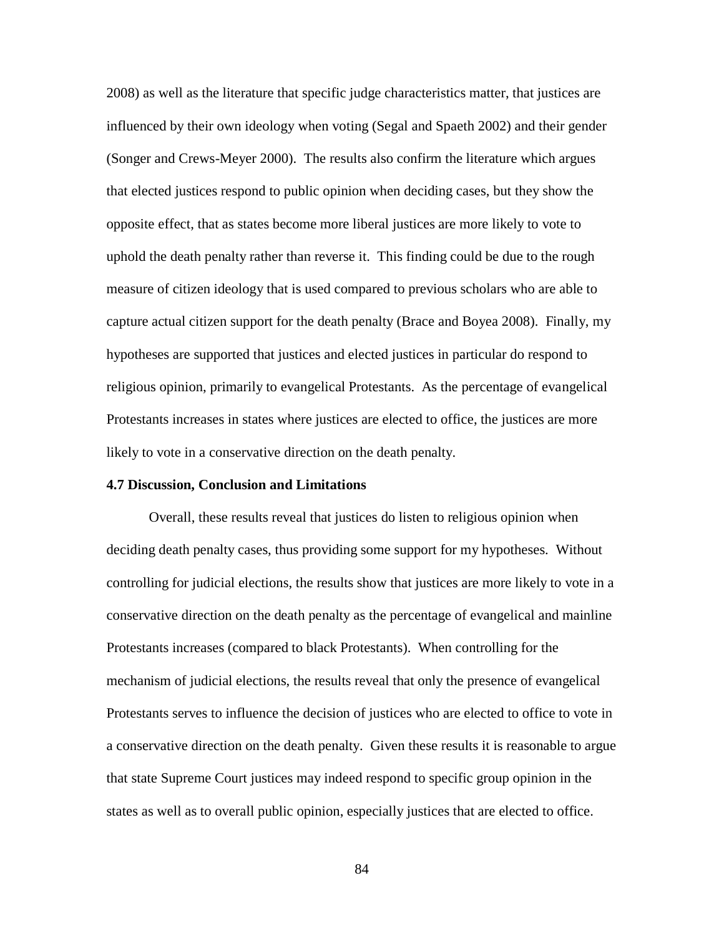2008) as well as the literature that specific judge characteristics matter, that justices are influenced by their own ideology when voting (Segal and Spaeth 2002) and their gender (Songer and Crews-Meyer 2000). The results also confirm the literature which argues that elected justices respond to public opinion when deciding cases, but they show the opposite effect, that as states become more liberal justices are more likely to vote to uphold the death penalty rather than reverse it. This finding could be due to the rough measure of citizen ideology that is used compared to previous scholars who are able to capture actual citizen support for the death penalty (Brace and Boyea 2008). Finally, my hypotheses are supported that justices and elected justices in particular do respond to religious opinion, primarily to evangelical Protestants. As the percentage of evangelical Protestants increases in states where justices are elected to office, the justices are more likely to vote in a conservative direction on the death penalty.

### **4.7 Discussion, Conclusion and Limitations**

Overall, these results reveal that justices do listen to religious opinion when deciding death penalty cases, thus providing some support for my hypotheses. Without controlling for judicial elections, the results show that justices are more likely to vote in a conservative direction on the death penalty as the percentage of evangelical and mainline Protestants increases (compared to black Protestants). When controlling for the mechanism of judicial elections, the results reveal that only the presence of evangelical Protestants serves to influence the decision of justices who are elected to office to vote in a conservative direction on the death penalty. Given these results it is reasonable to argue that state Supreme Court justices may indeed respond to specific group opinion in the states as well as to overall public opinion, especially justices that are elected to office.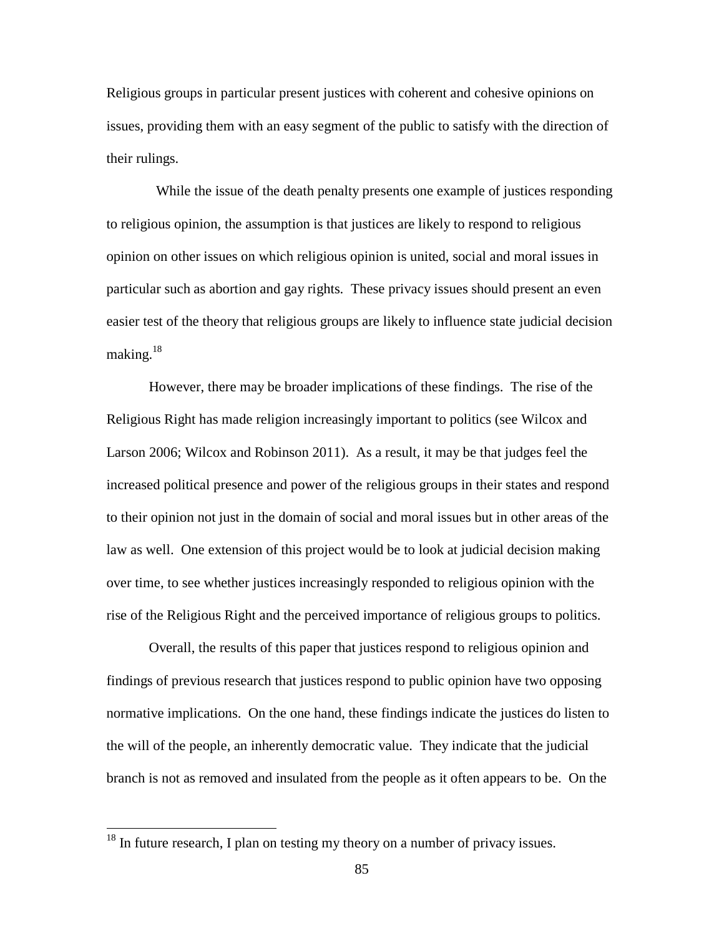Religious groups in particular present justices with coherent and cohesive opinions on issues, providing them with an easy segment of the public to satisfy with the direction of their rulings.

 While the issue of the death penalty presents one example of justices responding to religious opinion, the assumption is that justices are likely to respond to religious opinion on other issues on which religious opinion is united, social and moral issues in particular such as abortion and gay rights. These privacy issues should present an even easier test of the theory that religious groups are likely to influence state judicial decision making. $18$ 

However, there may be broader implications of these findings. The rise of the Religious Right has made religion increasingly important to politics (see Wilcox and Larson 2006; Wilcox and Robinson 2011). As a result, it may be that judges feel the increased political presence and power of the religious groups in their states and respond to their opinion not just in the domain of social and moral issues but in other areas of the law as well. One extension of this project would be to look at judicial decision making over time, to see whether justices increasingly responded to religious opinion with the rise of the Religious Right and the perceived importance of religious groups to politics.

Overall, the results of this paper that justices respond to religious opinion and findings of previous research that justices respond to public opinion have two opposing normative implications. On the one hand, these findings indicate the justices do listen to the will of the people, an inherently democratic value. They indicate that the judicial branch is not as removed and insulated from the people as it often appears to be. On the

l

 $18$  In future research, I plan on testing my theory on a number of privacy issues.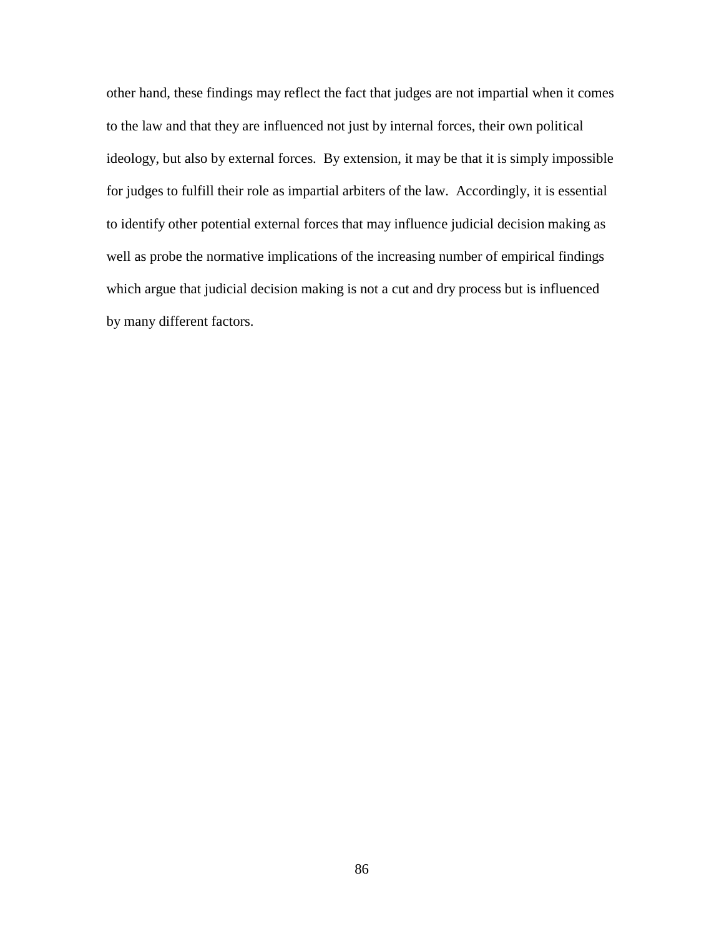other hand, these findings may reflect the fact that judges are not impartial when it comes to the law and that they are influenced not just by internal forces, their own political ideology, but also by external forces. By extension, it may be that it is simply impossible for judges to fulfill their role as impartial arbiters of the law. Accordingly, it is essential to identify other potential external forces that may influence judicial decision making as well as probe the normative implications of the increasing number of empirical findings which argue that judicial decision making is not a cut and dry process but is influenced by many different factors.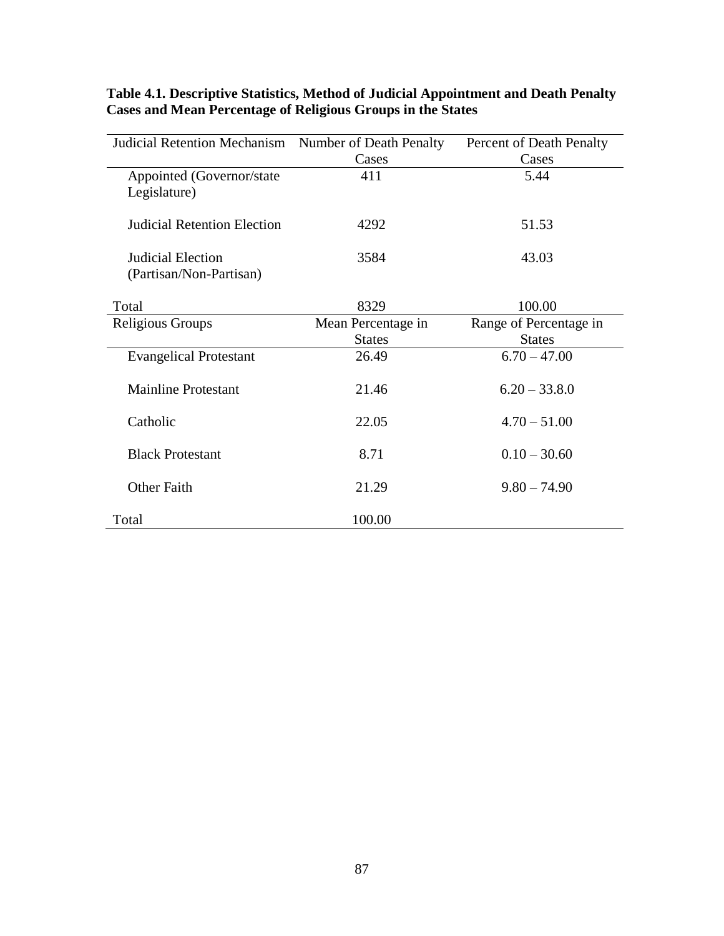| Judicial Retention Mechanism Number of Death Penalty | Percent of Death Penalty |                        |
|------------------------------------------------------|--------------------------|------------------------|
|                                                      | Cases                    | Cases                  |
| Appointed (Governor/state<br>Legislature)            | 411                      | 5.44                   |
| <b>Judicial Retention Election</b>                   | 4292                     | 51.53                  |
| Judicial Election<br>(Partisan/Non-Partisan)         | 3584                     | 43.03                  |
| Total                                                | 8329                     | 100.00                 |
| Religious Groups                                     | Mean Percentage in       | Range of Percentage in |
|                                                      | <b>States</b>            | <b>States</b>          |
| <b>Evangelical Protestant</b>                        | 26.49                    | $6.70 - 47.00$         |
| <b>Mainline Protestant</b>                           | 21.46                    | $6.20 - 33.8.0$        |
| Catholic                                             | 22.05                    | $4.70 - 51.00$         |
| <b>Black Protestant</b>                              | 8.71                     | $0.10 - 30.60$         |
| <b>Other Faith</b>                                   | 21.29                    | $9.80 - 74.90$         |
| Total                                                | 100.00                   |                        |

**Table 4.1. Descriptive Statistics, Method of Judicial Appointment and Death Penalty Cases and Mean Percentage of Religious Groups in the States**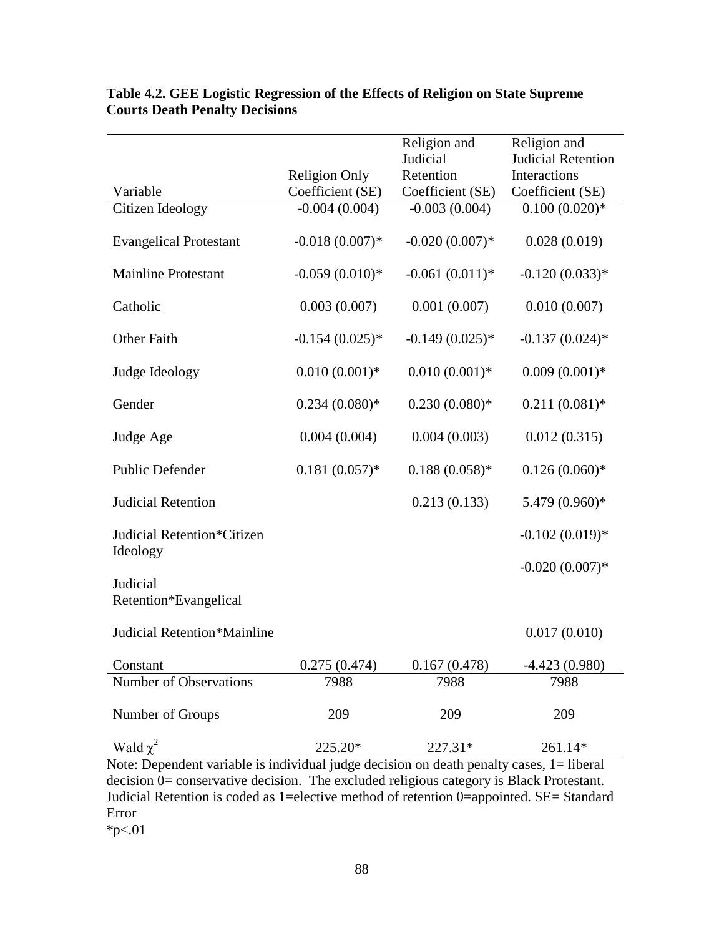|                                                                                                              |                      | Religion and     | Religion and              |
|--------------------------------------------------------------------------------------------------------------|----------------------|------------------|---------------------------|
|                                                                                                              |                      | Judicial         | <b>Judicial Retention</b> |
|                                                                                                              | <b>Religion Only</b> | Retention        | Interactions              |
| Variable                                                                                                     | Coefficient (SE)     | Coefficient (SE) | Coefficient (SE)          |
| Citizen Ideology                                                                                             | $-0.004(0.004)$      | $-0.003(0.004)$  | $0.100(0.020)*$           |
| <b>Evangelical Protestant</b>                                                                                | $-0.018(0.007)*$     | $-0.020(0.007)*$ | 0.028(0.019)              |
| <b>Mainline Protestant</b>                                                                                   | $-0.059(0.010)*$     | $-0.061(0.011)*$ | $-0.120(0.033)*$          |
| Catholic                                                                                                     | 0.003(0.007)         | 0.001(0.007)     | 0.010(0.007)              |
| Other Faith                                                                                                  | $-0.154(0.025)*$     | $-0.149(0.025)*$ | $-0.137(0.024)$ *         |
| Judge Ideology                                                                                               | $0.010(0.001)*$      | $0.010(0.001)*$  | $0.009(0.001)*$           |
| Gender                                                                                                       | $0.234(0.080)*$      | $0.230(0.080)*$  | $0.211(0.081)*$           |
| Judge Age                                                                                                    | 0.004(0.004)         | 0.004(0.003)     | 0.012(0.315)              |
| Public Defender                                                                                              | $0.181(0.057)*$      | $0.188(0.058)*$  | $0.126(0.060)*$           |
| Judicial Retention                                                                                           |                      | 0.213(0.133)     | 5.479 (0.960)*            |
| Judicial Retention*Citizen<br>Ideology                                                                       |                      |                  | $-0.102(0.019)*$          |
| Judicial                                                                                                     |                      |                  | $-0.020(0.007)$ *         |
| Retention*Evangelical                                                                                        |                      |                  |                           |
| Judicial Retention*Mainline                                                                                  |                      |                  | 0.017(0.010)              |
| Constant                                                                                                     | 0.275(0.474)         | 0.167(0.478)     | $-4.423(0.980)$           |
| Number of Observations                                                                                       | 7988                 | 7988             | 7988                      |
| Number of Groups                                                                                             | 209                  | 209              | 209                       |
| Wald $\chi^2$<br>Note: Dependent variable is individual judge decision on death penalty cases, $1 =$ liberal | 225.20*              | 227.31*          | 261.14*                   |

# **Table 4.2. GEE Logistic Regression of the Effects of Religion on State Supreme Courts Death Penalty Decisions**

Note: Dependent variable is individual judge decision on death penalty cases, 1= liberal decision 0= conservative decision. The excluded religious category is Black Protestant. Judicial Retention is coded as 1=elective method of retention 0=appointed. SE= Standard Error

 $*_{p<.01}$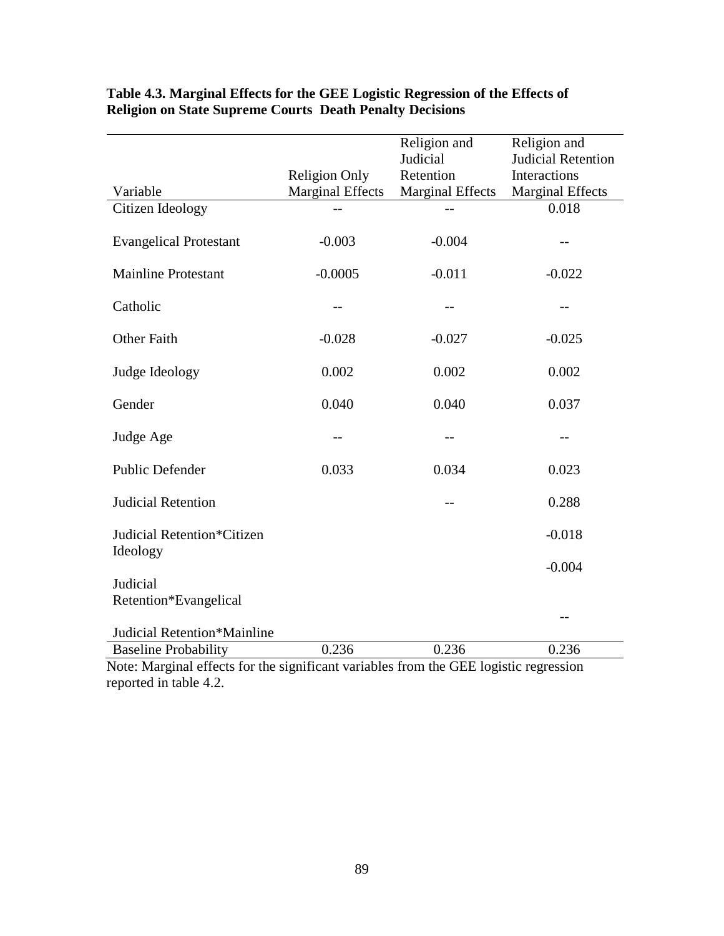|                                                                                                                      |                         | Religion and            | Religion and              |
|----------------------------------------------------------------------------------------------------------------------|-------------------------|-------------------------|---------------------------|
|                                                                                                                      |                         | Judicial                | <b>Judicial Retention</b> |
|                                                                                                                      | Religion Only           | Retention               | Interactions              |
| Variable                                                                                                             | <b>Marginal Effects</b> | <b>Marginal Effects</b> | Marginal Effects          |
| Citizen Ideology                                                                                                     |                         |                         | 0.018                     |
| <b>Evangelical Protestant</b>                                                                                        | $-0.003$                | $-0.004$                |                           |
| <b>Mainline Protestant</b>                                                                                           | $-0.0005$               | $-0.011$                | $-0.022$                  |
| Catholic                                                                                                             |                         |                         |                           |
| <b>Other Faith</b>                                                                                                   | $-0.028$                | $-0.027$                | $-0.025$                  |
| Judge Ideology                                                                                                       | 0.002                   | 0.002                   | 0.002                     |
| Gender                                                                                                               | 0.040                   | 0.040                   | 0.037                     |
| Judge Age                                                                                                            |                         |                         |                           |
| <b>Public Defender</b>                                                                                               | 0.033                   | 0.034                   | 0.023                     |
| Judicial Retention                                                                                                   |                         |                         | 0.288                     |
| Judicial Retention*Citizen<br>Ideology                                                                               |                         |                         | $-0.018$                  |
|                                                                                                                      |                         |                         | $-0.004$                  |
| Judicial                                                                                                             |                         |                         |                           |
| Retention*Evangelical                                                                                                |                         |                         |                           |
| Judicial Retention*Mainline                                                                                          |                         |                         |                           |
| <b>Baseline Probability</b><br>Note: Marginal effects for the significant variables from the GEE logistic regression | 0.236                   | 0.236                   | 0.236                     |

# **Table 4.3. Marginal Effects for the GEE Logistic Regression of the Effects of Religion on State Supreme Courts Death Penalty Decisions**

Note: Marginal effects for the significant variables from the GEE logistic regression reported in table 4.2.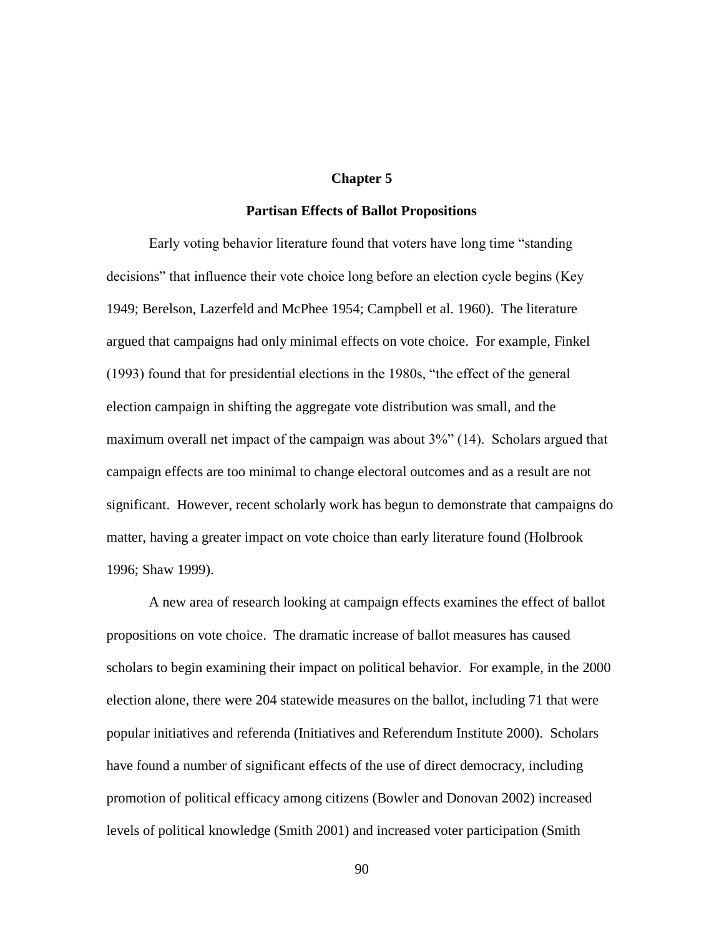## **Chapter 5**

### **Partisan Effects of Ballot Propositions**

Early voting behavior literature found that voters have long time "standing decisions" that influence their vote choice long before an election cycle begins (Key 1949; Berelson, Lazerfeld and McPhee 1954; Campbell et al. 1960). The literature argued that campaigns had only minimal effects on vote choice. For example, Finkel (1993) found that for presidential elections in the 1980s, "the effect of the general election campaign in shifting the aggregate vote distribution was small, and the maximum overall net impact of the campaign was about 3%" (14). Scholars argued that campaign effects are too minimal to change electoral outcomes and as a result are not significant. However, recent scholarly work has begun to demonstrate that campaigns do matter, having a greater impact on vote choice than early literature found (Holbrook 1996; Shaw 1999).

A new area of research looking at campaign effects examines the effect of ballot propositions on vote choice. The dramatic increase of ballot measures has caused scholars to begin examining their impact on political behavior. For example, in the 2000 election alone, there were 204 statewide measures on the ballot, including 71 that were popular initiatives and referenda (Initiatives and Referendum Institute 2000). Scholars have found a number of significant effects of the use of direct democracy, including promotion of political efficacy among citizens (Bowler and Donovan 2002) increased levels of political knowledge (Smith 2001) and increased voter participation (Smith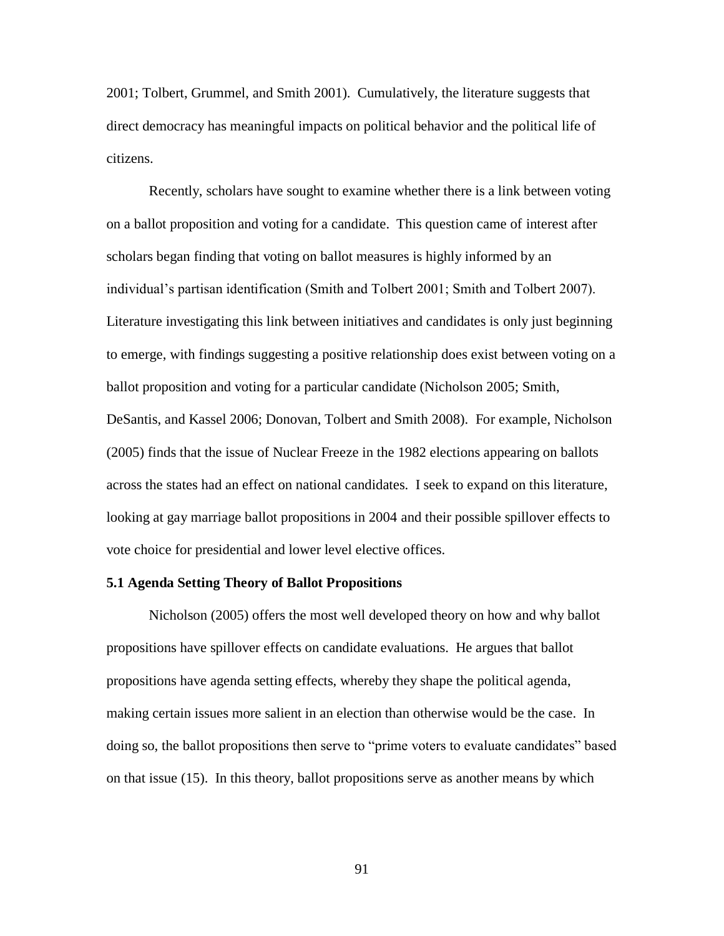2001; Tolbert, Grummel, and Smith 2001). Cumulatively, the literature suggests that direct democracy has meaningful impacts on political behavior and the political life of citizens.

Recently, scholars have sought to examine whether there is a link between voting on a ballot proposition and voting for a candidate. This question came of interest after scholars began finding that voting on ballot measures is highly informed by an individual's partisan identification (Smith and Tolbert 2001; Smith and Tolbert 2007). Literature investigating this link between initiatives and candidates is only just beginning to emerge, with findings suggesting a positive relationship does exist between voting on a ballot proposition and voting for a particular candidate (Nicholson 2005; Smith, DeSantis, and Kassel 2006; Donovan, Tolbert and Smith 2008). For example, Nicholson (2005) finds that the issue of Nuclear Freeze in the 1982 elections appearing on ballots across the states had an effect on national candidates. I seek to expand on this literature, looking at gay marriage ballot propositions in 2004 and their possible spillover effects to vote choice for presidential and lower level elective offices.

## **5.1 Agenda Setting Theory of Ballot Propositions**

Nicholson (2005) offers the most well developed theory on how and why ballot propositions have spillover effects on candidate evaluations. He argues that ballot propositions have agenda setting effects, whereby they shape the political agenda, making certain issues more salient in an election than otherwise would be the case. In doing so, the ballot propositions then serve to "prime voters to evaluate candidates" based on that issue (15). In this theory, ballot propositions serve as another means by which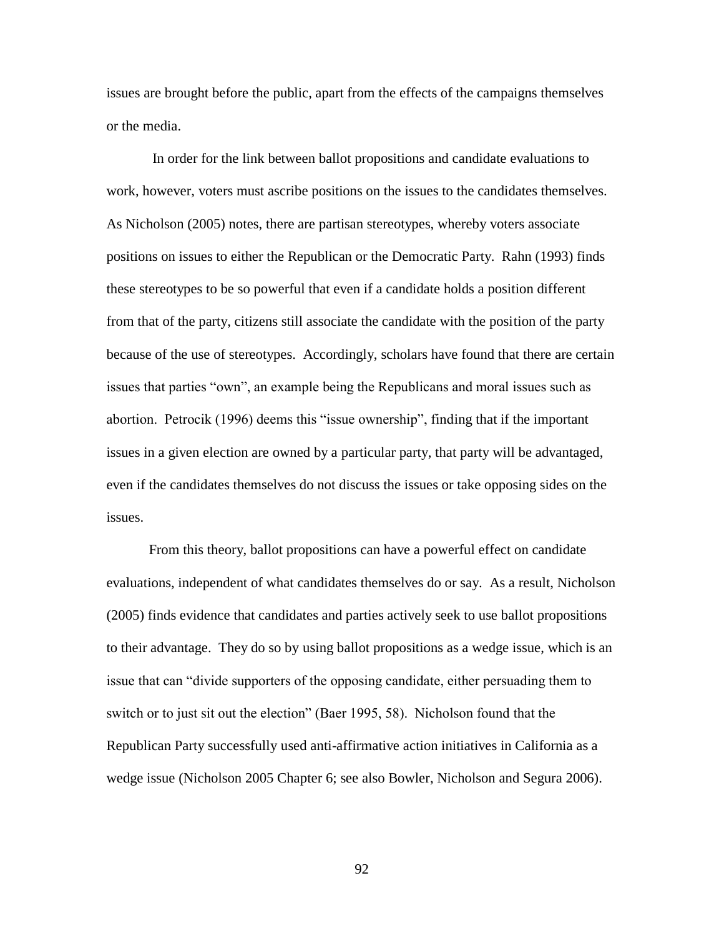issues are brought before the public, apart from the effects of the campaigns themselves or the media.

In order for the link between ballot propositions and candidate evaluations to work, however, voters must ascribe positions on the issues to the candidates themselves. As Nicholson (2005) notes, there are partisan stereotypes, whereby voters associate positions on issues to either the Republican or the Democratic Party. Rahn (1993) finds these stereotypes to be so powerful that even if a candidate holds a position different from that of the party, citizens still associate the candidate with the position of the party because of the use of stereotypes. Accordingly, scholars have found that there are certain issues that parties "own", an example being the Republicans and moral issues such as abortion. Petrocik (1996) deems this "issue ownership", finding that if the important issues in a given election are owned by a particular party, that party will be advantaged, even if the candidates themselves do not discuss the issues or take opposing sides on the issues.

From this theory, ballot propositions can have a powerful effect on candidate evaluations, independent of what candidates themselves do or say. As a result, Nicholson (2005) finds evidence that candidates and parties actively seek to use ballot propositions to their advantage. They do so by using ballot propositions as a wedge issue, which is an issue that can "divide supporters of the opposing candidate, either persuading them to switch or to just sit out the election" (Baer 1995, 58). Nicholson found that the Republican Party successfully used anti-affirmative action initiatives in California as a wedge issue (Nicholson 2005 Chapter 6; see also Bowler, Nicholson and Segura 2006).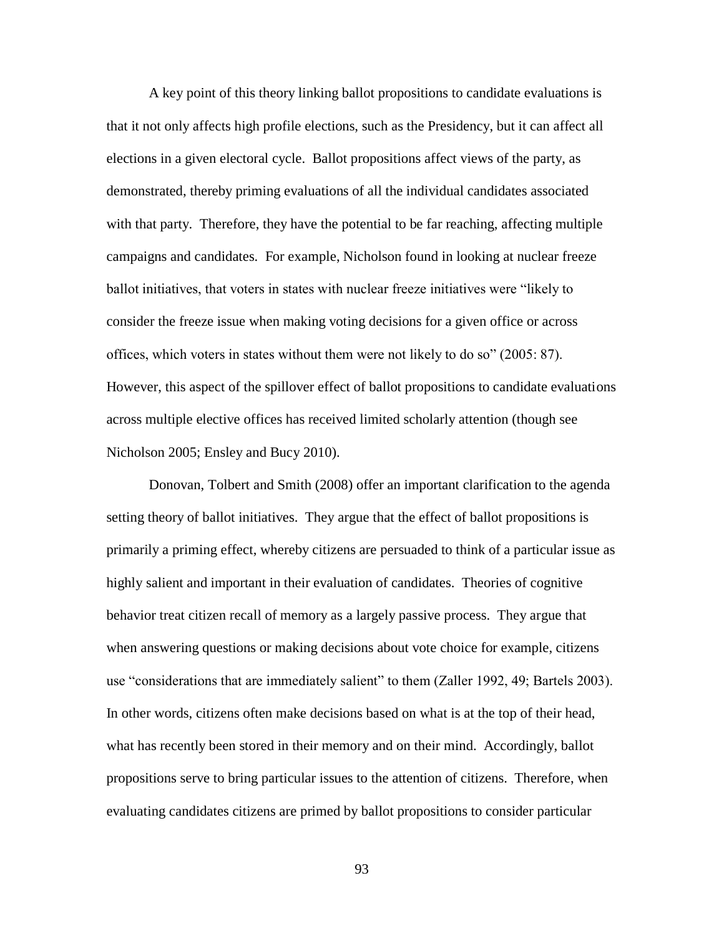A key point of this theory linking ballot propositions to candidate evaluations is that it not only affects high profile elections, such as the Presidency, but it can affect all elections in a given electoral cycle. Ballot propositions affect views of the party, as demonstrated, thereby priming evaluations of all the individual candidates associated with that party. Therefore, they have the potential to be far reaching, affecting multiple campaigns and candidates. For example, Nicholson found in looking at nuclear freeze ballot initiatives, that voters in states with nuclear freeze initiatives were "likely to consider the freeze issue when making voting decisions for a given office or across offices, which voters in states without them were not likely to do so" (2005: 87). However, this aspect of the spillover effect of ballot propositions to candidate evaluations across multiple elective offices has received limited scholarly attention (though see Nicholson 2005; Ensley and Bucy 2010).

Donovan, Tolbert and Smith (2008) offer an important clarification to the agenda setting theory of ballot initiatives. They argue that the effect of ballot propositions is primarily a priming effect, whereby citizens are persuaded to think of a particular issue as highly salient and important in their evaluation of candidates. Theories of cognitive behavior treat citizen recall of memory as a largely passive process. They argue that when answering questions or making decisions about vote choice for example, citizens use "considerations that are immediately salient" to them (Zaller 1992, 49; Bartels 2003). In other words, citizens often make decisions based on what is at the top of their head, what has recently been stored in their memory and on their mind. Accordingly, ballot propositions serve to bring particular issues to the attention of citizens. Therefore, when evaluating candidates citizens are primed by ballot propositions to consider particular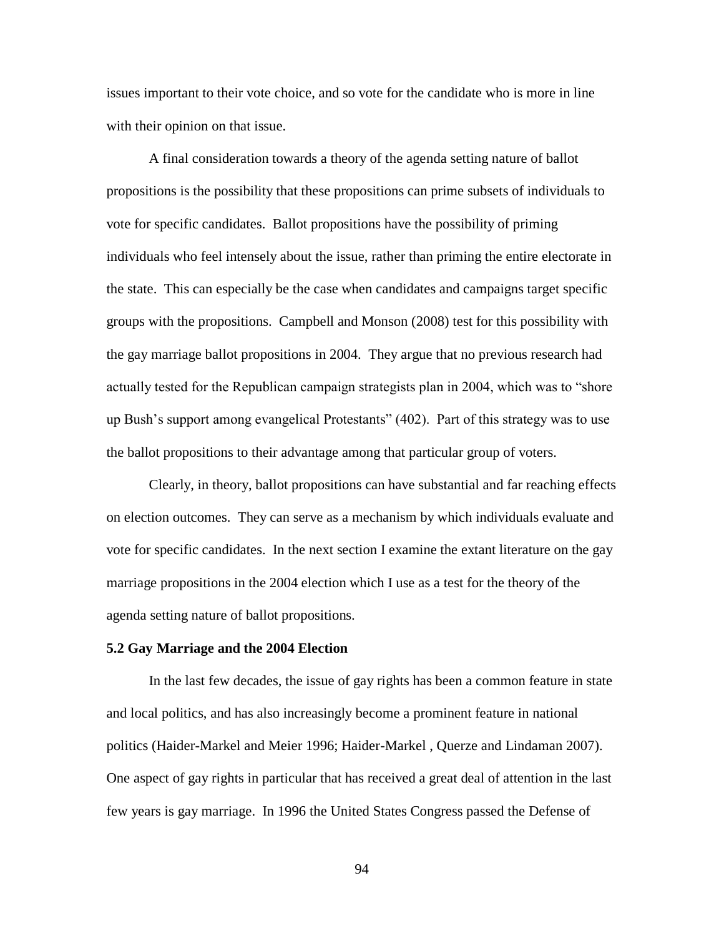issues important to their vote choice, and so vote for the candidate who is more in line with their opinion on that issue.

A final consideration towards a theory of the agenda setting nature of ballot propositions is the possibility that these propositions can prime subsets of individuals to vote for specific candidates. Ballot propositions have the possibility of priming individuals who feel intensely about the issue, rather than priming the entire electorate in the state. This can especially be the case when candidates and campaigns target specific groups with the propositions. Campbell and Monson (2008) test for this possibility with the gay marriage ballot propositions in 2004. They argue that no previous research had actually tested for the Republican campaign strategists plan in 2004, which was to "shore up Bush's support among evangelical Protestants" (402). Part of this strategy was to use the ballot propositions to their advantage among that particular group of voters.

Clearly, in theory, ballot propositions can have substantial and far reaching effects on election outcomes. They can serve as a mechanism by which individuals evaluate and vote for specific candidates. In the next section I examine the extant literature on the gay marriage propositions in the 2004 election which I use as a test for the theory of the agenda setting nature of ballot propositions.

#### **5.2 Gay Marriage and the 2004 Election**

In the last few decades, the issue of gay rights has been a common feature in state and local politics, and has also increasingly become a prominent feature in national politics (Haider-Markel and Meier 1996; Haider-Markel , Querze and Lindaman 2007). One aspect of gay rights in particular that has received a great deal of attention in the last few years is gay marriage. In 1996 the United States Congress passed the Defense of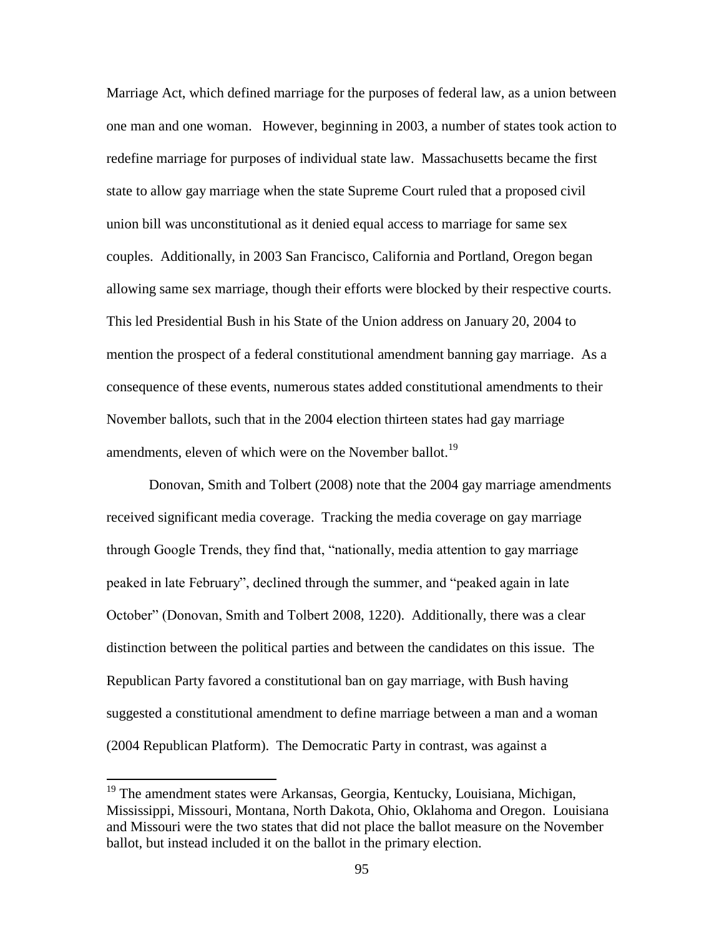Marriage Act, which defined marriage for the purposes of federal law, as a union between one man and one woman. However, beginning in 2003, a number of states took action to redefine marriage for purposes of individual state law. Massachusetts became the first state to allow gay marriage when the state Supreme Court ruled that a proposed civil union bill was unconstitutional as it denied equal access to marriage for same sex couples. Additionally, in 2003 San Francisco, California and Portland, Oregon began allowing same sex marriage, though their efforts were blocked by their respective courts. This led Presidential Bush in his State of the Union address on January 20, 2004 to mention the prospect of a federal constitutional amendment banning gay marriage. As a consequence of these events, numerous states added constitutional amendments to their November ballots, such that in the 2004 election thirteen states had gay marriage amendments, eleven of which were on the November ballot.<sup>19</sup>

Donovan, Smith and Tolbert (2008) note that the 2004 gay marriage amendments received significant media coverage. Tracking the media coverage on gay marriage through Google Trends, they find that, "nationally, media attention to gay marriage peaked in late February", declined through the summer, and "peaked again in late October" (Donovan, Smith and Tolbert 2008, 1220). Additionally, there was a clear distinction between the political parties and between the candidates on this issue. The Republican Party favored a constitutional ban on gay marriage, with Bush having suggested a constitutional amendment to define marriage between a man and a woman (2004 Republican Platform). The Democratic Party in contrast, was against a

 $\overline{a}$ 

<sup>&</sup>lt;sup>19</sup> The amendment states were Arkansas, Georgia, Kentucky, Louisiana, Michigan, Mississippi, Missouri, Montana, North Dakota, Ohio, Oklahoma and Oregon. Louisiana and Missouri were the two states that did not place the ballot measure on the November ballot, but instead included it on the ballot in the primary election.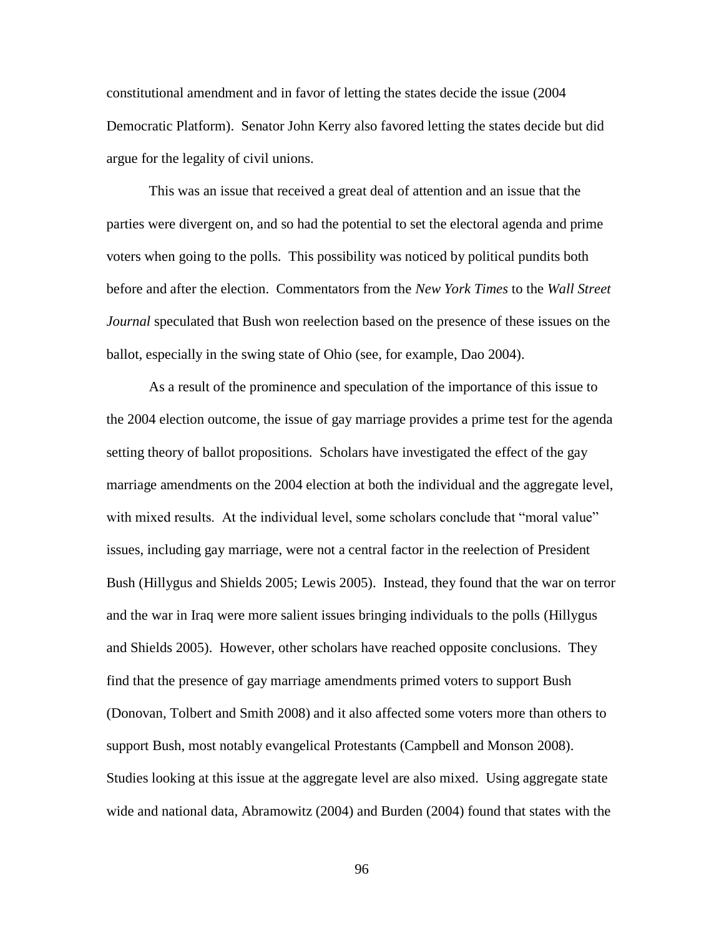constitutional amendment and in favor of letting the states decide the issue (2004 Democratic Platform). Senator John Kerry also favored letting the states decide but did argue for the legality of civil unions.

This was an issue that received a great deal of attention and an issue that the parties were divergent on, and so had the potential to set the electoral agenda and prime voters when going to the polls. This possibility was noticed by political pundits both before and after the election. Commentators from the *New York Times* to the *Wall Street Journal* speculated that Bush won reelection based on the presence of these issues on the ballot, especially in the swing state of Ohio (see, for example, Dao 2004).

As a result of the prominence and speculation of the importance of this issue to the 2004 election outcome, the issue of gay marriage provides a prime test for the agenda setting theory of ballot propositions. Scholars have investigated the effect of the gay marriage amendments on the 2004 election at both the individual and the aggregate level, with mixed results. At the individual level, some scholars conclude that "moral value" issues, including gay marriage, were not a central factor in the reelection of President Bush (Hillygus and Shields 2005; Lewis 2005). Instead, they found that the war on terror and the war in Iraq were more salient issues bringing individuals to the polls (Hillygus and Shields 2005). However, other scholars have reached opposite conclusions. They find that the presence of gay marriage amendments primed voters to support Bush (Donovan, Tolbert and Smith 2008) and it also affected some voters more than others to support Bush, most notably evangelical Protestants (Campbell and Monson 2008). Studies looking at this issue at the aggregate level are also mixed. Using aggregate state wide and national data, Abramowitz (2004) and Burden (2004) found that states with the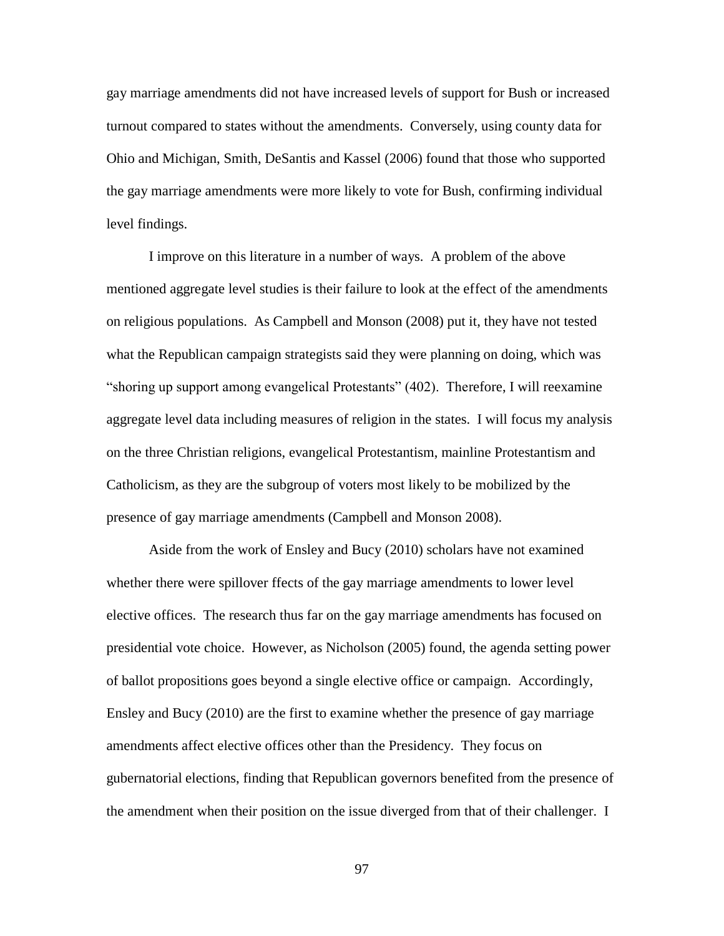gay marriage amendments did not have increased levels of support for Bush or increased turnout compared to states without the amendments. Conversely, using county data for Ohio and Michigan, Smith, DeSantis and Kassel (2006) found that those who supported the gay marriage amendments were more likely to vote for Bush, confirming individual level findings.

I improve on this literature in a number of ways. A problem of the above mentioned aggregate level studies is their failure to look at the effect of the amendments on religious populations. As Campbell and Monson (2008) put it, they have not tested what the Republican campaign strategists said they were planning on doing, which was "shoring up support among evangelical Protestants" (402). Therefore, I will reexamine aggregate level data including measures of religion in the states. I will focus my analysis on the three Christian religions, evangelical Protestantism, mainline Protestantism and Catholicism, as they are the subgroup of voters most likely to be mobilized by the presence of gay marriage amendments (Campbell and Monson 2008).

Aside from the work of Ensley and Bucy (2010) scholars have not examined whether there were spillover ffects of the gay marriage amendments to lower level elective offices. The research thus far on the gay marriage amendments has focused on presidential vote choice. However, as Nicholson (2005) found, the agenda setting power of ballot propositions goes beyond a single elective office or campaign. Accordingly, Ensley and Bucy (2010) are the first to examine whether the presence of gay marriage amendments affect elective offices other than the Presidency. They focus on gubernatorial elections, finding that Republican governors benefited from the presence of the amendment when their position on the issue diverged from that of their challenger. I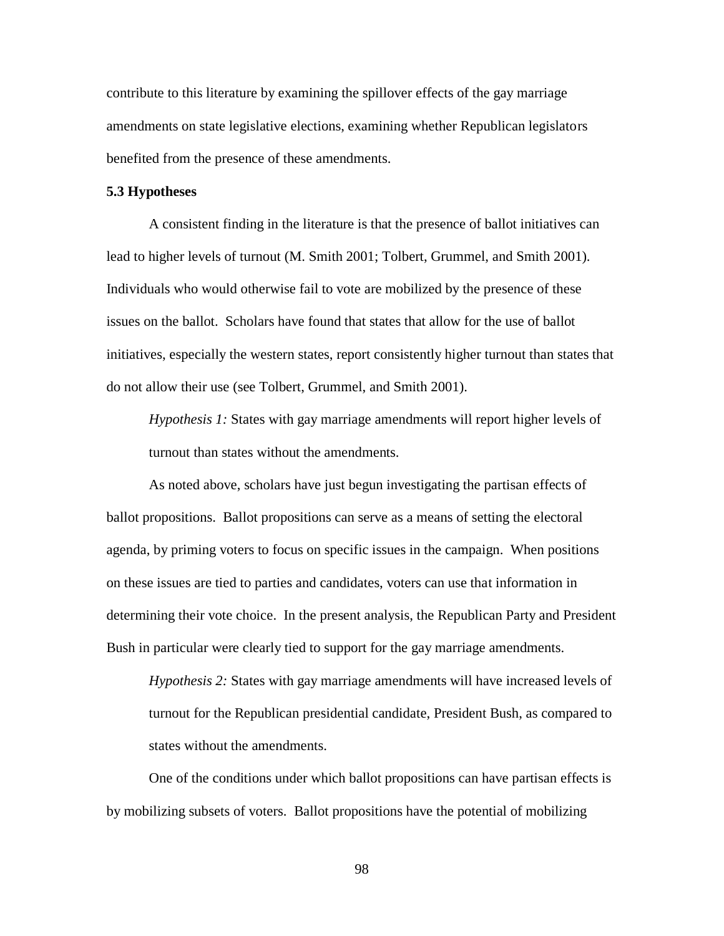contribute to this literature by examining the spillover effects of the gay marriage amendments on state legislative elections, examining whether Republican legislators benefited from the presence of these amendments.

## **5.3 Hypotheses**

A consistent finding in the literature is that the presence of ballot initiatives can lead to higher levels of turnout (M. Smith 2001; Tolbert, Grummel, and Smith 2001). Individuals who would otherwise fail to vote are mobilized by the presence of these issues on the ballot. Scholars have found that states that allow for the use of ballot initiatives, especially the western states, report consistently higher turnout than states that do not allow their use (see Tolbert, Grummel, and Smith 2001).

*Hypothesis 1:* States with gay marriage amendments will report higher levels of turnout than states without the amendments.

As noted above, scholars have just begun investigating the partisan effects of ballot propositions. Ballot propositions can serve as a means of setting the electoral agenda, by priming voters to focus on specific issues in the campaign. When positions on these issues are tied to parties and candidates, voters can use that information in determining their vote choice. In the present analysis, the Republican Party and President Bush in particular were clearly tied to support for the gay marriage amendments.

*Hypothesis 2:* States with gay marriage amendments will have increased levels of turnout for the Republican presidential candidate, President Bush, as compared to states without the amendments.

One of the conditions under which ballot propositions can have partisan effects is by mobilizing subsets of voters. Ballot propositions have the potential of mobilizing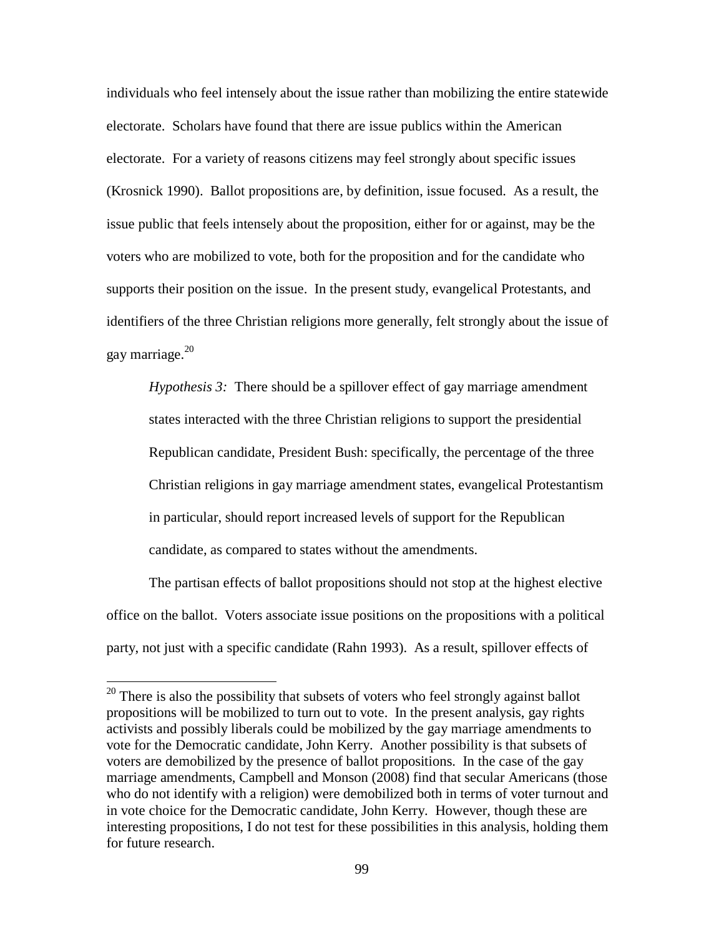individuals who feel intensely about the issue rather than mobilizing the entire statewide electorate. Scholars have found that there are issue publics within the American electorate. For a variety of reasons citizens may feel strongly about specific issues (Krosnick 1990). Ballot propositions are, by definition, issue focused. As a result, the issue public that feels intensely about the proposition, either for or against, may be the voters who are mobilized to vote, both for the proposition and for the candidate who supports their position on the issue. In the present study, evangelical Protestants, and identifiers of the three Christian religions more generally, felt strongly about the issue of gay marriage.<sup>20</sup>

*Hypothesis 3:* There should be a spillover effect of gay marriage amendment states interacted with the three Christian religions to support the presidential Republican candidate, President Bush: specifically, the percentage of the three Christian religions in gay marriage amendment states, evangelical Protestantism in particular, should report increased levels of support for the Republican candidate, as compared to states without the amendments.

The partisan effects of ballot propositions should not stop at the highest elective office on the ballot. Voters associate issue positions on the propositions with a political party, not just with a specific candidate (Rahn 1993). As a result, spillover effects of

 $\overline{a}$ 

 $20$  There is also the possibility that subsets of voters who feel strongly against ballot propositions will be mobilized to turn out to vote. In the present analysis, gay rights activists and possibly liberals could be mobilized by the gay marriage amendments to vote for the Democratic candidate, John Kerry. Another possibility is that subsets of voters are demobilized by the presence of ballot propositions. In the case of the gay marriage amendments, Campbell and Monson (2008) find that secular Americans (those who do not identify with a religion) were demobilized both in terms of voter turnout and in vote choice for the Democratic candidate, John Kerry. However, though these are interesting propositions, I do not test for these possibilities in this analysis, holding them for future research.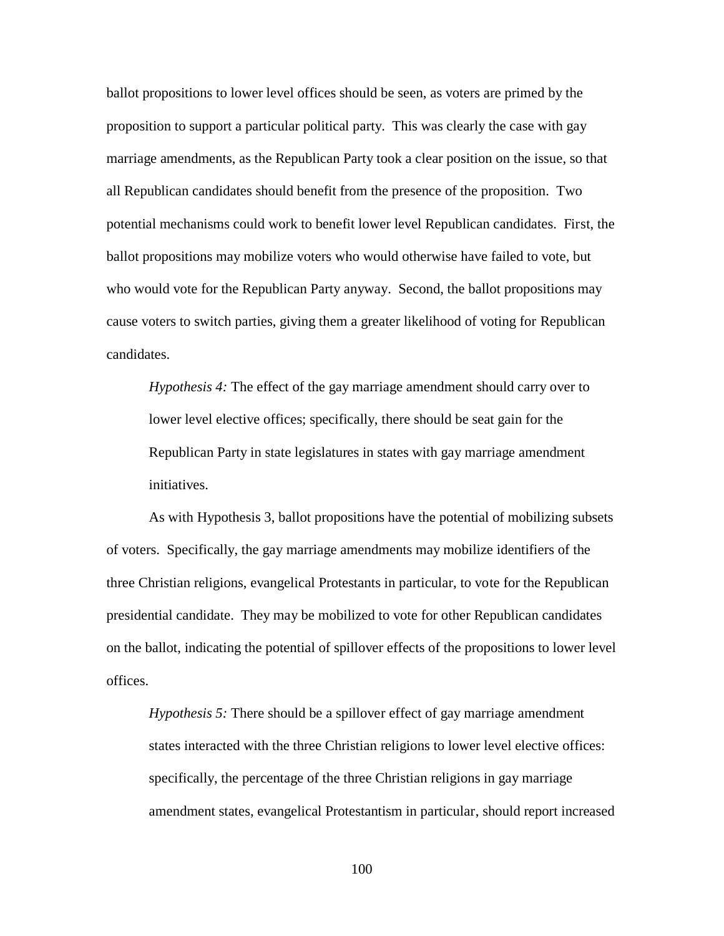ballot propositions to lower level offices should be seen, as voters are primed by the proposition to support a particular political party. This was clearly the case with gay marriage amendments, as the Republican Party took a clear position on the issue, so that all Republican candidates should benefit from the presence of the proposition. Two potential mechanisms could work to benefit lower level Republican candidates. First, the ballot propositions may mobilize voters who would otherwise have failed to vote, but who would vote for the Republican Party anyway. Second, the ballot propositions may cause voters to switch parties, giving them a greater likelihood of voting for Republican candidates.

*Hypothesis 4:* The effect of the gay marriage amendment should carry over to lower level elective offices; specifically, there should be seat gain for the Republican Party in state legislatures in states with gay marriage amendment initiatives.

As with Hypothesis 3, ballot propositions have the potential of mobilizing subsets of voters. Specifically, the gay marriage amendments may mobilize identifiers of the three Christian religions, evangelical Protestants in particular, to vote for the Republican presidential candidate. They may be mobilized to vote for other Republican candidates on the ballot, indicating the potential of spillover effects of the propositions to lower level offices.

*Hypothesis 5:* There should be a spillover effect of gay marriage amendment states interacted with the three Christian religions to lower level elective offices: specifically, the percentage of the three Christian religions in gay marriage amendment states, evangelical Protestantism in particular, should report increased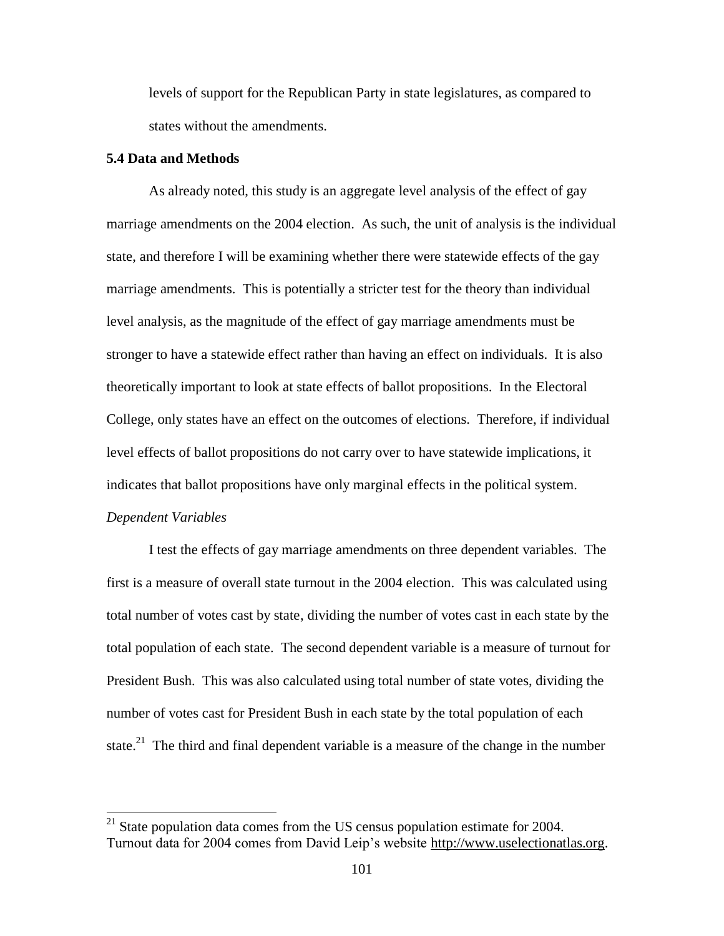levels of support for the Republican Party in state legislatures, as compared to states without the amendments.

### **5.4 Data and Methods**

l

As already noted, this study is an aggregate level analysis of the effect of gay marriage amendments on the 2004 election. As such, the unit of analysis is the individual state, and therefore I will be examining whether there were statewide effects of the gay marriage amendments. This is potentially a stricter test for the theory than individual level analysis, as the magnitude of the effect of gay marriage amendments must be stronger to have a statewide effect rather than having an effect on individuals. It is also theoretically important to look at state effects of ballot propositions. In the Electoral College, only states have an effect on the outcomes of elections. Therefore, if individual level effects of ballot propositions do not carry over to have statewide implications, it indicates that ballot propositions have only marginal effects in the political system. *Dependent Variables*

I test the effects of gay marriage amendments on three dependent variables. The first is a measure of overall state turnout in the 2004 election. This was calculated using total number of votes cast by state, dividing the number of votes cast in each state by the total population of each state. The second dependent variable is a measure of turnout for President Bush. This was also calculated using total number of state votes, dividing the number of votes cast for President Bush in each state by the total population of each state.<sup>21</sup> The third and final dependent variable is a measure of the change in the number

<sup>&</sup>lt;sup>21</sup> State population data comes from the US census population estimate for 2004. Turnout data for 2004 comes from David Leip's website [http://www.uselectionatlas.org.](http://www.uselectionatlas.org/)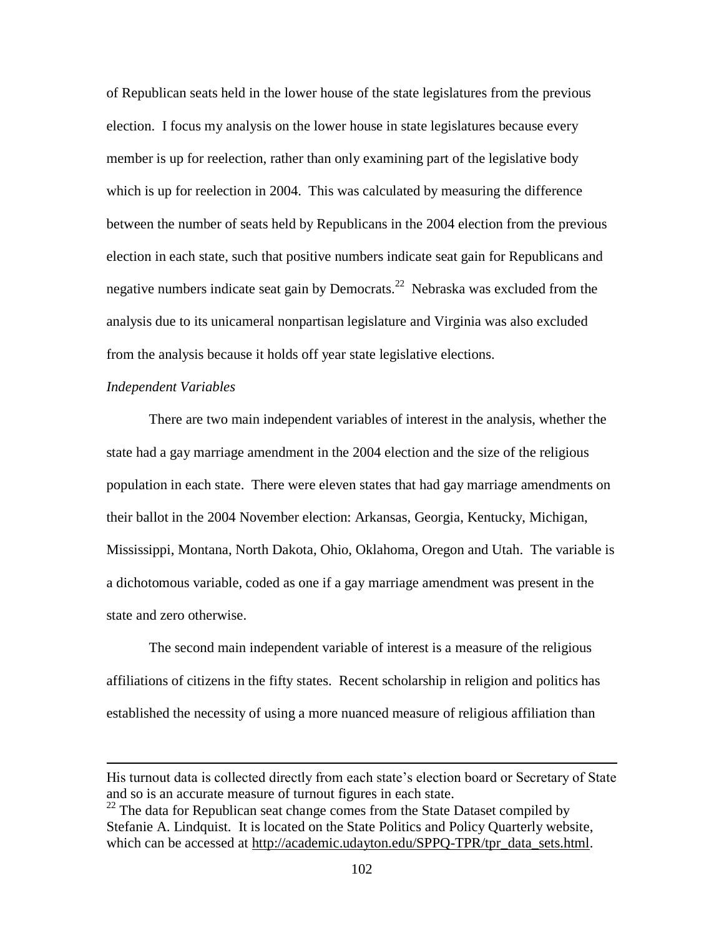of Republican seats held in the lower house of the state legislatures from the previous election. I focus my analysis on the lower house in state legislatures because every member is up for reelection, rather than only examining part of the legislative body which is up for reelection in 2004. This was calculated by measuring the difference between the number of seats held by Republicans in the 2004 election from the previous election in each state, such that positive numbers indicate seat gain for Republicans and negative numbers indicate seat gain by Democrats.<sup>22</sup> Nebraska was excluded from the analysis due to its unicameral nonpartisan legislature and Virginia was also excluded from the analysis because it holds off year state legislative elections.

# *Independent Variables*

 $\overline{a}$ 

There are two main independent variables of interest in the analysis, whether the state had a gay marriage amendment in the 2004 election and the size of the religious population in each state. There were eleven states that had gay marriage amendments on their ballot in the 2004 November election: Arkansas, Georgia, Kentucky, Michigan, Mississippi, Montana, North Dakota, Ohio, Oklahoma, Oregon and Utah. The variable is a dichotomous variable, coded as one if a gay marriage amendment was present in the state and zero otherwise.

The second main independent variable of interest is a measure of the religious affiliations of citizens in the fifty states. Recent scholarship in religion and politics has established the necessity of using a more nuanced measure of religious affiliation than

His turnout data is collected directly from each state's election board or Secretary of State and so is an accurate measure of turnout figures in each state.

 $22$  The data for Republican seat change comes from the State Dataset compiled by Stefanie A. Lindquist. It is located on the State Politics and Policy Quarterly website, which can be accessed at [http://academic.udayton.edu/SPPQ-TPR/tpr\\_data\\_sets.html.](http://academic.udayton.edu/SPPQ-TPR/tpr_data_sets.html)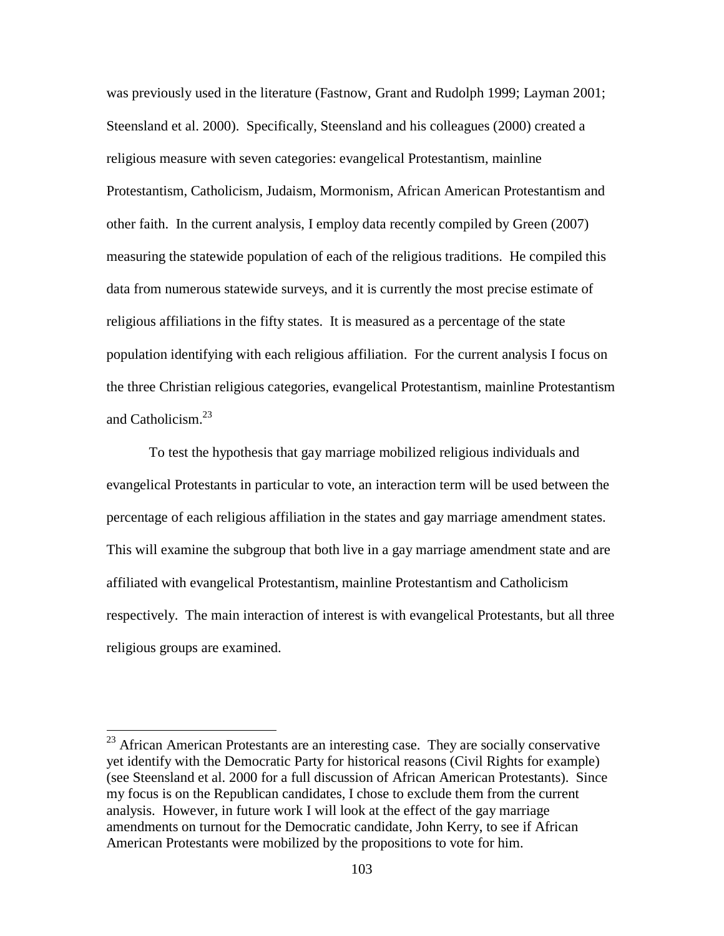was previously used in the literature (Fastnow, Grant and Rudolph 1999; Layman 2001; Steensland et al. 2000). Specifically, Steensland and his colleagues (2000) created a religious measure with seven categories: evangelical Protestantism, mainline Protestantism, Catholicism, Judaism, Mormonism, African American Protestantism and other faith. In the current analysis, I employ data recently compiled by Green (2007) measuring the statewide population of each of the religious traditions. He compiled this data from numerous statewide surveys, and it is currently the most precise estimate of religious affiliations in the fifty states. It is measured as a percentage of the state population identifying with each religious affiliation. For the current analysis I focus on the three Christian religious categories, evangelical Protestantism, mainline Protestantism and Catholicism.<sup>23</sup>

To test the hypothesis that gay marriage mobilized religious individuals and evangelical Protestants in particular to vote, an interaction term will be used between the percentage of each religious affiliation in the states and gay marriage amendment states. This will examine the subgroup that both live in a gay marriage amendment state and are affiliated with evangelical Protestantism, mainline Protestantism and Catholicism respectively. The main interaction of interest is with evangelical Protestants, but all three religious groups are examined.

l

 $2<sup>23</sup>$  African American Protestants are an interesting case. They are socially conservative yet identify with the Democratic Party for historical reasons (Civil Rights for example) (see Steensland et al. 2000 for a full discussion of African American Protestants). Since my focus is on the Republican candidates, I chose to exclude them from the current analysis. However, in future work I will look at the effect of the gay marriage amendments on turnout for the Democratic candidate, John Kerry, to see if African American Protestants were mobilized by the propositions to vote for him.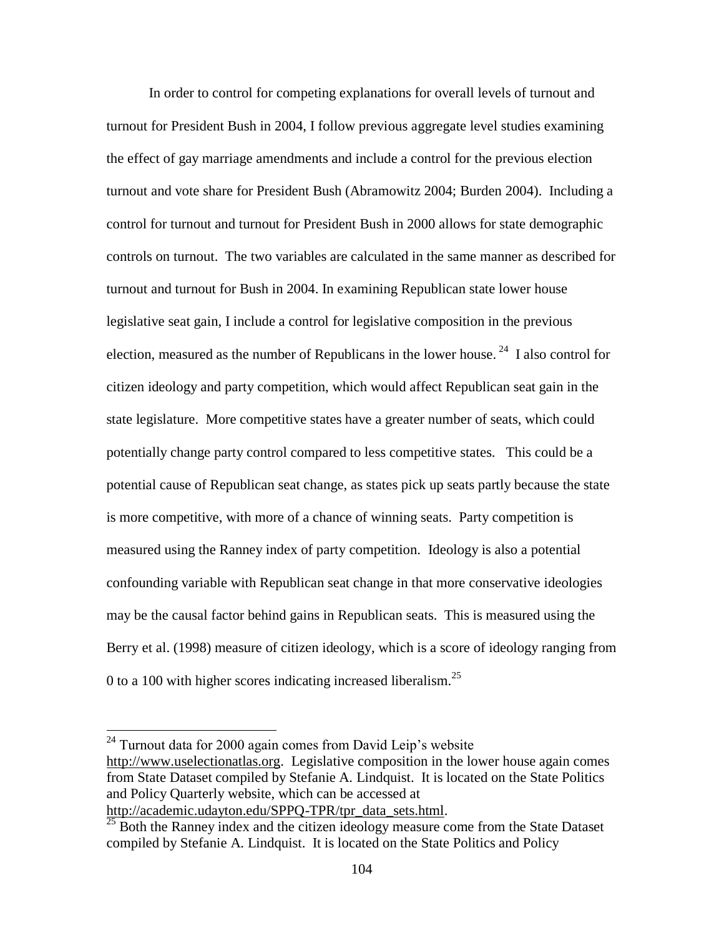In order to control for competing explanations for overall levels of turnout and turnout for President Bush in 2004, I follow previous aggregate level studies examining the effect of gay marriage amendments and include a control for the previous election turnout and vote share for President Bush (Abramowitz 2004; Burden 2004). Including a control for turnout and turnout for President Bush in 2000 allows for state demographic controls on turnout. The two variables are calculated in the same manner as described for turnout and turnout for Bush in 2004. In examining Republican state lower house legislative seat gain, I include a control for legislative composition in the previous election, measured as the number of Republicans in the lower house.<sup>24</sup> I also control for citizen ideology and party competition, which would affect Republican seat gain in the state legislature. More competitive states have a greater number of seats, which could potentially change party control compared to less competitive states. This could be a potential cause of Republican seat change, as states pick up seats partly because the state is more competitive, with more of a chance of winning seats. Party competition is measured using the Ranney index of party competition. Ideology is also a potential confounding variable with Republican seat change in that more conservative ideologies may be the causal factor behind gains in Republican seats. This is measured using the Berry et al. (1998) measure of citizen ideology, which is a score of ideology ranging from 0 to a 100 with higher scores indicating increased liberalism.<sup>25</sup>

l  $24$  Turnout data for 2000 again comes from David Leip's website [http://www.uselectionatlas.org.](http://www.uselectionatlas.org/) Legislative composition in the lower house again comes from State Dataset compiled by Stefanie A. Lindquist. It is located on the State Politics and Policy Quarterly website, which can be accessed at [http://academic.udayton.edu/SPPQ-TPR/tpr\\_data\\_sets.html.](http://academic.udayton.edu/SPPQ-TPR/tpr_data_sets.html)

<sup>&</sup>lt;sup>25</sup> Both the Ranney index and the citizen ideology measure come from the State Dataset compiled by Stefanie A. Lindquist. It is located on the State Politics and Policy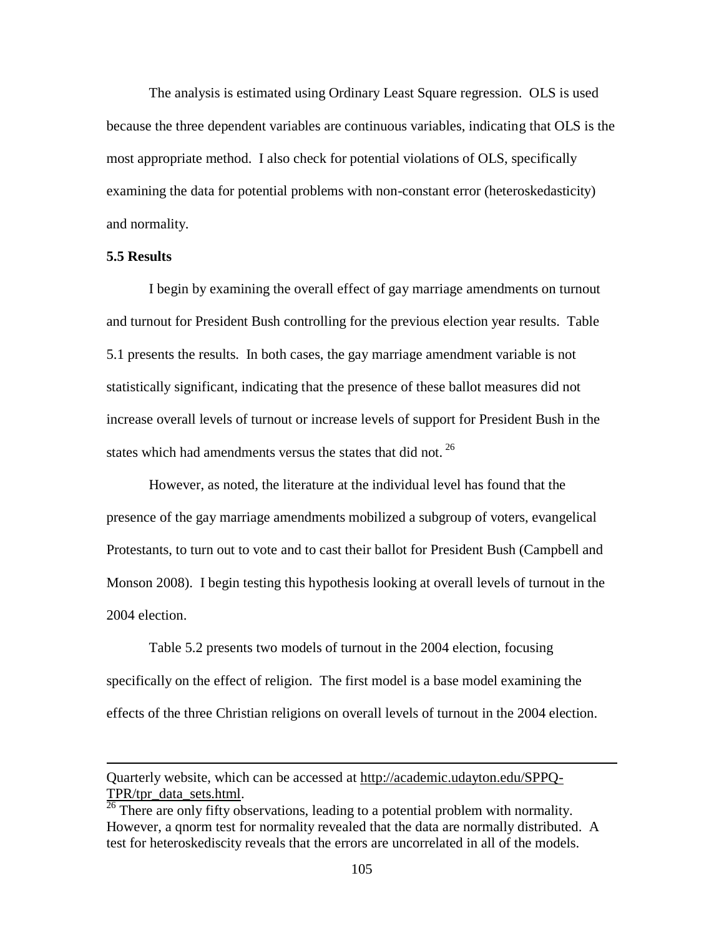The analysis is estimated using Ordinary Least Square regression. OLS is used because the three dependent variables are continuous variables, indicating that OLS is the most appropriate method. I also check for potential violations of OLS, specifically examining the data for potential problems with non-constant error (heteroskedasticity) and normality.

# **5.5 Results**

 $\overline{a}$ 

I begin by examining the overall effect of gay marriage amendments on turnout and turnout for President Bush controlling for the previous election year results. Table 5.1 presents the results. In both cases, the gay marriage amendment variable is not statistically significant, indicating that the presence of these ballot measures did not increase overall levels of turnout or increase levels of support for President Bush in the states which had amendments versus the states that did not.<sup>26</sup>

However, as noted, the literature at the individual level has found that the presence of the gay marriage amendments mobilized a subgroup of voters, evangelical Protestants, to turn out to vote and to cast their ballot for President Bush (Campbell and Monson 2008). I begin testing this hypothesis looking at overall levels of turnout in the 2004 election.

Table 5.2 presents two models of turnout in the 2004 election, focusing specifically on the effect of religion. The first model is a base model examining the effects of the three Christian religions on overall levels of turnout in the 2004 election.

Quarterly website, which can be accessed at [http://academic.udayton.edu/SPPQ-](http://academic.udayton.edu/SPPQ-TPR/tpr_data_sets.html)[TPR/tpr\\_data\\_sets.html.](http://academic.udayton.edu/SPPQ-TPR/tpr_data_sets.html)

 $\frac{1}{26}$  There are only fifty observations, leading to a potential problem with normality. However, a qnorm test for normality revealed that the data are normally distributed. A test for heteroskediscity reveals that the errors are uncorrelated in all of the models.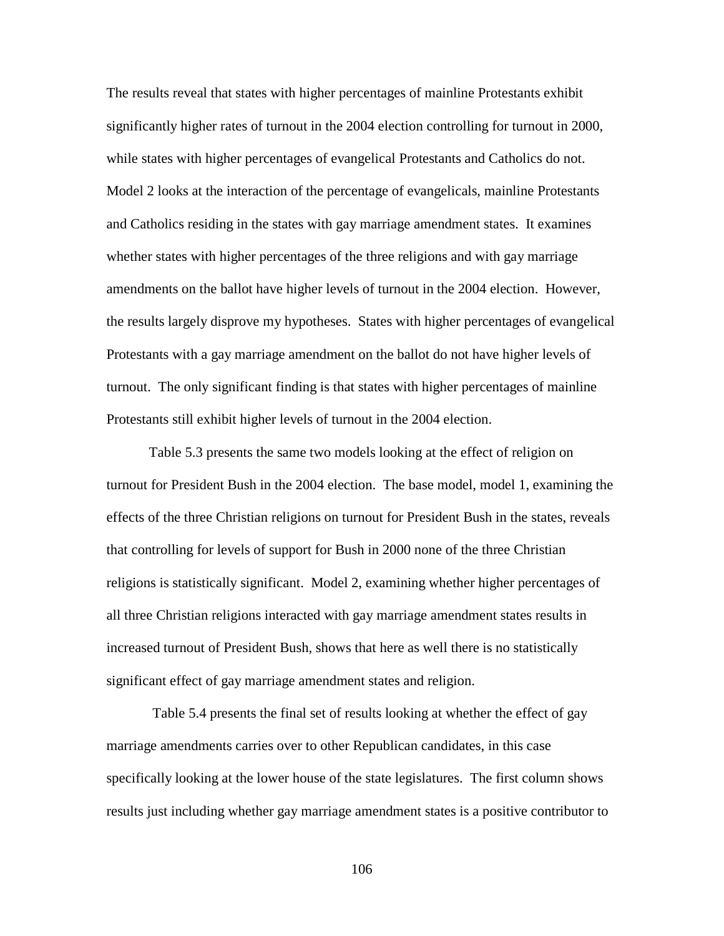The results reveal that states with higher percentages of mainline Protestants exhibit significantly higher rates of turnout in the 2004 election controlling for turnout in 2000, while states with higher percentages of evangelical Protestants and Catholics do not. Model 2 looks at the interaction of the percentage of evangelicals, mainline Protestants and Catholics residing in the states with gay marriage amendment states. It examines whether states with higher percentages of the three religions and with gay marriage amendments on the ballot have higher levels of turnout in the 2004 election. However, the results largely disprove my hypotheses. States with higher percentages of evangelical Protestants with a gay marriage amendment on the ballot do not have higher levels of turnout. The only significant finding is that states with higher percentages of mainline Protestants still exhibit higher levels of turnout in the 2004 election.

Table 5.3 presents the same two models looking at the effect of religion on turnout for President Bush in the 2004 election. The base model, model 1, examining the effects of the three Christian religions on turnout for President Bush in the states, reveals that controlling for levels of support for Bush in 2000 none of the three Christian religions is statistically significant. Model 2, examining whether higher percentages of all three Christian religions interacted with gay marriage amendment states results in increased turnout of President Bush, shows that here as well there is no statistically significant effect of gay marriage amendment states and religion.

Table 5.4 presents the final set of results looking at whether the effect of gay marriage amendments carries over to other Republican candidates, in this case specifically looking at the lower house of the state legislatures. The first column shows results just including whether gay marriage amendment states is a positive contributor to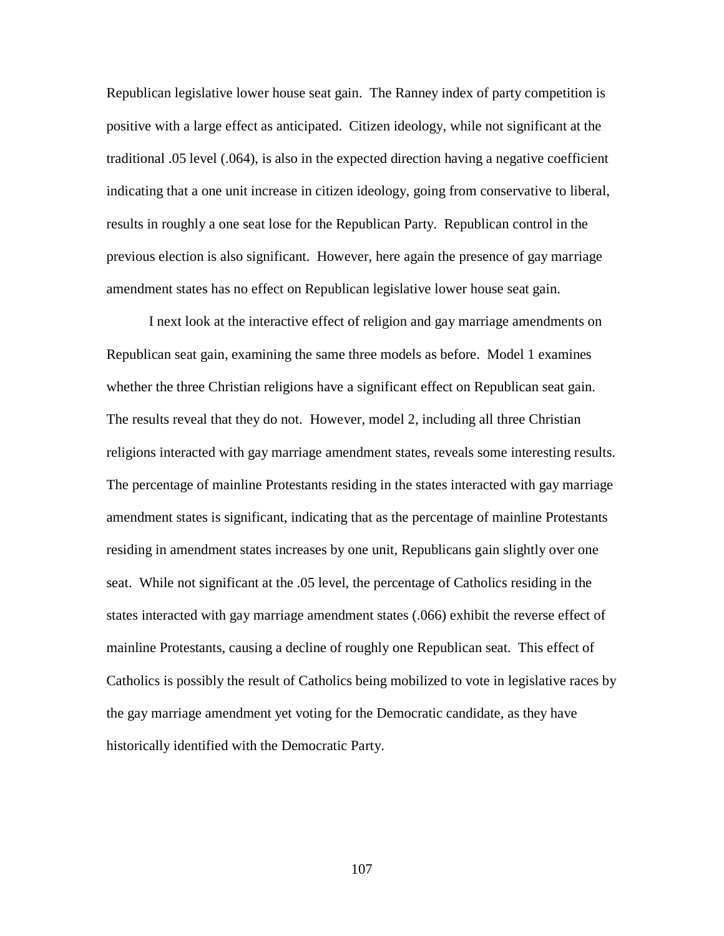Republican legislative lower house seat gain. The Ranney index of party competition is positive with a large effect as anticipated. Citizen ideology, while not significant at the traditional .05 level (.064), is also in the expected direction having a negative coefficient indicating that a one unit increase in citizen ideology, going from conservative to liberal, results in roughly a one seat lose for the Republican Party. Republican control in the previous election is also significant. However, here again the presence of gay marriage amendment states has no effect on Republican legislative lower house seat gain.

I next look at the interactive effect of religion and gay marriage amendments on Republican seat gain, examining the same three models as before. Model 1 examines whether the three Christian religions have a significant effect on Republican seat gain. The results reveal that they do not. However, model 2, including all three Christian religions interacted with gay marriage amendment states, reveals some interesting results. The percentage of mainline Protestants residing in the states interacted with gay marriage amendment states is significant, indicating that as the percentage of mainline Protestants residing in amendment states increases by one unit, Republicans gain slightly over one seat. While not significant at the .05 level, the percentage of Catholics residing in the states interacted with gay marriage amendment states (.066) exhibit the reverse effect of mainline Protestants, causing a decline of roughly one Republican seat. This effect of Catholics is possibly the result of Catholics being mobilized to vote in legislative races by the gay marriage amendment yet voting for the Democratic candidate, as they have historically identified with the Democratic Party.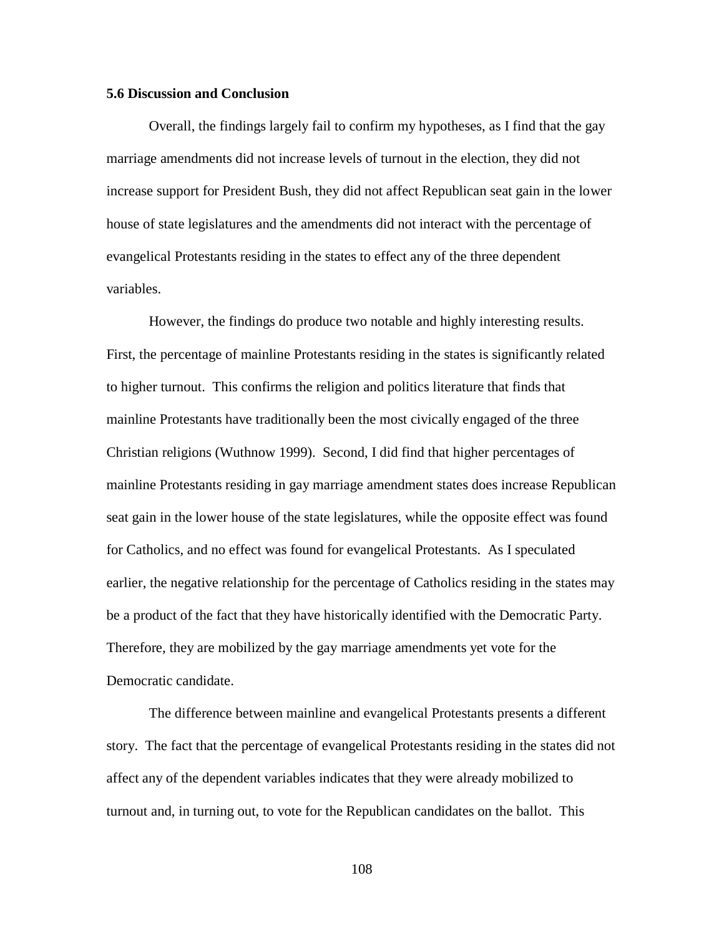# **5.6 Discussion and Conclusion**

Overall, the findings largely fail to confirm my hypotheses, as I find that the gay marriage amendments did not increase levels of turnout in the election, they did not increase support for President Bush, they did not affect Republican seat gain in the lower house of state legislatures and the amendments did not interact with the percentage of evangelical Protestants residing in the states to effect any of the three dependent variables.

However, the findings do produce two notable and highly interesting results. First, the percentage of mainline Protestants residing in the states is significantly related to higher turnout. This confirms the religion and politics literature that finds that mainline Protestants have traditionally been the most civically engaged of the three Christian religions (Wuthnow 1999). Second, I did find that higher percentages of mainline Protestants residing in gay marriage amendment states does increase Republican seat gain in the lower house of the state legislatures, while the opposite effect was found for Catholics, and no effect was found for evangelical Protestants. As I speculated earlier, the negative relationship for the percentage of Catholics residing in the states may be a product of the fact that they have historically identified with the Democratic Party. Therefore, they are mobilized by the gay marriage amendments yet vote for the Democratic candidate.

The difference between mainline and evangelical Protestants presents a different story. The fact that the percentage of evangelical Protestants residing in the states did not affect any of the dependent variables indicates that they were already mobilized to turnout and, in turning out, to vote for the Republican candidates on the ballot. This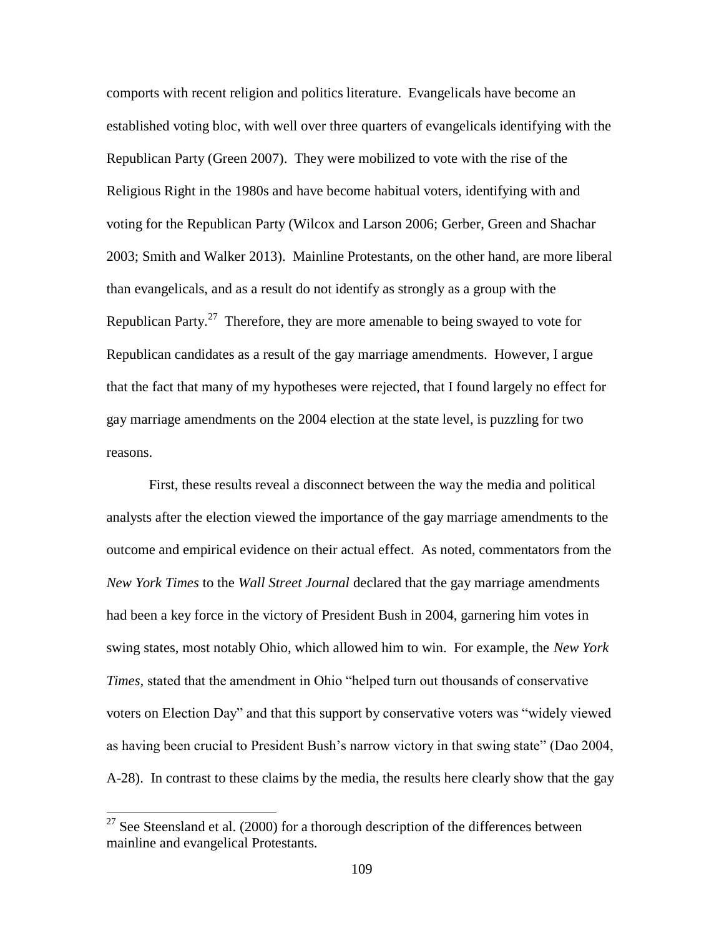comports with recent religion and politics literature. Evangelicals have become an established voting bloc, with well over three quarters of evangelicals identifying with the Republican Party (Green 2007). They were mobilized to vote with the rise of the Religious Right in the 1980s and have become habitual voters, identifying with and voting for the Republican Party (Wilcox and Larson 2006; Gerber, Green and Shachar 2003; Smith and Walker 2013). Mainline Protestants, on the other hand, are more liberal than evangelicals, and as a result do not identify as strongly as a group with the Republican Party.<sup>27</sup> Therefore, they are more amenable to being swayed to vote for Republican candidates as a result of the gay marriage amendments. However, I argue that the fact that many of my hypotheses were rejected, that I found largely no effect for gay marriage amendments on the 2004 election at the state level, is puzzling for two reasons.

First, these results reveal a disconnect between the way the media and political analysts after the election viewed the importance of the gay marriage amendments to the outcome and empirical evidence on their actual effect. As noted, commentators from the *New York Times* to the *Wall Street Journal* declared that the gay marriage amendments had been a key force in the victory of President Bush in 2004, garnering him votes in swing states, most notably Ohio, which allowed him to win. For example, the *New York Times,* stated that the amendment in Ohio "helped turn out thousands of conservative voters on Election Day" and that this support by conservative voters was "widely viewed as having been crucial to President Bush's narrow victory in that swing state" (Dao 2004, A-28). In contrast to these claims by the media, the results here clearly show that the gay

l

 $27$  See Steensland et al. (2000) for a thorough description of the differences between mainline and evangelical Protestants.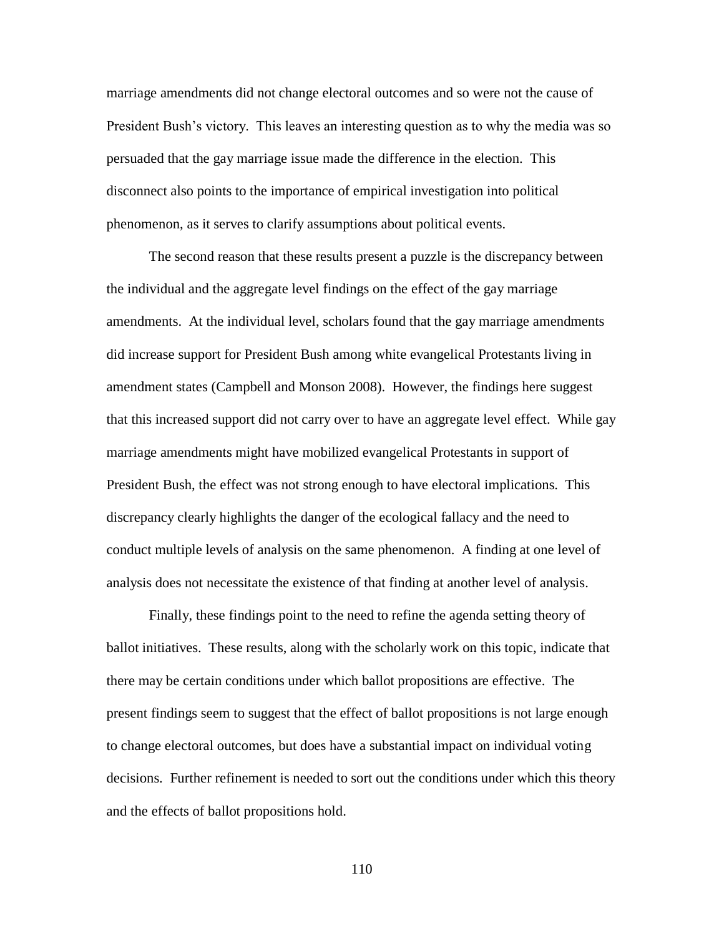marriage amendments did not change electoral outcomes and so were not the cause of President Bush's victory. This leaves an interesting question as to why the media was so persuaded that the gay marriage issue made the difference in the election. This disconnect also points to the importance of empirical investigation into political phenomenon, as it serves to clarify assumptions about political events.

The second reason that these results present a puzzle is the discrepancy between the individual and the aggregate level findings on the effect of the gay marriage amendments. At the individual level, scholars found that the gay marriage amendments did increase support for President Bush among white evangelical Protestants living in amendment states (Campbell and Monson 2008). However, the findings here suggest that this increased support did not carry over to have an aggregate level effect. While gay marriage amendments might have mobilized evangelical Protestants in support of President Bush, the effect was not strong enough to have electoral implications. This discrepancy clearly highlights the danger of the ecological fallacy and the need to conduct multiple levels of analysis on the same phenomenon. A finding at one level of analysis does not necessitate the existence of that finding at another level of analysis.

Finally, these findings point to the need to refine the agenda setting theory of ballot initiatives. These results, along with the scholarly work on this topic, indicate that there may be certain conditions under which ballot propositions are effective. The present findings seem to suggest that the effect of ballot propositions is not large enough to change electoral outcomes, but does have a substantial impact on individual voting decisions. Further refinement is needed to sort out the conditions under which this theory and the effects of ballot propositions hold.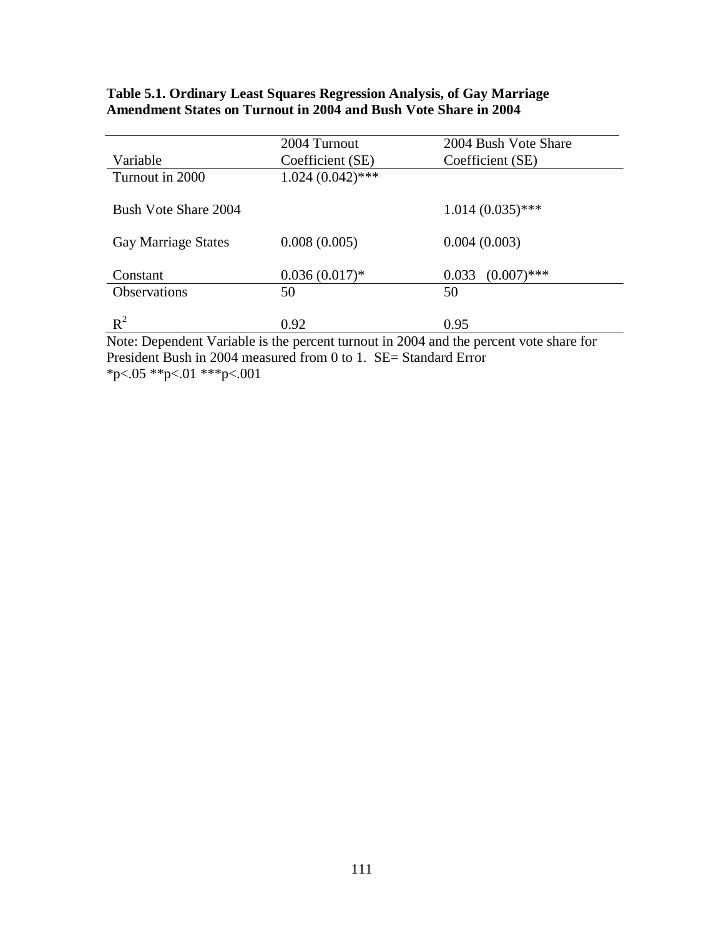# **Table 5.1. Ordinary Least Squares Regression Analysis, of Gay Marriage Amendment States on Turnout in 2004 and Bush Vote Share in 2004**

|                            | 2004 Turnout       | 2004 Bush Vote Share   |  |
|----------------------------|--------------------|------------------------|--|
| Variable                   | Coefficient (SE)   | Coefficient (SE)       |  |
| Turnout in 2000            | $1.024(0.042)$ *** |                        |  |
|                            |                    |                        |  |
| Bush Vote Share 2004       |                    | $1.014(0.035)$ ***     |  |
|                            |                    |                        |  |
| <b>Gay Marriage States</b> | 0.008(0.005)       | 0.004(0.003)           |  |
|                            |                    |                        |  |
| Constant                   | $0.036(0.017)*$    | $(0.007)$ ***<br>0.033 |  |
| <b>Observations</b>        | 50                 | 50                     |  |
|                            |                    |                        |  |
| $R^2$                      | 0.92               | 0.95                   |  |

Note: Dependent Variable is the percent turnout in 2004 and the percent vote share for President Bush in 2004 measured from 0 to 1. SE= Standard Error \*p<.05 \*\*p<.01 \*\*\*p<.001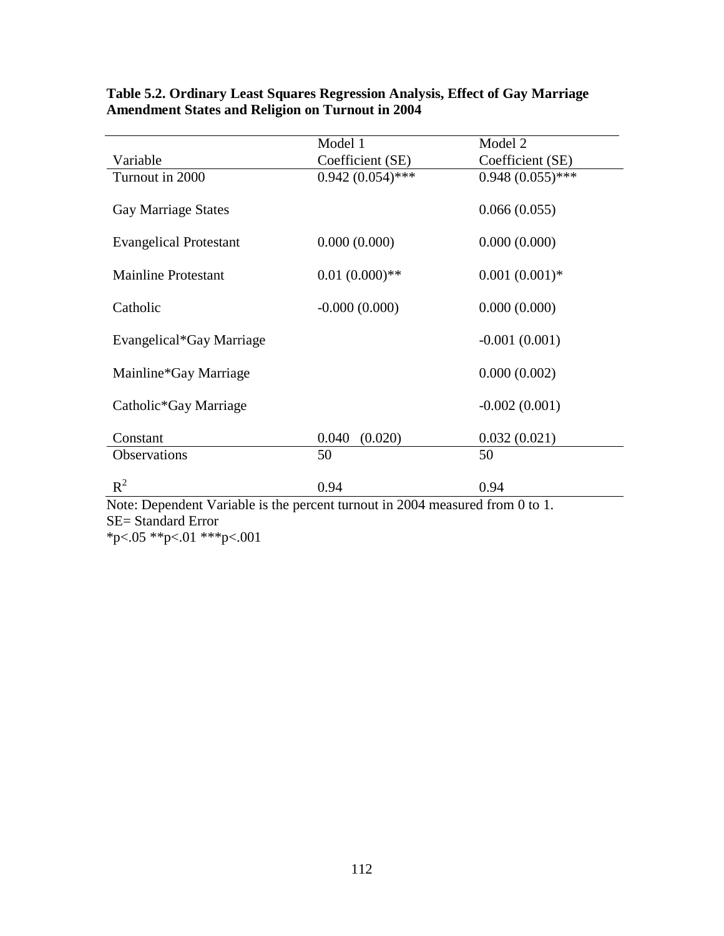|                    | $-0.002(0.001)$             |  |
|--------------------|-----------------------------|--|
|                    | 0.000(0.002)                |  |
|                    | $-0.001(0.001)$             |  |
| $-0.000(0.000)$    | 0.000(0.000)                |  |
| $0.01(0.000)$ **   | $0.001(0.001)*$             |  |
| 0.000(0.000)       | 0.000(0.000)                |  |
|                    | 0.066(0.055)                |  |
| $0.942(0.054)$ *** | $0.948(0.055)$ ***          |  |
| Coefficient (SE)   | Model 2<br>Coefficient (SE) |  |
|                    | Model 1<br>0.040<br>(0.020) |  |

# **Table 5.2. Ordinary Least Squares Regression Analysis, Effect of Gay Marriage Amendment States and Religion on Turnout in 2004**

Note: Dependent Variable is the percent turnout in 2004 measured from 0 to 1. SE= Standard Error  $*p<.05$  \*\*p $<.01$  \*\*\*p $<.001$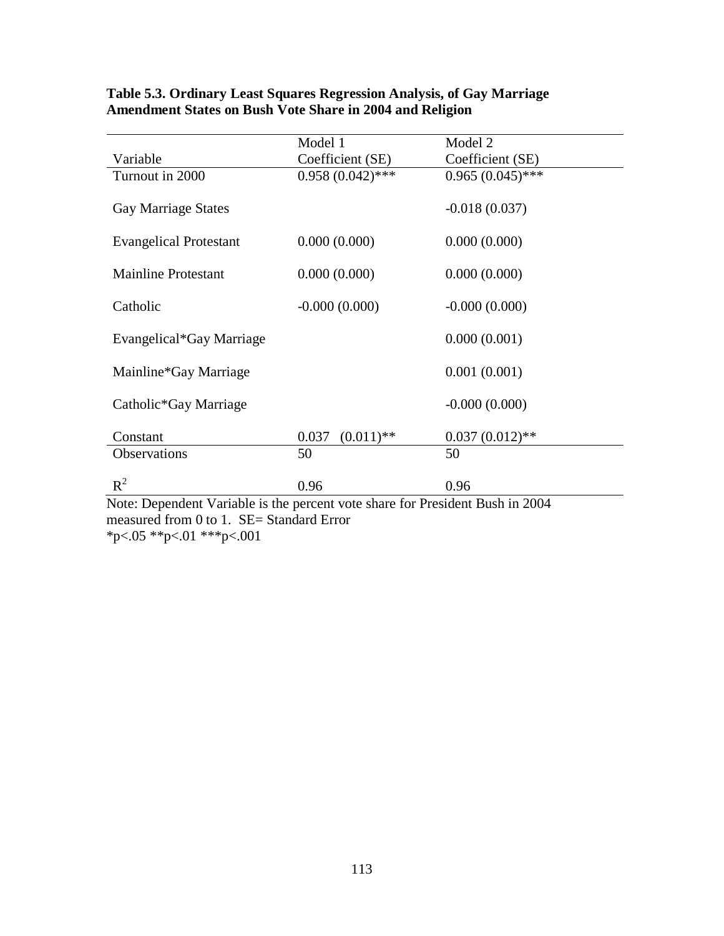| Model 2<br>Model 1<br>Variable<br>Coefficient (SE)<br>Coefficient (SE)<br>$0.958(0.042)$ ***<br>$0.965(0.045)$ ***<br>Turnout in 2000<br>$-0.018(0.037)$<br><b>Gay Marriage States</b><br>0.000(0.000)<br>0.000(0.000)<br><b>Evangelical Protestant</b> |              |  |
|---------------------------------------------------------------------------------------------------------------------------------------------------------------------------------------------------------------------------------------------------------|--------------|--|
|                                                                                                                                                                                                                                                         |              |  |
|                                                                                                                                                                                                                                                         |              |  |
|                                                                                                                                                                                                                                                         |              |  |
|                                                                                                                                                                                                                                                         |              |  |
|                                                                                                                                                                                                                                                         |              |  |
|                                                                                                                                                                                                                                                         |              |  |
|                                                                                                                                                                                                                                                         |              |  |
|                                                                                                                                                                                                                                                         |              |  |
| 0.000(0.000)<br><b>Mainline Protestant</b>                                                                                                                                                                                                              | 0.000(0.000) |  |
| $-0.000(0.000)$<br>$-0.000(0.000)$<br>Catholic                                                                                                                                                                                                          |              |  |
|                                                                                                                                                                                                                                                         |              |  |
| 0.000(0.001)<br>Evangelical*Gay Marriage                                                                                                                                                                                                                |              |  |
|                                                                                                                                                                                                                                                         |              |  |
| 0.001(0.001)<br>Mainline*Gay Marriage                                                                                                                                                                                                                   |              |  |
|                                                                                                                                                                                                                                                         |              |  |
| $-0.000(0.000)$<br>Catholic*Gay Marriage                                                                                                                                                                                                                |              |  |
|                                                                                                                                                                                                                                                         |              |  |
| 0.037<br>$(0.011)$ **<br>$0.037(0.012)$ **<br>Constant                                                                                                                                                                                                  |              |  |
| Observations<br>50<br>50                                                                                                                                                                                                                                |              |  |
| $R^2$<br>0.96<br>0.96                                                                                                                                                                                                                                   |              |  |
| Note: Dependent Variable is the percent vote share for President Bush in 2004                                                                                                                                                                           |              |  |

# **Table 5.3. Ordinary Least Squares Regression Analysis, of Gay Marriage Amendment States on Bush Vote Share in 2004 and Religion**

Note: Dependent Variable is the percent vote share for President Bush in 2004 measured from 0 to 1. SE= Standard Error \*p<.05 \*\*p<.01 \*\*\*p<.001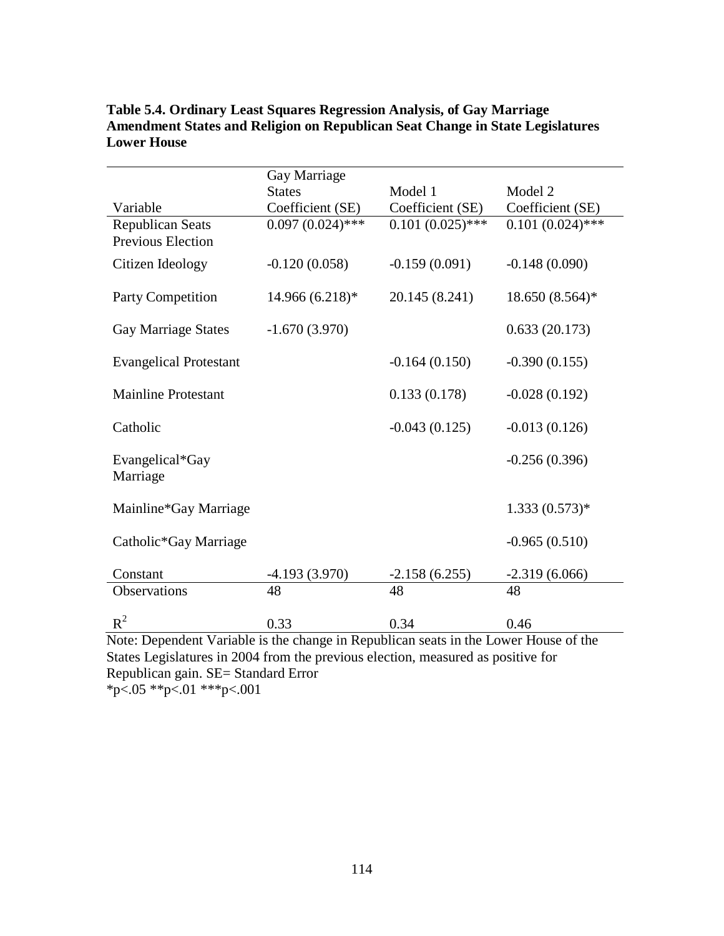|                                                                                      | Gay Marriage       |                    |                    |  |  |
|--------------------------------------------------------------------------------------|--------------------|--------------------|--------------------|--|--|
|                                                                                      | <b>States</b>      | Model 1            | Model 2            |  |  |
| Variable                                                                             | Coefficient (SE)   | Coefficient (SE)   | Coefficient (SE)   |  |  |
| <b>Republican Seats</b>                                                              | $0.097(0.024)$ *** | $0.101(0.025)$ *** | $0.101(0.024)$ *** |  |  |
| <b>Previous Election</b>                                                             |                    |                    |                    |  |  |
| Citizen Ideology                                                                     | $-0.120(0.058)$    | $-0.159(0.091)$    | $-0.148(0.090)$    |  |  |
| <b>Party Competition</b>                                                             | 14.966 (6.218)*    | 20.145 (8.241)     | 18.650 (8.564)*    |  |  |
| <b>Gay Marriage States</b>                                                           | $-1.670(3.970)$    |                    | 0.633(20.173)      |  |  |
| <b>Evangelical Protestant</b>                                                        |                    | $-0.164(0.150)$    | $-0.390(0.155)$    |  |  |
| <b>Mainline Protestant</b>                                                           |                    | 0.133(0.178)       | $-0.028(0.192)$    |  |  |
| Catholic                                                                             |                    | $-0.043(0.125)$    | $-0.013(0.126)$    |  |  |
| Evangelical*Gay<br>Marriage                                                          |                    |                    | $-0.256(0.396)$    |  |  |
| Mainline*Gay Marriage                                                                |                    |                    | $1.333(0.573)*$    |  |  |
| Catholic*Gay Marriage                                                                |                    |                    | $-0.965(0.510)$    |  |  |
| Constant                                                                             | $-4.193(3.970)$    | $-2.158(6.255)$    | $-2.319(6.066)$    |  |  |
| Observations                                                                         | 48                 | 48                 | 48                 |  |  |
|                                                                                      |                    |                    |                    |  |  |
| $R^2$                                                                                | 0.33               | 0.34               | 0.46               |  |  |
| Note: Dependent Variable is the change in Republican seats in the Lower House of the |                    |                    |                    |  |  |

**Table 5.4. Ordinary Least Squares Regression Analysis, of Gay Marriage Amendment States and Religion on Republican Seat Change in State Legislatures Lower House**

States Legislatures in 2004 from the previous election, measured as positive for Republican gain. SE= Standard Error  $*p<.05$  \*\*p<.01 \*\*\*p<.001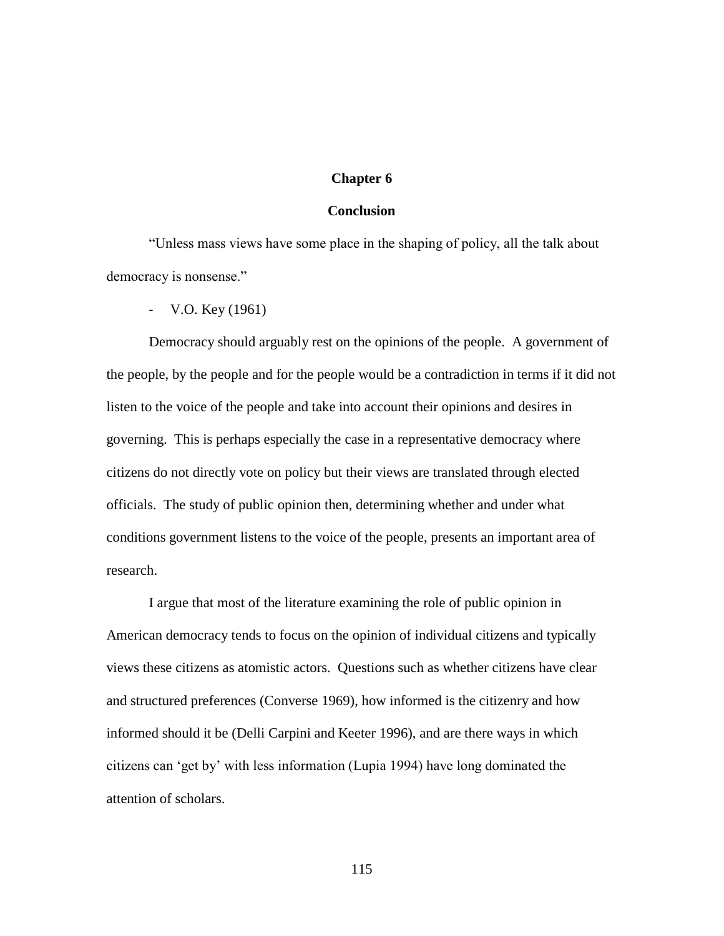# **Chapter 6**

#### **Conclusion**

"Unless mass views have some place in the shaping of policy, all the talk about democracy is nonsense."

- V.O. Key (1961)

Democracy should arguably rest on the opinions of the people. A government of the people, by the people and for the people would be a contradiction in terms if it did not listen to the voice of the people and take into account their opinions and desires in governing. This is perhaps especially the case in a representative democracy where citizens do not directly vote on policy but their views are translated through elected officials. The study of public opinion then, determining whether and under what conditions government listens to the voice of the people, presents an important area of research.

I argue that most of the literature examining the role of public opinion in American democracy tends to focus on the opinion of individual citizens and typically views these citizens as atomistic actors. Questions such as whether citizens have clear and structured preferences (Converse 1969), how informed is the citizenry and how informed should it be (Delli Carpini and Keeter 1996), and are there ways in which citizens can 'get by' with less information (Lupia 1994) have long dominated the attention of scholars.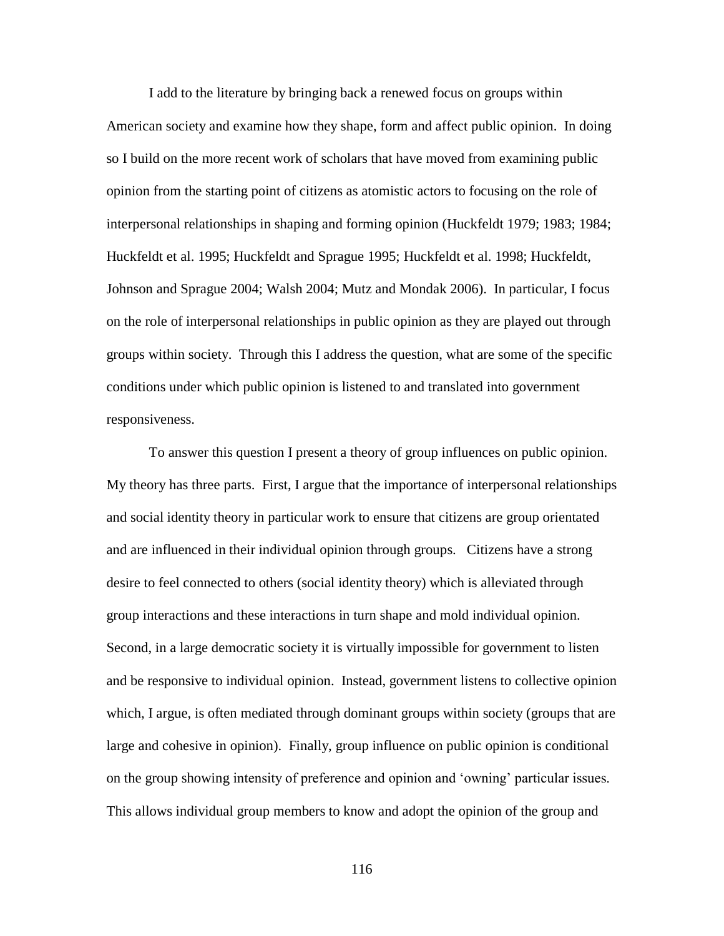I add to the literature by bringing back a renewed focus on groups within American society and examine how they shape, form and affect public opinion. In doing so I build on the more recent work of scholars that have moved from examining public opinion from the starting point of citizens as atomistic actors to focusing on the role of interpersonal relationships in shaping and forming opinion (Huckfeldt 1979; 1983; 1984; Huckfeldt et al. 1995; Huckfeldt and Sprague 1995; Huckfeldt et al. 1998; Huckfeldt, Johnson and Sprague 2004; Walsh 2004; Mutz and Mondak 2006). In particular, I focus on the role of interpersonal relationships in public opinion as they are played out through groups within society. Through this I address the question, what are some of the specific conditions under which public opinion is listened to and translated into government responsiveness.

To answer this question I present a theory of group influences on public opinion. My theory has three parts. First, I argue that the importance of interpersonal relationships and social identity theory in particular work to ensure that citizens are group orientated and are influenced in their individual opinion through groups. Citizens have a strong desire to feel connected to others (social identity theory) which is alleviated through group interactions and these interactions in turn shape and mold individual opinion. Second, in a large democratic society it is virtually impossible for government to listen and be responsive to individual opinion. Instead, government listens to collective opinion which, I argue, is often mediated through dominant groups within society (groups that are large and cohesive in opinion). Finally, group influence on public opinion is conditional on the group showing intensity of preference and opinion and 'owning' particular issues. This allows individual group members to know and adopt the opinion of the group and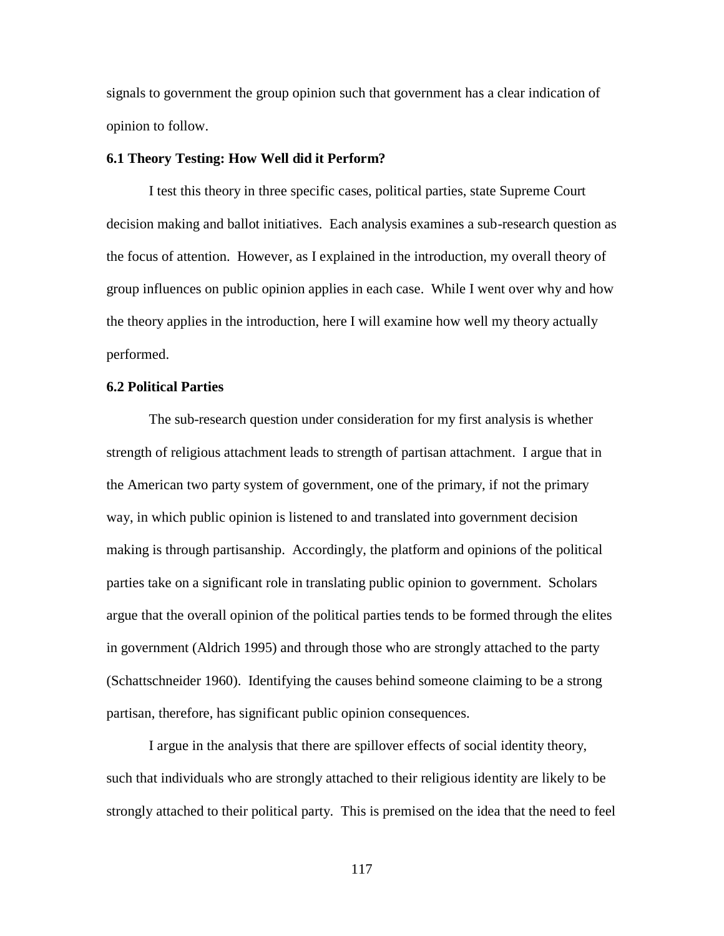signals to government the group opinion such that government has a clear indication of opinion to follow.

#### **6.1 Theory Testing: How Well did it Perform?**

I test this theory in three specific cases, political parties, state Supreme Court decision making and ballot initiatives. Each analysis examines a sub-research question as the focus of attention. However, as I explained in the introduction, my overall theory of group influences on public opinion applies in each case. While I went over why and how the theory applies in the introduction, here I will examine how well my theory actually performed.

# **6.2 Political Parties**

The sub-research question under consideration for my first analysis is whether strength of religious attachment leads to strength of partisan attachment. I argue that in the American two party system of government, one of the primary, if not the primary way, in which public opinion is listened to and translated into government decision making is through partisanship. Accordingly, the platform and opinions of the political parties take on a significant role in translating public opinion to government. Scholars argue that the overall opinion of the political parties tends to be formed through the elites in government (Aldrich 1995) and through those who are strongly attached to the party (Schattschneider 1960). Identifying the causes behind someone claiming to be a strong partisan, therefore, has significant public opinion consequences.

I argue in the analysis that there are spillover effects of social identity theory, such that individuals who are strongly attached to their religious identity are likely to be strongly attached to their political party. This is premised on the idea that the need to feel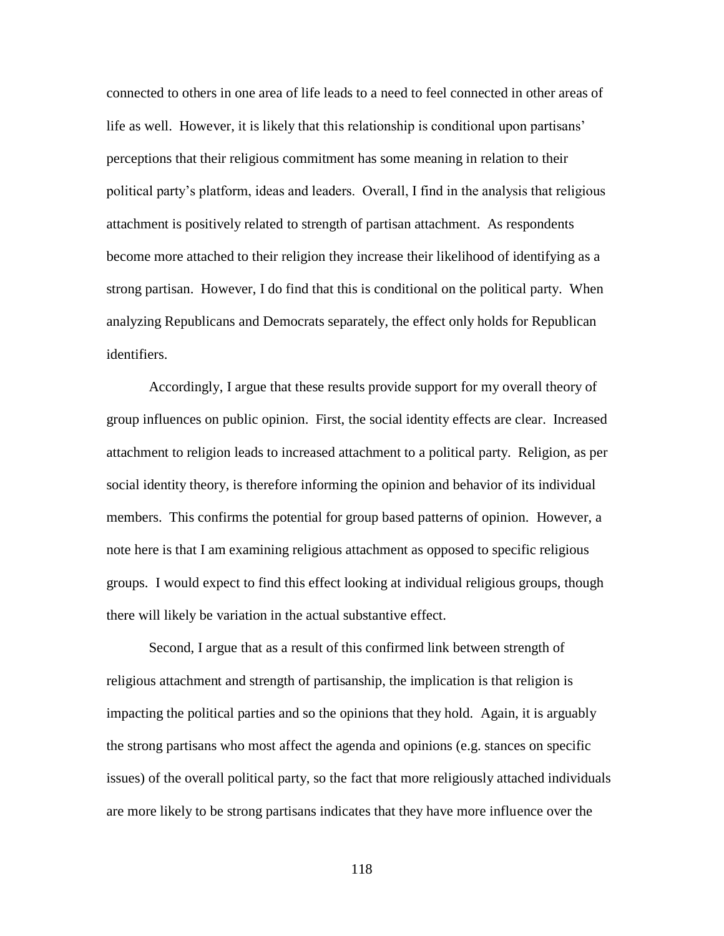connected to others in one area of life leads to a need to feel connected in other areas of life as well. However, it is likely that this relationship is conditional upon partisans' perceptions that their religious commitment has some meaning in relation to their political party's platform, ideas and leaders. Overall, I find in the analysis that religious attachment is positively related to strength of partisan attachment. As respondents become more attached to their religion they increase their likelihood of identifying as a strong partisan. However, I do find that this is conditional on the political party. When analyzing Republicans and Democrats separately, the effect only holds for Republican identifiers.

Accordingly, I argue that these results provide support for my overall theory of group influences on public opinion. First, the social identity effects are clear. Increased attachment to religion leads to increased attachment to a political party. Religion, as per social identity theory, is therefore informing the opinion and behavior of its individual members. This confirms the potential for group based patterns of opinion. However, a note here is that I am examining religious attachment as opposed to specific religious groups. I would expect to find this effect looking at individual religious groups, though there will likely be variation in the actual substantive effect.

Second, I argue that as a result of this confirmed link between strength of religious attachment and strength of partisanship, the implication is that religion is impacting the political parties and so the opinions that they hold. Again, it is arguably the strong partisans who most affect the agenda and opinions (e.g. stances on specific issues) of the overall political party, so the fact that more religiously attached individuals are more likely to be strong partisans indicates that they have more influence over the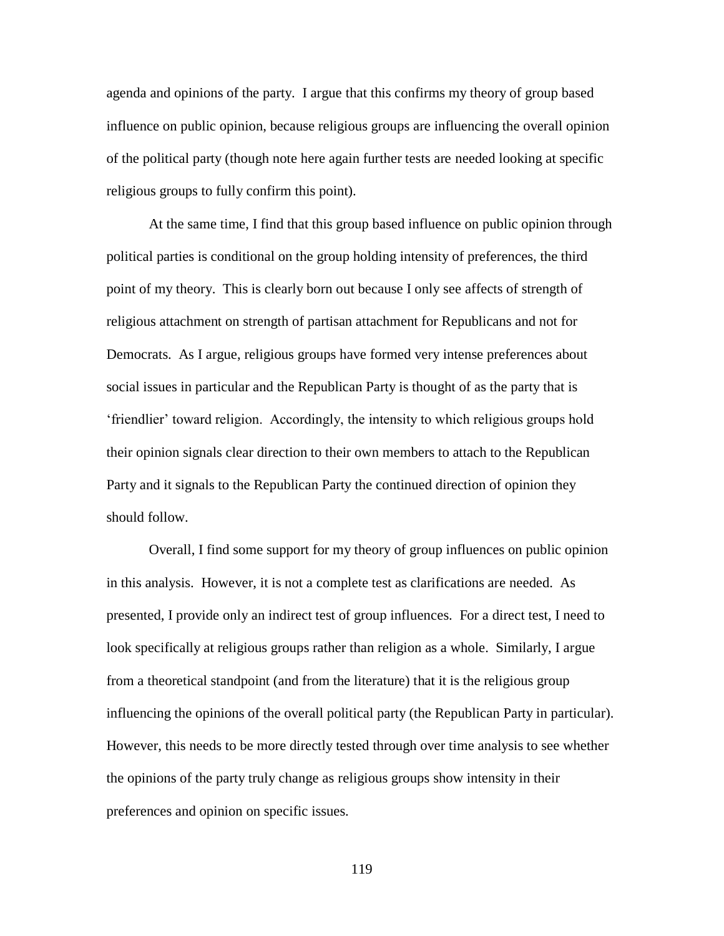agenda and opinions of the party. I argue that this confirms my theory of group based influence on public opinion, because religious groups are influencing the overall opinion of the political party (though note here again further tests are needed looking at specific religious groups to fully confirm this point).

At the same time, I find that this group based influence on public opinion through political parties is conditional on the group holding intensity of preferences, the third point of my theory. This is clearly born out because I only see affects of strength of religious attachment on strength of partisan attachment for Republicans and not for Democrats. As I argue, religious groups have formed very intense preferences about social issues in particular and the Republican Party is thought of as the party that is 'friendlier' toward religion. Accordingly, the intensity to which religious groups hold their opinion signals clear direction to their own members to attach to the Republican Party and it signals to the Republican Party the continued direction of opinion they should follow.

Overall, I find some support for my theory of group influences on public opinion in this analysis. However, it is not a complete test as clarifications are needed. As presented, I provide only an indirect test of group influences. For a direct test, I need to look specifically at religious groups rather than religion as a whole. Similarly, I argue from a theoretical standpoint (and from the literature) that it is the religious group influencing the opinions of the overall political party (the Republican Party in particular). However, this needs to be more directly tested through over time analysis to see whether the opinions of the party truly change as religious groups show intensity in their preferences and opinion on specific issues.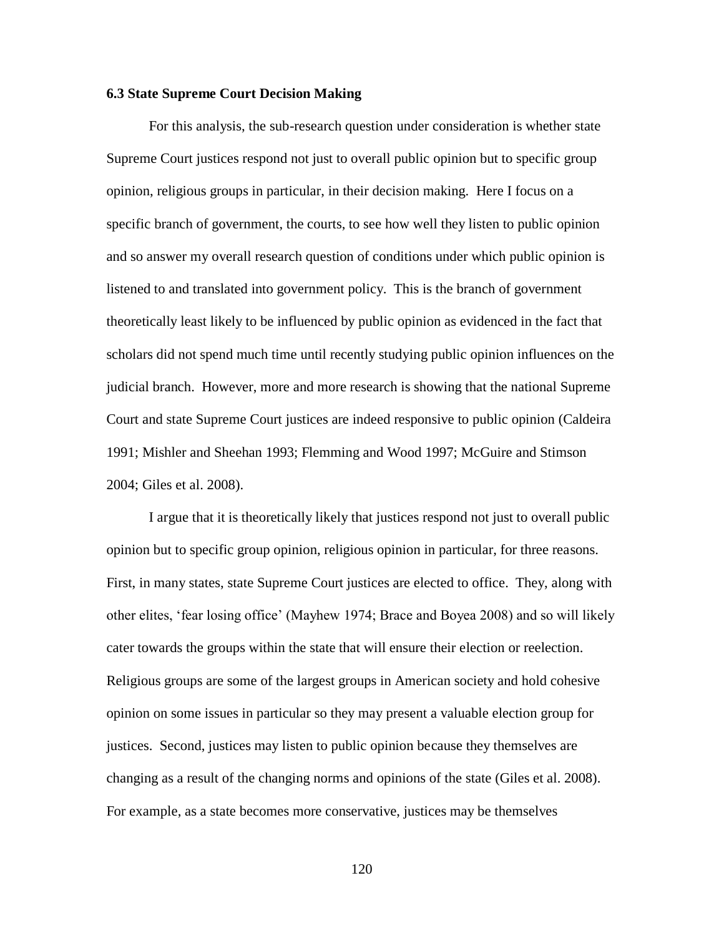## **6.3 State Supreme Court Decision Making**

For this analysis, the sub-research question under consideration is whether state Supreme Court justices respond not just to overall public opinion but to specific group opinion, religious groups in particular, in their decision making. Here I focus on a specific branch of government, the courts, to see how well they listen to public opinion and so answer my overall research question of conditions under which public opinion is listened to and translated into government policy. This is the branch of government theoretically least likely to be influenced by public opinion as evidenced in the fact that scholars did not spend much time until recently studying public opinion influences on the judicial branch. However, more and more research is showing that the national Supreme Court and state Supreme Court justices are indeed responsive to public opinion (Caldeira 1991; Mishler and Sheehan 1993; Flemming and Wood 1997; McGuire and Stimson 2004; Giles et al. 2008).

I argue that it is theoretically likely that justices respond not just to overall public opinion but to specific group opinion, religious opinion in particular, for three reasons. First, in many states, state Supreme Court justices are elected to office. They, along with other elites, 'fear losing office' (Mayhew 1974; Brace and Boyea 2008) and so will likely cater towards the groups within the state that will ensure their election or reelection. Religious groups are some of the largest groups in American society and hold cohesive opinion on some issues in particular so they may present a valuable election group for justices. Second, justices may listen to public opinion because they themselves are changing as a result of the changing norms and opinions of the state (Giles et al. 2008). For example, as a state becomes more conservative, justices may be themselves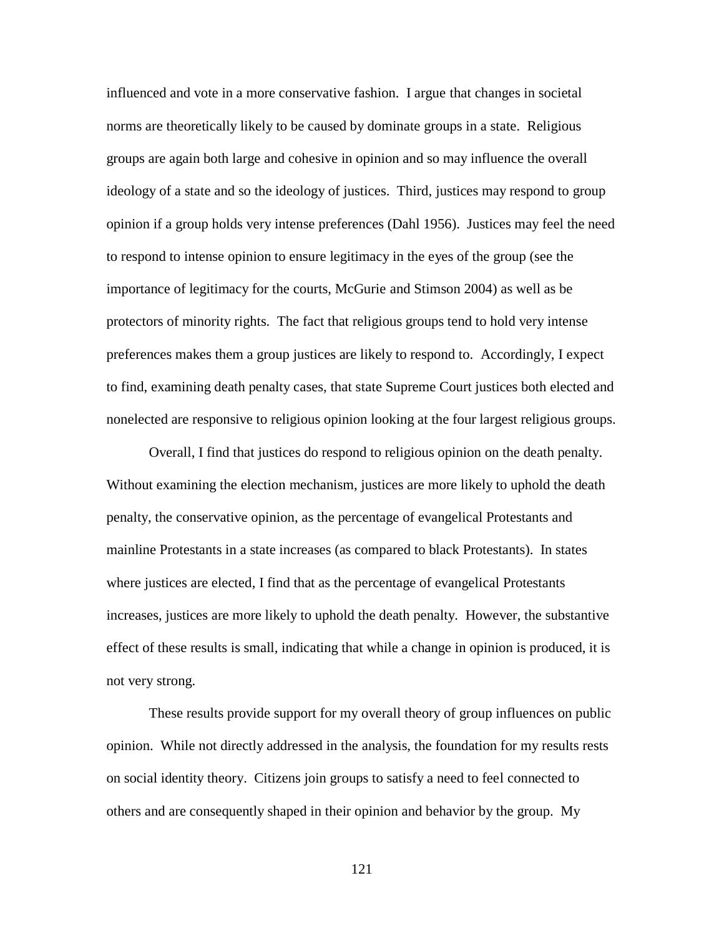influenced and vote in a more conservative fashion. I argue that changes in societal norms are theoretically likely to be caused by dominate groups in a state. Religious groups are again both large and cohesive in opinion and so may influence the overall ideology of a state and so the ideology of justices. Third, justices may respond to group opinion if a group holds very intense preferences (Dahl 1956). Justices may feel the need to respond to intense opinion to ensure legitimacy in the eyes of the group (see the importance of legitimacy for the courts, McGurie and Stimson 2004) as well as be protectors of minority rights. The fact that religious groups tend to hold very intense preferences makes them a group justices are likely to respond to. Accordingly, I expect to find, examining death penalty cases, that state Supreme Court justices both elected and nonelected are responsive to religious opinion looking at the four largest religious groups.

Overall, I find that justices do respond to religious opinion on the death penalty. Without examining the election mechanism, justices are more likely to uphold the death penalty, the conservative opinion, as the percentage of evangelical Protestants and mainline Protestants in a state increases (as compared to black Protestants). In states where justices are elected, I find that as the percentage of evangelical Protestants increases, justices are more likely to uphold the death penalty. However, the substantive effect of these results is small, indicating that while a change in opinion is produced, it is not very strong.

These results provide support for my overall theory of group influences on public opinion. While not directly addressed in the analysis, the foundation for my results rests on social identity theory. Citizens join groups to satisfy a need to feel connected to others and are consequently shaped in their opinion and behavior by the group. My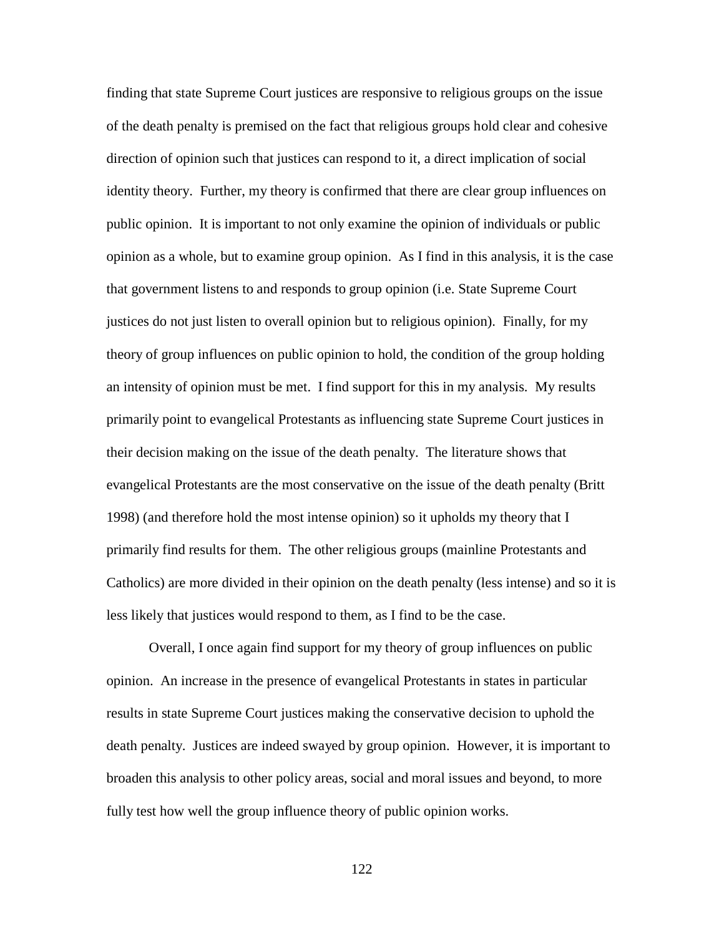finding that state Supreme Court justices are responsive to religious groups on the issue of the death penalty is premised on the fact that religious groups hold clear and cohesive direction of opinion such that justices can respond to it, a direct implication of social identity theory. Further, my theory is confirmed that there are clear group influences on public opinion. It is important to not only examine the opinion of individuals or public opinion as a whole, but to examine group opinion. As I find in this analysis, it is the case that government listens to and responds to group opinion (i.e. State Supreme Court justices do not just listen to overall opinion but to religious opinion). Finally, for my theory of group influences on public opinion to hold, the condition of the group holding an intensity of opinion must be met. I find support for this in my analysis. My results primarily point to evangelical Protestants as influencing state Supreme Court justices in their decision making on the issue of the death penalty. The literature shows that evangelical Protestants are the most conservative on the issue of the death penalty (Britt 1998) (and therefore hold the most intense opinion) so it upholds my theory that I primarily find results for them. The other religious groups (mainline Protestants and Catholics) are more divided in their opinion on the death penalty (less intense) and so it is less likely that justices would respond to them, as I find to be the case.

Overall, I once again find support for my theory of group influences on public opinion. An increase in the presence of evangelical Protestants in states in particular results in state Supreme Court justices making the conservative decision to uphold the death penalty. Justices are indeed swayed by group opinion. However, it is important to broaden this analysis to other policy areas, social and moral issues and beyond, to more fully test how well the group influence theory of public opinion works.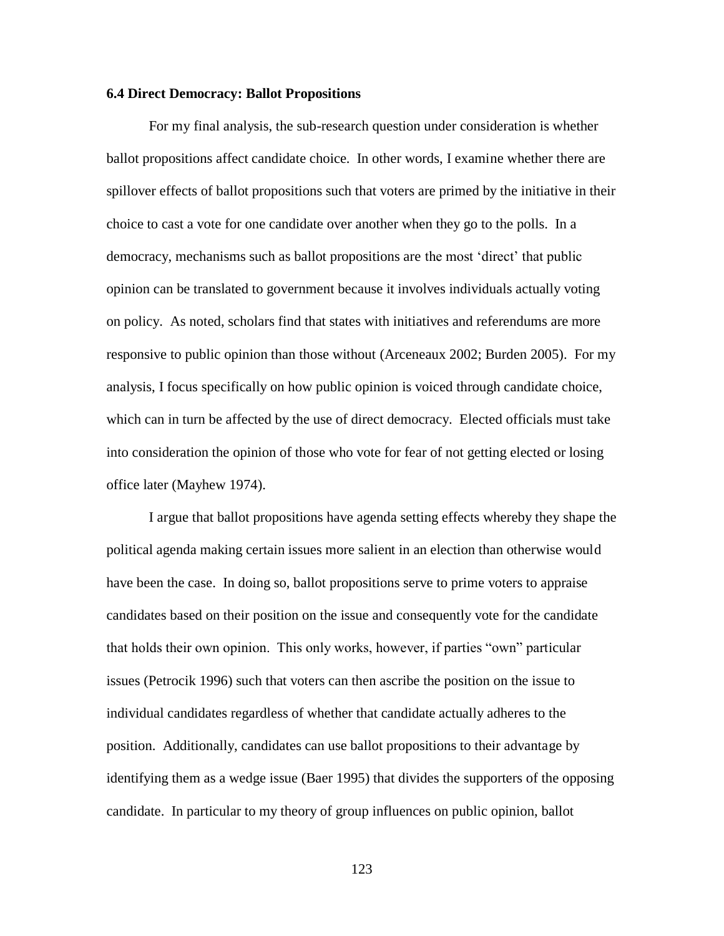### **6.4 Direct Democracy: Ballot Propositions**

For my final analysis, the sub-research question under consideration is whether ballot propositions affect candidate choice. In other words, I examine whether there are spillover effects of ballot propositions such that voters are primed by the initiative in their choice to cast a vote for one candidate over another when they go to the polls. In a democracy, mechanisms such as ballot propositions are the most 'direct' that public opinion can be translated to government because it involves individuals actually voting on policy. As noted, scholars find that states with initiatives and referendums are more responsive to public opinion than those without (Arceneaux 2002; Burden 2005). For my analysis, I focus specifically on how public opinion is voiced through candidate choice, which can in turn be affected by the use of direct democracy. Elected officials must take into consideration the opinion of those who vote for fear of not getting elected or losing office later (Mayhew 1974).

I argue that ballot propositions have agenda setting effects whereby they shape the political agenda making certain issues more salient in an election than otherwise would have been the case. In doing so, ballot propositions serve to prime voters to appraise candidates based on their position on the issue and consequently vote for the candidate that holds their own opinion. This only works, however, if parties "own" particular issues (Petrocik 1996) such that voters can then ascribe the position on the issue to individual candidates regardless of whether that candidate actually adheres to the position. Additionally, candidates can use ballot propositions to their advantage by identifying them as a wedge issue (Baer 1995) that divides the supporters of the opposing candidate. In particular to my theory of group influences on public opinion, ballot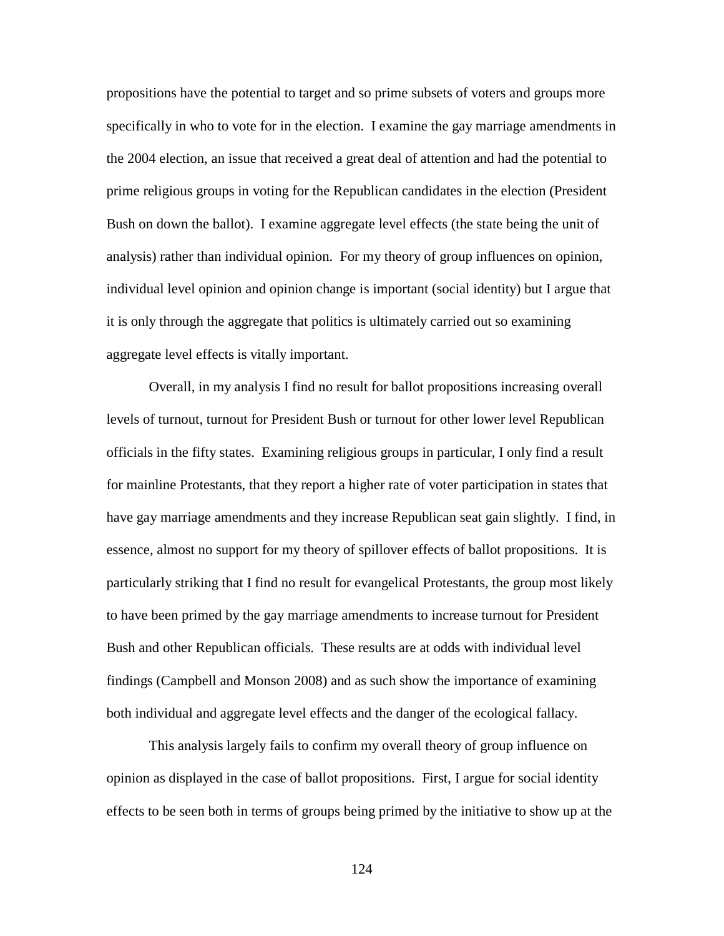propositions have the potential to target and so prime subsets of voters and groups more specifically in who to vote for in the election. I examine the gay marriage amendments in the 2004 election, an issue that received a great deal of attention and had the potential to prime religious groups in voting for the Republican candidates in the election (President Bush on down the ballot). I examine aggregate level effects (the state being the unit of analysis) rather than individual opinion. For my theory of group influences on opinion, individual level opinion and opinion change is important (social identity) but I argue that it is only through the aggregate that politics is ultimately carried out so examining aggregate level effects is vitally important.

Overall, in my analysis I find no result for ballot propositions increasing overall levels of turnout, turnout for President Bush or turnout for other lower level Republican officials in the fifty states. Examining religious groups in particular, I only find a result for mainline Protestants, that they report a higher rate of voter participation in states that have gay marriage amendments and they increase Republican seat gain slightly. I find, in essence, almost no support for my theory of spillover effects of ballot propositions. It is particularly striking that I find no result for evangelical Protestants, the group most likely to have been primed by the gay marriage amendments to increase turnout for President Bush and other Republican officials. These results are at odds with individual level findings (Campbell and Monson 2008) and as such show the importance of examining both individual and aggregate level effects and the danger of the ecological fallacy.

This analysis largely fails to confirm my overall theory of group influence on opinion as displayed in the case of ballot propositions. First, I argue for social identity effects to be seen both in terms of groups being primed by the initiative to show up at the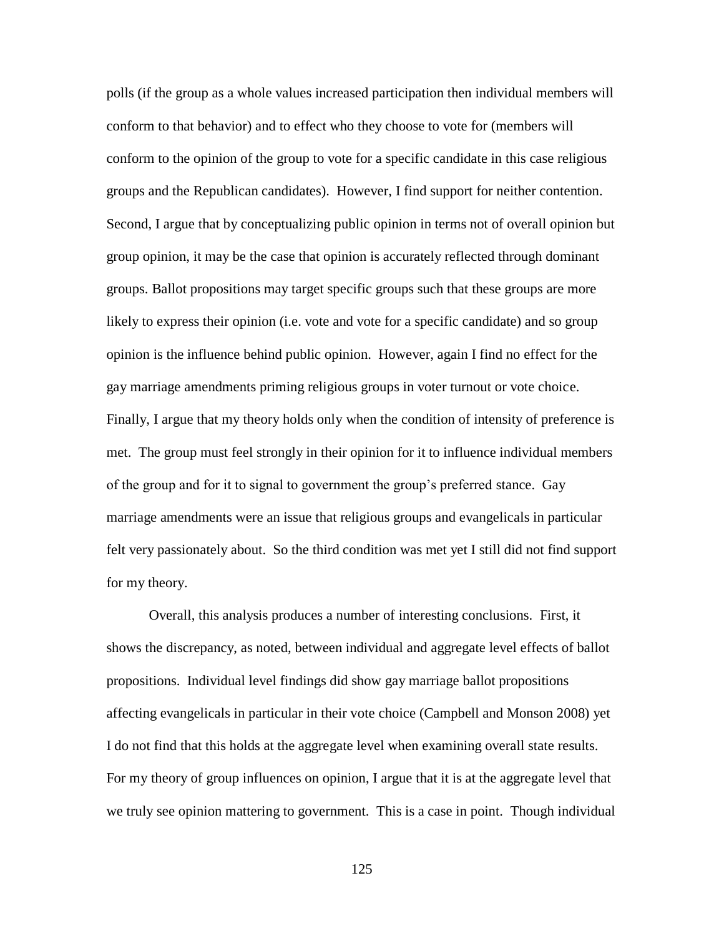polls (if the group as a whole values increased participation then individual members will conform to that behavior) and to effect who they choose to vote for (members will conform to the opinion of the group to vote for a specific candidate in this case religious groups and the Republican candidates). However, I find support for neither contention. Second, I argue that by conceptualizing public opinion in terms not of overall opinion but group opinion, it may be the case that opinion is accurately reflected through dominant groups. Ballot propositions may target specific groups such that these groups are more likely to express their opinion (i.e. vote and vote for a specific candidate) and so group opinion is the influence behind public opinion. However, again I find no effect for the gay marriage amendments priming religious groups in voter turnout or vote choice. Finally, I argue that my theory holds only when the condition of intensity of preference is met. The group must feel strongly in their opinion for it to influence individual members of the group and for it to signal to government the group's preferred stance. Gay marriage amendments were an issue that religious groups and evangelicals in particular felt very passionately about. So the third condition was met yet I still did not find support for my theory.

Overall, this analysis produces a number of interesting conclusions. First, it shows the discrepancy, as noted, between individual and aggregate level effects of ballot propositions. Individual level findings did show gay marriage ballot propositions affecting evangelicals in particular in their vote choice (Campbell and Monson 2008) yet I do not find that this holds at the aggregate level when examining overall state results. For my theory of group influences on opinion, I argue that it is at the aggregate level that we truly see opinion mattering to government. This is a case in point. Though individual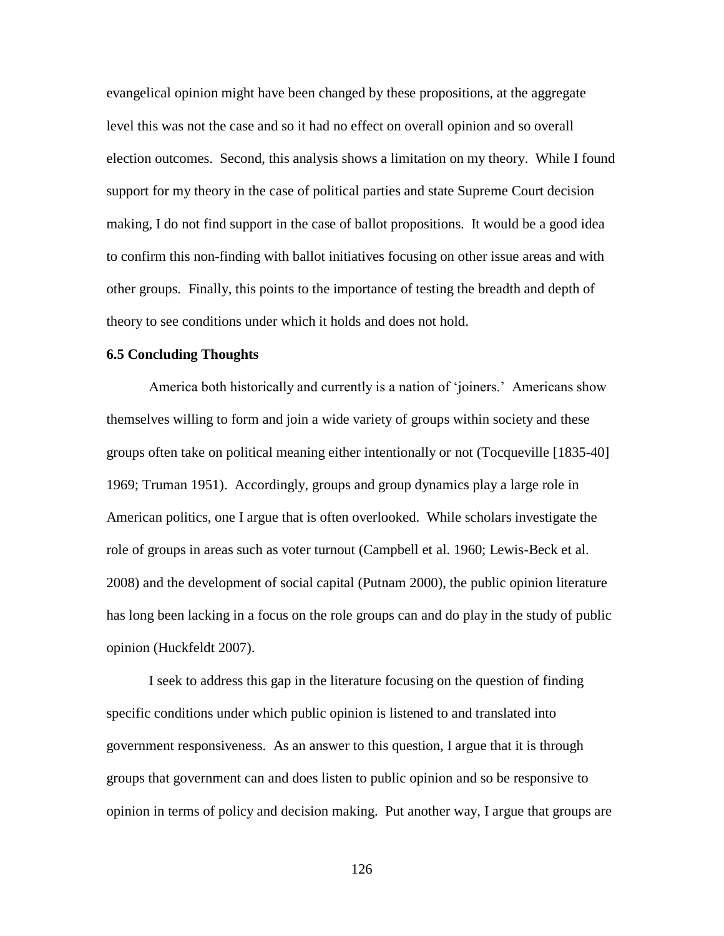evangelical opinion might have been changed by these propositions, at the aggregate level this was not the case and so it had no effect on overall opinion and so overall election outcomes. Second, this analysis shows a limitation on my theory. While I found support for my theory in the case of political parties and state Supreme Court decision making, I do not find support in the case of ballot propositions. It would be a good idea to confirm this non-finding with ballot initiatives focusing on other issue areas and with other groups. Finally, this points to the importance of testing the breadth and depth of theory to see conditions under which it holds and does not hold.

# **6.5 Concluding Thoughts**

America both historically and currently is a nation of 'joiners.' Americans show themselves willing to form and join a wide variety of groups within society and these groups often take on political meaning either intentionally or not (Tocqueville [1835-40] 1969; Truman 1951). Accordingly, groups and group dynamics play a large role in American politics, one I argue that is often overlooked. While scholars investigate the role of groups in areas such as voter turnout (Campbell et al. 1960; Lewis-Beck et al. 2008) and the development of social capital (Putnam 2000), the public opinion literature has long been lacking in a focus on the role groups can and do play in the study of public opinion (Huckfeldt 2007).

I seek to address this gap in the literature focusing on the question of finding specific conditions under which public opinion is listened to and translated into government responsiveness. As an answer to this question, I argue that it is through groups that government can and does listen to public opinion and so be responsive to opinion in terms of policy and decision making. Put another way, I argue that groups are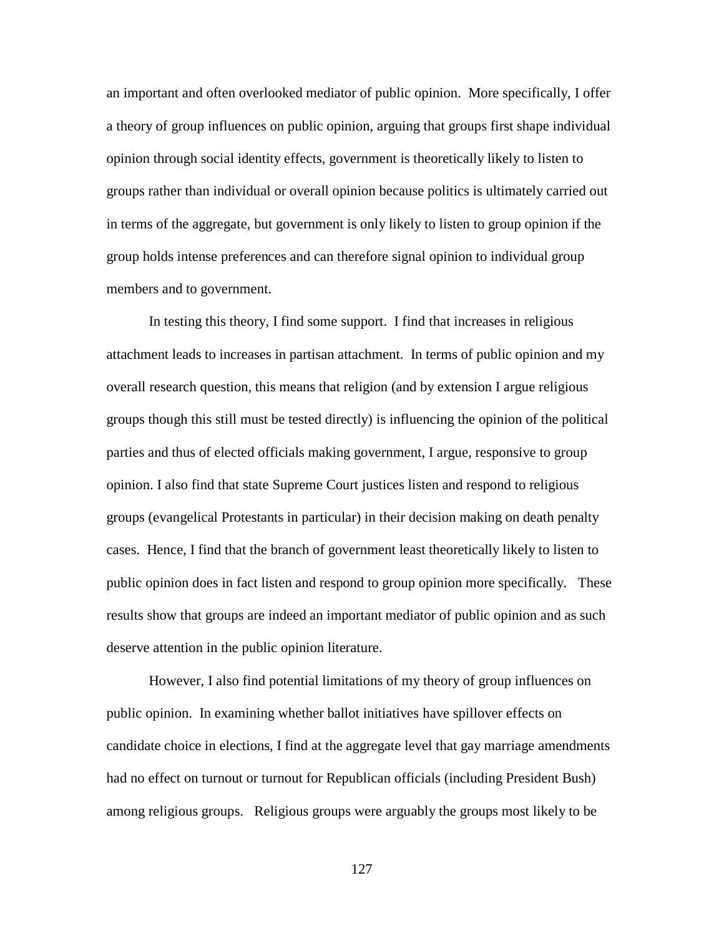an important and often overlooked mediator of public opinion. More specifically, I offer a theory of group influences on public opinion, arguing that groups first shape individual opinion through social identity effects, government is theoretically likely to listen to groups rather than individual or overall opinion because politics is ultimately carried out in terms of the aggregate, but government is only likely to listen to group opinion if the group holds intense preferences and can therefore signal opinion to individual group members and to government.

In testing this theory, I find some support. I find that increases in religious attachment leads to increases in partisan attachment. In terms of public opinion and my overall research question, this means that religion (and by extension I argue religious groups though this still must be tested directly) is influencing the opinion of the political parties and thus of elected officials making government, I argue, responsive to group opinion. I also find that state Supreme Court justices listen and respond to religious groups (evangelical Protestants in particular) in their decision making on death penalty cases. Hence, I find that the branch of government least theoretically likely to listen to public opinion does in fact listen and respond to group opinion more specifically. These results show that groups are indeed an important mediator of public opinion and as such deserve attention in the public opinion literature.

However, I also find potential limitations of my theory of group influences on public opinion. In examining whether ballot initiatives have spillover effects on candidate choice in elections, I find at the aggregate level that gay marriage amendments had no effect on turnout or turnout for Republican officials (including President Bush) among religious groups. Religious groups were arguably the groups most likely to be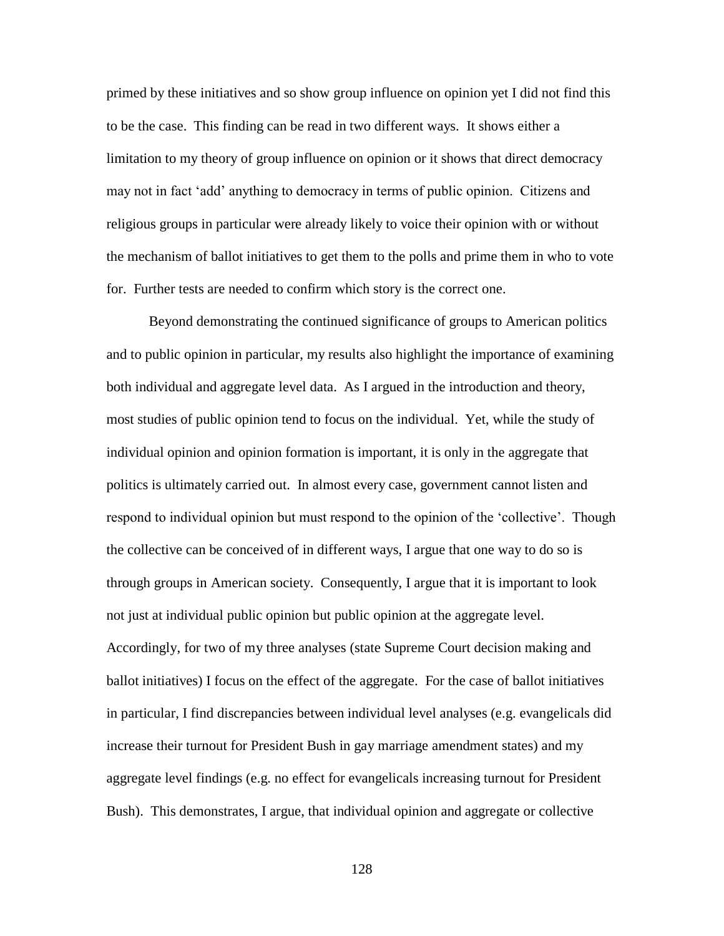primed by these initiatives and so show group influence on opinion yet I did not find this to be the case. This finding can be read in two different ways. It shows either a limitation to my theory of group influence on opinion or it shows that direct democracy may not in fact 'add' anything to democracy in terms of public opinion. Citizens and religious groups in particular were already likely to voice their opinion with or without the mechanism of ballot initiatives to get them to the polls and prime them in who to vote for. Further tests are needed to confirm which story is the correct one.

Beyond demonstrating the continued significance of groups to American politics and to public opinion in particular, my results also highlight the importance of examining both individual and aggregate level data. As I argued in the introduction and theory, most studies of public opinion tend to focus on the individual. Yet, while the study of individual opinion and opinion formation is important, it is only in the aggregate that politics is ultimately carried out. In almost every case, government cannot listen and respond to individual opinion but must respond to the opinion of the 'collective'. Though the collective can be conceived of in different ways, I argue that one way to do so is through groups in American society. Consequently, I argue that it is important to look not just at individual public opinion but public opinion at the aggregate level. Accordingly, for two of my three analyses (state Supreme Court decision making and ballot initiatives) I focus on the effect of the aggregate. For the case of ballot initiatives in particular, I find discrepancies between individual level analyses (e.g. evangelicals did increase their turnout for President Bush in gay marriage amendment states) and my aggregate level findings (e.g. no effect for evangelicals increasing turnout for President Bush). This demonstrates, I argue, that individual opinion and aggregate or collective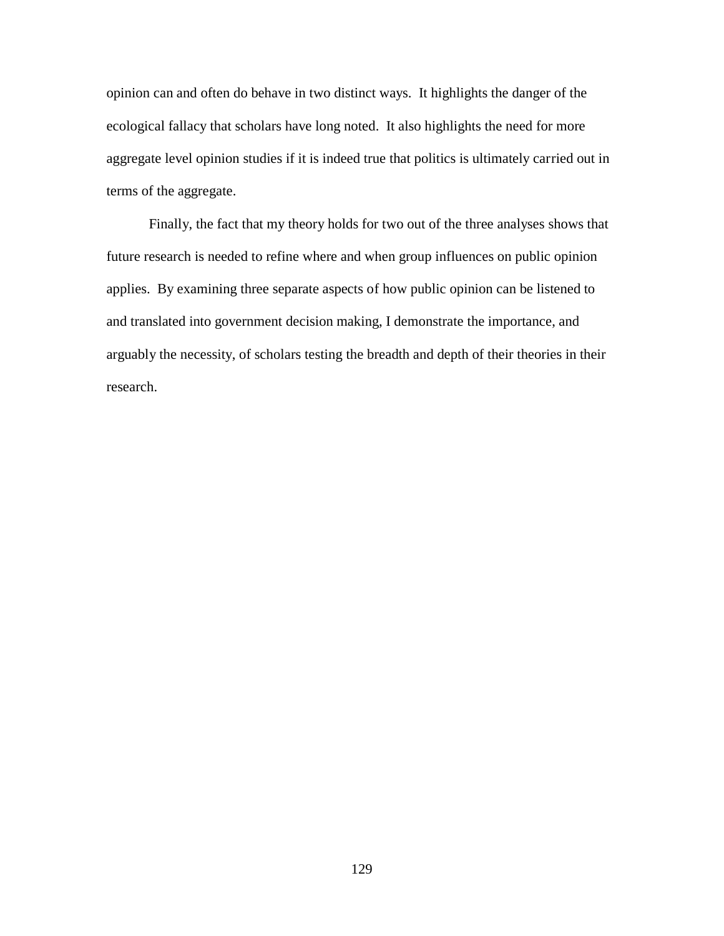opinion can and often do behave in two distinct ways. It highlights the danger of the ecological fallacy that scholars have long noted. It also highlights the need for more aggregate level opinion studies if it is indeed true that politics is ultimately carried out in terms of the aggregate.

Finally, the fact that my theory holds for two out of the three analyses shows that future research is needed to refine where and when group influences on public opinion applies. By examining three separate aspects of how public opinion can be listened to and translated into government decision making, I demonstrate the importance, and arguably the necessity, of scholars testing the breadth and depth of their theories in their research.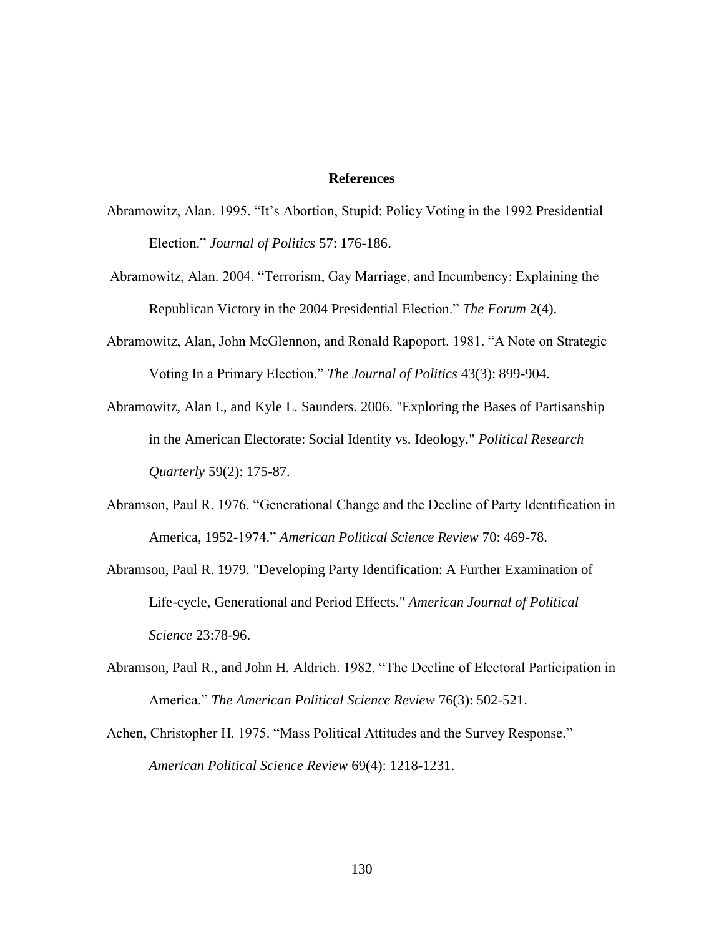## **References**

- Abramowitz, Alan. 1995. "It's Abortion, Stupid: Policy Voting in the 1992 Presidential Election." *Journal of Politics* 57: 176-186.
- Abramowitz, Alan. 2004. "Terrorism, Gay Marriage, and Incumbency: Explaining the Republican Victory in the 2004 Presidential Election." *The Forum* 2(4).
- Abramowitz, Alan, John McGlennon, and Ronald Rapoport. 1981. "A Note on Strategic Voting In a Primary Election." *The Journal of Politics* 43(3): 899-904.
- Abramowitz, Alan I., and Kyle L. Saunders. 2006. "Exploring the Bases of Partisanship in the American Electorate: Social Identity vs. Ideology." *Political Research Quarterly* 59(2): 175-87.
- Abramson, Paul R. 1976. "Generational Change and the Decline of Party Identification in America, 1952-1974." *American Political Science Review* 70: 469-78.
- Abramson, Paul R. 1979. "Developing Party Identification: A Further Examination of Life-cycle, Generational and Period Effects." *American Journal of Political Science* 23:78-96.
- Abramson, Paul R., and John H. Aldrich. 1982. "The Decline of Electoral Participation in America." *The American Political Science Review* 76(3): 502-521.
- Achen, Christopher H. 1975. "Mass Political Attitudes and the Survey Response." *American Political Science Review* 69(4): 1218-1231.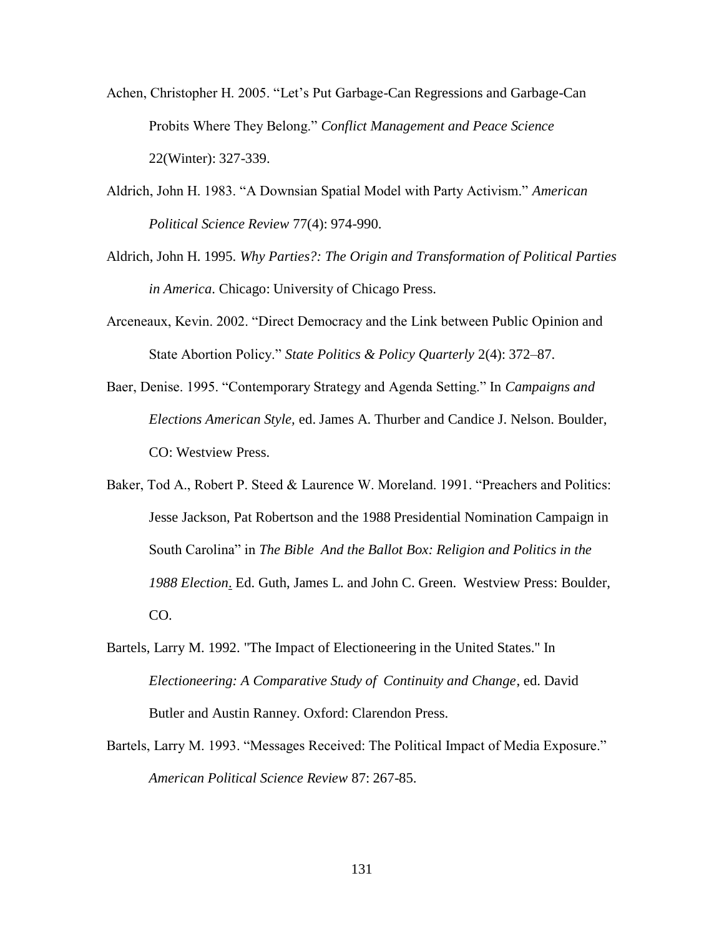- Achen, Christopher H. 2005. "Let's Put Garbage-Can Regressions and Garbage-Can Probits Where They Belong." *Conflict Management and Peace Science*  22(Winter): 327-339.
- Aldrich, John H. 1983. "A Downsian Spatial Model with Party Activism." *American Political Science Review* 77(4): 974-990.
- Aldrich, John H. 1995. *Why Parties?: The Origin and Transformation of Political Parties in America*. Chicago: University of Chicago Press.
- Arceneaux, Kevin. 2002. "Direct Democracy and the Link between Public Opinion and State Abortion Policy." *State Politics & Policy Quarterly* 2(4): 372–87.
- Baer, Denise. 1995. "Contemporary Strategy and Agenda Setting." In *Campaigns and Elections American Style,* ed. James A. Thurber and Candice J. Nelson. Boulder, CO: Westview Press.
- Baker, Tod A., Robert P. Steed & Laurence W. Moreland. 1991. "Preachers and Politics: Jesse Jackson, Pat Robertson and the 1988 Presidential Nomination Campaign in South Carolina" in *The Bible And the Ballot Box: Religion and Politics in the 1988 Election*. Ed. Guth, James L. and John C. Green. Westview Press: Boulder, CO.
- Bartels, Larry M. 1992. "The Impact of Electioneering in the United States." In *Electioneering: A Comparative Study of Continuity and Change*, ed. David Butler and Austin Ranney. Oxford: Clarendon Press.
- Bartels, Larry M. 1993. "Messages Received: The Political Impact of Media Exposure." *American Political Science Review* 87: 267-85.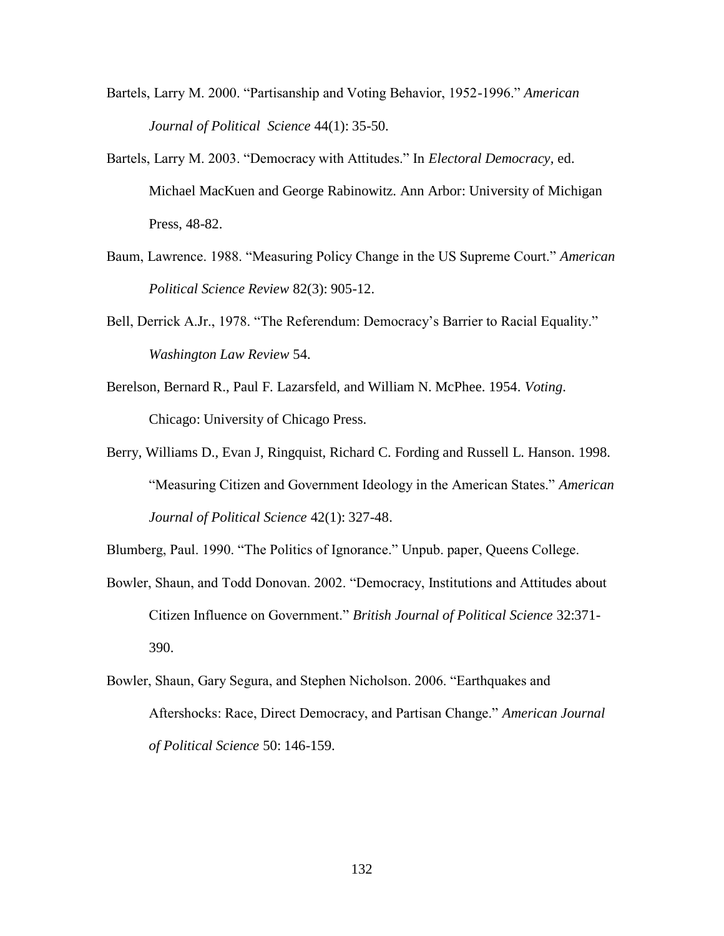- Bartels, Larry M. 2000. "Partisanship and Voting Behavior, 1952-1996." *American Journal of Political Science* 44(1): 35-50.
- Bartels, Larry M. 2003. "Democracy with Attitudes." In *Electoral Democracy,* ed. Michael MacKuen and George Rabinowitz. Ann Arbor: University of Michigan Press, 48-82.
- Baum, Lawrence. 1988. "Measuring Policy Change in the US Supreme Court." *American Political Science Review* 82(3): 905-12.
- Bell, Derrick A.Jr., 1978. "The Referendum: Democracy's Barrier to Racial Equality." *Washington Law Review* 54.
- Berelson, Bernard R., Paul F. Lazarsfeld, and William N. McPhee. 1954. *Voting*. Chicago: University of Chicago Press.
- Berry, Williams D., Evan J, Ringquist, Richard C. Fording and Russell L. Hanson. 1998. "Measuring Citizen and Government Ideology in the American States." *American Journal of Political Science* 42(1): 327-48.

Blumberg, Paul. 1990. "The Politics of Ignorance." Unpub. paper, Queens College.

- Bowler, Shaun, and Todd Donovan. 2002. "Democracy, Institutions and Attitudes about Citizen Influence on Government." *British Journal of Political Science* 32:371- 390.
- Bowler, Shaun, Gary Segura, and Stephen Nicholson. 2006. "Earthquakes and Aftershocks: Race, Direct Democracy, and Partisan Change." *American Journal of Political Science* 50: 146-159.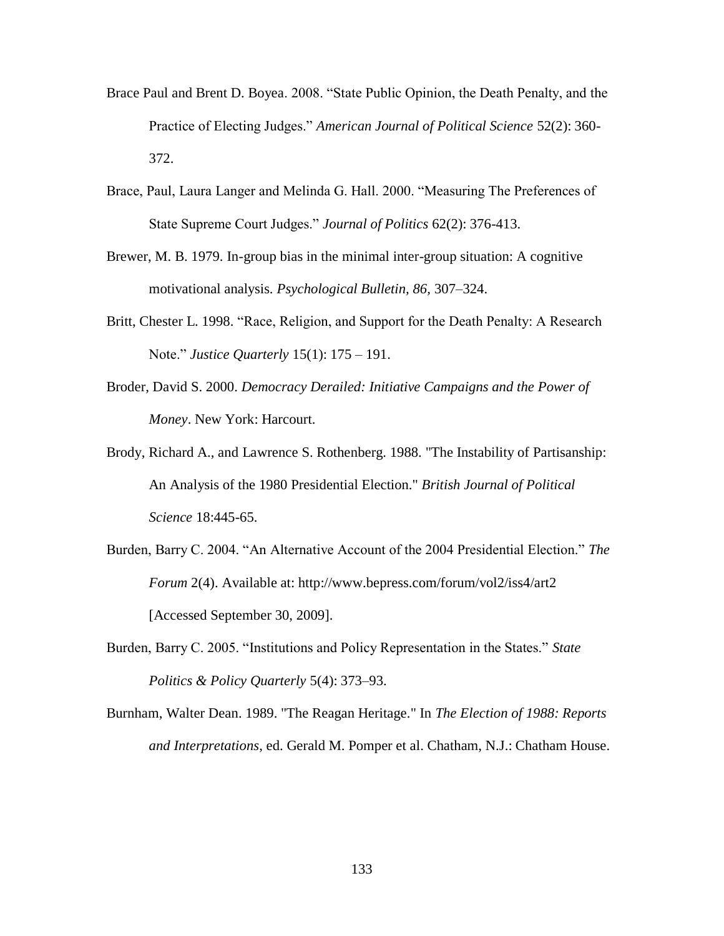- Brace Paul and Brent D. Boyea. 2008. "State Public Opinion, the Death Penalty, and the Practice of Electing Judges." *American Journal of Political Science* 52(2): 360- 372.
- Brace, Paul, Laura Langer and Melinda G. Hall. 2000. "Measuring The Preferences of State Supreme Court Judges." *Journal of Politics* 62(2): 376-413.
- Brewer, M. B. 1979. In-group bias in the minimal inter-group situation: A cognitive motivational analysis. *Psychological Bulletin, 86,* 307–324.
- Britt, Chester L. 1998. "Race, Religion, and Support for the Death Penalty: A Research Note." *Justice Quarterly* 15(1): 175 – 191.
- Broder, David S. 2000. *Democracy Derailed: Initiative Campaigns and the Power of Money*. New York: Harcourt.
- Brody, Richard A., and Lawrence S. Rothenberg. 1988. "The Instability of Partisanship: An Analysis of the 1980 Presidential Election." *British Journal of Political Science* 18:445-65.
- Burden, Barry C. 2004. "An Alternative Account of the 2004 Presidential Election." *The Forum* 2(4). Available at: http://www.bepress.com/forum/vol2/iss4/art2 [Accessed September 30, 2009].
- Burden, Barry C. 2005. "Institutions and Policy Representation in the States." *State Politics & Policy Quarterly* 5(4): 373–93.
- Burnham, Walter Dean. 1989. "The Reagan Heritage." In *The Election of 1988: Reports and Interpretations*, ed. Gerald M. Pomper et al. Chatham, N.J.: Chatham House.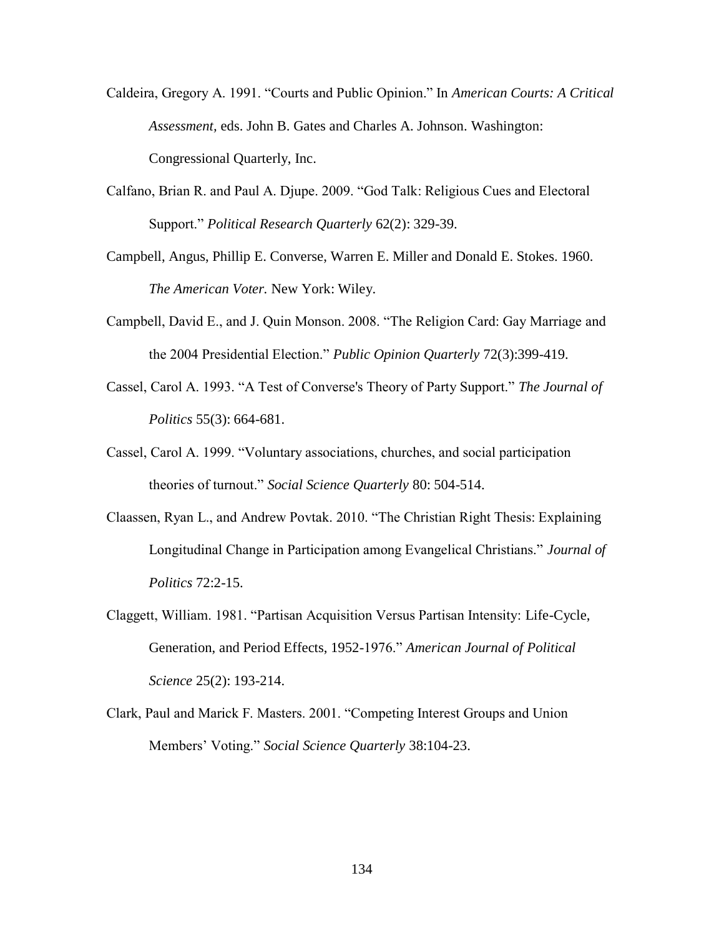- Caldeira, Gregory A. 1991. "Courts and Public Opinion." In *American Courts: A Critical Assessment,* eds. John B. Gates and Charles A. Johnson. Washington: Congressional Quarterly, Inc.
- Calfano, Brian R. and Paul A. Djupe. 2009. "God Talk: Religious Cues and Electoral Support." *Political Research Quarterly* 62(2): 329-39.
- Campbell, Angus, Phillip E. Converse, Warren E. Miller and Donald E. Stokes. 1960. *The American Voter.* New York: Wiley.
- Campbell, David E., and J. Quin Monson. 2008. "The Religion Card: Gay Marriage and the 2004 Presidential Election." *Public Opinion Quarterly* 72(3):399-419.
- Cassel, Carol A. 1993. "A Test of Converse's Theory of Party Support." *The Journal of Politics* 55(3): 664-681.
- Cassel, Carol A. 1999. "Voluntary associations, churches, and social participation theories of turnout." *Social Science Quarterly* 80: 504-514.
- Claassen, Ryan L., and Andrew Povtak. 2010. "The Christian Right Thesis: Explaining Longitudinal Change in Participation among Evangelical Christians." *Journal of Politics* 72:2-15.
- Claggett, William. 1981. "Partisan Acquisition Versus Partisan Intensity: Life-Cycle, Generation, and Period Effects, 1952-1976." *American Journal of Political Science* 25(2): 193-214.
- Clark, Paul and Marick F. Masters. 2001. "Competing Interest Groups and Union Members' Voting." *Social Science Quarterly* 38:104-23.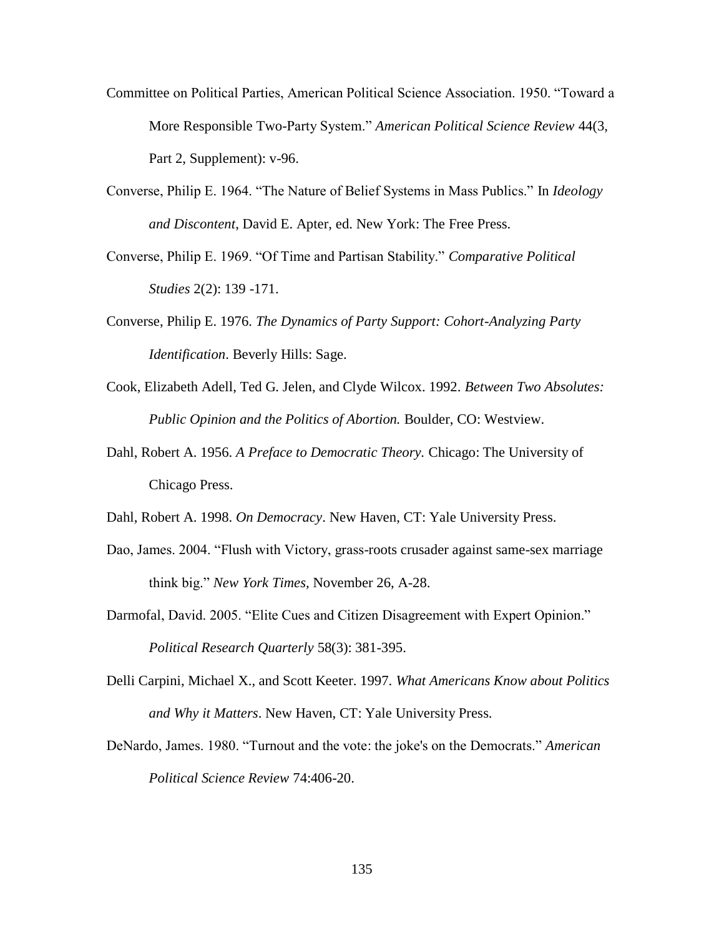- Committee on Political Parties, American Political Science Association. 1950. "Toward a More Responsible Two-Party System." *American Political Science Review* 44(3, Part 2, Supplement): v-96.
- Converse, Philip E. 1964. "The Nature of Belief Systems in Mass Publics." In *Ideology and Discontent*, David E. Apter, ed. New York: The Free Press.
- Converse, Philip E. 1969. "Of Time and Partisan Stability." *Comparative Political Studies* 2(2): 139 -171.
- Converse, Philip E. 1976. *The Dynamics of Party Support: Cohort-Analyzing Party Identification*. Beverly Hills: Sage.
- Cook, Elizabeth Adell, Ted G. Jelen, and Clyde Wilcox. 1992. *Between Two Absolutes: Public Opinion and the Politics of Abortion.* Boulder, CO: Westview.
- Dahl, Robert A. 1956. *A Preface to Democratic Theory.* Chicago: The University of Chicago Press.
- Dahl, Robert A. 1998. *On Democracy*. New Haven, CT: Yale University Press.
- Dao, James. 2004. "Flush with Victory, grass-roots crusader against same-sex marriage think big." *New York Times,* November 26, A-28.
- Darmofal, David. 2005. "Elite Cues and Citizen Disagreement with Expert Opinion." *Political Research Quarterly* 58(3): 381-395.
- Delli Carpini, Michael X., and Scott Keeter. 1997. *What Americans Know about Politics and Why it Matters*. New Haven, CT: Yale University Press.
- DeNardo, James. 1980. "Turnout and the vote: the joke's on the Democrats." *American Political Science Review* 74:406-20.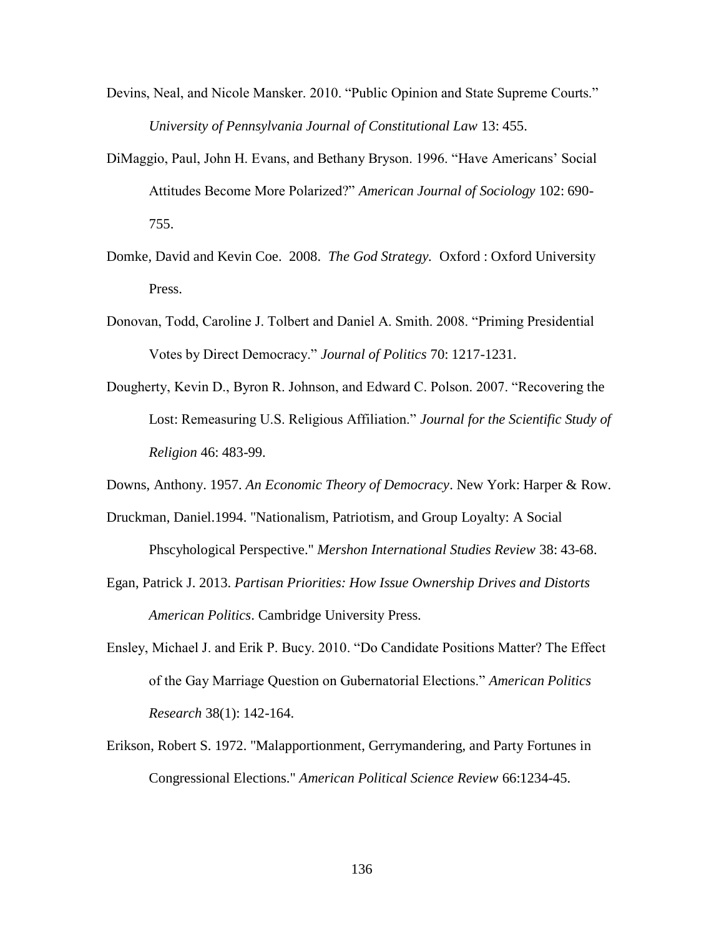- Devins, Neal, and Nicole Mansker. 2010. "Public Opinion and State Supreme Courts." *University of Pennsylvania Journal of Constitutional Law* 13: 455.
- DiMaggio, Paul, John H. Evans, and Bethany Bryson. 1996. "Have Americans' Social Attitudes Become More Polarized?" *American Journal of Sociology* 102: 690- 755.
- Domke, David and Kevin Coe. 2008. *The God Strategy.* Oxford : Oxford University Press.
- Donovan, Todd, Caroline J. Tolbert and Daniel A. Smith. 2008. "Priming Presidential Votes by Direct Democracy." *Journal of Politics* 70: 1217-1231.
- Dougherty, Kevin D., Byron R. Johnson, and Edward C. Polson. 2007. "Recovering the Lost: Remeasuring U.S. Religious Affiliation." *Journal for the Scientific Study of Religion* 46: 483-99.
- Downs, Anthony. 1957. *An Economic Theory of Democracy*. New York: Harper & Row.
- Druckman, Daniel.1994. "Nationalism, Patriotism, and Group Loyalty: A Social Phscyhological Perspective." *Mershon International Studies Review* 38: 43-68.
- Egan, Patrick J. 2013. *Partisan Priorities: How Issue Ownership Drives and Distorts American Politics*. Cambridge University Press.
- Ensley, Michael J. and Erik P. Bucy. 2010. "Do Candidate Positions Matter? The Effect of the Gay Marriage Question on Gubernatorial Elections." *American Politics Research* 38(1): 142-164.
- Erikson, Robert S. 1972. "Malapportionment, Gerrymandering, and Party Fortunes in Congressional Elections." *American Political Science Review* 66:1234-45.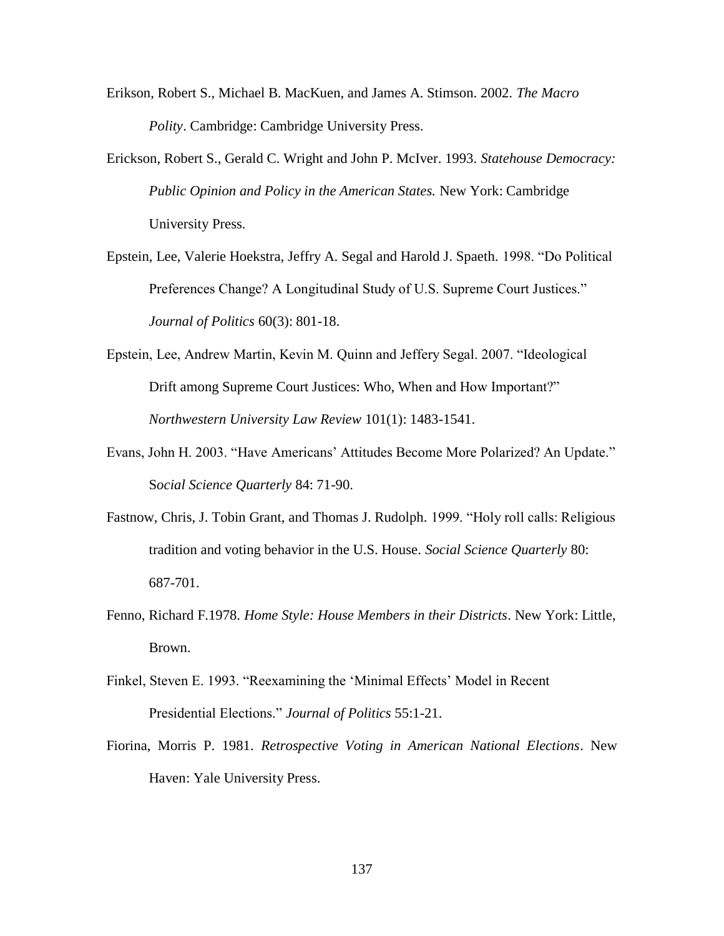- Erikson, Robert S., Michael B. MacKuen, and James A. Stimson. 2002. *The Macro Polity*. Cambridge: Cambridge University Press.
- Erickson, Robert S., Gerald C. Wright and John P. McIver. 1993. *Statehouse Democracy: Public Opinion and Policy in the American States.* New York: Cambridge University Press.
- Epstein, Lee, Valerie Hoekstra, Jeffry A. Segal and Harold J. Spaeth. 1998. "Do Political Preferences Change? A Longitudinal Study of U.S. Supreme Court Justices." *Journal of Politics* 60(3): 801-18.
- Epstein, Lee, Andrew Martin, Kevin M. Quinn and Jeffery Segal. 2007. "Ideological Drift among Supreme Court Justices: Who, When and How Important?" *Northwestern University Law Review* 101(1): 1483-1541.
- Evans, John H. 2003. "Have Americans' Attitudes Become More Polarized? An Update." S*ocial Science Quarterly* 84: 71-90.
- Fastnow, Chris, J. Tobin Grant, and Thomas J. Rudolph. 1999. "Holy roll calls: Religious tradition and voting behavior in the U.S. House. *Social Science Quarterly* 80: 687-701.
- Fenno, Richard F.1978. *Home Style: House Members in their Districts*. New York: Little, Brown.
- Finkel, Steven E. 1993. "Reexamining the 'Minimal Effects' Model in Recent Presidential Elections." *Journal of Politics* 55:1-21.
- Fiorina, Morris P. 1981. *Retrospective Voting in American National Elections*. New Haven: Yale University Press.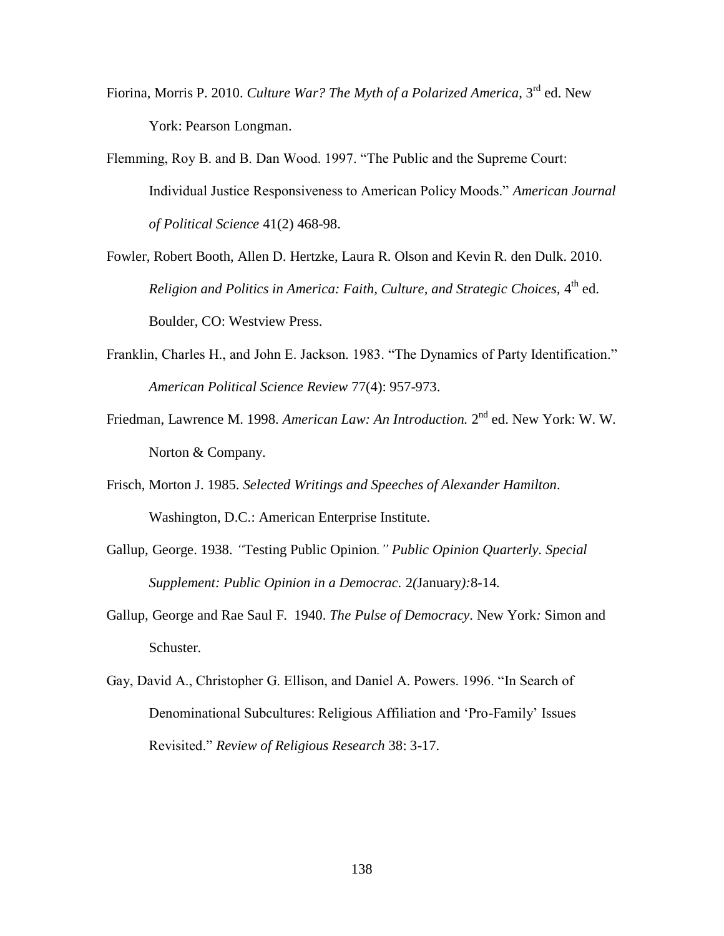- Fiorina, Morris P. 2010. *Culture War? The Myth of a Polarized America*, 3<sup>rd</sup> ed. New York: Pearson Longman.
- Flemming, Roy B. and B. Dan Wood. 1997. "The Public and the Supreme Court: Individual Justice Responsiveness to American Policy Moods." *American Journal of Political Science* 41(2) 468-98.
- Fowler, Robert Booth, Allen D. Hertzke, Laura R. Olson and Kevin R. den Dulk. 2010. Religion and Politics in America: Faith, Culture, and Strategic Choices, 4<sup>th</sup> ed. Boulder, CO: Westview Press.
- Franklin, Charles H., and John E. Jackson. 1983. "The Dynamics of Party Identification." *American Political Science Review* 77(4): 957-973.
- Friedman, Lawrence M. 1998. *American Law: An Introduction*. 2<sup>nd</sup> ed. New York: W. W. Norton & Company.
- Frisch, Morton J. 1985. *Selected Writings and Speeches of Alexander Hamilton.* Washington, D.C.: American Enterprise Institute.
- Gallup, George. 1938. *"*Testing Public Opinion*." Public Opinion Quarterly. Special Supplement: Public Opinion in a Democrac.* 2*(*January*):*8*-*14*.*
- Gallup, George and Rae Saul F. 1940. *The Pulse of Democracy.* New York*:* Simon and Schuster*.*
- Gay, David A., Christopher G. Ellison, and Daniel A. Powers. 1996. "In Search of Denominational Subcultures: Religious Affiliation and 'Pro-Family' Issues Revisited." *Review of Religious Research* 38: 3-17.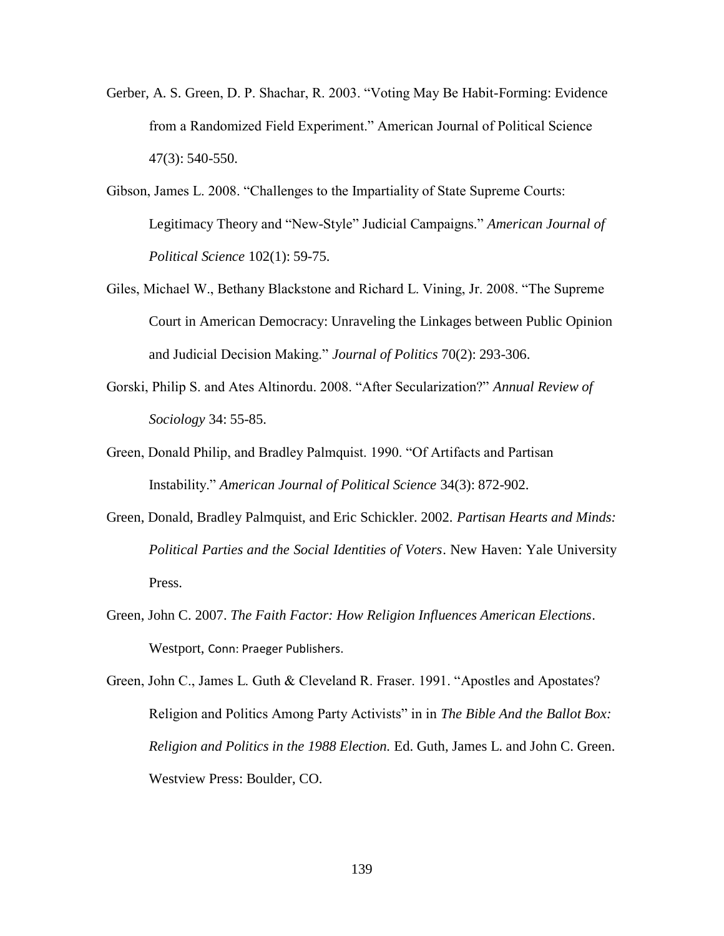- Gerber, A. S. Green, D. P. Shachar, R. 2003. "Voting May Be Habit-Forming: Evidence from a Randomized Field Experiment." American Journal of Political Science 47(3): 540-550.
- Gibson, James L. 2008. "Challenges to the Impartiality of State Supreme Courts: Legitimacy Theory and "New-Style" Judicial Campaigns." *American Journal of Political Science* 102(1): 59-75.
- Giles, Michael W., Bethany Blackstone and Richard L. Vining, Jr. 2008. "The Supreme Court in American Democracy: Unraveling the Linkages between Public Opinion and Judicial Decision Making." *Journal of Politics* 70(2): 293-306.
- Gorski, Philip S. and Ates Altinordu. 2008. "After Secularization?" *Annual Review of Sociology* 34: 55-85.
- Green, Donald Philip, and Bradley Palmquist. 1990. "Of Artifacts and Partisan Instability." *American Journal of Political Science* 34(3): 872-902.
- Green, Donald, Bradley Palmquist, and Eric Schickler. 2002. *Partisan Hearts and Minds: Political Parties and the Social Identities of Voters*. New Haven: Yale University Press.
- Green, John C. 2007. *The Faith Factor: How Religion Influences American Elections*. Westport, Conn: Praeger Publishers.

Green, John C., James L. Guth & Cleveland R. Fraser. 1991. "Apostles and Apostates? Religion and Politics Among Party Activists" in in *The Bible And the Ballot Box: Religion and Politics in the 1988 Election.* Ed. Guth, James L. and John C. Green. Westview Press: Boulder, CO.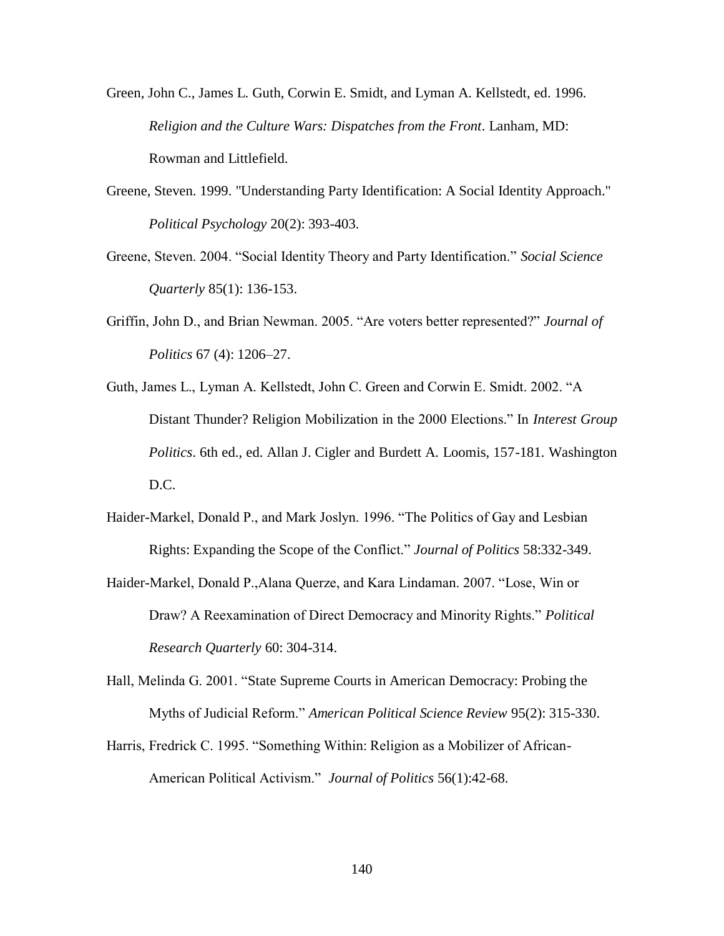- Green, John C., James L. Guth, Corwin E. Smidt, and Lyman A. Kellstedt, ed. 1996. *Religion and the Culture Wars: Dispatches from the Front*. Lanham, MD: Rowman and Littlefield.
- Greene, Steven. 1999. "Understanding Party Identification: A Social Identity Approach." *Political Psychology* 20(2): 393-403.
- Greene, Steven. 2004. "Social Identity Theory and Party Identification." *Social Science Quarterly* 85(1): 136-153.
- Griffin, John D., and Brian Newman. 2005. "Are voters better represented?" *Journal of Politics* 67 (4): 1206–27.
- Guth, James L., Lyman A. Kellstedt, John C. Green and Corwin E. Smidt. 2002. "A Distant Thunder? Religion Mobilization in the 2000 Elections." In *Interest Group Politics*. 6th ed., ed. Allan J. Cigler and Burdett A. Loomis, 157-181. Washington D.C.
- Haider-Markel, Donald P., and Mark Joslyn. 1996. "The Politics of Gay and Lesbian Rights: Expanding the Scope of the Conflict." *Journal of Politics* 58:332-349.
- Haider-Markel, Donald P.,Alana Querze, and Kara Lindaman. 2007. "Lose, Win or Draw? A Reexamination of Direct Democracy and Minority Rights." *Political Research Quarterly* 60: 304-314.
- Hall, Melinda G. 2001. "State Supreme Courts in American Democracy: Probing the Myths of Judicial Reform." *American Political Science Review* 95(2): 315-330.
- Harris, Fredrick C. 1995. "Something Within: Religion as a Mobilizer of African-American Political Activism." *Journal of Politics* 56(1):42-68.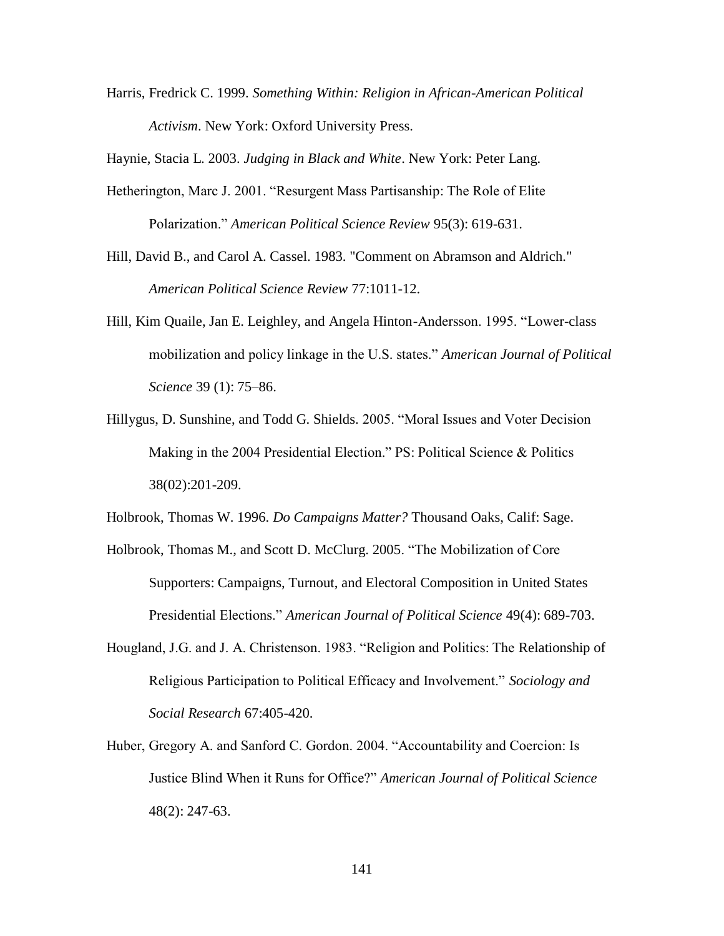Harris, Fredrick C. 1999. *Something Within: Religion in African-American Political Activism*. New York: Oxford University Press.

Haynie, Stacia L. 2003. *Judging in Black and White*. New York: Peter Lang.

- Hetherington, Marc J. 2001. "Resurgent Mass Partisanship: The Role of Elite Polarization." *American Political Science Review* 95(3): 619-631.
- Hill, David B., and Carol A. Cassel. 1983. "Comment on Abramson and Aldrich." *American Political Science Review* 77:1011-12.
- Hill, Kim Quaile, Jan E. Leighley, and Angela Hinton-Andersson. 1995. "Lower-class mobilization and policy linkage in the U.S. states." *American Journal of Political Science* 39 (1): 75–86.
- Hillygus, D. Sunshine, and Todd G. Shields. 2005. "Moral Issues and Voter Decision Making in the 2004 Presidential Election." PS: Political Science & Politics 38(02):201-209.

Holbrook, Thomas W. 1996. *Do Campaigns Matter?* Thousand Oaks, Calif: Sage.

- Holbrook, Thomas M., and Scott D. McClurg. 2005. "The Mobilization of Core Supporters: Campaigns, Turnout, and Electoral Composition in United States Presidential Elections." *American Journal of Political Science* 49(4): 689-703.
- Hougland, J.G. and J. A. Christenson. 1983. "Religion and Politics: The Relationship of Religious Participation to Political Efficacy and Involvement." *Sociology and Social Research* 67:405-420.
- Huber, Gregory A. and Sanford C. Gordon. 2004. "Accountability and Coercion: Is Justice Blind When it Runs for Office?" *American Journal of Political Science*  48(2): 247-63.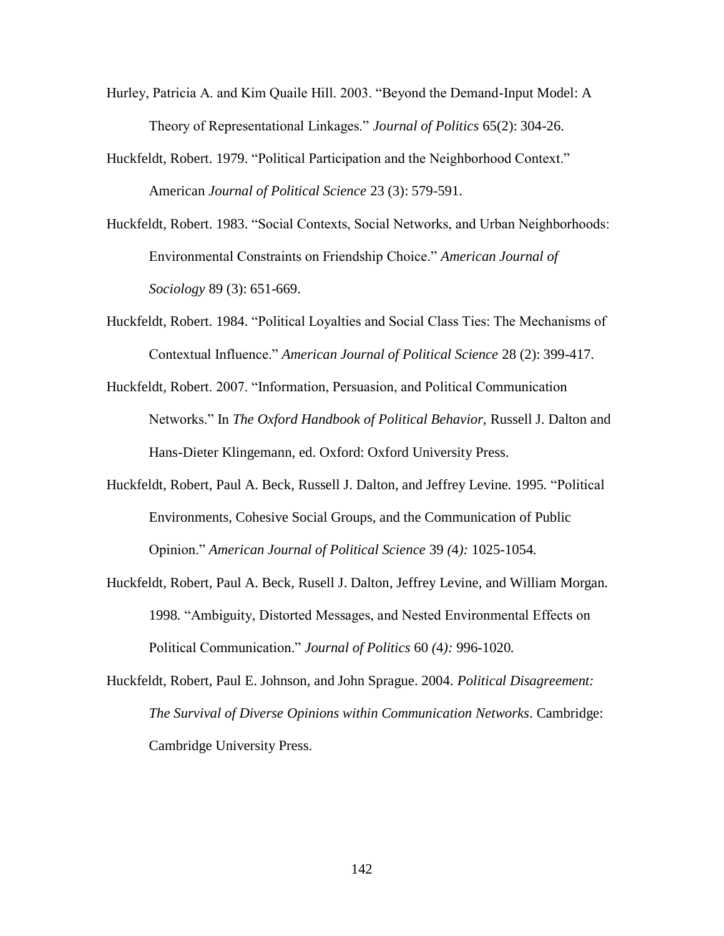- Hurley, Patricia A. and Kim Quaile Hill. 2003. "Beyond the Demand-Input Model: A Theory of Representational Linkages." *Journal of Politics* 65(2): 304-26.
- Huckfeldt, Robert. 1979. "Political Participation and the Neighborhood Context." American *Journal of Political Science* 23 (3): 579-591.
- Huckfeldt, Robert. 1983. "Social Contexts, Social Networks, and Urban Neighborhoods: Environmental Constraints on Friendship Choice." *American Journal of Sociology* 89 (3): 651-669.
- Huckfeldt, Robert. 1984. "Political Loyalties and Social Class Ties: The Mechanisms of Contextual Influence." *American Journal of Political Science* 28 (2): 399-417.
- Huckfeldt, Robert. 2007. "Information, Persuasion, and Political Communication Networks." In *The Oxford Handbook of Political Behavior,* Russell J. Dalton and Hans-Dieter Klingemann, ed. Oxford: Oxford University Press.
- Huckfeldt, Robert*,* Paul A. Beck*,* Russell J. Dalton*,* and Jeffrey Levine*.* 1995*.* "Political Environments, Cohesive Social Groups, and the Communication of Public Opinion." *American Journal of Political Science* 39 *(*4*):* 1025*-*1054*.*
- Huckfeldt, Robert*,* Paul A. Beck*,* Rusell J. Dalton*,* Jeffrey Levine*,* and William Morgan*.*  1998*.* "Ambiguity, Distorted Messages, and Nested Environmental Effects on Political Communication." *Journal of Politics* 60 *(*4*):* 996*-*1020*.*
- Huckfeldt, Robert, Paul E. Johnson, and John Sprague. 2004. *Political Disagreement: The Survival of Diverse Opinions within Communication Networks*. Cambridge: Cambridge University Press.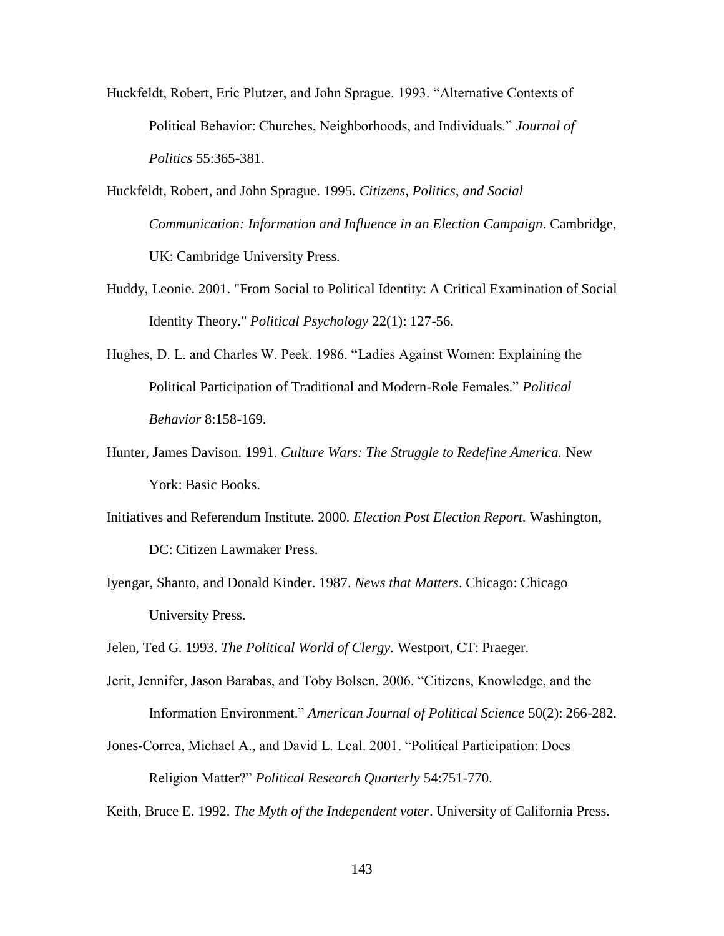- Huckfeldt, Robert, Eric Plutzer, and John Sprague. 1993. "Alternative Contexts of Political Behavior: Churches, Neighborhoods, and Individuals." *Journal of Politics* 55:365-381.
- Huckfeldt, Robert, and John Sprague. 1995. *Citizens, Politics, and Social Communication: Information and Influence in an Election Campaign*. Cambridge, UK: Cambridge University Press.
- Huddy, Leonie. 2001. "From Social to Political Identity: A Critical Examination of Social Identity Theory." *Political Psychology* 22(1): 127-56.
- Hughes, D. L. and Charles W. Peek. 1986. "Ladies Against Women: Explaining the Political Participation of Traditional and Modern-Role Females." *Political Behavior* 8:158-169.
- Hunter, James Davison. 1991. *Culture Wars: The Struggle to Redefine America.* New York: Basic Books.
- Initiatives and Referendum Institute. 2000. *Election Post Election Report.* Washington, DC: Citizen Lawmaker Press.
- Iyengar, Shanto, and Donald Kinder. 1987. *News that Matters*. Chicago: Chicago University Press.

Jelen, Ted G. 1993. *The Political World of Clergy.* Westport, CT: Praeger.

- Jerit, Jennifer, Jason Barabas, and Toby Bolsen. 2006. "Citizens, Knowledge, and the Information Environment." *American Journal of Political Science* 50(2): 266-282.
- Jones-Correa, Michael A., and David L. Leal. 2001. "Political Participation: Does Religion Matter?" *Political Research Quarterly* 54:751-770.

Keith, Bruce E. 1992. *The Myth of the Independent voter*. University of California Press.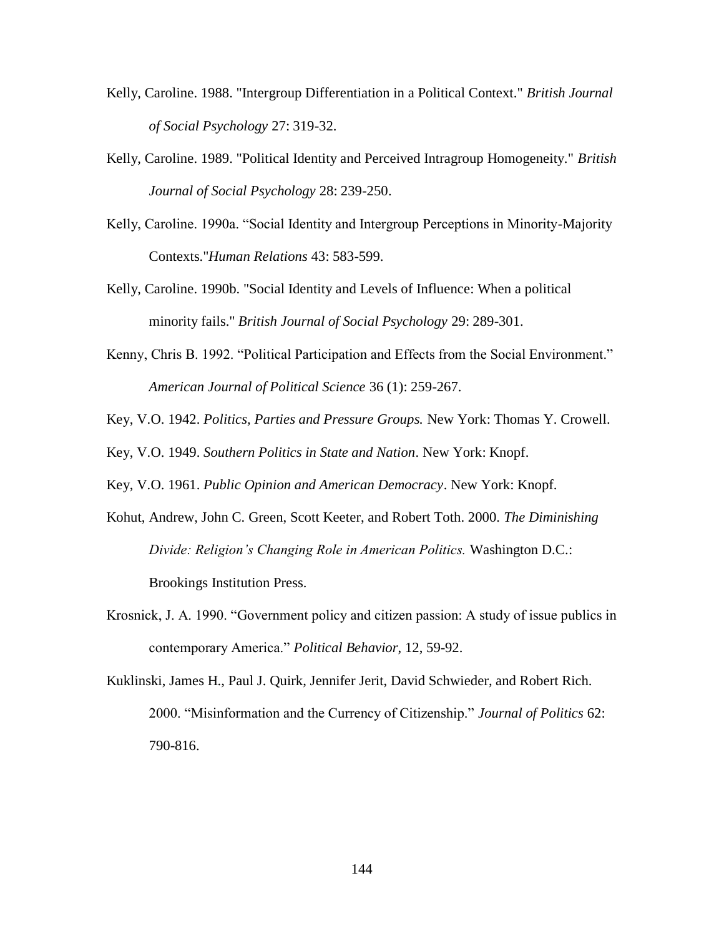- Kelly, Caroline. 1988. "Intergroup Differentiation in a Political Context." *British Journal of Social Psychology* 27: 319-32.
- Kelly, Caroline. 1989. "Political Identity and Perceived Intragroup Homogeneity." *British Journal of Social Psychology* 28: 239-250.
- Kelly, Caroline. 1990a. "Social Identity and Intergroup Perceptions in Minority-Majority Contexts."*Human Relations* 43: 583-599.
- Kelly, Caroline. 1990b. "Social Identity and Levels of Influence: When a political minority fails." *British Journal of Social Psychology* 29: 289-301.
- Kenny, Chris B. 1992. "Political Participation and Effects from the Social Environment." *American Journal of Political Science* 36 (1): 259-267.
- Key, V.O. 1942. *Politics, Parties and Pressure Groups.* New York: Thomas Y. Crowell.
- Key, V.O. 1949. *Southern Politics in State and Nation*. New York: Knopf.
- Key, V.O. 1961. *Public Opinion and American Democracy*. New York: Knopf.
- Kohut, Andrew, John C. Green, Scott Keeter, and Robert Toth. 2000. *The Diminishing Divide: Religion's Changing Role in American Politics.* Washington D.C.: Brookings Institution Press.
- Krosnick, J. A. 1990. "Government policy and citizen passion: A study of issue publics in contemporary America." *Political Behavior*, 12, 59-92.
- Kuklinski, James H., Paul J. Quirk, Jennifer Jerit, David Schwieder, and Robert Rich. 2000. "Misinformation and the Currency of Citizenship." *Journal of Politics* 62: 790-816.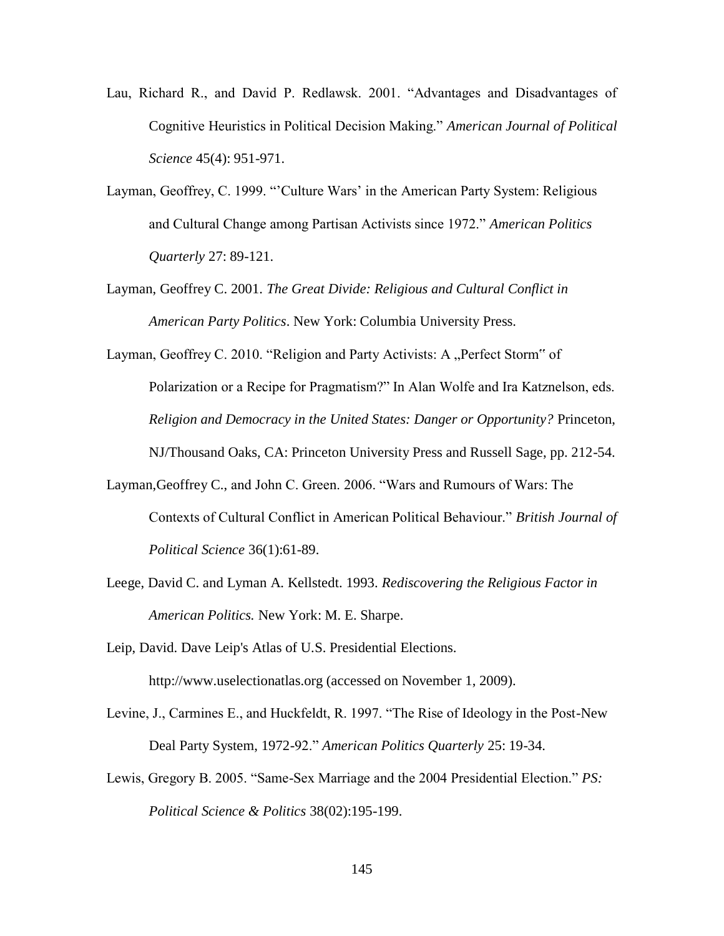- Lau, Richard R., and David P. Redlawsk. 2001. "Advantages and Disadvantages of Cognitive Heuristics in Political Decision Making." *American Journal of Political Science* 45(4): 951-971.
- Layman, Geoffrey, C. 1999. "'Culture Wars' in the American Party System: Religious and Cultural Change among Partisan Activists since 1972." *American Politics Quarterly* 27: 89-121.
- Layman, Geoffrey C. 2001. *The Great Divide: Religious and Cultural Conflict in American Party Politics*. New York: Columbia University Press.
- Layman, Geoffrey C. 2010. "Religion and Party Activists: A "Perfect Storm" of Polarization or a Recipe for Pragmatism?" In Alan Wolfe and Ira Katznelson, eds. *Religion and Democracy in the United States: Danger or Opportunity?* Princeton, NJ/Thousand Oaks, CA: Princeton University Press and Russell Sage, pp. 212-54.
- Layman,Geoffrey C., and John C. Green. 2006. "Wars and Rumours of Wars: The Contexts of Cultural Conflict in American Political Behaviour." *British Journal of Political Science* 36(1):61-89.
- Leege, David C. and Lyman A. Kellstedt. 1993. *Rediscovering the Religious Factor in American Politics.* New York: M. E. Sharpe.
- Leip, David. Dave Leip's Atlas of U.S. Presidential Elections. http://www.uselectionatlas.org (accessed on November 1, 2009).
- Levine, J., Carmines E., and Huckfeldt, R. 1997. "The Rise of Ideology in the Post-New Deal Party System, 1972-92." *American Politics Quarterly* 25: 19-34.
- Lewis, Gregory B. 2005. "Same-Sex Marriage and the 2004 Presidential Election." *PS: Political Science & Politics* 38(02):195-199.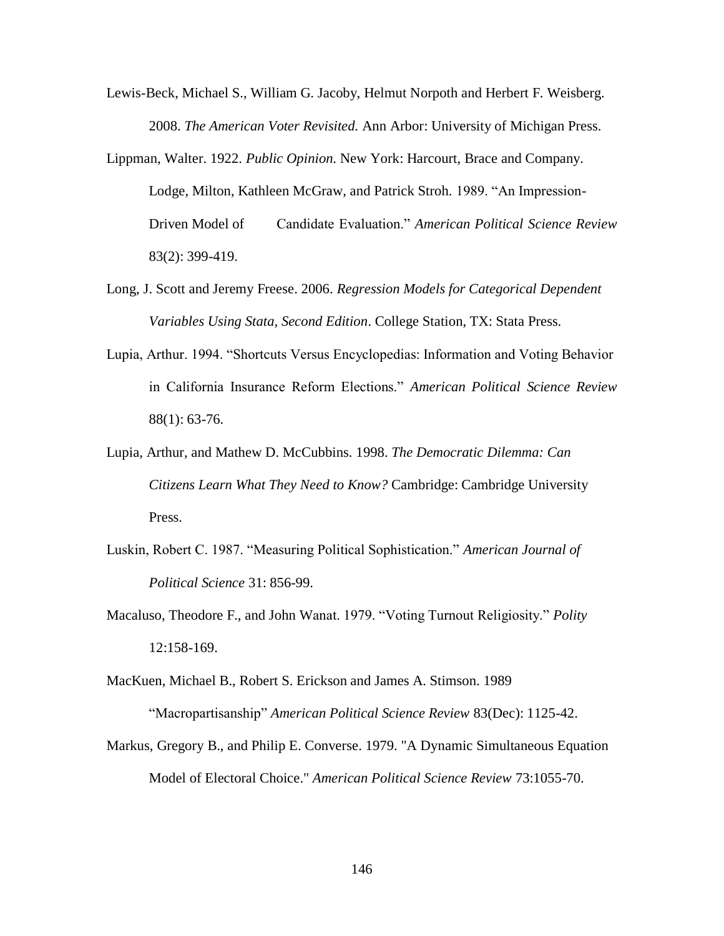- Lewis-Beck, Michael S., William G. Jacoby, Helmut Norpoth and Herbert F. Weisberg. 2008. *The American Voter Revisited.* Ann Arbor: University of Michigan Press.
- Lippman, Walter. 1922. *Public Opinion.* New York: Harcourt, Brace and Company. Lodge, Milton, Kathleen McGraw, and Patrick Stroh. 1989. "An Impression-Driven Model of Candidate Evaluation." *American Political Science Review*  83(2): 399-419.
- Long, J. Scott and Jeremy Freese. 2006. *Regression Models for Categorical Dependent Variables Using Stata, Second Edition*. College Station, TX: Stata Press.
- Lupia, Arthur. 1994. "Shortcuts Versus Encyclopedias: Information and Voting Behavior in California Insurance Reform Elections." *American Political Science Review*  88(1): 63-76.
- Lupia, Arthur, and Mathew D. McCubbins. 1998. *The Democratic Dilemma: Can Citizens Learn What They Need to Know?* Cambridge: Cambridge University Press.
- Luskin, Robert C. 1987. "Measuring Political Sophistication." *American Journal of Political Science* 31: 856-99.
- Macaluso, Theodore F., and John Wanat. 1979. "Voting Turnout Religiosity." *Polity* 12:158-169.
- MacKuen, Michael B., Robert S. Erickson and James A. Stimson. 1989 "Macropartisanship" *American Political Science Review* 83(Dec): 1125-42.
- Markus, Gregory B., and Philip E. Converse. 1979. "A Dynamic Simultaneous Equation Model of Electoral Choice." *American Political Science Review* 73:1055-70.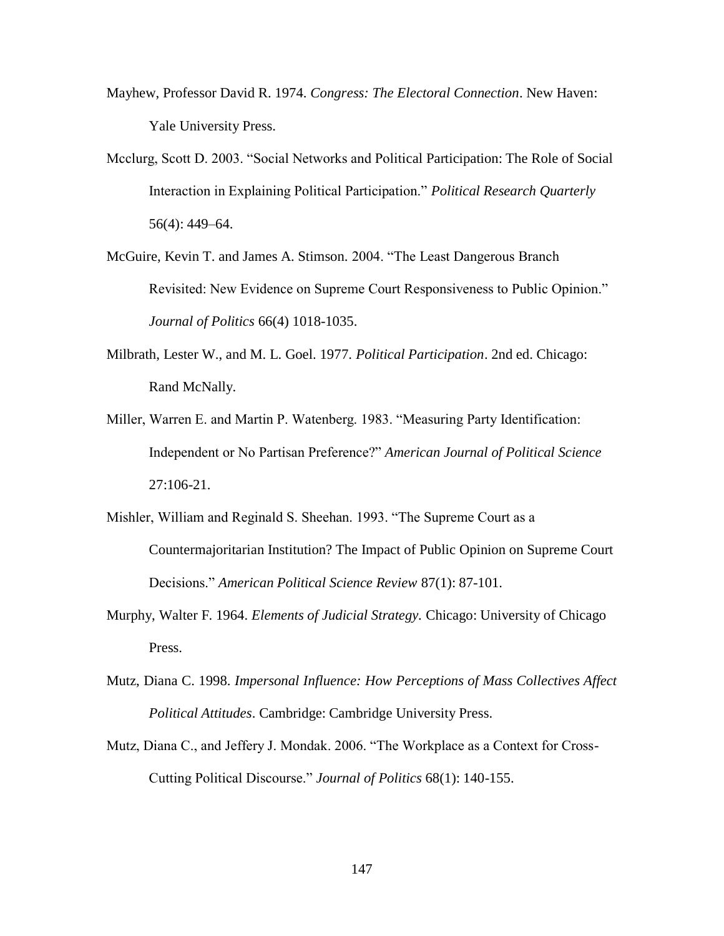- Mayhew, Professor David R. 1974. *Congress: The Electoral Connection*. New Haven: Yale University Press.
- Mcclurg, Scott D. 2003. "Social Networks and Political Participation: The Role of Social Interaction in Explaining Political Participation." *Political Research Quarterly* 56(4): 449–64.
- McGuire, Kevin T. and James A. Stimson. 2004. "The Least Dangerous Branch Revisited: New Evidence on Supreme Court Responsiveness to Public Opinion." *Journal of Politics* 66(4) 1018-1035.
- Milbrath, Lester W., and M. L. Goel. 1977. *Political Participation*. 2nd ed. Chicago: Rand McNally.
- Miller, Warren E. and Martin P. Watenberg. 1983. "Measuring Party Identification: Independent or No Partisan Preference?" *American Journal of Political Science*  27:106-21.
- Mishler, William and Reginald S. Sheehan. 1993. "The Supreme Court as a Countermajoritarian Institution? The Impact of Public Opinion on Supreme Court Decisions." *American Political Science Review* 87(1): 87-101.
- Murphy, Walter F. 1964. *Elements of Judicial Strategy.* Chicago: University of Chicago Press.
- Mutz, Diana C. 1998. *Impersonal Influence: How Perceptions of Mass Collectives Affect Political Attitudes*. Cambridge: Cambridge University Press.
- Mutz, Diana C., and Jeffery J. Mondak. 2006. "The Workplace as a Context for Cross-Cutting Political Discourse." *Journal of Politics* 68(1): 140-155.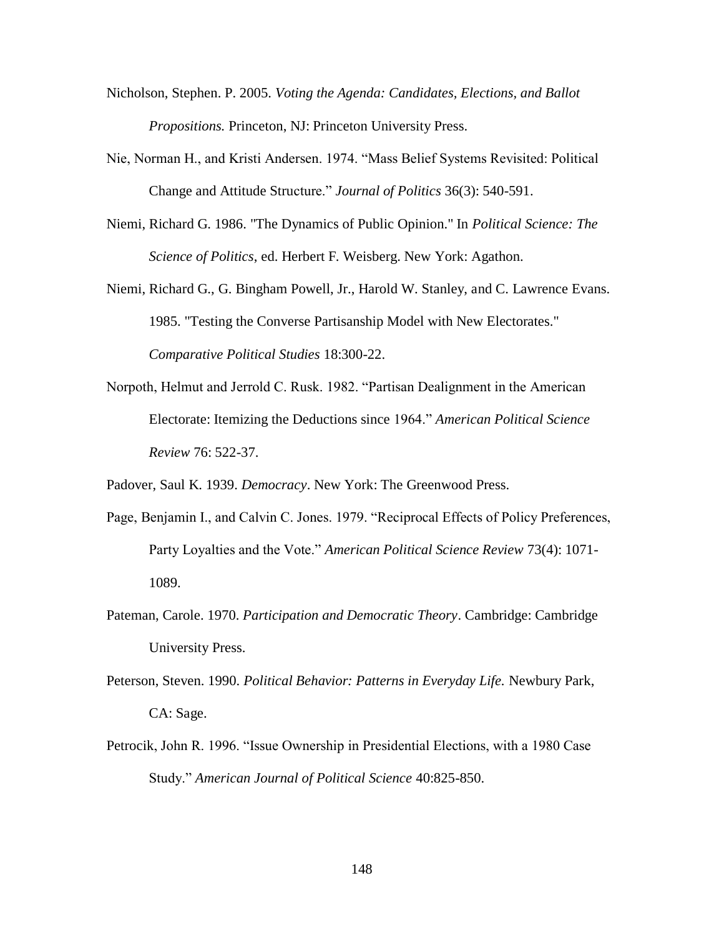- Nicholson, Stephen. P. 2005. *Voting the Agenda: Candidates, Elections, and Ballot Propositions.* Princeton, NJ: Princeton University Press.
- Nie, Norman H., and Kristi Andersen. 1974. "Mass Belief Systems Revisited: Political Change and Attitude Structure." *Journal of Politics* 36(3): 540-591.
- Niemi, Richard G. 1986. "The Dynamics of Public Opinion." In *Political Science: The Science of Politics*, ed. Herbert F. Weisberg. New York: Agathon.
- Niemi, Richard G., G. Bingham Powell, Jr., Harold W. Stanley, and C. Lawrence Evans. 1985. "Testing the Converse Partisanship Model with New Electorates." *Comparative Political Studies* 18:300-22.
- Norpoth, Helmut and Jerrold C. Rusk. 1982. "Partisan Dealignment in the American Electorate: Itemizing the Deductions since 1964." *American Political Science Review* 76: 522-37.

Padover, Saul K. 1939. *Democracy*. New York: The Greenwood Press.

- Page, Benjamin I., and Calvin C. Jones. 1979. "Reciprocal Effects of Policy Preferences, Party Loyalties and the Vote." *American Political Science Review* 73(4): 1071- 1089.
- Pateman, Carole. 1970. *Participation and Democratic Theory*. Cambridge: Cambridge University Press.
- Peterson, Steven. 1990. *Political Behavior: Patterns in Everyday Life.* Newbury Park, CA: Sage.
- Petrocik, John R. 1996. "Issue Ownership in Presidential Elections, with a 1980 Case Study." *American Journal of Political Science* 40:825-850.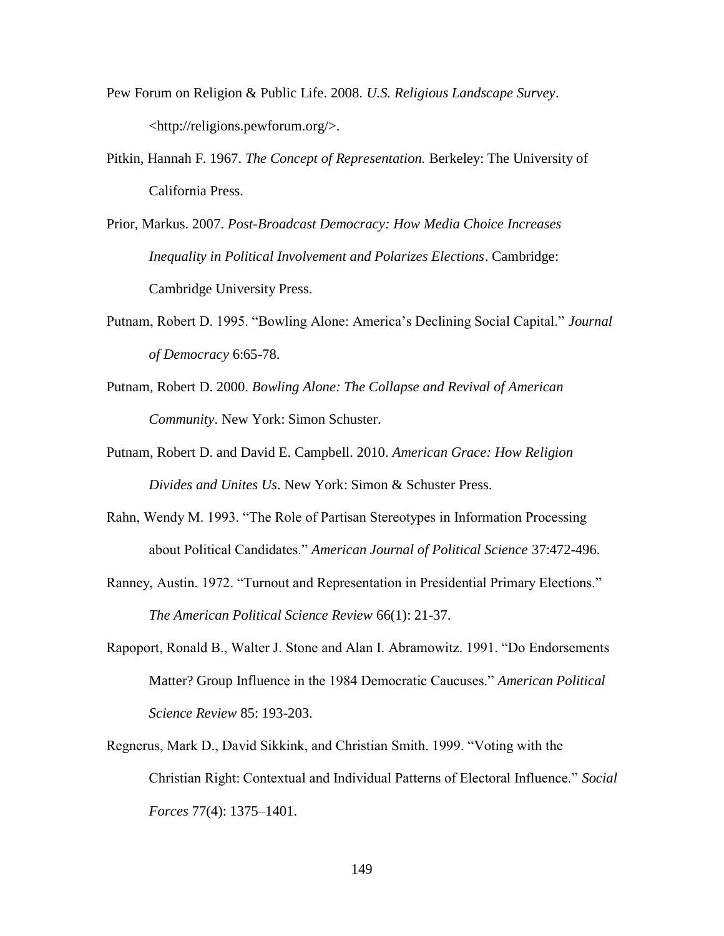- Pew Forum on Religion & Public Life. 2008. *U.S. Religious Landscape Survey*. <http://religions.pewforum.org/>.
- Pitkin, Hannah F. 1967. *The Concept of Representation.* Berkeley: The University of California Press.
- Prior, Markus. 2007. *Post-Broadcast Democracy: How Media Choice Increases Inequality in Political Involvement and Polarizes Elections*. Cambridge: Cambridge University Press.
- Putnam, Robert D. 1995. "Bowling Alone: America's Declining Social Capital." *Journal of Democracy* 6:65-78.
- Putnam, Robert D. 2000. *Bowling Alone: The Collapse and Revival of American Community*. New York: Simon Schuster.
- Putnam, Robert D. and David E. Campbell. 2010. *American Grace: How Religion Divides and Unites Us*. New York: Simon & Schuster Press.
- Rahn, Wendy M. 1993. "The Role of Partisan Stereotypes in Information Processing about Political Candidates." *American Journal of Political Science* 37:472-496.
- Ranney, Austin. 1972. "Turnout and Representation in Presidential Primary Elections." *The American Political Science Review* 66(1): 21-37.
- Rapoport, Ronald B., Walter J. Stone and Alan I. Abramowitz. 1991. "Do Endorsements Matter? Group Influence in the 1984 Democratic Caucuses." *American Political Science Review* 85: 193-203.
- Regnerus, Mark D., David Sikkink, and Christian Smith. 1999. "Voting with the Christian Right: Contextual and Individual Patterns of Electoral Influence." *Social Forces* 77(4): 1375–1401.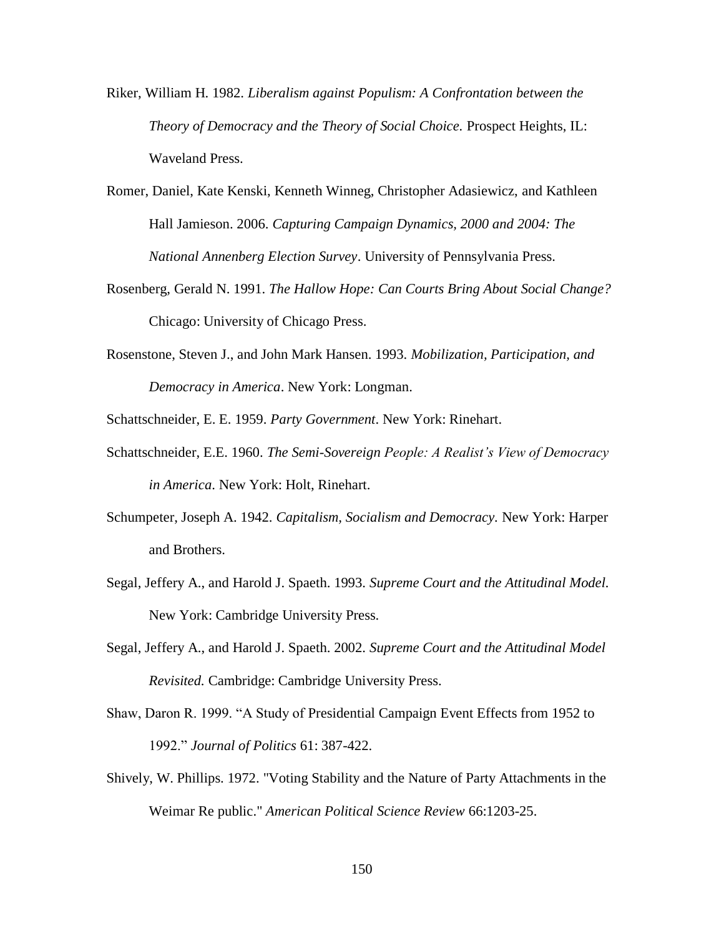- Riker, William H. 1982. *Liberalism against Populism: A Confrontation between the Theory of Democracy and the Theory of Social Choice.* Prospect Heights, IL: Waveland Press.
- Romer, Daniel, Kate Kenski, Kenneth Winneg, Christopher Adasiewicz, and Kathleen Hall Jamieson. 2006. *Capturing Campaign Dynamics, 2000 and 2004: The National Annenberg Election Survey*. University of Pennsylvania Press.
- Rosenberg, Gerald N. 1991. *The Hallow Hope: Can Courts Bring About Social Change?*  Chicago: University of Chicago Press.
- Rosenstone, Steven J., and John Mark Hansen. 1993. *Mobilization, Participation, and Democracy in America*. New York: Longman.

Schattschneider, E. E. 1959. *Party Government*. New York: Rinehart.

- Schattschneider, E.E. 1960. *The Semi-Sovereign People: A Realist's View of Democracy in America*. New York: Holt, Rinehart.
- Schumpeter, Joseph A. 1942. *Capitalism, Socialism and Democracy.* New York: Harper and Brothers.
- Segal, Jeffery A., and Harold J. Spaeth. 1993. *Supreme Court and the Attitudinal Model.*  New York: Cambridge University Press.
- Segal, Jeffery A., and Harold J. Spaeth. 2002. *Supreme Court and the Attitudinal Model Revisited.* Cambridge: Cambridge University Press.
- Shaw, Daron R. 1999. "A Study of Presidential Campaign Event Effects from 1952 to 1992." *Journal of Politics* 61: 387-422.
- Shively, W. Phillips. 1972. "Voting Stability and the Nature of Party Attachments in the Weimar Re public." *American Political Science Review* 66:1203-25.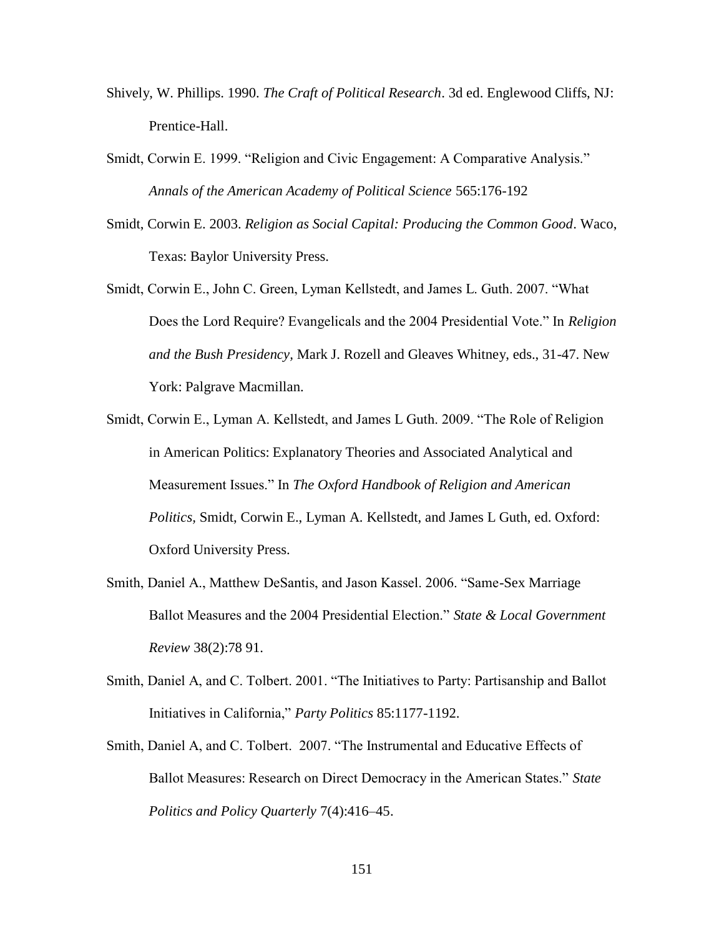- Shively, W. Phillips. 1990. *The Craft of Political Research*. 3d ed. Englewood Cliffs, NJ: Prentice-Hall.
- Smidt, Corwin E. 1999. "Religion and Civic Engagement: A Comparative Analysis." *Annals of the American Academy of Political Science* 565:176-192
- Smidt, Corwin E. 2003. *Religion as Social Capital: Producing the Common Good*. Waco, Texas: Baylor University Press.
- Smidt, Corwin E., John C. Green, Lyman Kellstedt, and James L. Guth. 2007. "What Does the Lord Require? Evangelicals and the 2004 Presidential Vote." In *Religion and the Bush Presidency,* Mark J. Rozell and Gleaves Whitney, eds., 31-47. New York: Palgrave Macmillan.
- Smidt, Corwin E., Lyman A. Kellstedt, and James L Guth. 2009. "The Role of Religion in American Politics: Explanatory Theories and Associated Analytical and Measurement Issues." In *The Oxford Handbook of Religion and American Politics,* Smidt, Corwin E., Lyman A. Kellstedt, and James L Guth, ed. Oxford: Oxford University Press.
- Smith, Daniel A., Matthew DeSantis, and Jason Kassel. 2006. "Same-Sex Marriage Ballot Measures and the 2004 Presidential Election." *State & Local Government Review* 38(2):78 91.
- Smith, Daniel A, and C. Tolbert. 2001. "The Initiatives to Party: Partisanship and Ballot Initiatives in California," *Party Politics* 85:1177-1192.
- Smith, Daniel A, and C. Tolbert. 2007. "The Instrumental and Educative Effects of Ballot Measures: Research on Direct Democracy in the American States." *State Politics and Policy Quarterly* 7(4):416–45.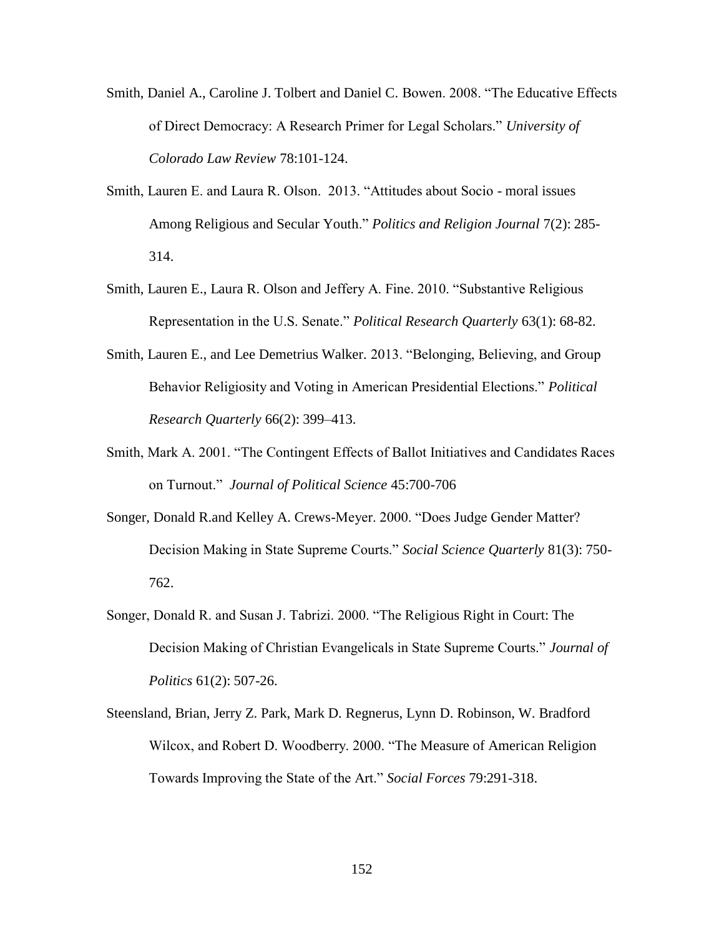- Smith, Daniel A., Caroline J. Tolbert and Daniel C. Bowen. 2008. "The Educative Effects of Direct Democracy: A Research Primer for Legal Scholars." *University of Colorado Law Review* 78:101-124.
- Smith, Lauren E. and Laura R. Olson. 2013. "Attitudes about Socio moral issues Among Religious and Secular Youth." *Politics and Religion Journal* 7(2): 285- 314.
- Smith, Lauren E., Laura R. Olson and Jeffery A. Fine. 2010. "Substantive Religious Representation in the U.S. Senate." *Political Research Quarterly* 63(1): 68-82.
- Smith, Lauren E., and Lee Demetrius Walker. 2013. "Belonging, Believing, and Group Behavior Religiosity and Voting in American Presidential Elections." *Political Research Quarterly* 66(2): 399–413.
- Smith, Mark A. 2001. "The Contingent Effects of Ballot Initiatives and Candidates Races on Turnout." *Journal of Political Science* 45:700-706
- Songer, Donald R.and Kelley A. Crews-Meyer. 2000. "Does Judge Gender Matter? Decision Making in State Supreme Courts." *Social Science Quarterly* 81(3): 750- 762.
- Songer, Donald R. and Susan J. Tabrizi. 2000. "The Religious Right in Court: The Decision Making of Christian Evangelicals in State Supreme Courts." *Journal of Politics* 61(2): 507-26.
- Steensland, Brian, Jerry Z. Park, Mark D. Regnerus, Lynn D. Robinson, W. Bradford Wilcox, and Robert D. Woodberry. 2000. "The Measure of American Religion Towards Improving the State of the Art." *Social Forces* 79:291-318.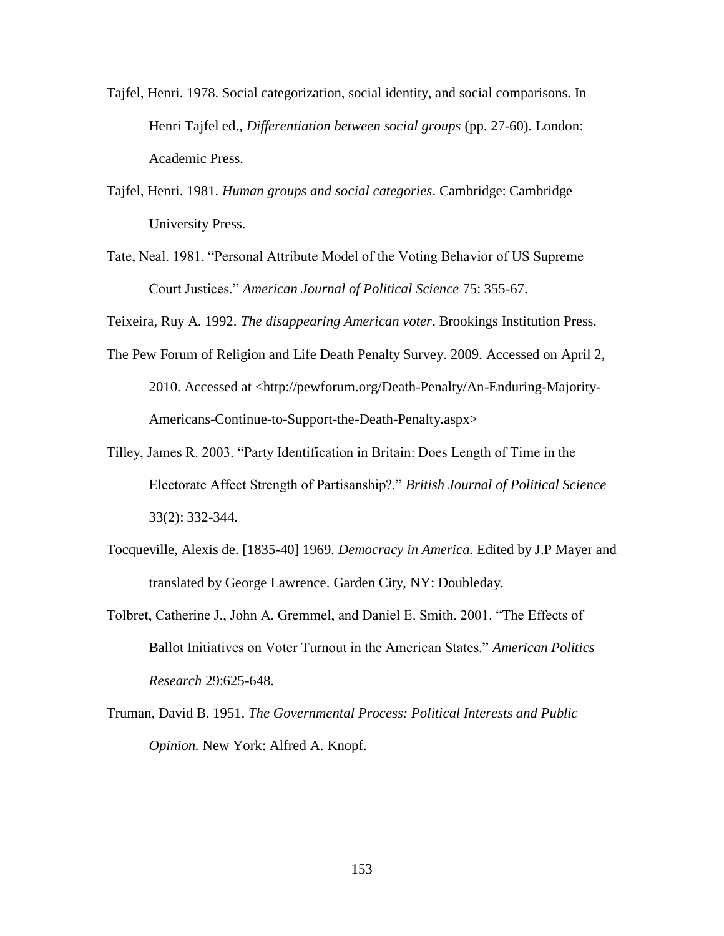- Tajfel, Henri. 1978. Social categorization, social identity, and social comparisons. In Henri Tajfel ed., *Differentiation between social groups* (pp. 27-60). London: Academic Press.
- Tajfel, Henri. 1981. *Human groups and social categories*. Cambridge: Cambridge University Press.
- Tate, Neal. 1981. "Personal Attribute Model of the Voting Behavior of US Supreme Court Justices." *American Journal of Political Science* 75: 355-67.

Teixeira, Ruy A. 1992. *The disappearing American voter*. Brookings Institution Press.

- The Pew Forum of Religion and Life Death Penalty Survey. 2009. Accessed on April 2, 2010. Accessed at <http://pewforum.org/Death-Penalty/An-Enduring-Majority-Americans-Continue-to-Support-the-Death-Penalty.aspx>
- Tilley, James R. 2003. "Party Identification in Britain: Does Length of Time in the Electorate Affect Strength of Partisanship?." *British Journal of Political Science* 33(2): 332-344.
- Tocqueville, Alexis de. [1835-40] 1969. *Democracy in America.* Edited by J.P Mayer and translated by George Lawrence. Garden City, NY: Doubleday.
- Tolbret, Catherine J., John A. Gremmel, and Daniel E. Smith. 2001. "The Effects of Ballot Initiatives on Voter Turnout in the American States." *American Politics Research* 29:625-648.
- Truman, David B. 1951. *The Governmental Process: Political Interests and Public Opinion.* New York: Alfred A. Knopf.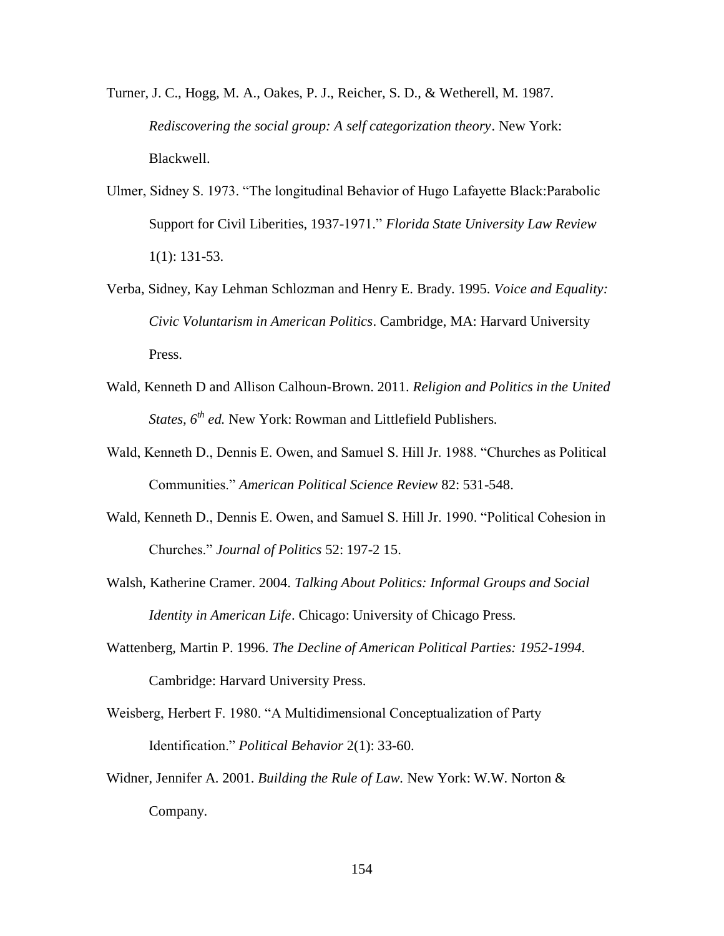- Turner, J. C., Hogg, M. A., Oakes, P. J., Reicher, S. D., & Wetherell, M. 1987. *Rediscovering the social group: A self categorization theory*. New York: Blackwell.
- Ulmer, Sidney S. 1973. "The longitudinal Behavior of Hugo Lafayette Black:Parabolic Support for Civil Liberities, 1937-1971." *Florida State University Law Review*  1(1): 131-53.
- Verba, Sidney, Kay Lehman Schlozman and Henry E. Brady. 1995. *Voice and Equality: Civic Voluntarism in American Politics*. Cambridge, MA: Harvard University Press.
- Wald, Kenneth D and Allison Calhoun-Brown. 2011. *Religion and Politics in the United States, 6th ed.* New York: Rowman and Littlefield Publishers.
- Wald, Kenneth D., Dennis E. Owen, and Samuel S. Hill Jr. 1988. "Churches as Political Communities." *American Political Science Review* 82: 531-548.
- Wald, Kenneth D., Dennis E. Owen, and Samuel S. Hill Jr. 1990. "Political Cohesion in Churches." *Journal of Politics* 52: 197-2 15.
- Walsh, Katherine Cramer. 2004. *Talking About Politics: Informal Groups and Social Identity in American Life*. Chicago: University of Chicago Press.
- Wattenberg, Martin P. 1996. *The Decline of American Political Parties: 1952-1994*. Cambridge: Harvard University Press.
- Weisberg, Herbert F. 1980. "A Multidimensional Conceptualization of Party Identification." *Political Behavior* 2(1): 33-60.
- Widner, Jennifer A. 2001. *Building the Rule of Law.* New York: W.W. Norton & Company.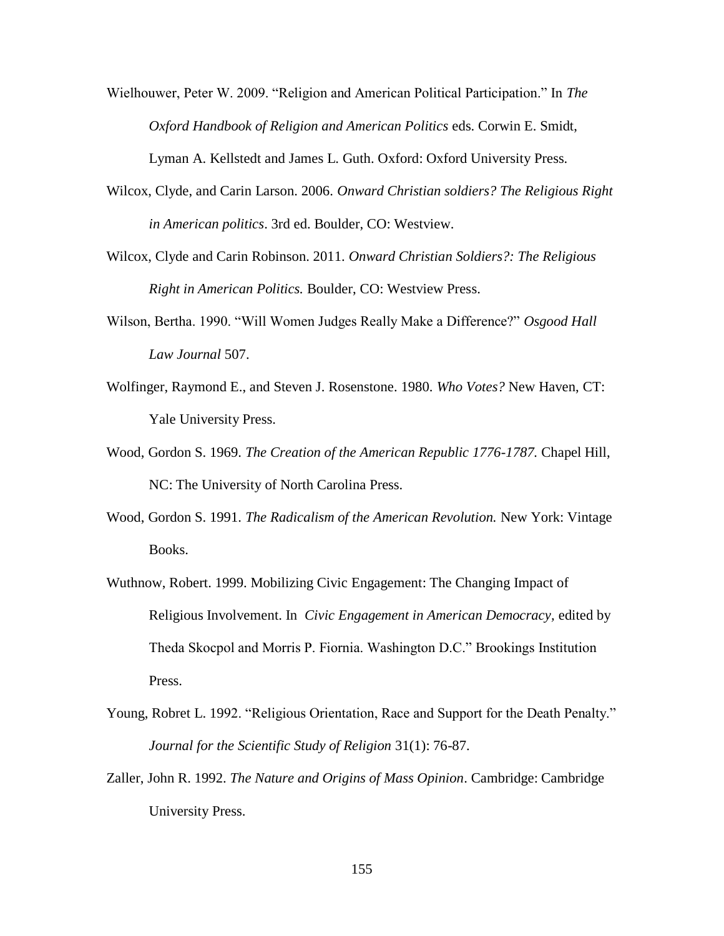Wielhouwer, Peter W. 2009. "Religion and American Political Participation." In *The Oxford Handbook of Religion and American Politics* eds. Corwin E. Smidt,

Lyman A. Kellstedt and James L. Guth. Oxford: Oxford University Press.

- Wilcox, Clyde, and Carin Larson. 2006. *Onward Christian soldiers? The Religious Right in American politics*. 3rd ed. Boulder, CO: Westview.
- Wilcox, Clyde and Carin Robinson. 2011. *Onward Christian Soldiers?: The Religious Right in American Politics.* Boulder, CO: Westview Press.
- Wilson, Bertha. 1990. "Will Women Judges Really Make a Difference?" *Osgood Hall Law Journal* 507.
- Wolfinger, Raymond E., and Steven J. Rosenstone. 1980. *Who Votes?* New Haven, CT: Yale University Press.
- Wood, Gordon S. 1969. *The Creation of the American Republic 1776-1787.* Chapel Hill, NC: The University of North Carolina Press.
- Wood, Gordon S. 1991. *The Radicalism of the American Revolution.* New York: Vintage Books.
- Wuthnow, Robert. 1999. Mobilizing Civic Engagement: The Changing Impact of Religious Involvement. In *Civic Engagement in American Democracy,* edited by Theda Skocpol and Morris P. Fiornia. Washington D.C." Brookings Institution Press.
- Young, Robret L. 1992. "Religious Orientation, Race and Support for the Death Penalty." *Journal for the Scientific Study of Religion* 31(1): 76-87.
- Zaller, John R. 1992. *The Nature and Origins of Mass Opinion*. Cambridge: Cambridge University Press.